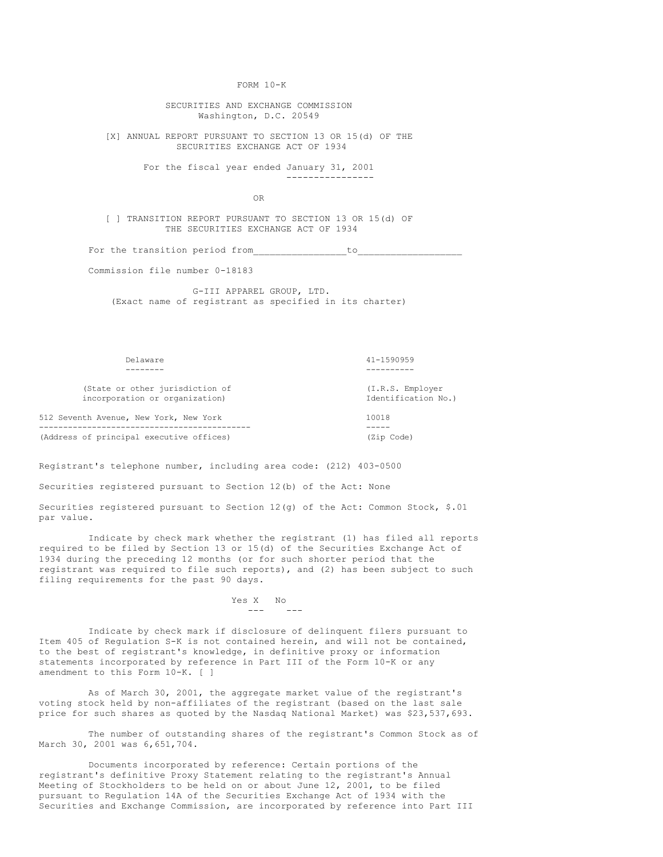FORM 10-K

SECURITIES AND EXCHANGE COMMISSION Washington, D.C. 20549

[X] ANNUAL REPORT PURSUANT TO SECTION 13 OR 15(d) OF THE SECURITIES EXCHANGE ACT OF 1934

For the fiscal year ended January 31, 2001

OR

[ ] TRANSITION REPORT PURSUANT TO SECTION 13 OR 15(d) OF THE SECURITIES EXCHANGE ACT OF 1934

For the transition period from \_\_\_\_\_\_\_\_\_\_\_\_\_\_\_\_\_\_\_\_\_\_to\_

----------------

Commission file number 0-18183

G-III APPAREL GROUP, LTD. (Exact name of registrant as specified in its charter)

| Delaware                                                          | 41-1590959                              |
|-------------------------------------------------------------------|-----------------------------------------|
|                                                                   |                                         |
| (State or other jurisdiction of<br>incorporation or organization) | (I.R.S. Employer<br>Identification No.) |
| 512 Seventh Avenue, New York, New York                            | 10018                                   |
| (Address of principal executive offices)                          | (Zip Code)                              |

Registrant's telephone number, including area code: (212) 403-0500

Securities registered pursuant to Section 12(b) of the Act: None

Securities registered pursuant to Section 12(g) of the Act: Common Stock, \$.01 par value.

Indicate by check mark whether the registrant (1) has filed all reports required to be filed by Section 13 or 15(d) of the Securities Exchange Act of 1934 during the preceding 12 months (or for such shorter period that the registrant was required to file such reports), and (2) has been subject to such filing requirements for the past 90 days.

### Yes X No --- ---

Indicate by check mark if disclosure of delinquent filers pursuant to Item 405 of Regulation S-K is not contained herein, and will not be contained, to the best of registrant's knowledge, in definitive proxy or information statements incorporated by reference in Part III of the Form 10-K or any amendment to this Form 10-K. [ ]

As of March 30, 2001, the aggregate market value of the registrant's voting stock held by non-affiliates of the registrant (based on the last sale price for such shares as quoted by the Nasdaq National Market) was \$23,537,693.

The number of outstanding shares of the registrant's Common Stock as of March 30, 2001 was 6,651,704.

Documents incorporated by reference: Certain portions of the registrant's definitive Proxy Statement relating to the registrant's Annual Meeting of Stockholders to be held on or about June 12, 2001, to be filed pursuant to Regulation 14A of the Securities Exchange Act of 1934 with the Securities and Exchange Commission, are incorporated by reference into Part III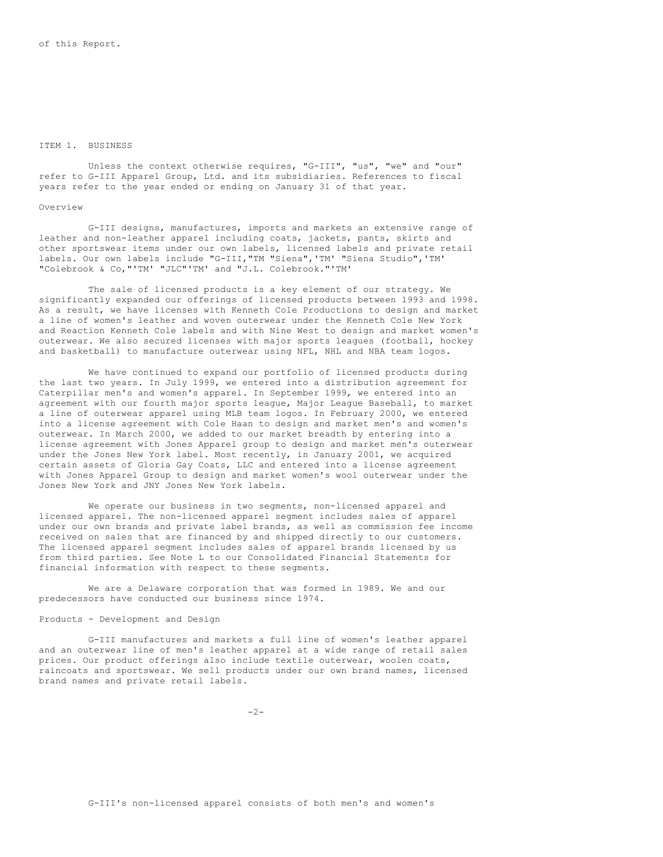#### ITEM 1. BUSINESS

Unless the context otherwise requires, "G-III", "us", "we" and "our" refer to G-III Apparel Group, Ltd. and its subsidiaries. References to fiscal years refer to the year ended or ending on January 31 of that year.

#### Overview

G-III designs, manufactures, imports and markets an extensive range of leather and non-leather apparel including coats, jackets, pants, skirts and other sportswear items under our own labels, licensed labels and private retail labels. Our own labels include "G-III,"TM "Siena",'TM' "Siena Studio",'TM' "Colebrook & Co,"'TM' "JLC"'TM' and "J.L. Colebrook."'TM'

The sale of licensed products is a key element of our strategy. We significantly expanded our offerings of licensed products between 1993 and 1998. As a result, we have licenses with Kenneth Cole Productions to design and market a line of women's leather and woven outerwear under the Kenneth Cole New York and Reaction Kenneth Cole labels and with Nine West to design and market women's outerwear. We also secured licenses with major sports leagues (football, hockey and basketball) to manufacture outerwear using NFL, NHL and NBA team logos.

We have continued to expand our portfolio of licensed products during the last two years. In July 1999, we entered into a distribution agreement for Caterpillar men's and women's apparel. In September 1999, we entered into an agreement with our fourth major sports league, Major League Baseball, to market a line of outerwear apparel using MLB team logos. In February 2000, we entered into a license agreement with Cole Haan to design and market men's and women's outerwear. In March 2000, we added to our market breadth by entering into a license agreement with Jones Apparel group to design and market men's outerwear under the Jones New York label. Most recently, in January 2001, we acquired certain assets of Gloria Gay Coats, LLC and entered into a license agreement with Jones Apparel Group to design and market women's wool outerwear under the Jones New York and JNY Jones New York labels.

We operate our business in two segments, non-licensed apparel and licensed apparel. The non-licensed apparel segment includes sales of apparel under our own brands and private label brands, as well as commission fee income received on sales that are financed by and shipped directly to our customers. The licensed apparel segment includes sales of apparel brands licensed by us from third parties. See Note L to our Consolidated Financial Statements for financial information with respect to these segments.

We are a Delaware corporation that was formed in 1989. We and our predecessors have conducted our business since 1974.

# Products - Development and Design

G-III manufactures and markets a full line of women's leather apparel and an outerwear line of men's leather apparel at a wide range of retail sales prices. Our product offerings also include textile outerwear, woolen coats, raincoats and sportswear. We sell products under our own brand names, licensed brand names and private retail labels.

 $-2-$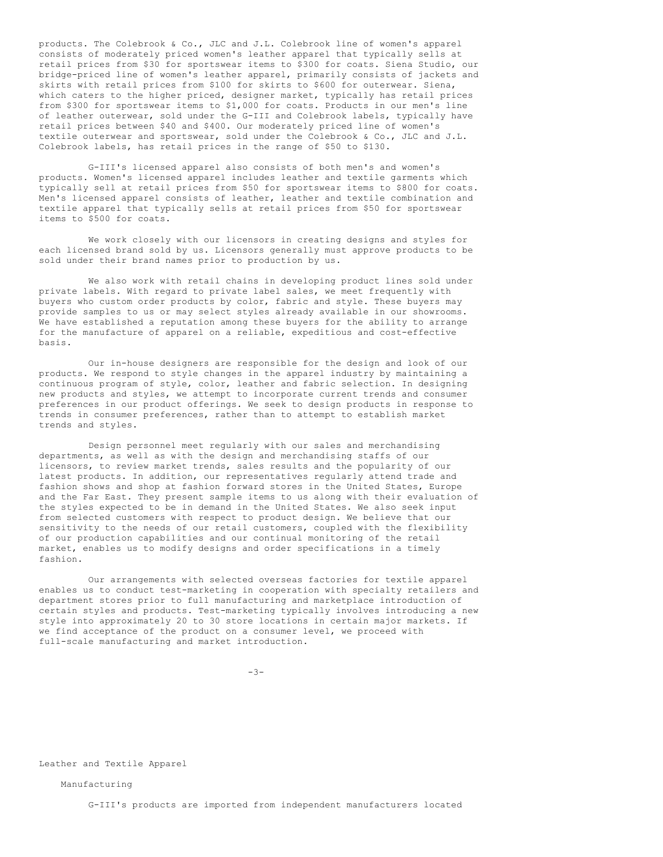products. The Colebrook & Co., JLC and J.L. Colebrook line of women's apparel consists of moderately priced women's leather apparel that typically sells at retail prices from \$30 for sportswear items to \$300 for coats. Siena Studio, our bridge-priced line of women's leather apparel, primarily consists of jackets and skirts with retail prices from \$100 for skirts to \$600 for outerwear. Siena, which caters to the higher priced, designer market, typically has retail prices from \$300 for sportswear items to \$1,000 for coats. Products in our men's line of leather outerwear, sold under the G-III and Colebrook labels, typically have retail prices between \$40 and \$400. Our moderately priced line of women's textile outerwear and sportswear, sold under the Colebrook & Co., JLC and J.L. Colebrook labels, has retail prices in the range of \$50 to \$130.

G-III's licensed apparel also consists of both men's and women's products. Women's licensed apparel includes leather and textile garments which typically sell at retail prices from \$50 for sportswear items to \$800 for coats. Men's licensed apparel consists of leather, leather and textile combination and textile apparel that typically sells at retail prices from \$50 for sportswear items to \$500 for coats.

We work closely with our licensors in creating designs and styles for each licensed brand sold by us. Licensors generally must approve products to be sold under their brand names prior to production by us.

We also work with retail chains in developing product lines sold under private labels. With regard to private label sales, we meet frequently with buyers who custom order products by color, fabric and style. These buyers may provide samples to us or may select styles already available in our showrooms. We have established a reputation among these buyers for the ability to arrange for the manufacture of apparel on a reliable, expeditious and cost-effective basis.

Our in-house designers are responsible for the design and look of our products. We respond to style changes in the apparel industry by maintaining a continuous program of style, color, leather and fabric selection. In designing new products and styles, we attempt to incorporate current trends and consumer preferences in our product offerings. We seek to design products in response to trends in consumer preferences, rather than to attempt to establish market trends and styles.

Design personnel meet regularly with our sales and merchandising departments, as well as with the design and merchandising staffs of our licensors, to review market trends, sales results and the popularity of our latest products. In addition, our representatives regularly attend trade and fashion shows and shop at fashion forward stores in the United States, Europe and the Far East. They present sample items to us along with their evaluation of the styles expected to be in demand in the United States. We also seek input from selected customers with respect to product design. We believe that our sensitivity to the needs of our retail customers, coupled with the flexibility of our production capabilities and our continual monitoring of the retail market, enables us to modify designs and order specifications in a timely fashion.

Our arrangements with selected overseas factories for textile apparel enables us to conduct test-marketing in cooperation with specialty retailers and department stores prior to full manufacturing and marketplace introduction of certain styles and products. Test-marketing typically involves introducing a new style into approximately 20 to 30 store locations in certain major markets. If we find acceptance of the product on a consumer level, we proceed with full-scale manufacturing and market introduction.

 $-3-$ 

Leather and Textile Apparel

Manufacturing

G-III's products are imported from independent manufacturers located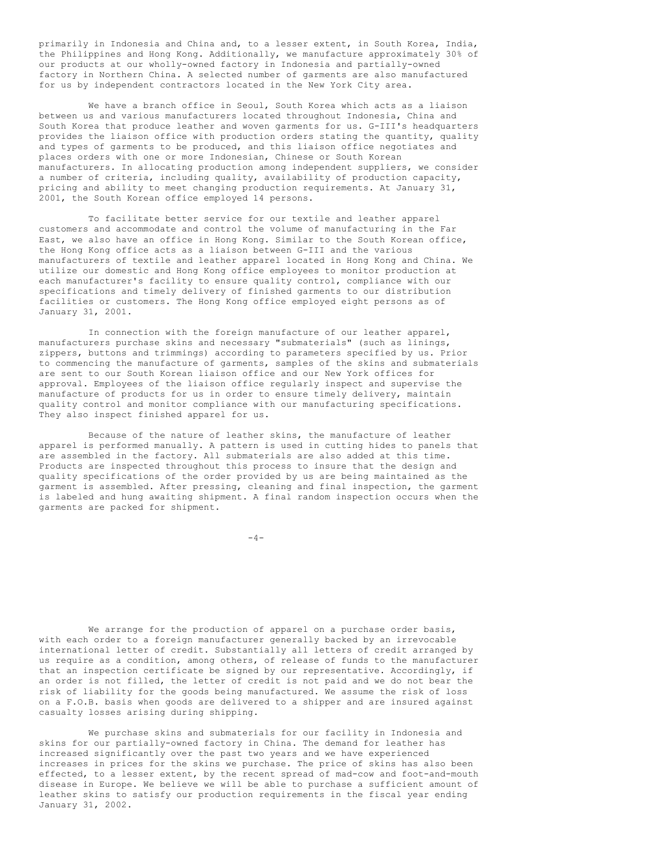primarily in Indonesia and China and, to a lesser extent, in South Korea, India, the Philippines and Hong Kong. Additionally, we manufacture approximately 30% of our products at our wholly-owned factory in Indonesia and partially-owned factory in Northern China. A selected number of garments are also manufactured for us by independent contractors located in the New York City area.

We have a branch office in Seoul, South Korea which acts as a liaison between us and various manufacturers located throughout Indonesia, China and South Korea that produce leather and woven garments for us. G-III's headquarters provides the liaison office with production orders stating the quantity, quality and types of garments to be produced, and this liaison office negotiates and places orders with one or more Indonesian, Chinese or South Korean manufacturers. In allocating production among independent suppliers, we consider a number of criteria, including quality, availability of production capacity, pricing and ability to meet changing production requirements. At January 31, 2001, the South Korean office employed 14 persons.

To facilitate better service for our textile and leather apparel customers and accommodate and control the volume of manufacturing in the Far East, we also have an office in Hong Kong. Similar to the South Korean office, the Hong Kong office acts as a liaison between G-III and the various manufacturers of textile and leather apparel located in Hong Kong and China. We utilize our domestic and Hong Kong office employees to monitor production at each manufacturer's facility to ensure quality control, compliance with our specifications and timely delivery of finished garments to our distribution facilities or customers. The Hong Kong office employed eight persons as of January 31, 2001.

In connection with the foreign manufacture of our leather apparel, manufacturers purchase skins and necessary "submaterials" (such as linings, zippers, buttons and trimmings) according to parameters specified by us. Prior to commencing the manufacture of garments, samples of the skins and submaterials are sent to our South Korean liaison office and our New York offices for approval. Employees of the liaison office regularly inspect and supervise the manufacture of products for us in order to ensure timely delivery, maintain quality control and monitor compliance with our manufacturing specifications. They also inspect finished apparel for us.

Because of the nature of leather skins, the manufacture of leather apparel is performed manually. A pattern is used in cutting hides to panels that are assembled in the factory. All submaterials are also added at this time. Products are inspected throughout this process to insure that the design and quality specifications of the order provided by us are being maintained as the garment is assembled. After pressing, cleaning and final inspection, the garment is labeled and hung awaiting shipment. A final random inspection occurs when the garments are packed for shipment.

 $-4-$ 

We arrange for the production of apparel on a purchase order basis, with each order to a foreign manufacturer generally backed by an irrevocable international letter of credit. Substantially all letters of credit arranged by us require as a condition, among others, of release of funds to the manufacturer that an inspection certificate be signed by our representative. Accordingly, if an order is not filled, the letter of credit is not paid and we do not bear the risk of liability for the goods being manufactured. We assume the risk of loss on a F.O.B. basis when goods are delivered to a shipper and are insured against casualty losses arising during shipping.

We purchase skins and submaterials for our facility in Indonesia and skins for our partially-owned factory in China. The demand for leather has increased significantly over the past two years and we have experienced increases in prices for the skins we purchase. The price of skins has also been effected, to a lesser extent, by the recent spread of mad-cow and foot-and-mouth disease in Europe. We believe we will be able to purchase a sufficient amount of leather skins to satisfy our production requirements in the fiscal year ending January 31, 2002.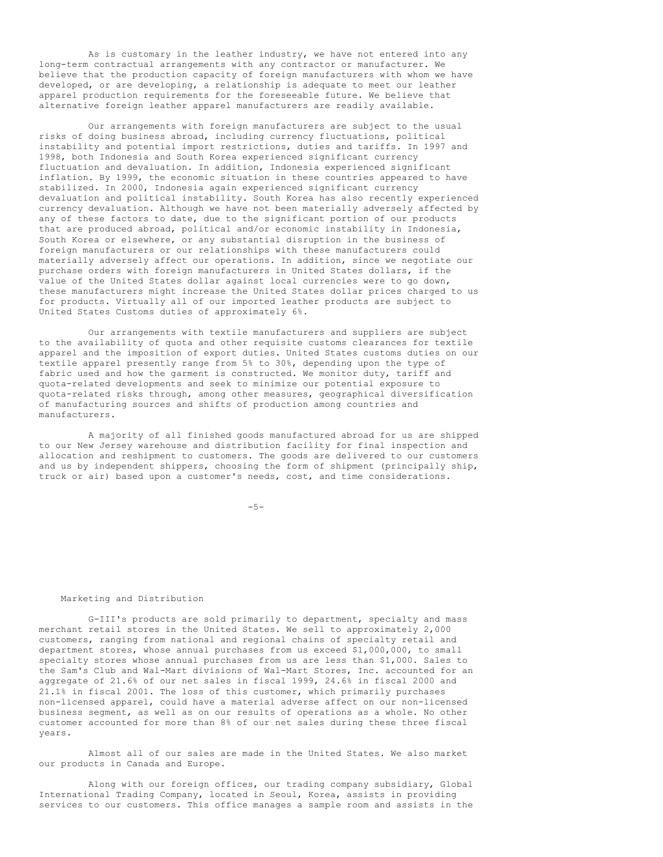As is customary in the leather industry, we have not entered into any long-term contractual arrangements with any contractor or manufacturer. We believe that the production capacity of foreign manufacturers with whom we have developed, or are developing, a relationship is adequate to meet our leather apparel production requirements for the foreseeable future. We believe that alternative foreign leather apparel manufacturers are readily available.

Our arrangements with foreign manufacturers are subject to the usual risks of doing business abroad, including currency fluctuations, political instability and potential import restrictions, duties and tariffs. In 1997 and 1998, both Indonesia and South Korea experienced significant currency fluctuation and devaluation. In addition, Indonesia experienced significant inflation. By 1999, the economic situation in these countries appeared to have stabilized. In 2000, Indonesia again experienced significant currency devaluation and political instability. South Korea has also recently experienced currency devaluation. Although we have not been materially adversely affected by any of these factors to date, due to the significant portion of our products that are produced abroad, political and/or economic instability in Indonesia, South Korea or elsewhere, or any substantial disruption in the business of foreign manufacturers or our relationships with these manufacturers could materially adversely affect our operations. In addition, since we negotiate our purchase orders with foreign manufacturers in United States dollars, if the value of the United States dollar against local currencies were to go down, these manufacturers might increase the United States dollar prices charged to us for products. Virtually all of our imported leather products are subject to United States Customs duties of approximately 6%.

Our arrangements with textile manufacturers and suppliers are subject to the availability of quota and other requisite customs clearances for textile apparel and the imposition of export duties. United States customs duties on our textile apparel presently range from 5% to 30%, depending upon the type of fabric used and how the garment is constructed. We monitor duty, tariff and quota-related developments and seek to minimize our potential exposure to quota-related risks through, among other measures, geographical diversification of manufacturing sources and shifts of production among countries and manufacturers.

A majority of all finished goods manufactured abroad for us are shipped to our New Jersey warehouse and distribution facility for final inspection and allocation and reshipment to customers. The goods are delivered to our customers and us by independent shippers, choosing the form of shipment (principally ship, truck or air) based upon a customer's needs, cost, and time considerations.

 $-5-$ 

#### Marketing and Distribution

G-III's products are sold primarily to department, specialty and mass merchant retail stores in the United States. We sell to approximately 2,000 customers, ranging from national and regional chains of specialty retail and department stores, whose annual purchases from us exceed \$1,000,000, to small specialty stores whose annual purchases from us are less than \$1,000. Sales to the Sam's Club and Wal-Mart divisions of Wal-Mart Stores, Inc. accounted for an aggregate of 21.6% of our net sales in fiscal 1999, 24.6% in fiscal 2000 and 21.1% in fiscal 2001. The loss of this customer, which primarily purchases non-licensed apparel, could have a material adverse affect on our non-licensed business segment, as well as on our results of operations as a whole. No other customer accounted for more than 8% of our net sales during these three fiscal years.

Almost all of our sales are made in the United States. We also market our products in Canada and Europe.

Along with our foreign offices, our trading company subsidiary, Global International Trading Company, located in Seoul, Korea, assists in providing services to our customers. This office manages a sample room and assists in the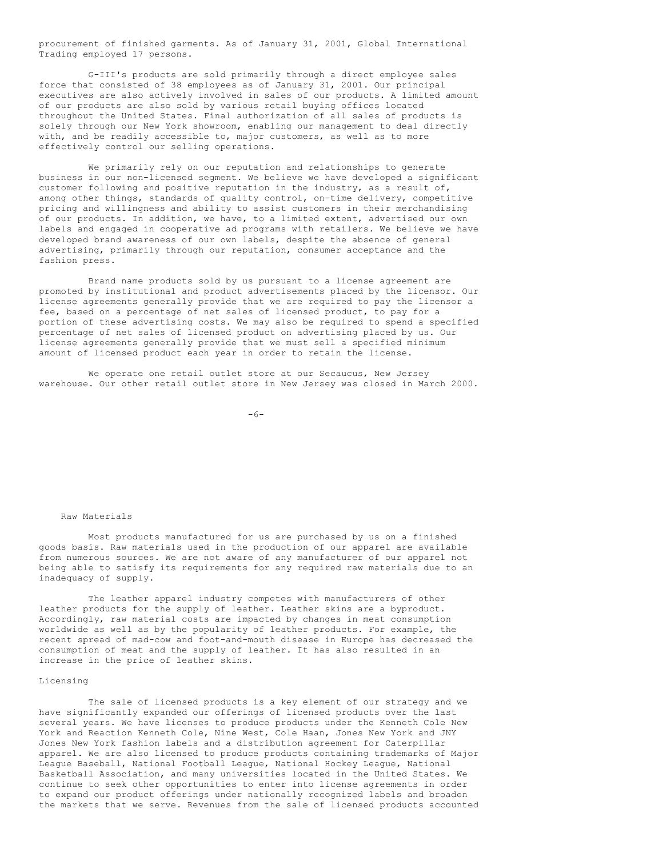procurement of finished garments. As of January 31, 2001, Global International Trading employed 17 persons.

G-III's products are sold primarily through a direct employee sales force that consisted of 38 employees as of January 31, 2001. Our principal executives are also actively involved in sales of our products. A limited amount of our products are also sold by various retail buying offices located throughout the United States. Final authorization of all sales of products is solely through our New York showroom, enabling our management to deal directly with, and be readily accessible to, major customers, as well as to more effectively control our selling operations.

We primarily rely on our reputation and relationships to generate business in our non-licensed segment. We believe we have developed a significant customer following and positive reputation in the industry, as a result of, among other things, standards of quality control, on-time delivery, competitive pricing and willingness and ability to assist customers in their merchandising of our products. In addition, we have, to a limited extent, advertised our own labels and engaged in cooperative ad programs with retailers. We believe we have developed brand awareness of our own labels, despite the absence of general advertising, primarily through our reputation, consumer acceptance and the fashion press.

Brand name products sold by us pursuant to a license agreement are promoted by institutional and product advertisements placed by the licensor. Our license agreements generally provide that we are required to pay the licensor a fee, based on a percentage of net sales of licensed product, to pay for a portion of these advertising costs. We may also be required to spend a specified percentage of net sales of licensed product on advertising placed by us. Our license agreements generally provide that we must sell a specified minimum amount of licensed product each year in order to retain the license.

We operate one retail outlet store at our Secaucus, New Jersey warehouse. Our other retail outlet store in New Jersey was closed in March 2000.

 $-6-$ 

# Raw Materials

Most products manufactured for us are purchased by us on a finished goods basis. Raw materials used in the production of our apparel are available from numerous sources. We are not aware of any manufacturer of our apparel not being able to satisfy its requirements for any required raw materials due to an inadequacy of supply.

The leather apparel industry competes with manufacturers of other leather products for the supply of leather. Leather skins are a byproduct. Accordingly, raw material costs are impacted by changes in meat consumption worldwide as well as by the popularity of leather products. For example, the recent spread of mad-cow and foot-and-mouth disease in Europe has decreased the consumption of meat and the supply of leather. It has also resulted in an increase in the price of leather skins.

#### Licensing

The sale of licensed products is a key element of our strategy and we have significantly expanded our offerings of licensed products over the last several years. We have licenses to produce products under the Kenneth Cole New York and Reaction Kenneth Cole, Nine West, Cole Haan, Jones New York and JNY Jones New York fashion labels and a distribution agreement for Caterpillar apparel. We are also licensed to produce products containing trademarks of Major League Baseball, National Football League, National Hockey League, National Basketball Association, and many universities located in the United States. We continue to seek other opportunities to enter into license agreements in order to expand our product offerings under nationally recognized labels and broaden the markets that we serve. Revenues from the sale of licensed products accounted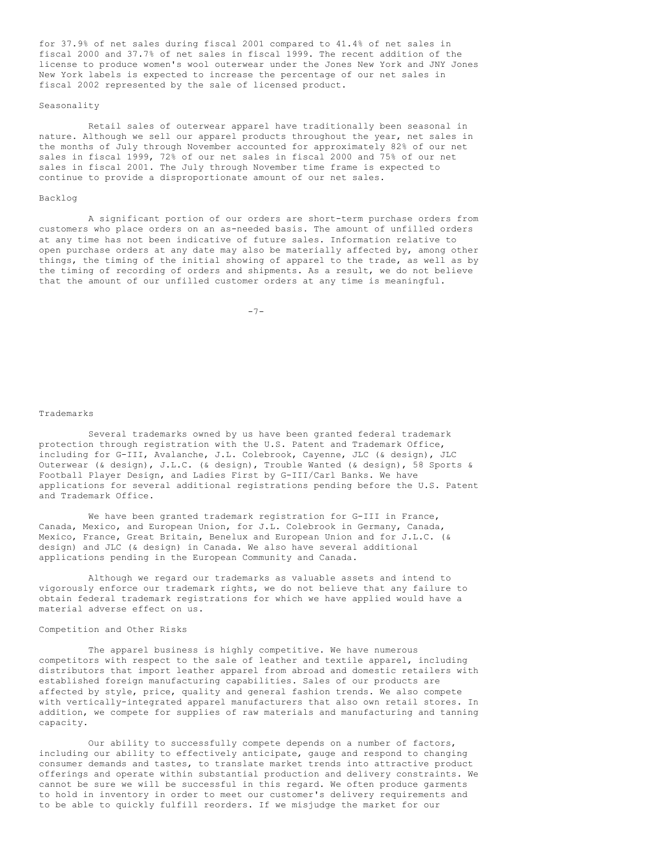for 37.9% of net sales during fiscal 2001 compared to 41.4% of net sales in fiscal 2000 and 37.7% of net sales in fiscal 1999. The recent addition of the license to produce women's wool outerwear under the Jones New York and JNY Jones New York labels is expected to increase the percentage of our net sales in fiscal 2002 represented by the sale of licensed product.

# Seasonality

Retail sales of outerwear apparel have traditionally been seasonal in nature. Although we sell our apparel products throughout the year, net sales in the months of July through November accounted for approximately 82% of our net sales in fiscal 1999, 72% of our net sales in fiscal 2000 and 75% of our net sales in fiscal 2001. The July through November time frame is expected to continue to provide a disproportionate amount of our net sales.

### Backlog

A significant portion of our orders are short-term purchase orders from customers who place orders on an as-needed basis. The amount of unfilled orders at any time has not been indicative of future sales. Information relative to open purchase orders at any date may also be materially affected by, among other things, the timing of the initial showing of apparel to the trade, as well as by the timing of recording of orders and shipments. As a result, we do not believe that the amount of our unfilled customer orders at any time is meaningful.

-7-

#### Trademarks

Several trademarks owned by us have been granted federal trademark protection through registration with the U.S. Patent and Trademark Office, including for G-III, Avalanche, J.L. Colebrook, Cayenne, JLC (& design), JLC Outerwear (& design), J.L.C. (& design), Trouble Wanted (& design), 58 Sports & Football Player Design, and Ladies First by G-III/Carl Banks. We have applications for several additional registrations pending before the U.S. Patent and Trademark Office.

We have been granted trademark registration for G-III in France, Canada, Mexico, and European Union, for J.L. Colebrook in Germany, Canada, Mexico, France, Great Britain, Benelux and European Union and for J.L.C. (& design) and JLC (& design) in Canada. We also have several additional applications pending in the European Community and Canada.

Although we regard our trademarks as valuable assets and intend to vigorously enforce our trademark rights, we do not believe that any failure to obtain federal trademark registrations for which we have applied would have a material adverse effect on us.

# Competition and Other Risks

The apparel business is highly competitive. We have numerous competitors with respect to the sale of leather and textile apparel, including distributors that import leather apparel from abroad and domestic retailers with established foreign manufacturing capabilities. Sales of our products are affected by style, price, quality and general fashion trends. We also compete with vertically-integrated apparel manufacturers that also own retail stores. In addition, we compete for supplies of raw materials and manufacturing and tanning capacity.

Our ability to successfully compete depends on a number of factors, including our ability to effectively anticipate, gauge and respond to changing consumer demands and tastes, to translate market trends into attractive product offerings and operate within substantial production and delivery constraints. We cannot be sure we will be successful in this regard. We often produce garments to hold in inventory in order to meet our customer's delivery requirements and to be able to quickly fulfill reorders. If we misjudge the market for our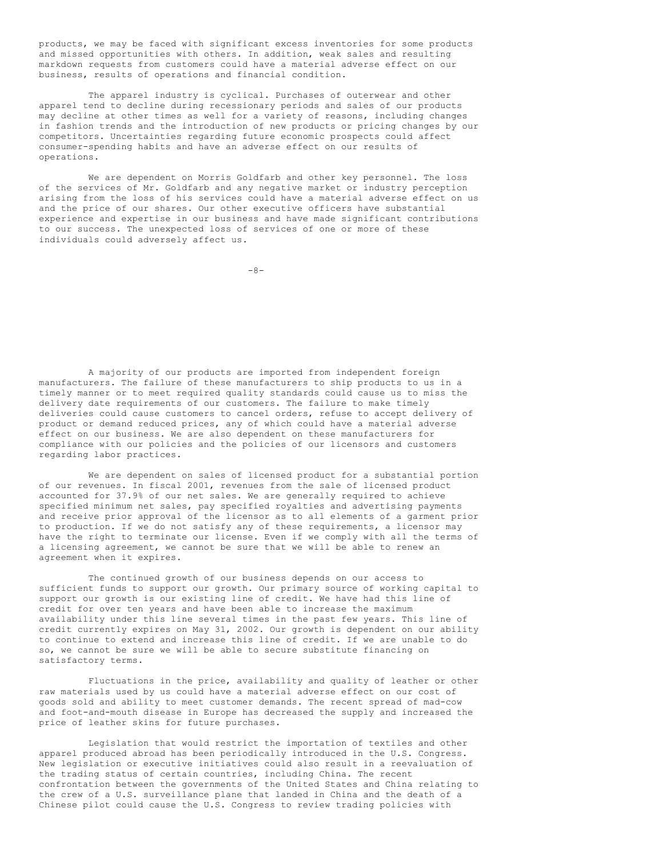products, we may be faced with significant excess inventories for some products and missed opportunities with others. In addition, weak sales and resulting markdown requests from customers could have a material adverse effect on our business, results of operations and financial condition.

The apparel industry is cyclical. Purchases of outerwear and other apparel tend to decline during recessionary periods and sales of our products may decline at other times as well for a variety of reasons, including changes in fashion trends and the introduction of new products or pricing changes by our competitors. Uncertainties regarding future economic prospects could affect consumer-spending habits and have an adverse effect on our results of operations.

We are dependent on Morris Goldfarb and other key personnel. The loss of the services of Mr. Goldfarb and any negative market or industry perception arising from the loss of his services could have a material adverse effect on us and the price of our shares. Our other executive officers have substantial experience and expertise in our business and have made significant contributions to our success. The unexpected loss of services of one or more of these individuals could adversely affect us.

 $-8-$ 

A majority of our products are imported from independent foreign manufacturers. The failure of these manufacturers to ship products to us in a timely manner or to meet required quality standards could cause us to miss the delivery date requirements of our customers. The failure to make timely deliveries could cause customers to cancel orders, refuse to accept delivery of product or demand reduced prices, any of which could have a material adverse effect on our business. We are also dependent on these manufacturers for compliance with our policies and the policies of our licensors and customers regarding labor practices.

We are dependent on sales of licensed product for a substantial portion of our revenues. In fiscal 2001, revenues from the sale of licensed product accounted for 37.9% of our net sales. We are generally required to achieve specified minimum net sales, pay specified royalties and advertising payments and receive prior approval of the licensor as to all elements of a garment prior to production. If we do not satisfy any of these requirements, a licensor may have the right to terminate our license. Even if we comply with all the terms of a licensing agreement, we cannot be sure that we will be able to renew an agreement when it expires.

The continued growth of our business depends on our access to sufficient funds to support our growth. Our primary source of working capital to support our growth is our existing line of credit. We have had this line of credit for over ten years and have been able to increase the maximum availability under this line several times in the past few years. This line of credit currently expires on May 31, 2002. Our growth is dependent on our ability to continue to extend and increase this line of credit. If we are unable to do so, we cannot be sure we will be able to secure substitute financing on satisfactory terms.

Fluctuations in the price, availability and quality of leather or other raw materials used by us could have a material adverse effect on our cost of goods sold and ability to meet customer demands. The recent spread of mad-cow and foot-and-mouth disease in Europe has decreased the supply and increased the price of leather skins for future purchases.

Legislation that would restrict the importation of textiles and other apparel produced abroad has been periodically introduced in the U.S. Congress. New legislation or executive initiatives could also result in a reevaluation of the trading status of certain countries, including China. The recent confrontation between the governments of the United States and China relating to the crew of a U.S. surveillance plane that landed in China and the death of a Chinese pilot could cause the U.S. Congress to review trading policies with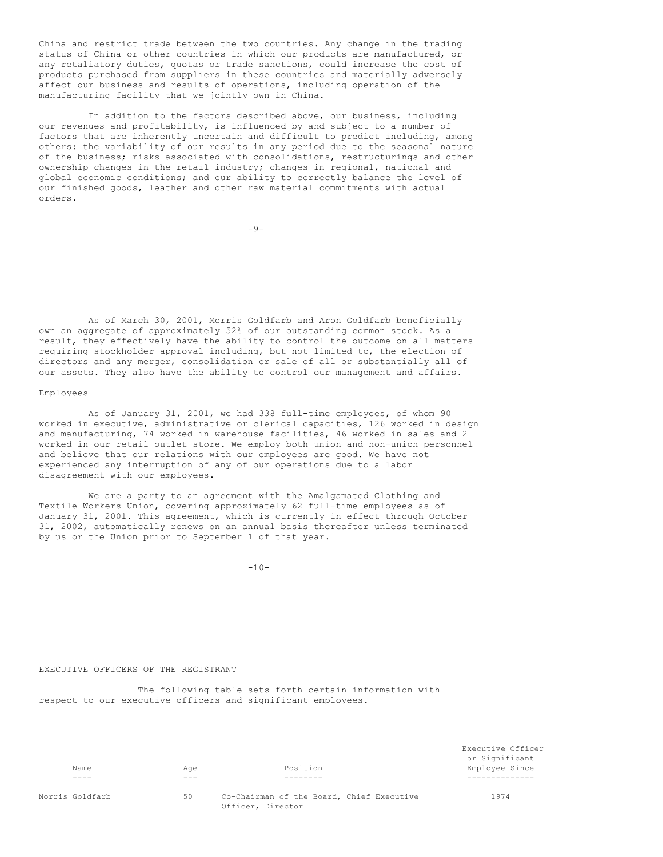China and restrict trade between the two countries. Any change in the trading status of China or other countries in which our products are manufactured, or any retaliatory duties, quotas or trade sanctions, could increase the cost of products purchased from suppliers in these countries and materially adversely affect our business and results of operations, including operation of the manufacturing facility that we jointly own in China.

In addition to the factors described above, our business, including our revenues and profitability, is influenced by and subject to a number of factors that are inherently uncertain and difficult to predict including, among others: the variability of our results in any period due to the seasonal nature of the business; risks associated with consolidations, restructurings and other ownership changes in the retail industry; changes in regional, national and global economic conditions; and our ability to correctly balance the level of our finished goods, leather and other raw material commitments with actual orders.

 $-9-$ 

As of March 30, 2001, Morris Goldfarb and Aron Goldfarb beneficially own an aggregate of approximately 52% of our outstanding common stock. As a result, they effectively have the ability to control the outcome on all matters requiring stockholder approval including, but not limited to, the election of directors and any merger, consolidation or sale of all or substantially all of our assets. They also have the ability to control our management and affairs.

# Employees

As of January 31, 2001, we had 338 full-time employees, of whom 90 worked in executive, administrative or clerical capacities, 126 worked in design and manufacturing, 74 worked in warehouse facilities, 46 worked in sales and 2 worked in our retail outlet store. We employ both union and non-union personnel and believe that our relations with our employees are good. We have not experienced any interruption of any of our operations due to a labor disagreement with our employees.

We are a party to an agreement with the Amalgamated Clothing and Textile Workers Union, covering approximately 62 full-time employees as of January 31, 2001. This agreement, which is currently in effect through October 31, 2002, automatically renews on an annual basis thereafter unless terminated by us or the Union prior to September 1 of that year.

 $-10-$ 

# EXECUTIVE OFFICERS OF THE REGISTRANT

The following table sets forth certain information with respect to our executive officers and significant employees.

| Name            | Age | Position                                                       | or Significant<br>Employee Since |
|-----------------|-----|----------------------------------------------------------------|----------------------------------|
| Morris Goldfarb | 50  | Co-Chairman of the Board, Chief Executive<br>Officer, Director | 1974                             |

Executive Officer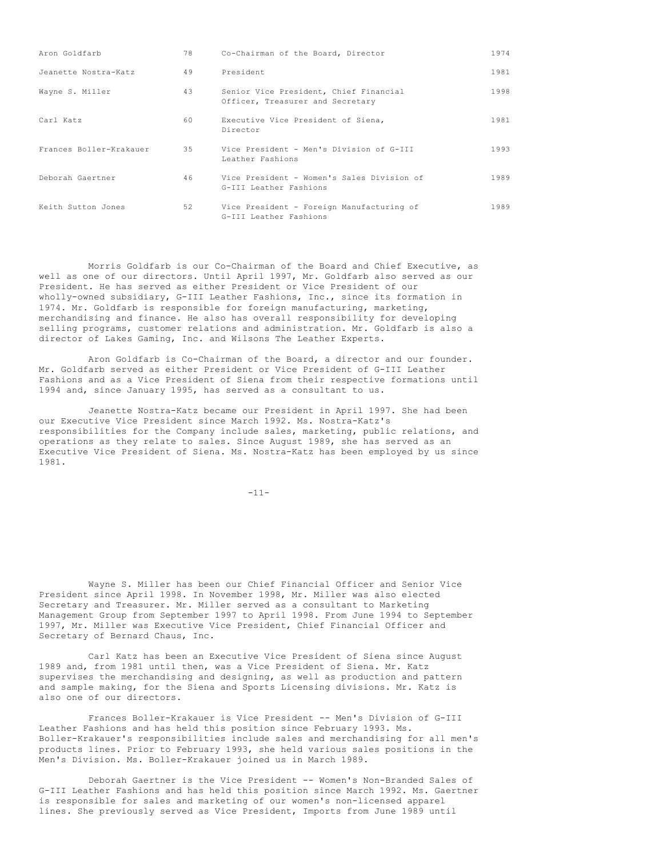| Aron Goldfarb           | 78 | Co-Chairman of the Board, Director                                         | 1974 |
|-------------------------|----|----------------------------------------------------------------------------|------|
| Jeanette Nostra-Katz    | 49 | President                                                                  | 1981 |
| Wayne S. Miller         | 43 | Senior Vice President, Chief Financial<br>Officer, Treasurer and Secretary | 1998 |
| Carl Katz               | 60 | Executive Vice President of Siena,<br>Director                             | 1981 |
| Frances Boller-Krakauer | 35 | Vice President - Men's Division of G-III<br>Leather Fashions               | 1993 |
| Deborah Gaertner        | 46 | Vice President - Women's Sales Division of<br>G-III Leather Fashions       | 1989 |
| Keith Sutton Jones      | 52 | Vice President - Foreign Manufacturing of<br>G-III Leather Fashions        | 1989 |

Morris Goldfarb is our Co-Chairman of the Board and Chief Executive, as well as one of our directors. Until April 1997, Mr. Goldfarb also served as our President. He has served as either President or Vice President of our wholly-owned subsidiary, G-III Leather Fashions, Inc., since its formation in 1974. Mr. Goldfarb is responsible for foreign manufacturing, marketing, merchandising and finance. He also has overall responsibility for developing selling programs, customer relations and administration. Mr. Goldfarb is also a director of Lakes Gaming, Inc. and Wilsons The Leather Experts.

Aron Goldfarb is Co-Chairman of the Board, a director and our founder. Mr. Goldfarb served as either President or Vice President of G-III Leather Fashions and as a Vice President of Siena from their respective formations until 1994 and, since January 1995, has served as a consultant to us.

Jeanette Nostra-Katz became our President in April 1997. She had been our Executive Vice President since March 1992. Ms. Nostra-Katz's responsibilities for the Company include sales, marketing, public relations, and operations as they relate to sales. Since August 1989, she has served as an Executive Vice President of Siena. Ms. Nostra-Katz has been employed by us since 1981.

 $-11-$ 

Wayne S. Miller has been our Chief Financial Officer and Senior Vice President since April 1998. In November 1998, Mr. Miller was also elected Secretary and Treasurer. Mr. Miller served as a consultant to Marketing Management Group from September 1997 to April 1998. From June 1994 to September 1997, Mr. Miller was Executive Vice President, Chief Financial Officer and Secretary of Bernard Chaus, Inc.

Carl Katz has been an Executive Vice President of Siena since August 1989 and, from 1981 until then, was a Vice President of Siena. Mr. Katz supervises the merchandising and designing, as well as production and pattern and sample making, for the Siena and Sports Licensing divisions. Mr. Katz is also one of our directors.

Frances Boller-Krakauer is Vice President -- Men's Division of G-III Leather Fashions and has held this position since February 1993. Ms. Boller-Krakauer's responsibilities include sales and merchandising for all men's products lines. Prior to February 1993, she held various sales positions in the Men's Division. Ms. Boller-Krakauer joined us in March 1989.

Deborah Gaertner is the Vice President -- Women's Non-Branded Sales of G-III Leather Fashions and has held this position since March 1992. Ms. Gaertner is responsible for sales and marketing of our women's non-licensed apparel lines. She previously served as Vice President, Imports from June 1989 until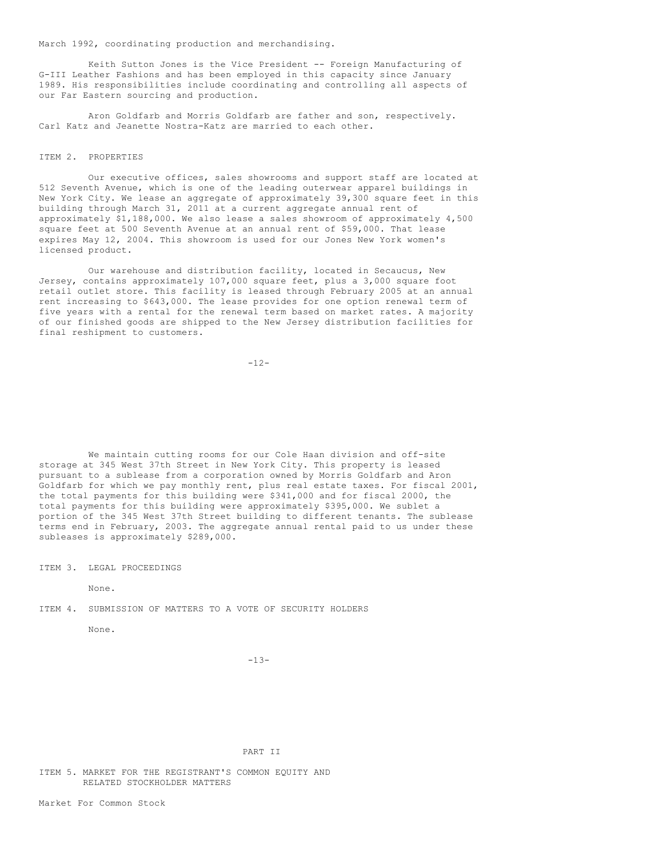March 1992, coordinating production and merchandising.

Keith Sutton Jones is the Vice President -- Foreign Manufacturing of G-III Leather Fashions and has been employed in this capacity since January 1989. His responsibilities include coordinating and controlling all aspects of our Far Eastern sourcing and production.

Aron Goldfarb and Morris Goldfarb are father and son, respectively. Carl Katz and Jeanette Nostra-Katz are married to each other.

#### ITEM 2. PROPERTIES

Our executive offices, sales showrooms and support staff are located at 512 Seventh Avenue, which is one of the leading outerwear apparel buildings in New York City. We lease an aggregate of approximately 39,300 square feet in this building through March 31, 2011 at a current aggregate annual rent of approximately \$1,188,000. We also lease a sales showroom of approximately 4,500 square feet at 500 Seventh Avenue at an annual rent of \$59,000. That lease expires May 12, 2004. This showroom is used for our Jones New York women's licensed product.

Our warehouse and distribution facility, located in Secaucus, New Jersey, contains approximately 107,000 square feet, plus a 3,000 square foot retail outlet store. This facility is leased through February 2005 at an annual rent increasing to \$643,000. The lease provides for one option renewal term of five years with a rental for the renewal term based on market rates. A majority of our finished goods are shipped to the New Jersey distribution facilities for final reshipment to customers.

 $-12-$ 

We maintain cutting rooms for our Cole Haan division and off-site storage at 345 West 37th Street in New York City. This property is leased pursuant to a sublease from a corporation owned by Morris Goldfarb and Aron Goldfarb for which we pay monthly rent, plus real estate taxes. For fiscal 2001, the total payments for this building were \$341,000 and for fiscal 2000, the total payments for this building were approximately \$395,000. We sublet a portion of the 345 West 37th Street building to different tenants. The sublease terms end in February, 2003. The aggregate annual rental paid to us under these subleases is approximately \$289,000.

ITEM 3. LEGAL PROCEEDINGS

None.

ITEM 4. SUBMISSION OF MATTERS TO A VOTE OF SECURITY HOLDERS

None.

 $-13-$ 

PART II

ITEM 5. MARKET FOR THE REGISTRANT'S COMMON EQUITY AND RELATED STOCKHOLDER MATTERS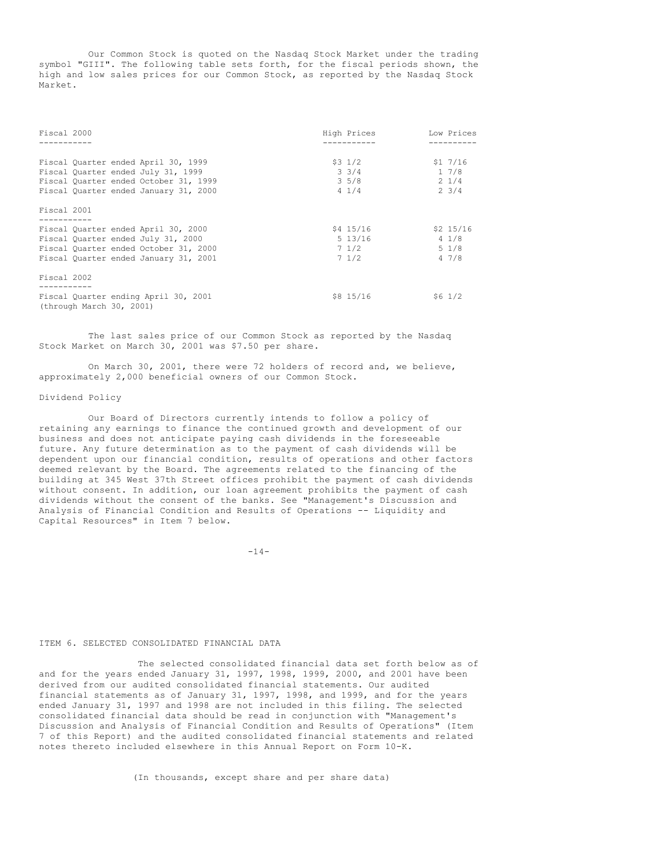Our Common Stock is quoted on the Nasdaq Stock Market under the trading symbol "GIII". The following table sets forth, for the fiscal periods shown, the high and low sales prices for our Common Stock, as reported by the Nasdaq Stock Market.

| Fiscal 2000                                                                                                                                                 | High Prices                                        | Low Prices                                            |
|-------------------------------------------------------------------------------------------------------------------------------------------------------------|----------------------------------------------------|-------------------------------------------------------|
| Fiscal Quarter ended April 30, 1999<br>Fiscal Ouarter ended July 31, 1999<br>Fiscal Quarter ended October 31, 1999<br>Fiscal Quarter ended January 31, 2000 | $$3\;1/2$<br>$3 \frac{3}{4}$<br>$3\;\;5/8$<br>41/4 | \$17/16<br>17/8<br>$2 \frac{1}{4}$<br>$2 \frac{3}{4}$ |
| Fiscal 2001<br>----------                                                                                                                                   |                                                    |                                                       |
| Fiscal Quarter ended April 30, 2000<br>Fiscal Ouarter ended July 31, 2000<br>Fiscal Quarter ended October 31, 2000<br>Fiscal Quarter ended January 31, 2001 | \$4 15/16<br>5 13/16<br>7 1/2<br>$7\frac{1}{2}$    | $$2$ 15/16<br>4 1/8<br>$5 \frac{1}{8}$<br>47/8        |
| Fiscal 2002                                                                                                                                                 |                                                    |                                                       |
| Fiscal Quarter ending April 30, 2001<br>(through March 30, 2001)                                                                                            | \$8 15/16                                          | $$6\;1/2$$                                            |

The last sales price of our Common Stock as reported by the Nasdaq Stock Market on March 30, 2001 was \$7.50 per share.

On March 30, 2001, there were 72 holders of record and, we believe, approximately 2,000 beneficial owners of our Common Stock.

### Dividend Policy

Our Board of Directors currently intends to follow a policy of retaining any earnings to finance the continued growth and development of our business and does not anticipate paying cash dividends in the foreseeable future. Any future determination as to the payment of cash dividends will be dependent upon our financial condition, results of operations and other factors deemed relevant by the Board. The agreements related to the financing of the building at 345 West 37th Street offices prohibit the payment of cash dividends without consent. In addition, our loan agreement prohibits the payment of cash dividends without the consent of the banks. See "Management's Discussion and Analysis of Financial Condition and Results of Operations -- Liquidity and Capital Resources" in Item 7 below.

-14-

## ITEM 6. SELECTED CONSOLIDATED FINANCIAL DATA

The selected consolidated financial data set forth below as of and for the years ended January 31, 1997, 1998, 1999, 2000, and 2001 have been derived from our audited consolidated financial statements. Our audited financial statements as of January 31, 1997, 1998, and 1999, and for the years ended January 31, 1997 and 1998 are not included in this filing. The selected consolidated financial data should be read in conjunction with "Management's Discussion and Analysis of Financial Condition and Results of Operations" (Item 7 of this Report) and the audited consolidated financial statements and related notes thereto included elsewhere in this Annual Report on Form 10-K.

(In thousands, except share and per share data)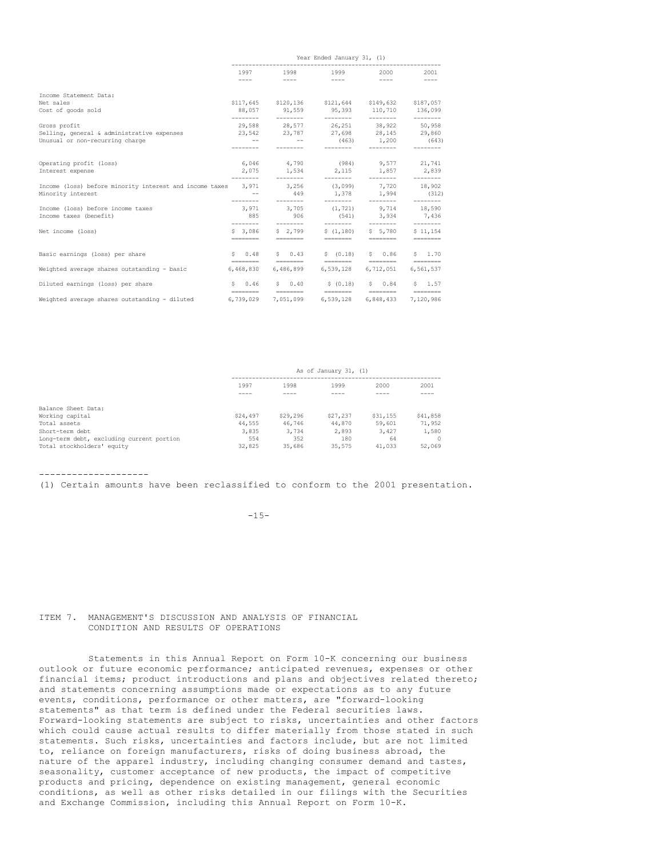|                                                                                                    | Year Ended January 31, (1)    |                                  |                                                                                                                 |                                   |                                                                                                                                                                                                                                                                                                                                                                                                                                                                                        |  |  |  |
|----------------------------------------------------------------------------------------------------|-------------------------------|----------------------------------|-----------------------------------------------------------------------------------------------------------------|-----------------------------------|----------------------------------------------------------------------------------------------------------------------------------------------------------------------------------------------------------------------------------------------------------------------------------------------------------------------------------------------------------------------------------------------------------------------------------------------------------------------------------------|--|--|--|
|                                                                                                    |                               |                                  | 1997 1998 1999 2000<br>www.communication.com/www.communication.com/www.communication.com/www.communication.com/ | $\frac{1}{2}$                     | 2001<br>$---$                                                                                                                                                                                                                                                                                                                                                                                                                                                                          |  |  |  |
| Income Statement Data:                                                                             |                               |                                  |                                                                                                                 |                                   |                                                                                                                                                                                                                                                                                                                                                                                                                                                                                        |  |  |  |
| Net sales                                                                                          |                               |                                  | \$117,645 \$120,136 \$121,644 \$149,632                                                                         |                                   | \$187,057                                                                                                                                                                                                                                                                                                                                                                                                                                                                              |  |  |  |
| Cost of goods sold                                                                                 | ---------                     | ---------                        | 88,057 91,559 95,393 110,710 136,099<br>---------                                                               | ---------                         | --------                                                                                                                                                                                                                                                                                                                                                                                                                                                                               |  |  |  |
| Gross profit                                                                                       |                               |                                  | 29,588 28,577 26,251 38,922 50,958                                                                              |                                   |                                                                                                                                                                                                                                                                                                                                                                                                                                                                                        |  |  |  |
| Selling, general & administrative expenses                                                         |                               |                                  | 23,542 23,787 27,698 28,145 29,860                                                                              |                                   |                                                                                                                                                                                                                                                                                                                                                                                                                                                                                        |  |  |  |
| Unusual or non-recurring charge                                                                    | and the state of the state of | <b>Service Contract Contract</b> | $- - - - - - - -$                                                                                               | $(463)$ 1,200<br>---------        | (643)<br>--------                                                                                                                                                                                                                                                                                                                                                                                                                                                                      |  |  |  |
|                                                                                                    |                               |                                  |                                                                                                                 |                                   |                                                                                                                                                                                                                                                                                                                                                                                                                                                                                        |  |  |  |
| Operating profit (loss)                                                                            |                               |                                  | $6,046$ $4,790$ $(984)$ $9,577$ $21,741$                                                                        |                                   |                                                                                                                                                                                                                                                                                                                                                                                                                                                                                        |  |  |  |
| Interest expense                                                                                   | ---------                     | 2,075 1,534<br>--------          | <b>Construction</b>                                                                                             | 2, 115 1, 857 2, 839<br>--------- | --------                                                                                                                                                                                                                                                                                                                                                                                                                                                                               |  |  |  |
| Income (loss) before minority interest and income taxes $3,971$ $3,256$ $(3,099)$ $7,720$ $18,902$ |                               |                                  |                                                                                                                 |                                   |                                                                                                                                                                                                                                                                                                                                                                                                                                                                                        |  |  |  |
| Minority interest                                                                                  | ---------                     | ---------                        | 449 1,378 1,994 (312)<br>---------                                                                              | --------                          | ---------                                                                                                                                                                                                                                                                                                                                                                                                                                                                              |  |  |  |
| Income (loss) before income taxes                                                                  |                               | 3,971 3,705                      |                                                                                                                 | $(1, 721)$ 9, 714 18, 590         |                                                                                                                                                                                                                                                                                                                                                                                                                                                                                        |  |  |  |
| Income taxes (benefit)                                                                             | 885<br>--------               | ---------                        | 906 (541) 3,934 7,436<br>---------                                                                              | --------                          | ---------                                                                                                                                                                                                                                                                                                                                                                                                                                                                              |  |  |  |
| Net income (loss)                                                                                  | \$3.086                       | $S$ 2.799                        | (1, 180)                                                                                                        | 5, 5, 780                         | \$11.154                                                                                                                                                                                                                                                                                                                                                                                                                                                                               |  |  |  |
|                                                                                                    | ========                      | ========                         | ========                                                                                                        | ========                          | $\begin{array}{cccccccccc} \multicolumn{3}{c}{} & \multicolumn{3}{c}{} & \multicolumn{3}{c}{} & \multicolumn{3}{c}{} & \multicolumn{3}{c}{} & \multicolumn{3}{c}{} & \multicolumn{3}{c}{} & \multicolumn{3}{c}{} & \multicolumn{3}{c}{} & \multicolumn{3}{c}{} & \multicolumn{3}{c}{} & \multicolumn{3}{c}{} & \multicolumn{3}{c}{} & \multicolumn{3}{c}{} & \multicolumn{3}{c}{} & \multicolumn{3}{c}{} & \multicolumn{3}{c}{} & \multicolumn{3}{c}{} & \multicolumn{3}{c}{} & \mult$ |  |  |  |
| Basic earnings (loss) per share                                                                    | 50.48                         | $S = 0.43$                       | 5(0.18)                                                                                                         | \$0.86                            | $S = 1.70$                                                                                                                                                                                                                                                                                                                                                                                                                                                                             |  |  |  |
| Weighted average shares outstanding - basic                                                        | ========<br>6,468,830         | ========<br>6,486,899            | 6,539,128                                                                                                       | 6.712.051                         | ========<br>6,561,537                                                                                                                                                                                                                                                                                                                                                                                                                                                                  |  |  |  |
| Diluted earnings (loss) per share                                                                  | \$0.46                        |                                  | $S = 0.40$ $S = (0.18)$                                                                                         | \$0.84                            | $S = 1.57$                                                                                                                                                                                                                                                                                                                                                                                                                                                                             |  |  |  |
| Weighted average shares outstanding - diluted 6,739,029 7,051,099                                  | _________                     |                                  | 6,539,128                                                                                                       | 6,848,433                         | 7,120,986                                                                                                                                                                                                                                                                                                                                                                                                                                                                              |  |  |  |

|                                           |          |          | As of January 31, (1) |          |            |
|-------------------------------------------|----------|----------|-----------------------|----------|------------|
|                                           | 1997     | 1998     | 1999                  | 2000     | 2001       |
|                                           |          |          |                       |          |            |
| Balance Sheet Data:                       |          |          |                       |          |            |
| Working capital                           | \$24,497 | \$29,296 | \$27,237              | \$31,155 | \$41,858   |
| Total assets                              | 44,555   | 46,746   | 44,870                | 59,601   | 71,952     |
| Short-term debt                           | 3,835    | 3,734    | 2,893                 | 3,427    | 1,580      |
| Long-term debt, excluding current portion | 554      | 352      | 180                   | 64       | $^{\circ}$ |
| Total stockholders' equity                | 32,825   | 35,686   | 35,575                | 41,033   | 52,069     |

--------------------

(1) Certain amounts have been reclassified to conform to the 2001 presentation.

 $-15-$ 

ITEM 7. MANAGEMENT'S DISCUSSION AND ANALYSIS OF FINANCIAL CONDITION AND RESULTS OF OPERATIONS

Statements in this Annual Report on Form 10-K concerning our business outlook or future economic performance; anticipated revenues, expenses or other financial items; product introductions and plans and objectives related thereto; and statements concerning assumptions made or expectations as to any future events, conditions, performance or other matters, are "forward-looking statements" as that term is defined under the Federal securities laws. Forward-looking statements are subject to risks, uncertainties and other factors which could cause actual results to differ materially from those stated in such statements. Such risks, uncertainties and factors include, but are not limited to, reliance on foreign manufacturers, risks of doing business abroad, the nature of the apparel industry, including changing consumer demand and tastes, seasonality, customer acceptance of new products, the impact of competitive products and pricing, dependence on existing management, general economic conditions, as well as other risks detailed in our filings with the Securities and Exchange Commission, including this Annual Report on Form 10-K.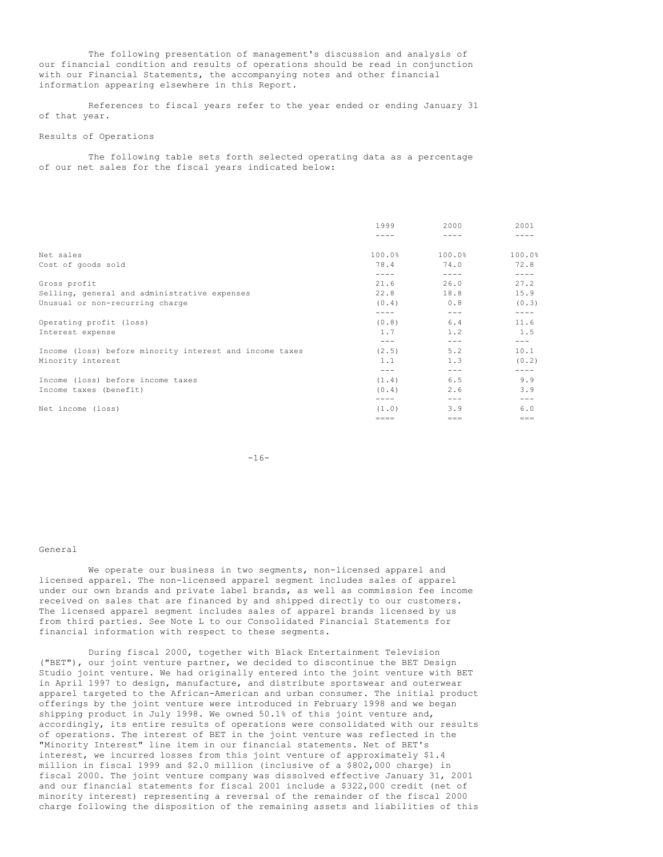The following presentation of management's discussion and analysis of our financial condition and results of operations should be read in conjunction with our Financial Statements, the accompanying notes and other financial information appearing elsewhere in this Report.

References to fiscal years refer to the year ended or ending January 31 of that year.

#### Results of Operations

The following table sets forth selected operating data as a percentage of our net sales for the fiscal years indicated below:

|                                                         | 1999             | 2000              | 2001               |
|---------------------------------------------------------|------------------|-------------------|--------------------|
|                                                         |                  |                   |                    |
| Net sales                                               | 100.0%           | 100.0%            | 100.0%             |
| Cost of goods sold                                      | 78.4             | 74.0              | 72.8               |
| Gross profit                                            | ----<br>21.6     | $- - - -$<br>26.0 | $- - - -$<br>27.2  |
| Selling, general and administrative expenses            | 22.8             | 18.8              | 15.9               |
| Unusual or non-recurring charge                         | (0.4)<br>----    | 0.8<br>$= - -$    | (0.3)<br>$- - - -$ |
| Operating profit (loss)                                 | (0.8)            | 6.4               | 11.6               |
| Interest expense                                        | 1.7              | 1.2               | 1.5                |
| Income (loss) before minority interest and income taxes | $- - -$<br>(2.5) | $- - -$<br>5.2    | $- - -$<br>10.1    |
| Minority interest                                       | 1.1              | 1.3               | (0.2)              |
|                                                         | $- - -$          | $= - -$           | $- - - -$          |
| Income (loss) before income taxes                       | (1.4)            | 6.5               | 9.9                |
| Income taxes (benefit)                                  | (0.4)            | 2.6               | 3.9                |
|                                                         | ----             | $---$             | $---$              |
| Net income (loss)                                       | (1.0)            | 3.9               | 6.0                |
|                                                         | $== == =$        | $= = =$           | $=$ $=$ $=$        |

-16-

## General

We operate our business in two segments, non-licensed apparel and licensed apparel. The non-licensed apparel segment includes sales of apparel under our own brands and private label brands, as well as commission fee income received on sales that are financed by and shipped directly to our customers. The licensed apparel segment includes sales of apparel brands licensed by us from third parties. See Note L to our Consolidated Financial Statements for financial information with respect to these segments.

During fiscal 2000, together with Black Entertainment Television ("BET"), our joint venture partner, we decided to discontinue the BET Design Studio joint venture. We had originally entered into the joint venture with BET in April 1997 to design, manufacture, and distribute sportswear and outerwear apparel targeted to the African-American and urban consumer. The initial product offerings by the joint venture were introduced in February 1998 and we began shipping product in July 1998. We owned 50.1% of this joint venture and, accordingly, its entire results of operations were consolidated with our results of operations. The interest of BET in the joint venture was reflected in the "Minority Interest" line item in our financial statements. Net of BET's interest, we incurred losses from this joint venture of approximately \$1.4 million in fiscal 1999 and \$2.0 million (inclusive of a \$802,000 charge) in fiscal 2000. The joint venture company was dissolved effective January 31, 2001 and our financial statements for fiscal 2001 include a \$322,000 credit (net of minority interest) representing a reversal of the remainder of the fiscal 2000 charge following the disposition of the remaining assets and liabilities of this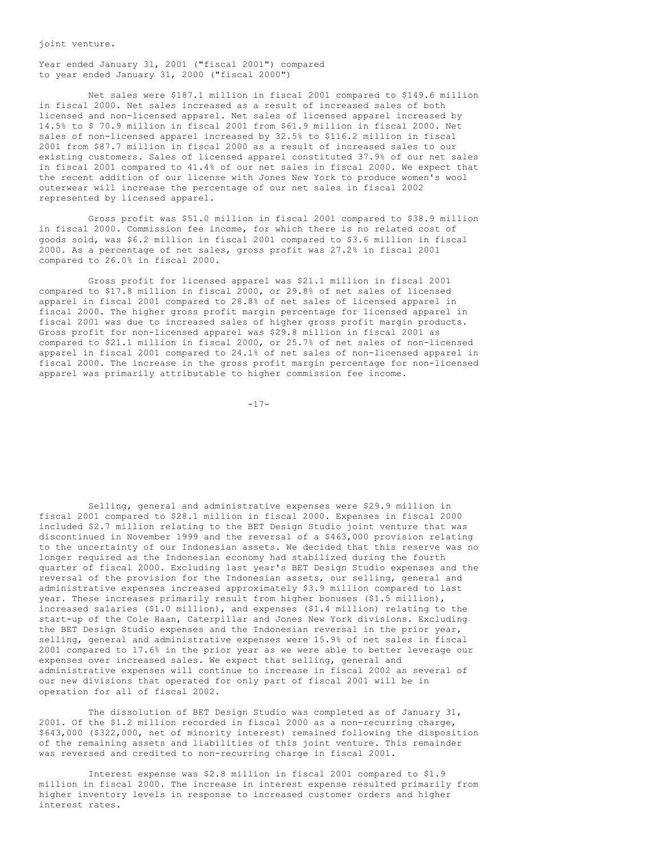joint venture.

Year ended January 31, 2001 ("fiscal 2001") compared to year ended January 31, 2000 ("fiscal 2000")

Net sales were \$187.1 million in fiscal 2001 compared to \$149.6 million in fiscal 2000. Net sales increased as a result of increased sales of both licensed and non-licensed apparel. Net sales of licensed apparel increased by 14.5% to \$ 70.9 million in fiscal 2001 from \$61.9 million in fiscal 2000. Net sales of non-licensed apparel increased by 32.5% to \$116.2 million in fiscal 2001 from \$87.7 million in fiscal 2000 as a result of increased sales to our existing customers. Sales of licensed apparel constituted 37.9% of our net sales in fiscal 2001 compared to 41.4% of our net sales in fiscal 2000. We expect that the recent addition of our license with Jones New York to produce women's wool outerwear will increase the percentage of our net sales in fiscal 2002 represented by licensed apparel.

Gross profit was \$51.0 million in fiscal 2001 compared to \$38.9 million in fiscal 2000. Commission fee income, for which there is no related cost of goods sold, was \$6.2 million in fiscal 2001 compared to \$3.6 million in fiscal 2000. As a percentage of net sales, gross profit was 27.2% in fiscal 2001 compared to 26.0% in fiscal 2000.

Gross profit for licensed apparel was \$21.1 million in fiscal 2001 compared to \$17.8 million in fiscal 2000, or 29.8% of net sales of licensed apparel in fiscal 2001 compared to 28.8% of net sales of licensed apparel in fiscal 2000. The higher gross profit margin percentage for licensed apparel in fiscal 2001 was due to increased sales of higher gross profit margin products. Gross profit for non-licensed apparel was \$29.8 million in fiscal 2001 as compared to \$21.1 million in fiscal 2000, or 25.7% of net sales of non-licensed apparel in fiscal 2001 compared to 24.1% of net sales of non-licensed apparel in fiscal 2000. The increase in the gross profit margin percentage for non-licensed apparel was primarily attributable to higher commission fee income.

 $-17-$ 

Selling, general and administrative expenses were \$29.9 million in fiscal 2001 compared to \$28.1 million in fiscal 2000. Expenses in fiscal 2000 included \$2.7 million relating to the BET Design Studio joint venture that was discontinued in November 1999 and the reversal of a \$463,000 provision relating to the uncertainty of our Indonesian assets. We decided that this reserve was no longer required as the Indonesian economy had stabilized during the fourth quarter of fiscal 2000. Excluding last year's BET Design Studio expenses and the reversal of the provision for the Indonesian assets, our selling, general and administrative expenses increased approximately \$3.9 million compared to last year. These increases primarily result from higher bonuses (\$1.5 million), increased salaries (\$1.0 million), and expenses (\$1.4 million) relating to the start-up of the Cole Haan, Caterpillar and Jones New York divisions. Excluding the BET Design Studio expenses and the Indonesian reversal in the prior year, selling, general and administrative expenses were 15.9% of net sales in fiscal 2001 compared to 17.6% in the prior year as we were able to better leverage our expenses over increased sales. We expect that selling, general and administrative expenses will continue to increase in fiscal 2002 as several of our new divisions that operated for only part of fiscal 2001 will be in operation for all of fiscal 2002.

The dissolution of BET Design Studio was completed as of January 31, 2001. Of the \$1.2 million recorded in fiscal 2000 as a non-recurring charge, \$643,000 (\$322,000, net of minority interest) remained following the disposition of the remaining assets and liabilities of this joint venture. This remainder was reversed and credited to non-recurring charge in fiscal 2001.

Interest expense was \$2.8 million in fiscal 2001 compared to \$1.9 million in fiscal 2000. The increase in interest expense resulted primarily from higher inventory levels in response to increased customer orders and higher interest rates.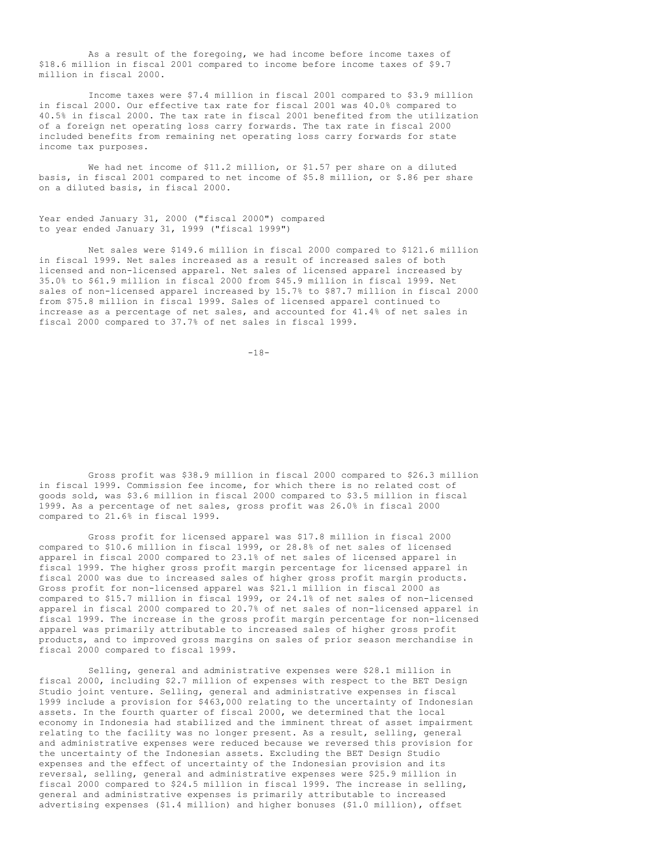As a result of the foregoing, we had income before income taxes of \$18.6 million in fiscal 2001 compared to income before income taxes of \$9.7 million in fiscal 2000.

Income taxes were \$7.4 million in fiscal 2001 compared to \$3.9 million in fiscal 2000. Our effective tax rate for fiscal 2001 was 40.0% compared to 40.5% in fiscal 2000. The tax rate in fiscal 2001 benefited from the utilization of a foreign net operating loss carry forwards. The tax rate in fiscal 2000 included benefits from remaining net operating loss carry forwards for state income tax purposes.

We had net income of \$11.2 million, or \$1.57 per share on a diluted basis, in fiscal 2001 compared to net income of \$5.8 million, or \$.86 per share on a diluted basis, in fiscal 2000.

Year ended January 31, 2000 ("fiscal 2000") compared to year ended January 31, 1999 ("fiscal 1999")

Net sales were \$149.6 million in fiscal 2000 compared to \$121.6 million in fiscal 1999. Net sales increased as a result of increased sales of both licensed and non-licensed apparel. Net sales of licensed apparel increased by 35.0% to \$61.9 million in fiscal 2000 from \$45.9 million in fiscal 1999. Net sales of non-licensed apparel increased by 15.7% to \$87.7 million in fiscal 2000 from \$75.8 million in fiscal 1999. Sales of licensed apparel continued to increase as a percentage of net sales, and accounted for 41.4% of net sales in fiscal 2000 compared to 37.7% of net sales in fiscal 1999.

 $-18-$ 

Gross profit was \$38.9 million in fiscal 2000 compared to \$26.3 million in fiscal 1999. Commission fee income, for which there is no related cost of goods sold, was \$3.6 million in fiscal 2000 compared to \$3.5 million in fiscal 1999. As a percentage of net sales, gross profit was 26.0% in fiscal 2000 compared to 21.6% in fiscal 1999.

Gross profit for licensed apparel was \$17.8 million in fiscal 2000 compared to \$10.6 million in fiscal 1999, or 28.8% of net sales of licensed apparel in fiscal 2000 compared to 23.1% of net sales of licensed apparel in fiscal 1999. The higher gross profit margin percentage for licensed apparel in fiscal 2000 was due to increased sales of higher gross profit margin products. Gross profit for non-licensed apparel was \$21.1 million in fiscal 2000 as compared to \$15.7 million in fiscal 1999, or 24.1% of net sales of non-licensed apparel in fiscal 2000 compared to 20.7% of net sales of non-licensed apparel in fiscal 1999. The increase in the gross profit margin percentage for non-licensed apparel was primarily attributable to increased sales of higher gross profit products, and to improved gross margins on sales of prior season merchandise in fiscal 2000 compared to fiscal 1999.

Selling, general and administrative expenses were \$28.1 million in fiscal 2000, including \$2.7 million of expenses with respect to the BET Design Studio joint venture. Selling, general and administrative expenses in fiscal 1999 include a provision for \$463,000 relating to the uncertainty of Indonesian assets. In the fourth quarter of fiscal 2000, we determined that the local economy in Indonesia had stabilized and the imminent threat of asset impairment relating to the facility was no longer present. As a result, selling, general and administrative expenses were reduced because we reversed this provision for the uncertainty of the Indonesian assets. Excluding the BET Design Studio expenses and the effect of uncertainty of the Indonesian provision and its reversal, selling, general and administrative expenses were \$25.9 million in fiscal 2000 compared to \$24.5 million in fiscal 1999. The increase in selling, general and administrative expenses is primarily attributable to increased advertising expenses (\$1.4 million) and higher bonuses (\$1.0 million), offset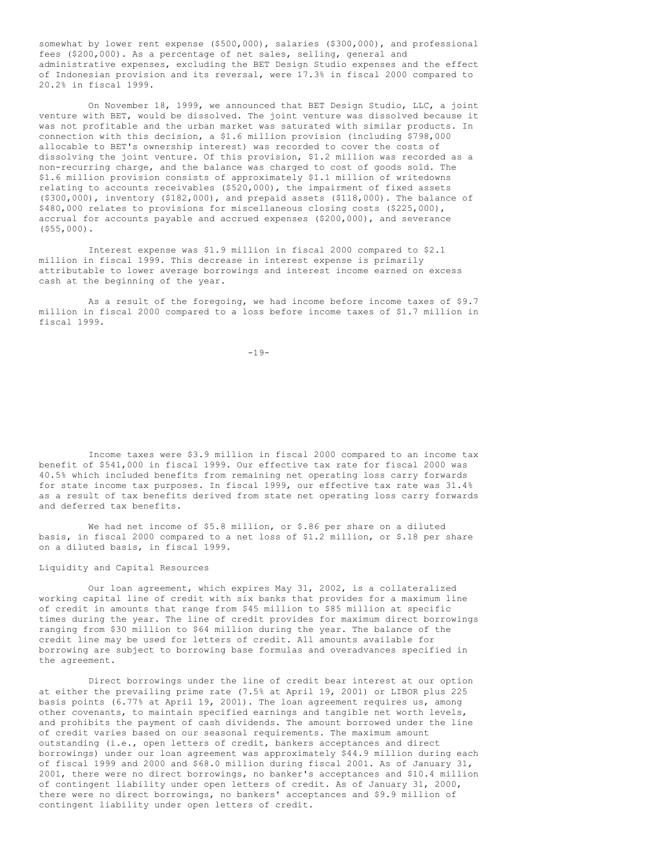somewhat by lower rent expense (\$500,000), salaries (\$300,000), and professional fees (\$200,000). As a percentage of net sales, selling, general and administrative expenses, excluding the BET Design Studio expenses and the effect of Indonesian provision and its reversal, were 17.3% in fiscal 2000 compared to 20.2% in fiscal 1999.

On November 18, 1999, we announced that BET Design Studio, LLC, a joint venture with BET, would be dissolved. The joint venture was dissolved because it was not profitable and the urban market was saturated with similar products. In connection with this decision, a \$1.6 million provision (including \$798,000 allocable to BET's ownership interest) was recorded to cover the costs of dissolving the joint venture. Of this provision, \$1.2 million was recorded as a non-recurring charge, and the balance was charged to cost of goods sold. The \$1.6 million provision consists of approximately \$1.1 million of writedowns relating to accounts receivables (\$520,000), the impairment of fixed assets (\$300,000), inventory (\$182,000), and prepaid assets (\$118,000). The balance of \$480,000 relates to provisions for miscellaneous closing costs (\$225,000), accrual for accounts payable and accrued expenses (\$200,000), and severance (\$55,000).

Interest expense was \$1.9 million in fiscal 2000 compared to \$2.1 million in fiscal 1999. This decrease in interest expense is primarily attributable to lower average borrowings and interest income earned on excess cash at the beginning of the year.

As a result of the foregoing, we had income before income taxes of \$9.7 million in fiscal 2000 compared to a loss before income taxes of \$1.7 million in fiscal 1999.

 $-19-$ 

Income taxes were \$3.9 million in fiscal 2000 compared to an income tax benefit of \$541,000 in fiscal 1999. Our effective tax rate for fiscal 2000 was 40.5% which included benefits from remaining net operating loss carry forwards for state income tax purposes. In fiscal 1999, our effective tax rate was 31.4% as a result of tax benefits derived from state net operating loss carry forwards and deferred tax benefits.

We had net income of \$5.8 million, or \$.86 per share on a diluted basis, in fiscal 2000 compared to a net loss of \$1.2 million, or \$.18 per share on a diluted basis, in fiscal 1999.

Liquidity and Capital Resources

Our loan agreement, which expires May 31, 2002, is a collateralized working capital line of credit with six banks that provides for a maximum line of credit in amounts that range from \$45 million to \$85 million at specific times during the year. The line of credit provides for maximum direct borrowings ranging from \$30 million to \$64 million during the year. The balance of the credit line may be used for letters of credit. All amounts available for borrowing are subject to borrowing base formulas and overadvances specified in the agreement.

Direct borrowings under the line of credit bear interest at our option at either the prevailing prime rate (7.5% at April 19, 2001) or LIBOR plus 225 basis points (6.77% at April 19, 2001). The loan agreement requires us, among other covenants, to maintain specified earnings and tangible net worth levels, and prohibits the payment of cash dividends. The amount borrowed under the line of credit varies based on our seasonal requirements. The maximum amount outstanding (i.e., open letters of credit, bankers acceptances and direct borrowings) under our loan agreement was approximately \$44.9 million during each of fiscal 1999 and 2000 and \$68.0 million during fiscal 2001. As of January 31, 2001, there were no direct borrowings, no banker's acceptances and \$10.4 million of contingent liability under open letters of credit. As of January 31, 2000, there were no direct borrowings, no bankers' acceptances and \$9.9 million of contingent liability under open letters of credit.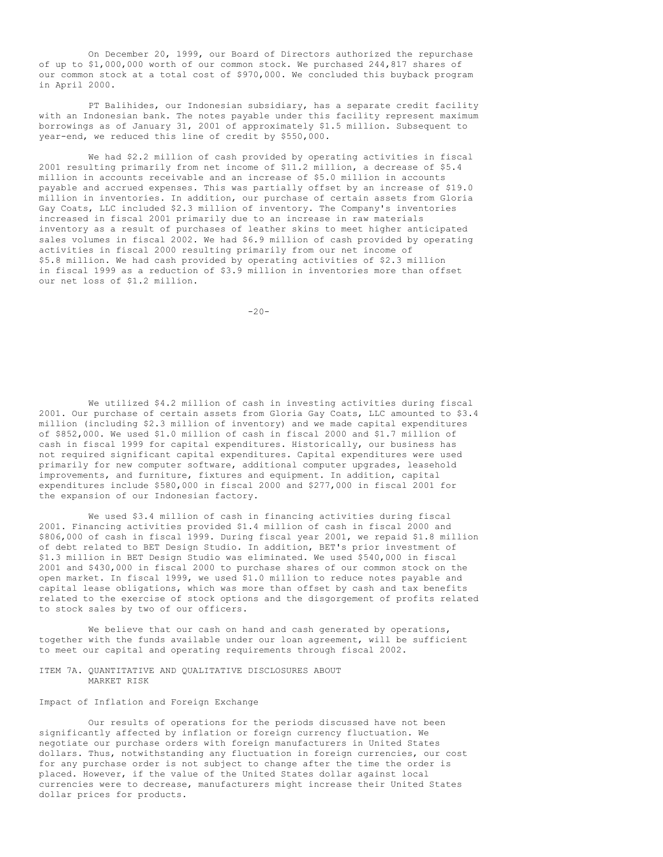On December 20, 1999, our Board of Directors authorized the repurchase of up to \$1,000,000 worth of our common stock. We purchased 244,817 shares of our common stock at a total cost of \$970,000. We concluded this buyback program in April 2000.

PT Balihides, our Indonesian subsidiary, has a separate credit facility with an Indonesian bank. The notes payable under this facility represent maximum borrowings as of January 31, 2001 of approximately \$1.5 million. Subsequent to year-end, we reduced this line of credit by \$550,000.

We had \$2.2 million of cash provided by operating activities in fiscal 2001 resulting primarily from net income of \$11.2 million, a decrease of \$5.4 million in accounts receivable and an increase of \$5.0 million in accounts payable and accrued expenses. This was partially offset by an increase of \$19.0 million in inventories. In addition, our purchase of certain assets from Gloria Gay Coats, LLC included \$2.3 million of inventory. The Company's inventories increased in fiscal 2001 primarily due to an increase in raw materials inventory as a result of purchases of leather skins to meet higher anticipated sales volumes in fiscal 2002. We had \$6.9 million of cash provided by operating activities in fiscal 2000 resulting primarily from our net income of \$5.8 million. We had cash provided by operating activities of \$2.3 million in fiscal 1999 as a reduction of \$3.9 million in inventories more than offset our net loss of \$1.2 million.

 $-20-$ 

We utilized \$4.2 million of cash in investing activities during fiscal 2001. Our purchase of certain assets from Gloria Gay Coats, LLC amounted to \$3.4 million (including \$2.3 million of inventory) and we made capital expenditures of \$852,000. We used \$1.0 million of cash in fiscal 2000 and \$1.7 million of cash in fiscal 1999 for capital expenditures. Historically, our business has not required significant capital expenditures. Capital expenditures were used primarily for new computer software, additional computer upgrades, leasehold improvements, and furniture, fixtures and equipment. In addition, capital expenditures include \$580,000 in fiscal 2000 and \$277,000 in fiscal 2001 for the expansion of our Indonesian factory.

We used \$3.4 million of cash in financing activities during fiscal 2001. Financing activities provided \$1.4 million of cash in fiscal 2000 and \$806,000 of cash in fiscal 1999. During fiscal year 2001, we repaid \$1.8 million of debt related to BET Design Studio. In addition, BET's prior investment of \$1.3 million in BET Design Studio was eliminated. We used \$540,000 in fiscal 2001 and \$430,000 in fiscal 2000 to purchase shares of our common stock on the open market. In fiscal 1999, we used \$1.0 million to reduce notes payable and capital lease obligations, which was more than offset by cash and tax benefits related to the exercise of stock options and the disgorgement of profits related to stock sales by two of our officers.

We believe that our cash on hand and cash generated by operations, together with the funds available under our loan agreement, will be sufficient to meet our capital and operating requirements through fiscal 2002.

# ITEM 7A. QUANTITATIVE AND QUALITATIVE DISCLOSURES ABOUT MARKET RISK

# Impact of Inflation and Foreign Exchange

Our results of operations for the periods discussed have not been significantly affected by inflation or foreign currency fluctuation. We negotiate our purchase orders with foreign manufacturers in United States dollars. Thus, notwithstanding any fluctuation in foreign currencies, our cost for any purchase order is not subject to change after the time the order is placed. However, if the value of the United States dollar against local currencies were to decrease, manufacturers might increase their United States dollar prices for products.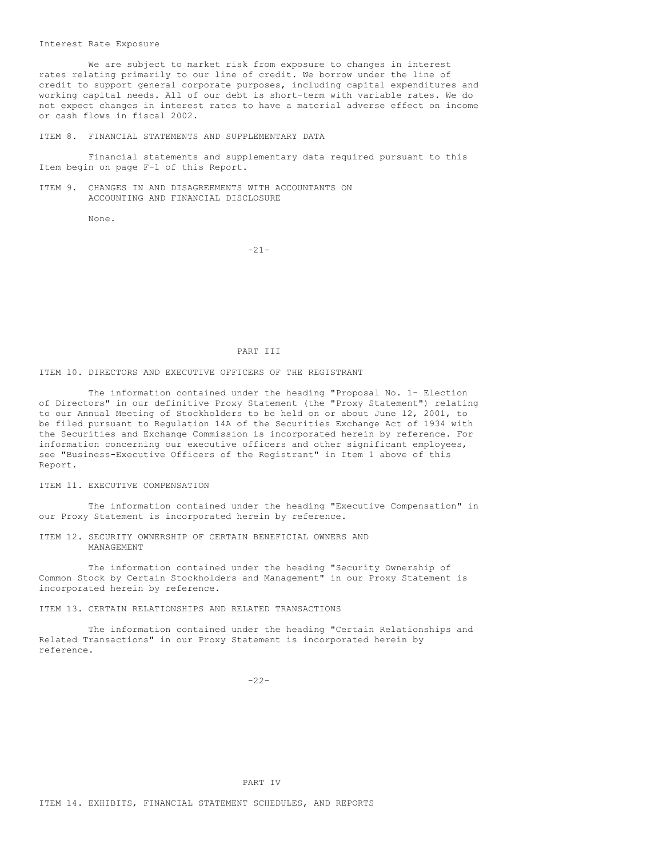#### Interest Rate Exposure

We are subject to market risk from exposure to changes in interest rates relating primarily to our line of credit. We borrow under the line of credit to support general corporate purposes, including capital expenditures and working capital needs. All of our debt is short-term with variable rates. We do not expect changes in interest rates to have a material adverse effect on income or cash flows in fiscal 2002.

ITEM 8. FINANCIAL STATEMENTS AND SUPPLEMENTARY DATA

Financial statements and supplementary data required pursuant to this Item begin on page F-1 of this Report.

ITEM 9. CHANGES IN AND DISAGREEMENTS WITH ACCOUNTANTS ON ACCOUNTING AND FINANCIAL DISCLOSURE

None.

-21-

# PART III

#### ITEM 10. DIRECTORS AND EXECUTIVE OFFICERS OF THE REGISTRANT

The information contained under the heading "Proposal No. 1- Election of Directors" in our definitive Proxy Statement (the "Proxy Statement") relating to our Annual Meeting of Stockholders to be held on or about June 12, 2001, to be filed pursuant to Regulation 14A of the Securities Exchange Act of 1934 with the Securities and Exchange Commission is incorporated herein by reference. For information concerning our executive officers and other significant employees, see "Business-Executive Officers of the Registrant" in Item 1 above of this Report.

# ITEM 11. EXECUTIVE COMPENSATION

The information contained under the heading "Executive Compensation" in our Proxy Statement is incorporated herein by reference.

### ITEM 12. SECURITY OWNERSHIP OF CERTAIN BENEFICIAL OWNERS AND MANAGEMENT

The information contained under the heading "Security Ownership of Common Stock by Certain Stockholders and Management" in our Proxy Statement is incorporated herein by reference.

# ITEM 13. CERTAIN RELATIONSHIPS AND RELATED TRANSACTIONS

The information contained under the heading "Certain Relationships and Related Transactions" in our Proxy Statement is incorporated herein by reference.

 $-22-$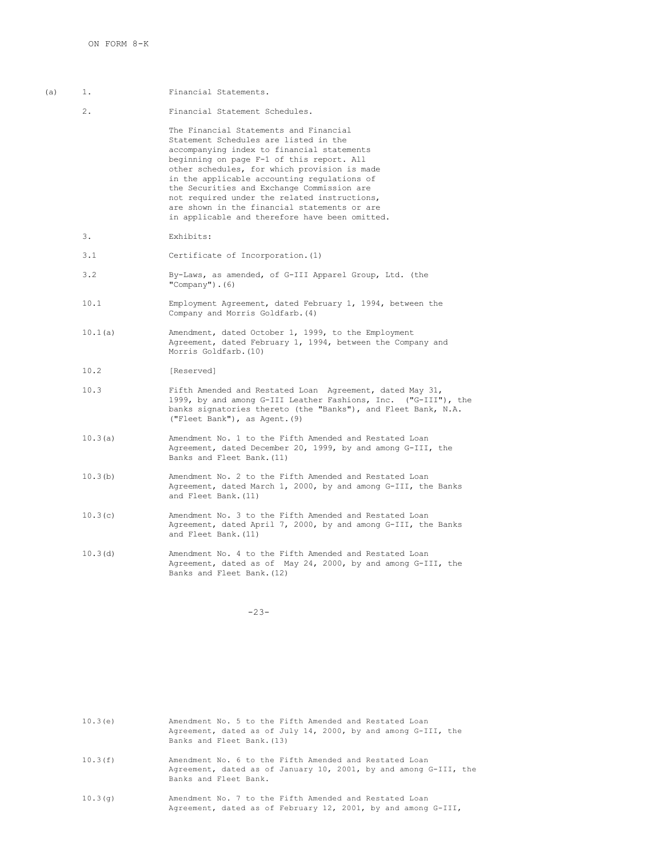| (a) | 1.      | Financial Statements.                                                                                                                                                                                                                                                                                                                                                                                                                                                     |
|-----|---------|---------------------------------------------------------------------------------------------------------------------------------------------------------------------------------------------------------------------------------------------------------------------------------------------------------------------------------------------------------------------------------------------------------------------------------------------------------------------------|
|     | 2.      | Financial Statement Schedules.                                                                                                                                                                                                                                                                                                                                                                                                                                            |
|     |         | The Financial Statements and Financial<br>Statement Schedules are listed in the<br>accompanying index to financial statements<br>beginning on page F-1 of this report. All<br>other schedules, for which provision is made<br>in the applicable accounting regulations of<br>the Securities and Exchange Commission are<br>not required under the related instructions,<br>are shown in the financial statements or are<br>in applicable and therefore have been omitted. |
|     | 3.      | Exhibits:                                                                                                                                                                                                                                                                                                                                                                                                                                                                 |
|     | 3.1     | Certificate of Incorporation. (1)                                                                                                                                                                                                                                                                                                                                                                                                                                         |
|     | 3.2     | By-Laws, as amended, of G-III Apparel Group, Ltd. (the<br>"Company"). $(6)$                                                                                                                                                                                                                                                                                                                                                                                               |
|     | 10.1    | Employment Agreement, dated February 1, 1994, between the<br>Company and Morris Goldfarb. (4)                                                                                                                                                                                                                                                                                                                                                                             |
|     | 10.1(a) | Amendment, dated October 1, 1999, to the Employment<br>Agreement, dated February 1, 1994, between the Company and<br>Morris Goldfarb. (10)                                                                                                                                                                                                                                                                                                                                |
|     | 10.2    | [Reserved]                                                                                                                                                                                                                                                                                                                                                                                                                                                                |
|     | 10.3    | Fifth Amended and Restated Loan Agreement, dated May 31,<br>1999, by and among G-III Leather Fashions, Inc. ("G-III"), the<br>banks signatories thereto (the "Banks"), and Fleet Bank, N.A.<br>$("Fleet Bank")$ , as Agent. (9)                                                                                                                                                                                                                                           |
|     | 10.3(a) | Amendment No. 1 to the Fifth Amended and Restated Loan<br>Agreement, dated December 20, 1999, by and among G-III, the<br>Banks and Fleet Bank. (11)                                                                                                                                                                                                                                                                                                                       |
|     | 10.3(b) | Amendment No. 2 to the Fifth Amended and Restated Loan<br>Agreement, dated March 1, 2000, by and among G-III, the Banks<br>and Fleet Bank. (11)                                                                                                                                                                                                                                                                                                                           |
|     | 10.3(c) | Amendment No. 3 to the Fifth Amended and Restated Loan<br>Agreement, dated April 7, 2000, by and among G-III, the Banks<br>and Fleet Bank. (11)                                                                                                                                                                                                                                                                                                                           |
|     | 10.3(d) | Amendment No. 4 to the Fifth Amended and Restated Loan<br>Agreement, dated as of May 24, 2000, by and among G-III, the<br>Banks and Fleet Bank. (12)                                                                                                                                                                                                                                                                                                                      |

-23-

10.3(e) Amendment No. 5 to the Fifth Amended and Restated Loan Agreement, dated as of July 14, 2000, by and among G-III, the Banks and Fleet Bank.(13)

- 10.3(f) Amendment No. 6 to the Fifth Amended and Restated Loan Agreement, dated as of January 10, 2001, by and among G-III, the Banks and Fleet Bank.
- 10.3(g) Amendment No. 7 to the Fifth Amended and Restated Loan Agreement, dated as of February 12, 2001, by and among G-III,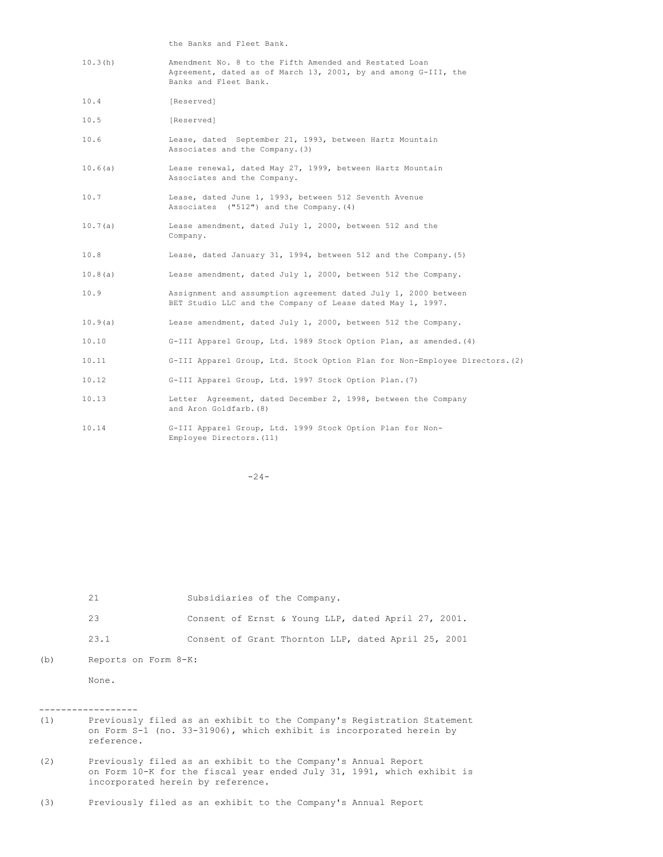the Banks and Fleet Bank.

| 10.3(h) | Amendment No. 8 to the Fifth Amended and Restated Loan         |  |  |  |  |  |  |
|---------|----------------------------------------------------------------|--|--|--|--|--|--|
|         | Agreement, dated as of March 13, 2001, by and among G-III, the |  |  |  |  |  |  |
|         | Banks and Fleet Bank.                                          |  |  |  |  |  |  |

| [Reserved] |
|------------|
|------------|

| 10.5<br>[Reserved] |
|--------------------|
|--------------------|

- 10.6 Lease, dated September 21, 1993, between Hartz Mountain Associates and the Company.(3)
- 10.6(a) Lease renewal, dated May 27, 1999, between Hartz Mountain Associates and the Company.
- 10.7 Lease, dated June 1, 1993, between 512 Seventh Avenue Associates ("512") and the Company.(4)
- 10.7(a) Lease amendment, dated July 1, 2000, between 512 and the Company.
- 10.8 Lease, dated January 31, 1994, between 512 and the Company.(5)
- 10.8(a) Lease amendment, dated July 1, 2000, between 512 the Company.
- 10.9 Assignment and assumption agreement dated July 1, 2000 between BET Studio LLC and the Company of Lease dated May 1, 1997.
- 10.9(a) Lease amendment, dated July 1, 2000, between 512 the Company.
- 10.10 G-III Apparel Group, Ltd. 1989 Stock Option Plan, as amended.(4)
- 10.11 G-III Apparel Group, Ltd. Stock Option Plan for Non-Employee Directors.(2)
- 10.12 G-III Apparel Group, Ltd. 1997 Stock Option Plan.(7)
- 10.13 Letter Agreement, dated December 2, 1998, between the Company and Aron Goldfarb.(8)
- 10.14 G-III Apparel Group, Ltd. 1999 Stock Option Plan for Non-Employee Directors.(11)

-24-

| 21   | Subsidiaries of the Company.                        |
|------|-----------------------------------------------------|
| 23   | Consent of Ernst & Young LLP, dated April 27, 2001. |
| 23.1 | Consent of Grant Thornton LLP, dated April 25, 2001 |

(b) Reports on Form 8-K:

None.

------------------

- (1) Previously filed as an exhibit to the Company's Registration Statement on Form S-1 (no. 33-31906), which exhibit is incorporated herein by reference.
- (2) Previously filed as an exhibit to the Company's Annual Report on Form 10-K for the fiscal year ended July 31, 1991, which exhibit is incorporated herein by reference.

(3) Previously filed as an exhibit to the Company's Annual Report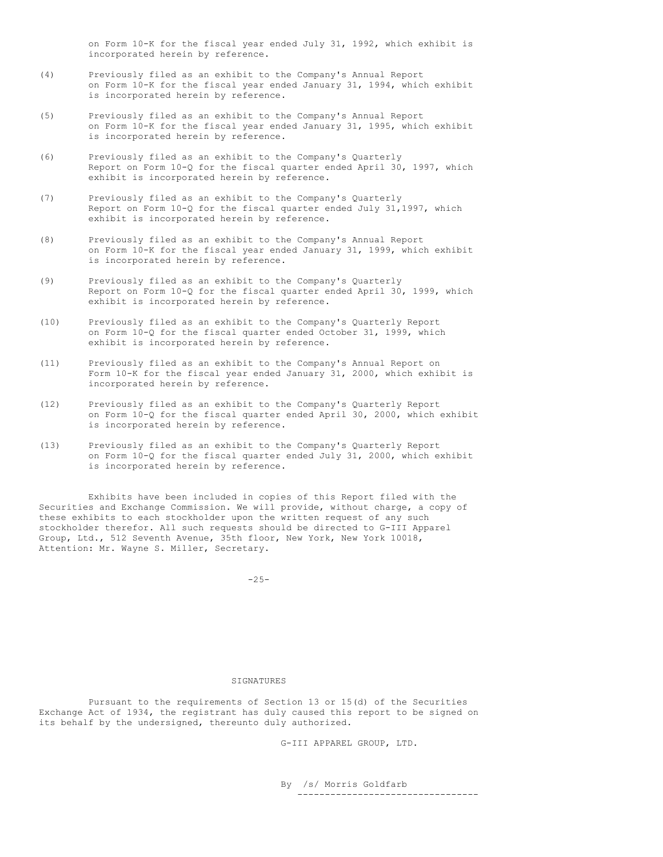on Form 10-K for the fiscal year ended July 31, 1992, which exhibit is incorporated herein by reference.

- (4) Previously filed as an exhibit to the Company's Annual Report on Form 10-K for the fiscal year ended January 31, 1994, which exhibit is incorporated herein by reference.
- (5) Previously filed as an exhibit to the Company's Annual Report on Form 10-K for the fiscal year ended January 31, 1995, which exhibit is incorporated herein by reference.
- (6) Previously filed as an exhibit to the Company's Quarterly Report on Form 10-Q for the fiscal quarter ended April 30, 1997, which exhibit is incorporated herein by reference.
- (7) Previously filed as an exhibit to the Company's Quarterly Report on Form 10-Q for the fiscal quarter ended July 31,1997, which exhibit is incorporated herein by reference.
- (8) Previously filed as an exhibit to the Company's Annual Report on Form 10-K for the fiscal year ended January 31, 1999, which exhibit is incorporated herein by reference.
- (9) Previously filed as an exhibit to the Company's Quarterly Report on Form 10-Q for the fiscal quarter ended April 30, 1999, which exhibit is incorporated herein by reference.
- (10) Previously filed as an exhibit to the Company's Quarterly Report on Form 10-Q for the fiscal quarter ended October 31, 1999, which exhibit is incorporated herein by reference.
- (11) Previously filed as an exhibit to the Company's Annual Report on Form 10-K for the fiscal year ended January 31, 2000, which exhibit is incorporated herein by reference.
- (12) Previously filed as an exhibit to the Company's Quarterly Report on Form 10-Q for the fiscal quarter ended April 30, 2000, which exhibit is incorporated herein by reference.
- (13) Previously filed as an exhibit to the Company's Quarterly Report on Form 10-Q for the fiscal quarter ended July 31, 2000, which exhibit is incorporated herein by reference.

Exhibits have been included in copies of this Report filed with the Securities and Exchange Commission. We will provide, without charge, a copy of these exhibits to each stockholder upon the written request of any such stockholder therefor. All such requests should be directed to G-III Apparel Group, Ltd., 512 Seventh Avenue, 35th floor, New York, New York 10018, Attention: Mr. Wayne S. Miller, Secretary.

 $-25-$ 

# SIGNATURES

Pursuant to the requirements of Section 13 or 15(d) of the Securities Exchange Act of 1934, the registrant has duly caused this report to be signed on its behalf by the undersigned, thereunto duly authorized.

G-III APPAREL GROUP, LTD.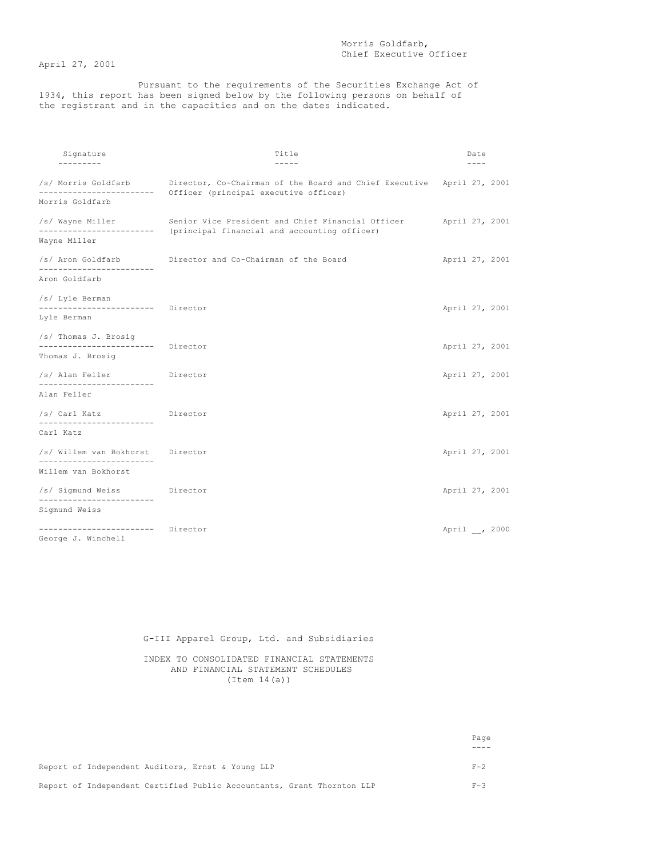Morris Goldfarb, Chief Executive Officer

April 27, 2001

Pursuant to the requirements of the Securities Exchange Act of 1934, this report has been signed below by the following persons on behalf of the registrant and in the capacities and on the dates indicated.

| Signature                                                     | Title                                                                                             | Date           |
|---------------------------------------------------------------|---------------------------------------------------------------------------------------------------|----------------|
| /s/ Morris Goldfarb                                           | Director, Co-Chairman of the Board and Chief Executive                                            | April 27, 2001 |
| ________________________<br>Morris Goldfarb                   | Officer (principal executive officer)                                                             |                |
| /s/ Wayne Miller<br>_________________________                 | Senior Vice President and Chief Financial Officer<br>(principal financial and accounting officer) | April 27, 2001 |
| Wayne Miller                                                  |                                                                                                   |                |
|                                                               | /s/ Aron Goldfarb Director and Co-Chairman of the Board                                           | April 27, 2001 |
| Aron Goldfarb                                                 |                                                                                                   |                |
| /s/ Lyle Berman<br>_________________________                  | Director                                                                                          | April 27, 2001 |
| Lyle Berman                                                   |                                                                                                   |                |
| /s/ Thomas J. Brosiq<br>------------------------ Director     |                                                                                                   | April 27, 2001 |
| Thomas J. Brosig                                              |                                                                                                   |                |
| /s/ Alan Feller<br>-------------------------                  | Director                                                                                          | April 27, 2001 |
| Alan Feller                                                   |                                                                                                   |                |
| /s/ Carl Katz<br>-------------------------                    | Director                                                                                          | April 27, 2001 |
| Carl Katz                                                     |                                                                                                   |                |
| /s/ Willem van Bokhorst Director<br>------------------------- |                                                                                                   | April 27, 2001 |
| Willem van Bokhorst                                           |                                                                                                   |                |
| /s/ Sigmund Weiss Director<br>-------------------------       |                                                                                                   | April 27, 2001 |
| Sigmund Weiss                                                 |                                                                                                   |                |
| ------------------------<br>George J. Winchell                | Director                                                                                          | April __, 2000 |

G-III Apparel Group, Ltd. and Subsidiaries INDEX TO CONSOLIDATED FINANCIAL STATEMENTS AND FINANCIAL STATEMENT SCHEDULES (Item 14(a))

|  |  |                                                                        |  | Page    |
|--|--|------------------------------------------------------------------------|--|---------|
|  |  |                                                                        |  |         |
|  |  | Report of Independent Auditors, Ernst & Young LLP                      |  | $F - 2$ |
|  |  | Report of Independent Certified Public Accountants, Grant Thornton LLP |  | $F-3$   |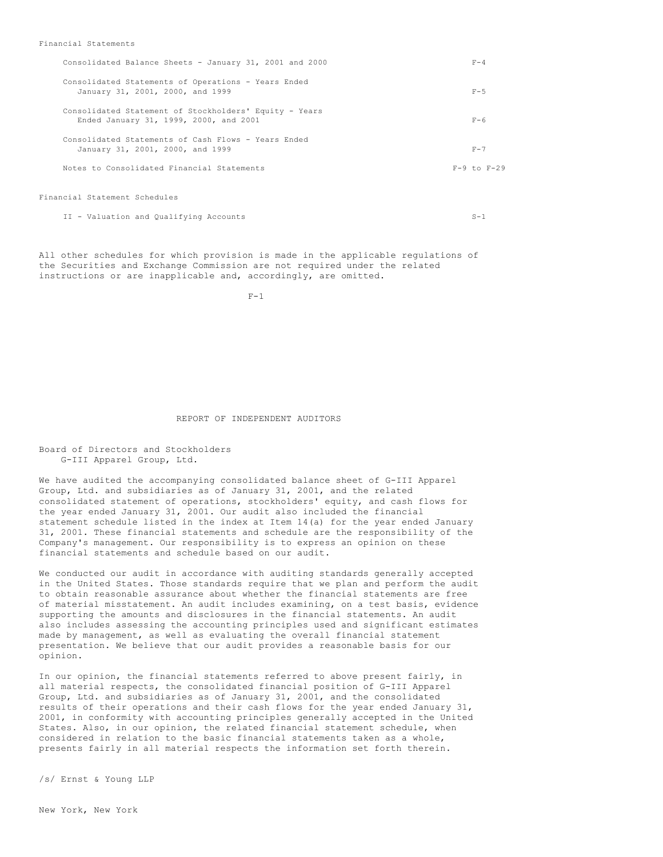#### Financial Statements

| Consolidated Balance Sheets - January 31, 2001 and 2000                                          | $F - 4$         |
|--------------------------------------------------------------------------------------------------|-----------------|
| Consolidated Statements of Operations - Years Ended<br>January 31, 2001, 2000, and 1999          | $F - 5$         |
| Consolidated Statement of Stockholders' Equity - Years<br>Ended January 31, 1999, 2000, and 2001 | $F-6$           |
| Consolidated Statements of Cash Flows - Years Ended<br>January 31, 2001, 2000, and 1999          | $F - 7$         |
| Notes to Consolidated Financial Statements                                                       | $F-9$ to $F-29$ |
| Financial Statement Schedules                                                                    |                 |

II - Valuation and Qualifying Accounts S-1

All other schedules for which provision is made in the applicable regulations of the Securities and Exchange Commission are not required under the related instructions or are inapplicable and, accordingly, are omitted.

 $F-1$ 

# REPORT OF INDEPENDENT AUDITORS

Board of Directors and Stockholders G-III Apparel Group, Ltd.

We have audited the accompanying consolidated balance sheet of G-III Apparel Group, Ltd. and subsidiaries as of January 31, 2001, and the related consolidated statement of operations, stockholders' equity, and cash flows for the year ended January 31, 2001. Our audit also included the financial statement schedule listed in the index at Item 14(a) for the year ended January 31, 2001. These financial statements and schedule are the responsibility of the Company's management. Our responsibility is to express an opinion on these financial statements and schedule based on our audit.

We conducted our audit in accordance with auditing standards generally accepted in the United States. Those standards require that we plan and perform the audit to obtain reasonable assurance about whether the financial statements are free of material misstatement. An audit includes examining, on a test basis, evidence supporting the amounts and disclosures in the financial statements. An audit also includes assessing the accounting principles used and significant estimates made by management, as well as evaluating the overall financial statement presentation. We believe that our audit provides a reasonable basis for our opinion.

In our opinion, the financial statements referred to above present fairly, in all material respects, the consolidated financial position of G-III Apparel Group, Ltd. and subsidiaries as of January 31, 2001, and the consolidated results of their operations and their cash flows for the year ended January 31, 2001, in conformity with accounting principles generally accepted in the United States. Also, in our opinion, the related financial statement schedule, when considered in relation to the basic financial statements taken as a whole, presents fairly in all material respects the information set forth therein.

/s/ Ernst & Young LLP

New York, New York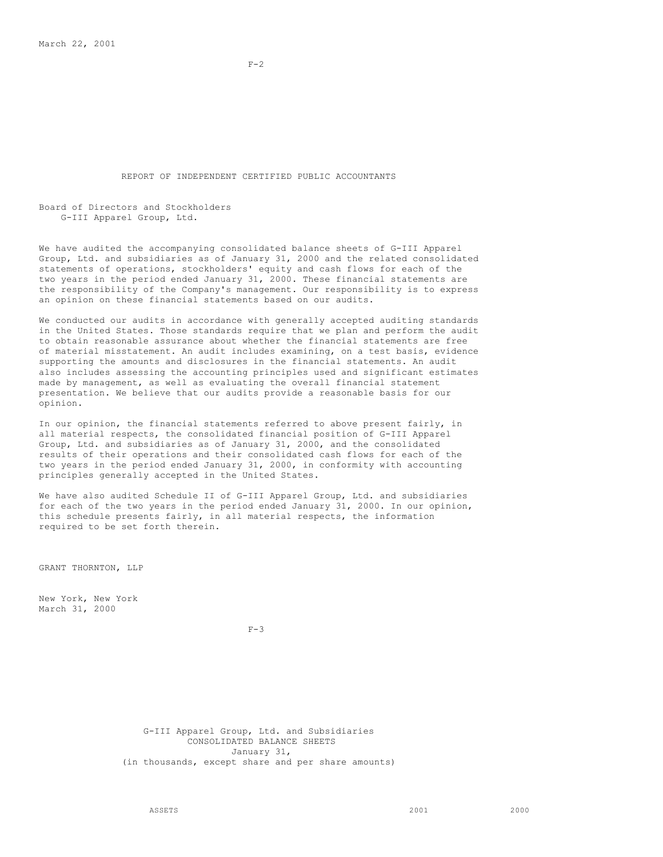$F-2$ 

REPORT OF INDEPENDENT CERTIFIED PUBLIC ACCOUNTANTS

Board of Directors and Stockholders G-III Apparel Group, Ltd.

We have audited the accompanying consolidated balance sheets of G-III Apparel Group, Ltd. and subsidiaries as of January 31, 2000 and the related consolidated statements of operations, stockholders' equity and cash flows for each of the two years in the period ended January 31, 2000. These financial statements are the responsibility of the Company's management. Our responsibility is to express an opinion on these financial statements based on our audits.

We conducted our audits in accordance with generally accepted auditing standards in the United States. Those standards require that we plan and perform the audit to obtain reasonable assurance about whether the financial statements are free of material misstatement. An audit includes examining, on a test basis, evidence supporting the amounts and disclosures in the financial statements. An audit also includes assessing the accounting principles used and significant estimates made by management, as well as evaluating the overall financial statement presentation. We believe that our audits provide a reasonable basis for our opinion.

In our opinion, the financial statements referred to above present fairly, in all material respects, the consolidated financial position of G-III Apparel Group, Ltd. and subsidiaries as of January 31, 2000, and the consolidated results of their operations and their consolidated cash flows for each of the two years in the period ended January 31, 2000, in conformity with accounting principles generally accepted in the United States.

We have also audited Schedule II of G-III Apparel Group, Ltd. and subsidiaries for each of the two years in the period ended January 31, 2000. In our opinion, this schedule presents fairly, in all material respects, the information required to be set forth therein.

GRANT THORNTON, LLP

New York, New York March 31, 2000

 $F-3$ 

G-III Apparel Group, Ltd. and Subsidiaries CONSOLIDATED BALANCE SHEETS January 31, (in thousands, except share and per share amounts)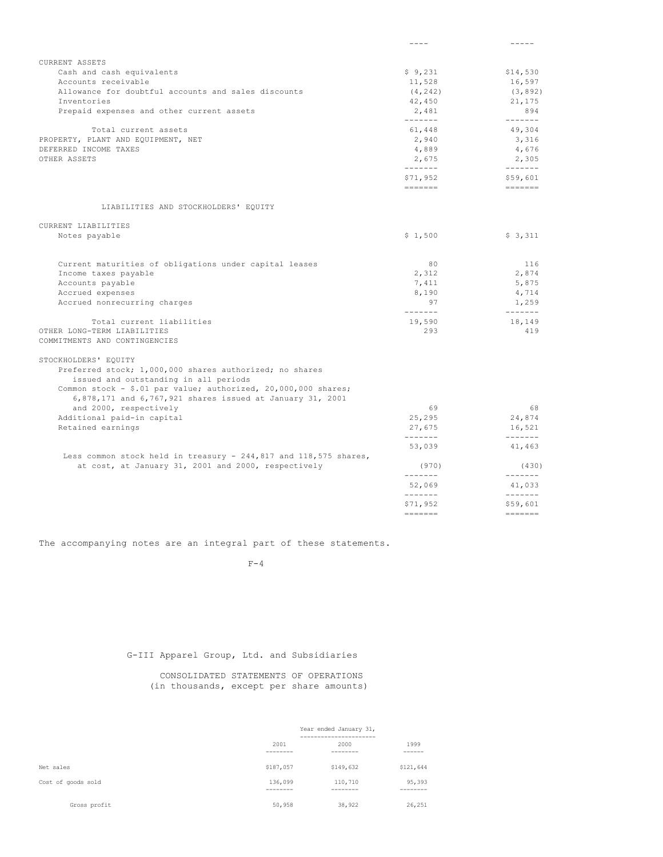|                                                                                                                         | $- - - -$                                      | $- - - - -$                                                                        |
|-------------------------------------------------------------------------------------------------------------------------|------------------------------------------------|------------------------------------------------------------------------------------|
| CURRENT ASSETS                                                                                                          |                                                |                                                                                    |
| Cash and cash equivalents                                                                                               | \$9,231                                        | \$14,530                                                                           |
| Accounts receivable                                                                                                     | 11,528                                         | 16,597                                                                             |
| Allowance for doubtful accounts and sales discounts                                                                     | (4, 242)                                       | (3, 892)                                                                           |
| Inventories                                                                                                             | 42,450                                         | 21,175                                                                             |
| Prepaid expenses and other current assets                                                                               | 2,481                                          | 894                                                                                |
| Total current assets                                                                                                    | 61,448                                         | 49,304                                                                             |
| PROPERTY, PLANT AND EQUIPMENT, NET                                                                                      | 2,940                                          | 3,316                                                                              |
| DEFERRED INCOME TAXES                                                                                                   | 4,889                                          | 4,676                                                                              |
| OTHER ASSETS                                                                                                            | 2,675                                          | 2,305                                                                              |
|                                                                                                                         | --------                                       |                                                                                    |
|                                                                                                                         | \$71,952                                       | \$59,601                                                                           |
|                                                                                                                         | =======                                        | $\qquad \qquad \doteq\qquad \qquad \doteq\qquad \qquad \doteq\qquad \qquad \qquad$ |
| LIABILITIES AND STOCKHOLDERS' EQUITY                                                                                    |                                                |                                                                                    |
| CURRENT LIABILITIES                                                                                                     |                                                |                                                                                    |
| Notes payable                                                                                                           | \$1,500                                        | \$3,311                                                                            |
|                                                                                                                         |                                                |                                                                                    |
| Current maturities of obligations under capital leases                                                                  | 80                                             | 116                                                                                |
| Income taxes payable                                                                                                    | 2,312                                          | 2,874                                                                              |
| Accounts payable                                                                                                        | 7,411                                          | 5,875                                                                              |
| Accrued expenses                                                                                                        | 8,190                                          | 4,714                                                                              |
| Accrued nonrecurring charges                                                                                            | 97<br>--------                                 | 1,259                                                                              |
| Total current liabilities                                                                                               | 19,590                                         | 18,149                                                                             |
| OTHER LONG-TERM LIABILITIES                                                                                             | 293                                            | 419                                                                                |
| COMMITMENTS AND CONTINGENCIES                                                                                           |                                                |                                                                                    |
| STOCKHOLDERS' EQUITY                                                                                                    |                                                |                                                                                    |
| Preferred stock; 1,000,000 shares authorized; no shares                                                                 |                                                |                                                                                    |
| issued and outstanding in all periods                                                                                   |                                                |                                                                                    |
| Common stock - \$.01 par value; authorized, 20,000,000 shares;                                                          |                                                |                                                                                    |
| 6,878,171 and 6,767,921 shares issued at January 31, 2001                                                               |                                                |                                                                                    |
| and 2000, respectively                                                                                                  | 69                                             | 68                                                                                 |
| Additional paid-in capital                                                                                              | 25,295                                         | 24,874                                                                             |
| Retained earnings                                                                                                       | 27,675<br><b>LELELLE</b>                       | 16,521                                                                             |
|                                                                                                                         | 53,039                                         | 41,463                                                                             |
| Less common stock held in treasury - 244,817 and 118,575 shares,<br>at cost, at January 31, 2001 and 2000, respectively | (970)                                          | (430)                                                                              |
|                                                                                                                         | --------                                       | --------                                                                           |
|                                                                                                                         | 52,069<br><b>_______</b>                       | 41,033                                                                             |
|                                                                                                                         | \$71,952                                       | \$59,601                                                                           |
|                                                                                                                         | $= \qquad \qquad = \qquad = \qquad = \qquad =$ | $= \qquad \qquad = \qquad = \qquad = \qquad = \qquad =$                            |

The accompanying notes are an integral part of these statements.

 $F-4$ 

# G-III Apparel Group, Ltd. and Subsidiaries

CONSOLIDATED STATEMENTS OF OPERATIONS (in thousands, except per share amounts)

|                    | Year ended January 31, |           |                |  |
|--------------------|------------------------|-----------|----------------|--|
|                    | 2001                   | 2000      | 1999<br>------ |  |
| Net sales          | \$187,057              | \$149,632 | \$121,644      |  |
| Cost of goods sold | 136,099                | 110,710   | 95,393         |  |
| Gross profit       | 50,958                 | 38,922    | 26,251         |  |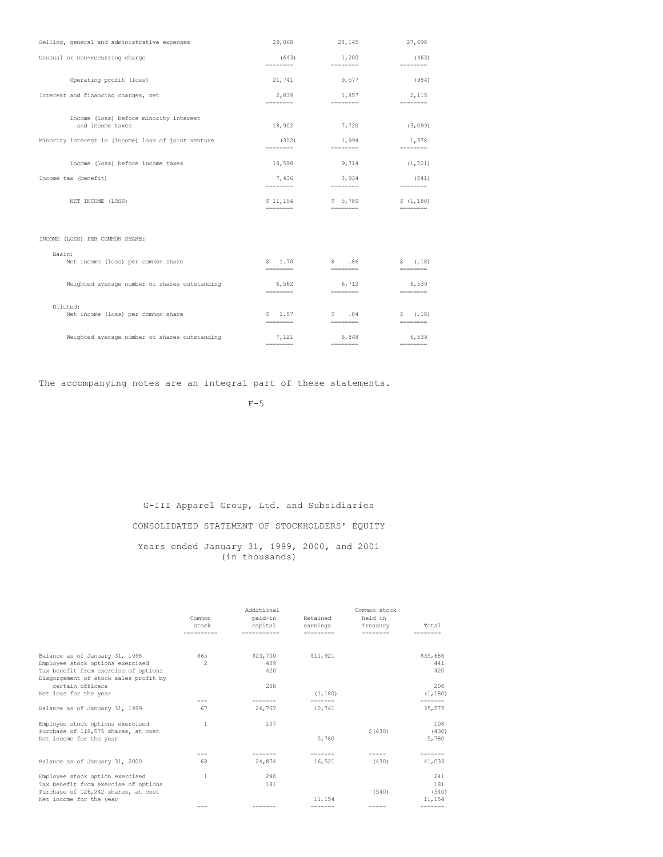| Selling, general and administrative expenses               | 29,860                                                                                                                                                                                                                                                                                                                                                                                                                                                                                                                                            | 28,145            | 27,698              |
|------------------------------------------------------------|---------------------------------------------------------------------------------------------------------------------------------------------------------------------------------------------------------------------------------------------------------------------------------------------------------------------------------------------------------------------------------------------------------------------------------------------------------------------------------------------------------------------------------------------------|-------------------|---------------------|
| Unusual or non-recurring charge                            | (643)                                                                                                                                                                                                                                                                                                                                                                                                                                                                                                                                             | 1,200             | (463)               |
|                                                            | --------                                                                                                                                                                                                                                                                                                                                                                                                                                                                                                                                          | $- - - - - - - -$ | ---------           |
| Operating profit (loss)                                    | 21,741                                                                                                                                                                                                                                                                                                                                                                                                                                                                                                                                            | 9,577             | (984)               |
| Interest and financing charges, net                        | 2,839                                                                                                                                                                                                                                                                                                                                                                                                                                                                                                                                             | 1,857             | 2,115               |
|                                                            | --------                                                                                                                                                                                                                                                                                                                                                                                                                                                                                                                                          | ---------         | --------            |
| Income (loss) before minority interest<br>and income taxes | 18,902                                                                                                                                                                                                                                                                                                                                                                                                                                                                                                                                            | 7,720             | (3,099)             |
| Minority interest in (income) loss of joint venture        | (312)                                                                                                                                                                                                                                                                                                                                                                                                                                                                                                                                             | 1,994             | 1,378               |
|                                                            | --------                                                                                                                                                                                                                                                                                                                                                                                                                                                                                                                                          | --------          | --------            |
| Income (loss) before income taxes                          | 18,590                                                                                                                                                                                                                                                                                                                                                                                                                                                                                                                                            | 9,714             | (1, 721)            |
| Income tax (benefit)                                       | 7,436                                                                                                                                                                                                                                                                                                                                                                                                                                                                                                                                             | 3,934             | (541)               |
|                                                            | --------                                                                                                                                                                                                                                                                                                                                                                                                                                                                                                                                          | $- - - - - - - -$ | --------            |
| NET INCOME (LOSS)                                          | \$11,154                                                                                                                                                                                                                                                                                                                                                                                                                                                                                                                                          | \$5,780           | \$(1, 180)          |
|                                                            |                                                                                                                                                                                                                                                                                                                                                                                                                                                                                                                                                   | __________        | $=$ = = = = = = = = |
| INCOME (LOSS) PER COMMON SHARE:                            |                                                                                                                                                                                                                                                                                                                                                                                                                                                                                                                                                   |                   |                     |
| Basic:                                                     | $S = 1.70$                                                                                                                                                                                                                                                                                                                                                                                                                                                                                                                                        | \$3,86            | \$(.18)             |
| Net income (loss) per common share                         | $=$                                                                                                                                                                                                                                                                                                                                                                                                                                                                                                                                               |                   | $=$                 |
| Weighted average number of shares outstanding              | 6,562                                                                                                                                                                                                                                                                                                                                                                                                                                                                                                                                             | 6,712             | 6,539               |
|                                                            |                                                                                                                                                                                                                                                                                                                                                                                                                                                                                                                                                   |                   | ========            |
| Diluted:                                                   | $S = 1.57$                                                                                                                                                                                                                                                                                                                                                                                                                                                                                                                                        | \$3, 84           | \$(.18)             |
| Net income (loss) per common share                         | $=$ $=$ $=$ $=$ $=$ $=$ $=$ $=$ $=$ $=$                                                                                                                                                                                                                                                                                                                                                                                                                                                                                                           |                   | ========            |
| Weighted average number of shares outstanding              | 7,121                                                                                                                                                                                                                                                                                                                                                                                                                                                                                                                                             | 6,848             | 6,539               |
|                                                            | $\begin{array}{cccccccccc} \multicolumn{2}{c}{{\color{red}\boldsymbol{=}}} & \multicolumn{2}{c}{{\color{red}\boldsymbol{=}}} & \multicolumn{2}{c}{{\color{red}\boldsymbol{=}}} & \multicolumn{2}{c}{{\color{red}\boldsymbol{=}}} & \multicolumn{2}{c}{{\color{red}\boldsymbol{=}}} & \multicolumn{2}{c}{{\color{red}\boldsymbol{=}}} & \multicolumn{2}{c}{{\color{red}\boldsymbol{=}}} & \multicolumn{2}{c}{{\color{red}\boldsymbol{=}}} & \multicolumn{2}{c}{{\color{red}\boldsymbol{=}}} & \multicolumn{2}{c}{{\color{red}\boldsymbol{=}}} & \$ | ========          |                     |

The accompanying notes are an integral part of these statements.

 $F-5$ 

G-III Apparel Group, Ltd. and Subsidiaries

# CONSOLIDATED STATEMENT OF STOCKHOLDERS' EQUITY

Years ended January 31, 1999, 2000, and 2001 (in thousands)

|                                       |                | Additional |          | Common stock |          |
|---------------------------------------|----------------|------------|----------|--------------|----------|
|                                       | Common         | paid-in    | Retained | held in      |          |
|                                       | stock          | capital    | earnings | Treasury     | Total    |
|                                       |                |            |          |              |          |
|                                       |                |            |          |              |          |
| Balance as of January 31, 1998        | \$65           | \$23,700   | \$11,921 |              | \$35,686 |
| Employee stock options exercised      | $\mathfrak{D}$ | 439        |          |              | 441      |
| Tax benefit from exercise of options  |                | 420        |          |              | 420      |
| Disgorgement of stock sales profit by |                |            |          |              |          |
| certain officers                      |                | 208        |          |              | 208      |
| Net loss for the year                 |                |            | (1, 180) |              | (1, 180) |
|                                       | ---            |            |          |              |          |
| Balance as of January 31, 1999        | 67             | 24,767     | 10,741   |              | 35,575   |
|                                       |                |            |          |              |          |
| Employee stock options exercised      | 1              | 107        |          |              | 108      |
| Purchase of 118,575 shares, at cost   |                |            |          | \$(430)      | (430)    |
| Net income for the year               |                |            | 5,780    |              | 5,780    |
|                                       |                |            |          |              |          |
| Balance as of January 31, 2000        | 68             | 24,874     | 16,521   | (430)        | 41,033   |
|                                       |                |            |          |              |          |
| Employee stock option exercised       | $\mathbf{1}$   | 240        |          |              | 241      |
| Tax benefit from exercise of options  |                | 181        |          |              | 181      |
| Purchase of 126,242 shares, at cost   |                |            |          | (540)        | (540)    |
| Net income for the year               |                |            | 11,154   |              | 11,154   |
|                                       |                |            |          |              | -------  |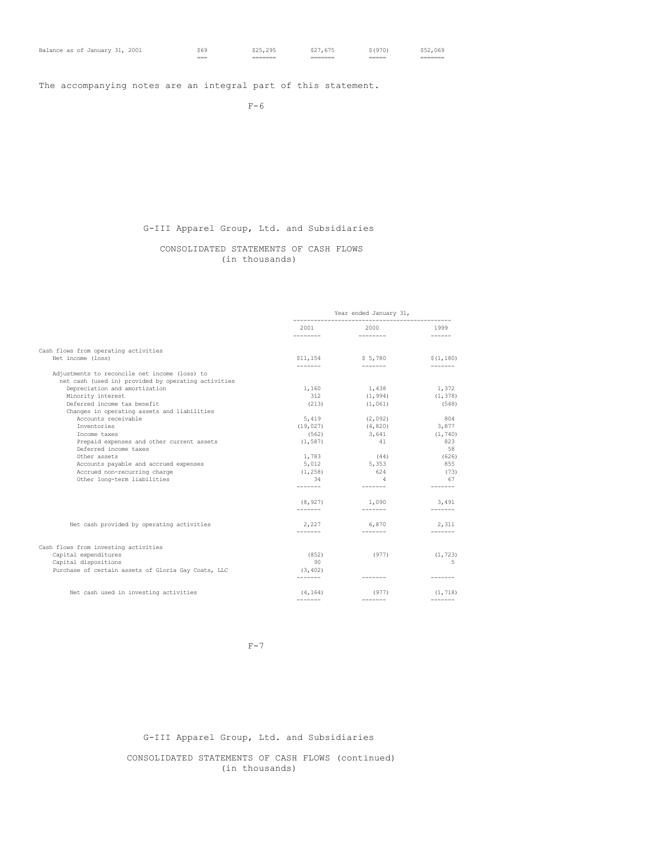| Balance as of January 31, 2<br>2001 | \$69        | \$25,295            | 7.675<br>5Z :       | (970)          | .069    |
|-------------------------------------|-------------|---------------------|---------------------|----------------|---------|
|                                     | ____<br>___ | ________<br>======= | ________<br>======= | _____<br>_____ | ======= |

The accompanying notes are an integral part of this statement.

# G-III Apparel Group, Ltd. and Subsidiaries

# CONSOLIDATED STATEMENTS OF CASH FLOWS (in thousands)

|                                                     | Year ended January 31, |                                                                                                |                             |  |
|-----------------------------------------------------|------------------------|------------------------------------------------------------------------------------------------|-----------------------------|--|
|                                                     | 2001<br>---------      | 2000                                                                                           | 1999<br>$- - - - - -$       |  |
|                                                     |                        |                                                                                                |                             |  |
| Cash flows from operating activities                |                        |                                                                                                |                             |  |
| Net income (loss)                                   |                        | $$11,154$ $$5,780$ $$(1,180)$<br><u> Alexandria (m. 1958).</u><br>1900 - Carl Maria (m. 1900). | $- - - - - - -$             |  |
| Adjustments to reconcile net income (loss) to       |                        |                                                                                                |                             |  |
| net cash (used in) provided by operating activities |                        |                                                                                                |                             |  |
| Depreciation and amortization                       |                        | 1,160 1,438                                                                                    | 1,372                       |  |
| Minority interest                                   | 312                    | (1, 994)                                                                                       | (1, 378)                    |  |
| Deferred income tax benefit                         | (213)                  | (1, 061)                                                                                       | (548)                       |  |
| Changes in operating assets and liabilities         |                        |                                                                                                |                             |  |
| Accounts receivable                                 | 5,419                  | (2, 092)                                                                                       | 804                         |  |
| Inventories                                         |                        | $(19,027)$ $(4,820)$ $3,877$                                                                   |                             |  |
| Income taxes                                        |                        | $(562)$ 3, 641 $(1, 740)$                                                                      |                             |  |
| Prepaid expenses and other current assets           | (1, 587)               | 41                                                                                             | 823                         |  |
| Deferred income taxes                               |                        |                                                                                                | - 58                        |  |
| Other assets                                        | 1,783                  | (44)                                                                                           | (626)                       |  |
| Accounts payable and accrued expenses               | 5,012                  | 5,353                                                                                          | 855                         |  |
| Accrued non-recurring charge                        | (1, 258)               | 624                                                                                            | (73)                        |  |
| Other long-term liabilities                         | 34                     | $\sim$ 4                                                                                       | 67                          |  |
|                                                     | --------               |                                                                                                | -------                     |  |
|                                                     |                        | $(8, 927)$ 1,090                                                                               | 3,491                       |  |
|                                                     | --------               | and the component of the component                                                             | $- - - - - - -$             |  |
| Net cash provided by operating activities           | 2.227<br>--------      | 6.870<br>$- - - - - - -$                                                                       | 2,311<br>-------            |  |
|                                                     |                        |                                                                                                |                             |  |
| Cash flows from investing activities                |                        |                                                                                                |                             |  |
| Capital expenditures                                | (852)                  | (977)                                                                                          | (1, 723)                    |  |
| Capital dispositions                                | 90                     |                                                                                                | 5                           |  |
| Purchase of certain assets of Gloria Gay Coats, LLC | (3, 402)<br>--------   | --------                                                                                       | -------                     |  |
|                                                     |                        |                                                                                                |                             |  |
| Net cash used in investing activities               | (4, 164)<br>--------   | (977)                                                                                          | (1, 718)<br>$- - - - - - -$ |  |

 $F - 7$ 

G-III Apparel Group, Ltd. and Subsidiaries

CONSOLIDATED STATEMENTS OF CASH FLOWS (continued) (in thousands)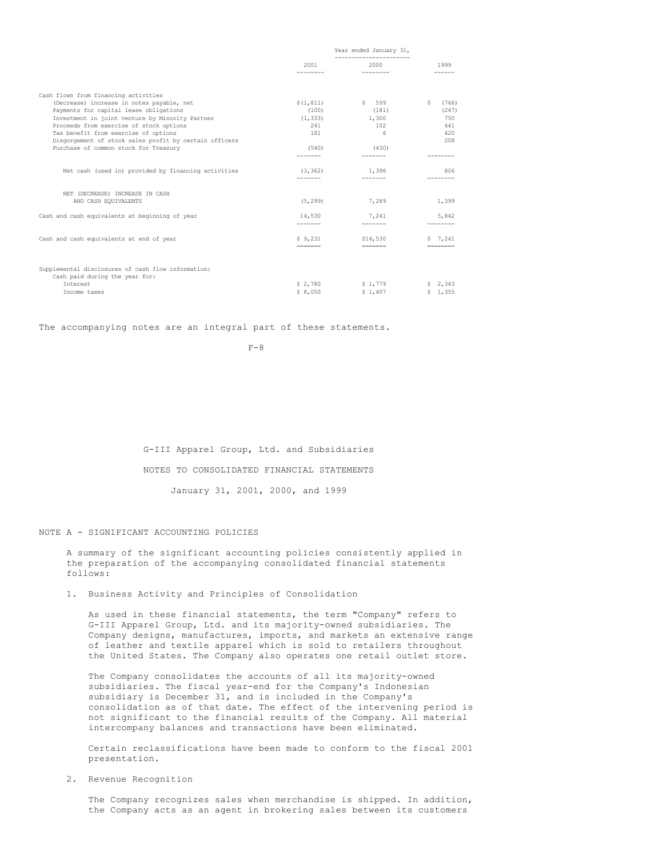|                                                        |                   | Year ended January 31, |                |
|--------------------------------------------------------|-------------------|------------------------|----------------|
|                                                        | 2001<br>--------- | 2000<br>---------      | 1999<br>------ |
|                                                        |                   |                        |                |
| Cash flows from financing activities                   |                   |                        |                |
| (Decrease) increase in notes payable, net              |                   | $$(1,811)$ $$599$      | S.<br>(766)    |
| Payments for capital lease obligations                 | (100)             | (181)                  | (247)          |
| Investment in joint venture by Minority Partner        | (1, 333)          | 1,300                  | 750            |
| Proceeds from exercise of stock options                | 241               | 102                    | 441            |
| Tax benefit from exercise of options                   | 181               | 6                      | 420            |
| Disgorgement of stock sales profit by certain officers |                   |                        | 208            |
| Purchase of common stock for Treasury                  | (540)             | (430)                  |                |
|                                                        |                   |                        |                |
| Net cash (used in) provided by financing activities    | (3, 362)          | 1,396                  | 806            |
|                                                        | -------           |                        |                |
| NET (DECREASE) INCREASE IN CASH                        |                   |                        |                |
| AND CASH EQUIVALENTS                                   | (5, 299)          | 7,289                  | 1,399          |
| Cash and cash equivalents at beginning of year         | 14,530            | 7,241                  | 5,842          |
|                                                        |                   |                        |                |
| Cash and cash equivalents at end of year               | \$9.231           | \$14,530               | 5, 7.241       |
|                                                        | =======           | =======                | $=$ ========   |
| Supplemental disclosures of cash flow information:     |                   |                        |                |
| Cash paid during the year for:                         |                   |                        |                |
| Interest                                               |                   | $$2,780$ $$1,779$      | \$2,343        |
| Income taxes                                           |                   | $$3,050$ $$1,407$      | \$1,355        |
|                                                        |                   |                        |                |

The accompanying notes are an integral part of these statements.

 $F - 8$ 

G-III Apparel Group, Ltd. and Subsidiaries NOTES TO CONSOLIDATED FINANCIAL STATEMENTS January 31, 2001, 2000, and 1999

# NOTE A - SIGNIFICANT ACCOUNTING POLICIES

A summary of the significant accounting policies consistently applied in the preparation of the accompanying consolidated financial statements follows:

1. Business Activity and Principles of Consolidation

As used in these financial statements, the term "Company" refers to G-III Apparel Group, Ltd. and its majority-owned subsidiaries. The Company designs, manufactures, imports, and markets an extensive range of leather and textile apparel which is sold to retailers throughout the United States. The Company also operates one retail outlet store.

The Company consolidates the accounts of all its majority-owned subsidiaries. The fiscal year-end for the Company's Indonesian subsidiary is December 31, and is included in the Company's consolidation as of that date. The effect of the intervening period is not significant to the financial results of the Company. All material intercompany balances and transactions have been eliminated.

Certain reclassifications have been made to conform to the fiscal 2001 presentation.

2. Revenue Recognition

The Company recognizes sales when merchandise is shipped. In addition, the Company acts as an agent in brokering sales between its customers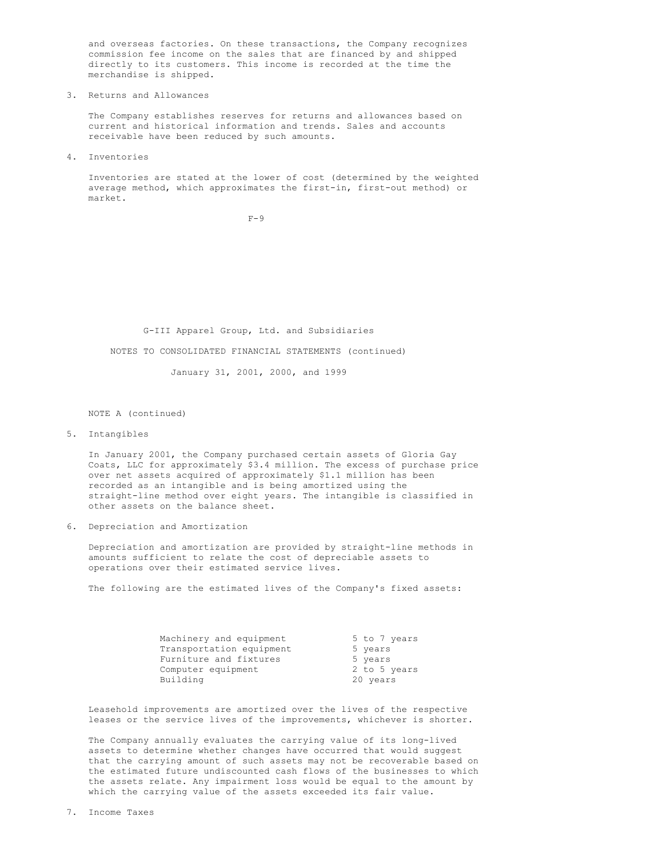and overseas factories. On these transactions, the Company recognizes commission fee income on the sales that are financed by and shipped directly to its customers. This income is recorded at the time the merchandise is shipped.

3. Returns and Allowances

The Company establishes reserves for returns and allowances based on current and historical information and trends. Sales and accounts receivable have been reduced by such amounts.

4. Inventories

Inventories are stated at the lower of cost (determined by the weighted average method, which approximates the first-in, first-out method) or market.

 $F-Q$ 

G-III Apparel Group, Ltd. and Subsidiaries NOTES TO CONSOLIDATED FINANCIAL STATEMENTS (continued) January 31, 2001, 2000, and 1999

NOTE A (continued)

5. Intangibles

In January 2001, the Company purchased certain assets of Gloria Gay Coats, LLC for approximately \$3.4 million. The excess of purchase price over net assets acquired of approximately \$1.1 million has been recorded as an intangible and is being amortized using the straight-line method over eight years. The intangible is classified in other assets on the balance sheet.

6. Depreciation and Amortization

Depreciation and amortization are provided by straight-line methods in amounts sufficient to relate the cost of depreciable assets to operations over their estimated service lives.

The following are the estimated lives of the Company's fixed assets:

| Machinery and equipment  | 5 to 7 years |
|--------------------------|--------------|
| Transportation equipment | 5 years      |
| Furniture and fixtures   | 5 years      |
| Computer equipment       | 2 to 5 years |
| Building                 | 20 years     |

Leasehold improvements are amortized over the lives of the respective leases or the service lives of the improvements, whichever is shorter.

The Company annually evaluates the carrying value of its long-lived assets to determine whether changes have occurred that would suggest that the carrying amount of such assets may not be recoverable based on the estimated future undiscounted cash flows of the businesses to which the assets relate. Any impairment loss would be equal to the amount by which the carrying value of the assets exceeded its fair value.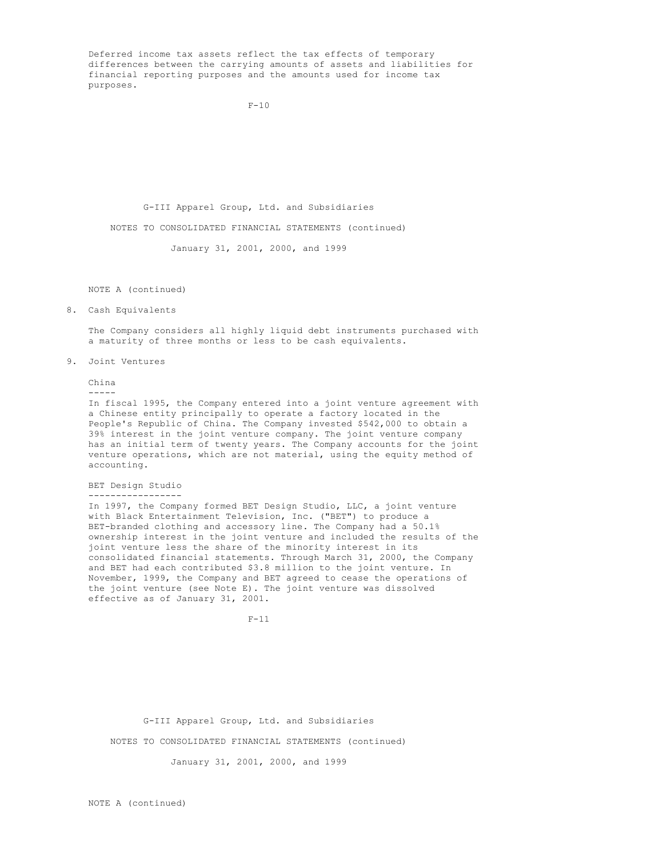Deferred income tax assets reflect the tax effects of temporary differences between the carrying amounts of assets and liabilities for financial reporting purposes and the amounts used for income tax purposes.

 $F-10$ 

G-III Apparel Group, Ltd. and Subsidiaries

NOTES TO CONSOLIDATED FINANCIAL STATEMENTS (continued)

January 31, 2001, 2000, and 1999

NOTE A (continued)

8. Cash Equivalents

The Company considers all highly liquid debt instruments purchased with a maturity of three months or less to be cash equivalents.

9. Joint Ventures

China

-----

In fiscal 1995, the Company entered into a joint venture agreement with a Chinese entity principally to operate a factory located in the People's Republic of China. The Company invested \$542,000 to obtain a 39% interest in the joint venture company. The joint venture company has an initial term of twenty years. The Company accounts for the joint venture operations, which are not material, using the equity method of accounting.

#### BET Design Studio -----------------

In 1997, the Company formed BET Design Studio, LLC, a joint venture with Black Entertainment Television, Inc. ("BET") to produce a BET-branded clothing and accessory line. The Company had a 50.1% ownership interest in the joint venture and included the results of the joint venture less the share of the minority interest in its consolidated financial statements. Through March 31, 2000, the Company and BET had each contributed \$3.8 million to the joint venture. In November, 1999, the Company and BET agreed to cease the operations of the joint venture (see Note E). The joint venture was dissolved effective as of January 31, 2001.

 $F - 11$ 

G-III Apparel Group, Ltd. and Subsidiaries NOTES TO CONSOLIDATED FINANCIAL STATEMENTS (continued)

January 31, 2001, 2000, and 1999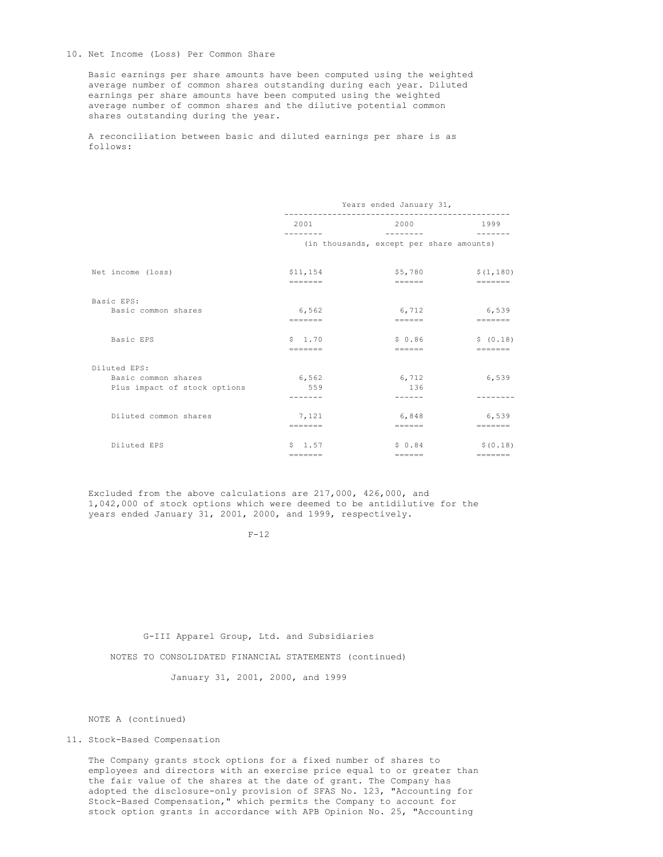### 10. Net Income (Loss) Per Common Share

Basic earnings per share amounts have been computed using the weighted average number of common shares outstanding during each year. Diluted earnings per share amounts have been computed using the weighted average number of common shares and the dilutive potential common shares outstanding during the year.

A reconciliation between basic and diluted earnings per share is as follows:

|                              | Years ended January 31, |                                          |                 |  |  |
|------------------------------|-------------------------|------------------------------------------|-----------------|--|--|
|                              | 2001                    | 2000                                     | 1999            |  |  |
|                              |                         | (in thousands, except per share amounts) |                 |  |  |
| Net income (loss)            | \$11,154                | \$5,780                                  | \$(1,180)       |  |  |
|                              | $=$ = = = = = =         | $=$                                      | $=$ = = = = = = |  |  |
| Basic EPS:                   |                         |                                          |                 |  |  |
| Basic common shares          | 6,562                   | 6,712                                    | 6,539           |  |  |
|                              | $=$ = = = = = =         | $=$ = = = = =                            | $=$ = = = = = = |  |  |
| Basic EPS                    | $S = 1.70$              | \$0.86                                   | \$ (0.18)       |  |  |
|                              | =======                 | $=$ = = = = =                            | =======         |  |  |
| Diluted EPS:                 |                         |                                          |                 |  |  |
| Basic common shares          | 6,562                   | 6,712                                    | 6,539           |  |  |
| Plus impact of stock options | 559                     | 136                                      |                 |  |  |
|                              |                         |                                          |                 |  |  |
| Diluted common shares        | 7,121                   | 6,848                                    | 6,539           |  |  |
|                              | $=$ = = = = = =         | $=$                                      | $=$             |  |  |
| Diluted EPS                  | $S = 1.57$              | \$0.84                                   | \$(0.18)        |  |  |
|                              | $=$ = = = = = =         | $= = = = = =$                            | $=$ = = = = = = |  |  |

Excluded from the above calculations are 217,000, 426,000, and 1,042,000 of stock options which were deemed to be antidilutive for the years ended January 31, 2001, 2000, and 1999, respectively.

 $F-12$ 

G-III Apparel Group, Ltd. and Subsidiaries NOTES TO CONSOLIDATED FINANCIAL STATEMENTS (continued)

January 31, 2001, 2000, and 1999

NOTE A (continued)

11. Stock-Based Compensation

The Company grants stock options for a fixed number of shares to employees and directors with an exercise price equal to or greater than the fair value of the shares at the date of grant. The Company has adopted the disclosure-only provision of SFAS No. 123, "Accounting for Stock-Based Compensation," which permits the Company to account for stock option grants in accordance with APB Opinion No. 25, "Accounting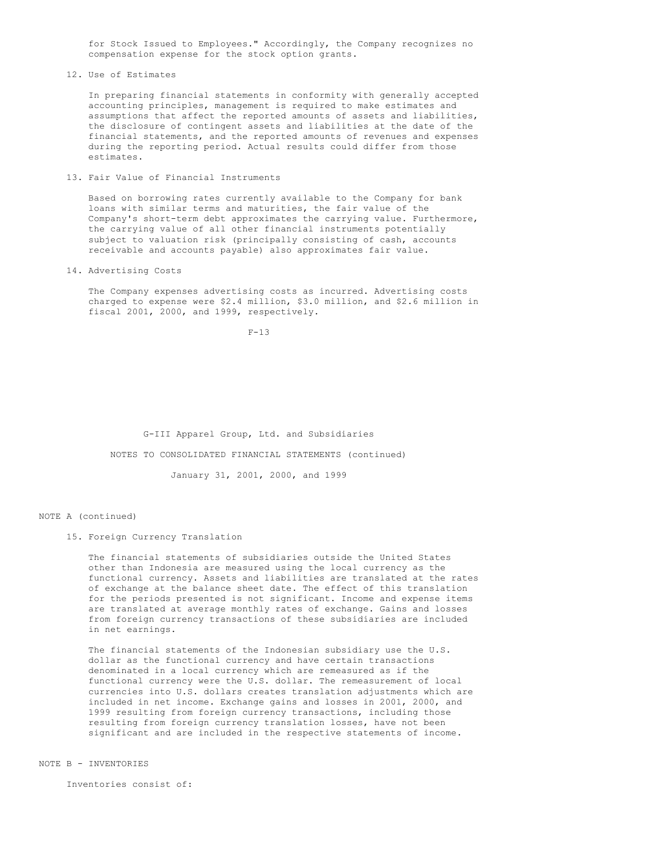for Stock Issued to Employees." Accordingly, the Company recognizes no compensation expense for the stock option grants.

12. Use of Estimates

In preparing financial statements in conformity with generally accepted accounting principles, management is required to make estimates and assumptions that affect the reported amounts of assets and liabilities, the disclosure of contingent assets and liabilities at the date of the financial statements, and the reported amounts of revenues and expenses during the reporting period. Actual results could differ from those estimates.

13. Fair Value of Financial Instruments

Based on borrowing rates currently available to the Company for bank loans with similar terms and maturities, the fair value of the Company's short-term debt approximates the carrying value. Furthermore, the carrying value of all other financial instruments potentially subject to valuation risk (principally consisting of cash, accounts receivable and accounts payable) also approximates fair value.

14. Advertising Costs

The Company expenses advertising costs as incurred. Advertising costs charged to expense were \$2.4 million, \$3.0 million, and \$2.6 million in fiscal 2001, 2000, and 1999, respectively.

 $F-13$ 

G-III Apparel Group, Ltd. and Subsidiaries

NOTES TO CONSOLIDATED FINANCIAL STATEMENTS (continued)

January 31, 2001, 2000, and 1999

### NOTE A (continued)

15. Foreign Currency Translation

The financial statements of subsidiaries outside the United States other than Indonesia are measured using the local currency as the functional currency. Assets and liabilities are translated at the rates of exchange at the balance sheet date. The effect of this translation for the periods presented is not significant. Income and expense items are translated at average monthly rates of exchange. Gains and losses from foreign currency transactions of these subsidiaries are included in net earnings.

The financial statements of the Indonesian subsidiary use the U.S. dollar as the functional currency and have certain transactions denominated in a local currency which are remeasured as if the functional currency were the U.S. dollar. The remeasurement of local currencies into U.S. dollars creates translation adjustments which are included in net income. Exchange gains and losses in 2001, 2000, and 1999 resulting from foreign currency transactions, including those resulting from foreign currency translation losses, have not been significant and are included in the respective statements of income.

NOTE B - INVENTORIES

Inventories consist of: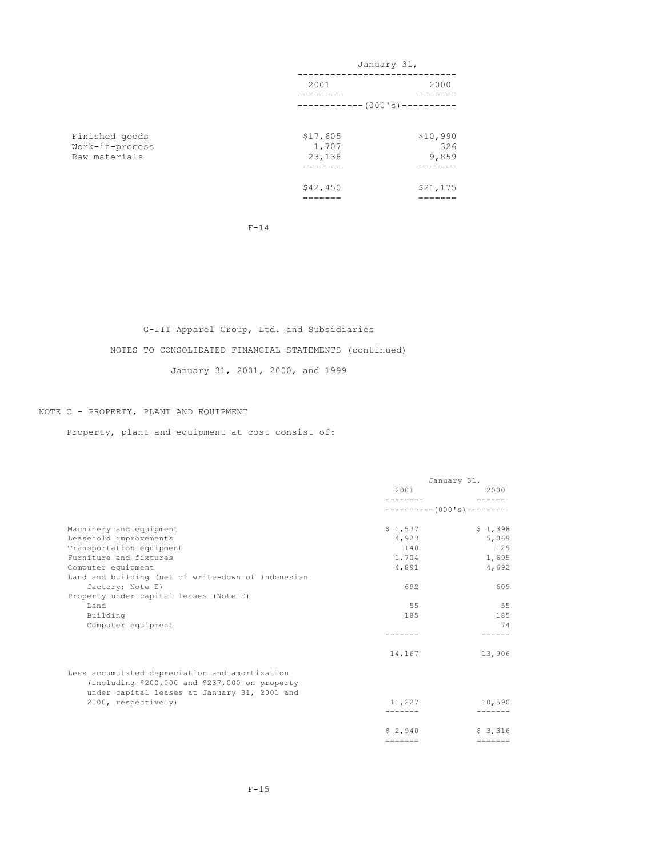|                 | January 31,               |          |
|-----------------|---------------------------|----------|
|                 | 2001                      | 2000     |
|                 | $----------(000's)------$ |          |
| Finished goods  | \$17,605                  | \$10,990 |
| Work-in-process | 1,707                     | 326      |
| Raw materials   | 23,138                    | 9,859    |
|                 |                           |          |
|                 | \$42,450                  | \$21,175 |
|                 | ------                    |          |
|                 |                           |          |

F-14

G-III Apparel Group, Ltd. and Subsidiaries NOTES TO CONSOLIDATED FINANCIAL STATEMENTS (continued) January 31, 2001, 2000, and 1999

NOTE C - PROPERTY, PLANT AND EQUIPMENT

Property, plant and equipment at cost consist of:

|                                                    | January 31,              |         |
|----------------------------------------------------|--------------------------|---------|
|                                                    | 2001                     | 2000    |
|                                                    | $---------(000's)------$ |         |
|                                                    |                          |         |
| Machinery and equipment                            | \$1,577                  | \$1,398 |
| Leasehold improvements                             | 4,923                    | 5,069   |
| Transportation equipment                           | 140                      | 129     |
| Furniture and fixtures                             | 1,704                    | 1,695   |
| Computer equipment                                 | 4,891                    | 4,692   |
| Land and building (net of write-down of Indonesian |                          |         |
| factory; Note E)                                   | 692                      | 609     |
| Property under capital leases (Note E)             |                          |         |
| Land                                               | 55                       | 55      |
| Building                                           | 185                      | 185     |
| Computer equipment                                 |                          | 74      |
|                                                    |                          | ------  |
|                                                    | 14,167                   | 13,906  |
| Less accumulated depreciation and amortization     |                          |         |
| (including $$200,000$ and $$237,000$ on property   |                          |         |
| under capital leases at January 31, 2001 and       |                          |         |
| 2000, respectively)                                | 11,227                   | 10,590  |
|                                                    | -------                  | ------- |
|                                                    | \$2,940                  | \$3.316 |
|                                                    | $=$ = = = = = =          | $=$     |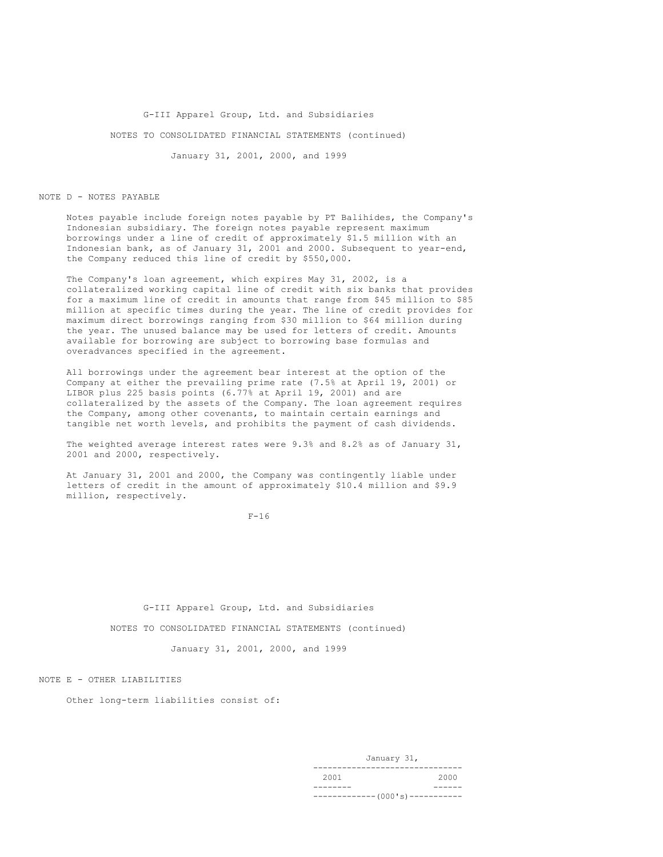G-III Apparel Group, Ltd. and Subsidiaries

NOTES TO CONSOLIDATED FINANCIAL STATEMENTS (continued)

January 31, 2001, 2000, and 1999

NOTE D - NOTES PAYABLE

Notes payable include foreign notes payable by PT Balihides, the Company's Indonesian subsidiary. The foreign notes payable represent maximum borrowings under a line of credit of approximately \$1.5 million with an Indonesian bank, as of January 31, 2001 and 2000. Subsequent to year-end, the Company reduced this line of credit by \$550,000.

The Company's loan agreement, which expires May 31, 2002, is a collateralized working capital line of credit with six banks that provides for a maximum line of credit in amounts that range from \$45 million to \$85 million at specific times during the year. The line of credit provides for maximum direct borrowings ranging from \$30 million to \$64 million during the year. The unused balance may be used for letters of credit. Amounts available for borrowing are subject to borrowing base formulas and overadvances specified in the agreement.

All borrowings under the agreement bear interest at the option of the Company at either the prevailing prime rate (7.5% at April 19, 2001) or LIBOR plus 225 basis points (6.77% at April 19, 2001) and are collateralized by the assets of the Company. The loan agreement requires the Company, among other covenants, to maintain certain earnings and tangible net worth levels, and prohibits the payment of cash dividends.

The weighted average interest rates were 9.3% and 8.2% as of January 31, 2001 and 2000, respectively.

At January 31, 2001 and 2000, the Company was contingently liable under letters of credit in the amount of approximately \$10.4 million and \$9.9 million, respectively.

 $F-16$ 

G-III Apparel Group, Ltd. and Subsidiaries

NOTES TO CONSOLIDATED FINANCIAL STATEMENTS (continued)

January 31, 2001, 2000, and 1999

NOTE E - OTHER LIABILITIES

Other long-term liabilities consist of:

|      | January 31, |                             |
|------|-------------|-----------------------------|
| 2001 |             | 2000                        |
|      |             |                             |
|      |             | $--(000's) --- --- --- ---$ |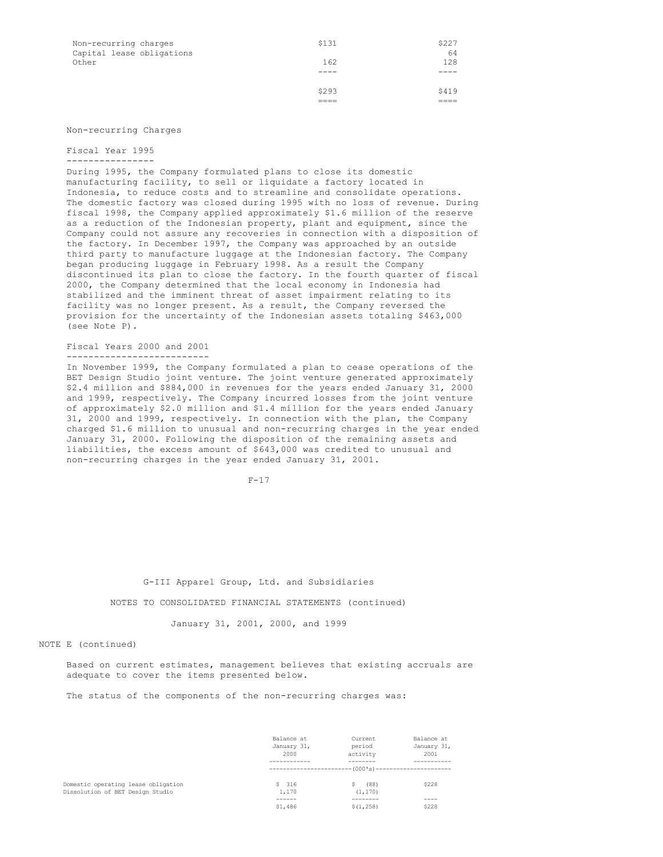| Non-recurring charges<br>Capital lease obligations<br>Other | \$131<br>162<br>---- | \$227<br>64<br>128<br>---- |
|-------------------------------------------------------------|----------------------|----------------------------|
|                                                             | \$293                | \$419                      |

Non-recurring Charges

Fiscal Year 1995

----------------

During 1995, the Company formulated plans to close its domestic manufacturing facility, to sell or liquidate a factory located in Indonesia, to reduce costs and to streamline and consolidate operations. The domestic factory was closed during 1995 with no loss of revenue. During fiscal 1998, the Company applied approximately \$1.6 million of the reserve as a reduction of the Indonesian property, plant and equipment, since the Company could not assure any recoveries in connection with a disposition of the factory. In December 1997, the Company was approached by an outside third party to manufacture luggage at the Indonesian factory. The Company began producing luggage in February 1998. As a result the Company discontinued its plan to close the factory. In the fourth quarter of fiscal 2000, the Company determined that the local economy in Indonesia had stabilized and the imminent threat of asset impairment relating to its facility was no longer present. As a result, the Company reversed the provision for the uncertainty of the Indonesian assets totaling \$463,000 (see Note P).

## Fiscal Years 2000 and 2001 --------------------------

In November 1999, the Company formulated a plan to cease operations of the BET Design Studio joint venture. The joint venture generated approximately \$2.4 million and \$884,000 in revenues for the years ended January 31, 2000 and 1999, respectively. The Company incurred losses from the joint venture of approximately \$2.0 million and \$1.4 million for the years ended January 31, 2000 and 1999, respectively. In connection with the plan, the Company charged \$1.6 million to unusual and non-recurring charges in the year ended January 31, 2000. Following the disposition of the remaining assets and liabilities, the excess amount of \$643,000 was credited to unusual and non-recurring charges in the year ended January 31, 2001.

 $F-17$ 

### G-III Apparel Group, Ltd. and Subsidiaries

NOTES TO CONSOLIDATED FINANCIAL STATEMENTS (continued)

January 31, 2001, 2000, and 1999

NOTE E (continued)

Based on current estimates, management believes that existing accruals are adequate to cover the items presented below.

The status of the components of the non-recurring charges was:

|                                     | Balance at<br>January 31,<br>2000 | Current<br>period<br>activity | Balance at<br>January 31,<br>2001  |
|-------------------------------------|-----------------------------------|-------------------------------|------------------------------------|
|                                     | -----------                       |                               | --------                           |
|                                     |                                   |                               | -- (000's) ----------------------- |
| Domestic operating lease obligation | \$316                             | (88)<br>s                     | \$228                              |
| Dissolution of BET Design Studio    | 1,170                             | (1, 170)                      |                                    |
|                                     | ------                            |                               | ----                               |
|                                     | \$1,486                           | \$(1, 258)                    | \$228                              |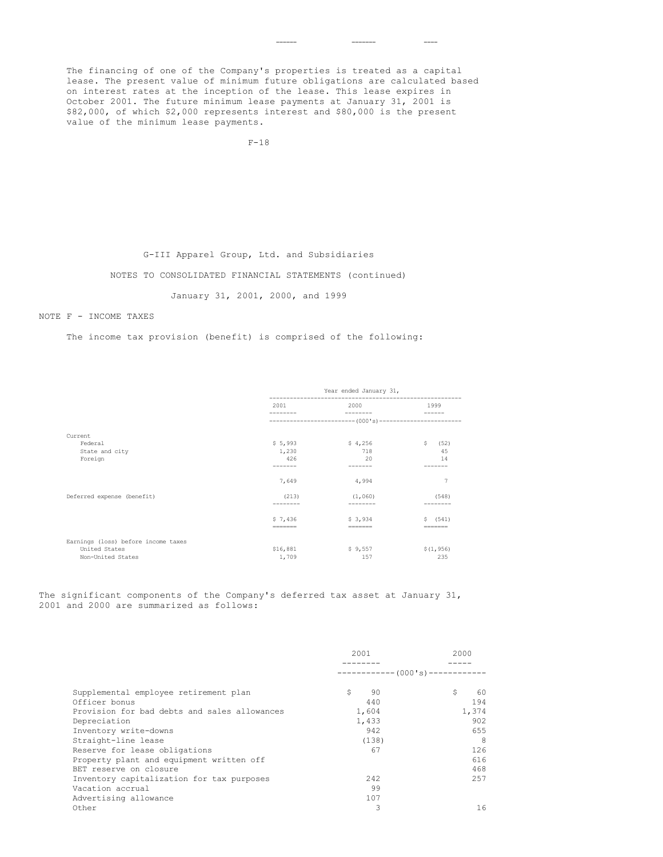The financing of one of the Company's properties is treated as a capital lease. The present value of minimum future obligations are calculated based on interest rates at the inception of the lease. This lease expires in October 2001. The future minimum lease payments at January 31, 2001 is \$82,000, of which \$2,000 represents interest and \$80,000 is the present value of the minimum lease payments.

====== ======= ====

F-18

G-III Apparel Group, Ltd. and Subsidiaries

NOTES TO CONSOLIDATED FINANCIAL STATEMENTS (continued)

January 31, 2001, 2000, and 1999

NOTE F - INCOME TAXES

The income tax provision (benefit) is comprised of the following:

|                                     | Year ended January 31, |                                                           |            |  |  |
|-------------------------------------|------------------------|-----------------------------------------------------------|------------|--|--|
|                                     | 2001                   | 2000                                                      | 1999       |  |  |
|                                     |                        | ------------------------- (000's)------------------------ |            |  |  |
| Current                             |                        |                                                           |            |  |  |
| Federal                             | \$5,993                | \$4,256                                                   | S.<br>(52) |  |  |
| State and city                      | 1,230                  | 718                                                       | 45         |  |  |
| Foreign                             | 426                    | 20                                                        | 14         |  |  |
|                                     |                        |                                                           |            |  |  |
|                                     | 7,649                  | 4,994                                                     | 7          |  |  |
| Deferred expense (benefit)          | (213)                  | (1,060)                                                   | (548)      |  |  |
|                                     |                        |                                                           |            |  |  |
|                                     | \$7,436                | \$3,934                                                   | \$ (541)   |  |  |
|                                     | -------                |                                                           |            |  |  |
| Earnings (loss) before income taxes |                        |                                                           |            |  |  |
| United States                       | \$16,881               | \$9,557                                                   | \$(1, 956) |  |  |
| Non-United States                   | 1,709                  | 157                                                       | 235        |  |  |

The significant components of the Company's deferred tax asset at January 31, 2001 and 2000 are summarized as follows:

|                                              | 2001                          | 2000      |
|----------------------------------------------|-------------------------------|-----------|
|                                              |                               |           |
|                                              | ------------ (000's)--------- |           |
| Supplemental employee retirement plan        | S<br>90                       | \$.<br>60 |
| Officer bonus                                | 440                           | 194       |
| Provision for bad debts and sales allowances | 1,604                         | 1,374     |
| Depreciation                                 | 1,433                         | 902       |
| Inventory write-downs                        | 942                           | 655       |
| Straight-line lease                          | (138)                         | -8        |
| Reserve for lease obligations                | 67                            | 126       |
| Property plant and equipment written off     |                               | 616       |
| BET reserve on closure                       |                               | 468       |
| Inventory capitalization for tax purposes    | 2.42                          | 257       |
| Vacation accrual                             | 99                            |           |
| Advertising allowance                        | 107                           |           |
| Other                                        | 3                             | 16        |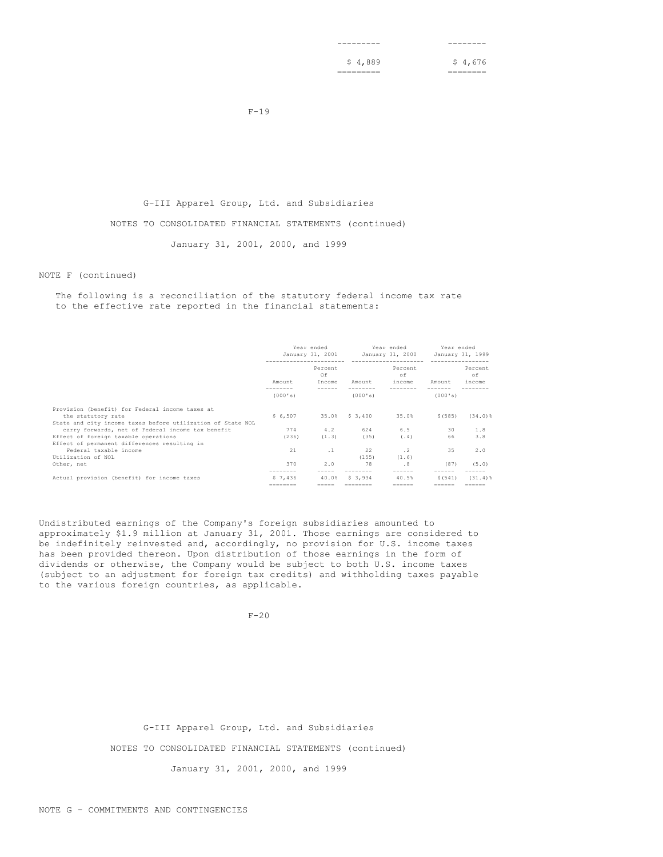--------- --------  $$4,889$   $$4,676$ ========= ========

G-III Apparel Group, Ltd. and Subsidiaries

NOTES TO CONSOLIDATED FINANCIAL STATEMENTS (continued)

January 31, 2001, 2000, and 1999

## NOTE F (continued)

The following is a reconciliation of the statutory federal income tax rate to the effective rate reported in the financial statements:

|                                                             |                   | Year ended<br>January 31, 2001 | ------------      | Year ended<br>January 31, 2000 | Year ended<br>January 31, 1999 |                         |
|-------------------------------------------------------------|-------------------|--------------------------------|-------------------|--------------------------------|--------------------------------|-------------------------|
|                                                             | Amount<br>(000's) | Percent<br>Of<br>Income        | Amount<br>(000's) | Percent<br>οf<br>income        | Amount<br>(000's)              | Percent<br>of<br>income |
|                                                             |                   |                                |                   |                                |                                |                         |
| Provision (benefit) for Federal income taxes at             |                   |                                |                   |                                |                                |                         |
| the statutory rate                                          | \$6.507           | 35.0%                          | \$3.400           | 35.0%                          | \$(585)                        | $(34.0)$ $%$            |
| State and city income taxes before utilization of State NOL |                   |                                |                   |                                |                                |                         |
| carry forwards, net of Federal income tax benefit           | 774               | 4.2                            | 624               | 6.5                            | 30                             | 1.8                     |
| Effect of foreign taxable operations                        | (236)             | (1.3)                          | (35)              | (.4)                           | 66                             | 3.8                     |
| Effect of permanent differences resulting in                |                   |                                |                   |                                |                                |                         |
| Federal taxable income                                      | 21                | $\cdot$ 1                      | 22                | $\cdot$ 2                      | 35                             | 2.0                     |
| Utilization of NOL                                          |                   |                                | (155)             | (1.6)                          |                                |                         |
| Other, net                                                  | 370               | 2.0                            | 78                | .8                             | (87)                           | (5.0)                   |
|                                                             |                   |                                |                   |                                |                                |                         |
| Actual provision (benefit) for income taxes                 | \$7,436           | 40.0%                          | \$3.934           | 40.5%                          | \$(541)                        | $(31.4)$ $%$            |
|                                                             | --------          | -----                          | --------          | ------                         | ------                         | ------                  |

Undistributed earnings of the Company's foreign subsidiaries amounted to approximately \$1.9 million at January 31, 2001. Those earnings are considered to be indefinitely reinvested and, accordingly, no provision for U.S. income taxes has been provided thereon. Upon distribution of those earnings in the form of dividends or otherwise, the Company would be subject to both U.S. income taxes (subject to an adjustment for foreign tax credits) and withholding taxes payable to the various foreign countries, as applicable.

 $F - 20$ 

G-III Apparel Group, Ltd. and Subsidiaries NOTES TO CONSOLIDATED FINANCIAL STATEMENTS (continued) January 31, 2001, 2000, and 1999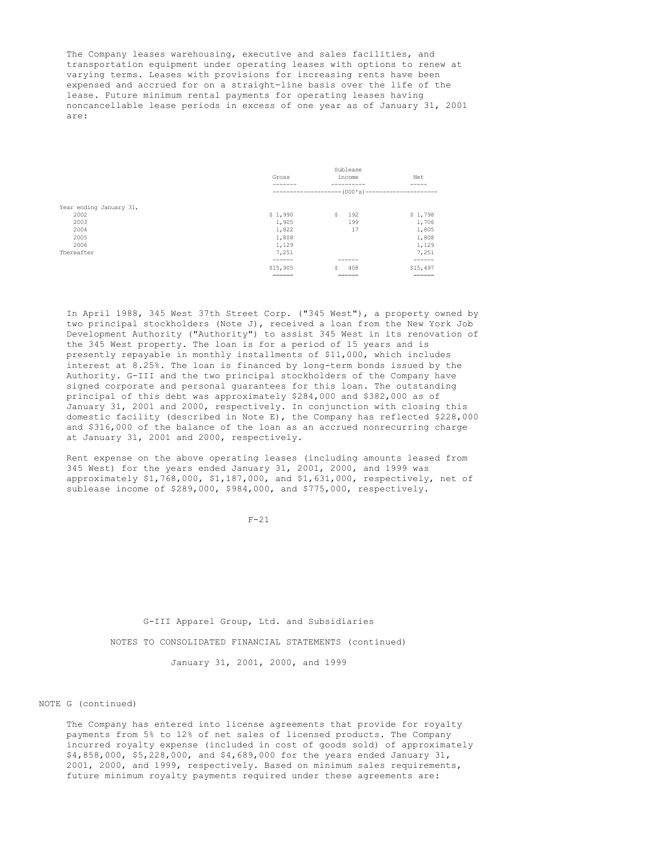The Company leases warehousing, executive and sales facilities, and transportation equipment under operating leases with options to renew at varying terms. Leases with provisions for increasing rents have been expensed and accrued for on a straight-line basis over the life of the lease. Future minimum rental payments for operating leases having noncancellable lease periods in excess of one year as of January 31, 2001 are:

|                         | Gross    | income                  | Net      |
|-------------------------|----------|-------------------------|----------|
|                         |          |                         | -----    |
|                         |          | ----- (000's)---------- |          |
| Year ending January 31, |          |                         |          |
| 2002                    | \$1,990  | S<br>192                | \$1,798  |
| 2003                    | 1,905    | 199                     | 1,706    |
| 2004                    | 1,822    | 17                      | 1,805    |
| 2005                    | 1,808    |                         | 1,808    |
| 2006                    | 1,129    |                         | 1,129    |
| Thereafter              | 7,251    |                         | 7,251    |
|                         | ------   | ______                  | ------   |
|                         | \$15,905 | Ŝ<br>408                | \$15,497 |
|                         | ------   | ------                  | ------   |

In April 1988, 345 West 37th Street Corp. ("345 West"), a property owned by two principal stockholders (Note J), received a loan from the New York Job Development Authority ("Authority") to assist 345 West in its renovation of the 345 West property. The loan is for a period of 15 years and is presently repayable in monthly installments of \$11,000, which includes interest at 8.25%. The loan is financed by long-term bonds issued by the Authority. G-III and the two principal stockholders of the Company have signed corporate and personal guarantees for this loan. The outstanding principal of this debt was approximately \$284,000 and \$382,000 as of January 31, 2001 and 2000, respectively. In conjunction with closing this domestic facility (described in Note E), the Company has reflected \$228,000 and \$316,000 of the balance of the loan as an accrued nonrecurring charge at January 31, 2001 and 2000, respectively.

Rent expense on the above operating leases (including amounts leased from 345 West) for the years ended January 31, 2001, 2000, and 1999 was approximately \$1,768,000, \$1,187,000, and \$1,631,000, respectively, net of sublease income of \$289,000, \$984,000, and \$775,000, respectively.

F-21

G-III Apparel Group, Ltd. and Subsidiaries NOTES TO CONSOLIDATED FINANCIAL STATEMENTS (continued) January 31, 2001, 2000, and 1999

NOTE G (continued)

The Company has entered into license agreements that provide for royalty payments from 5% to 12% of net sales of licensed products. The Company incurred royalty expense (included in cost of goods sold) of approximately \$4,858,000, \$5,228,000, and \$4,689,000 for the years ended January 31, 2001, 2000, and 1999, respectively. Based on minimum sales requirements, future minimum royalty payments required under these agreements are: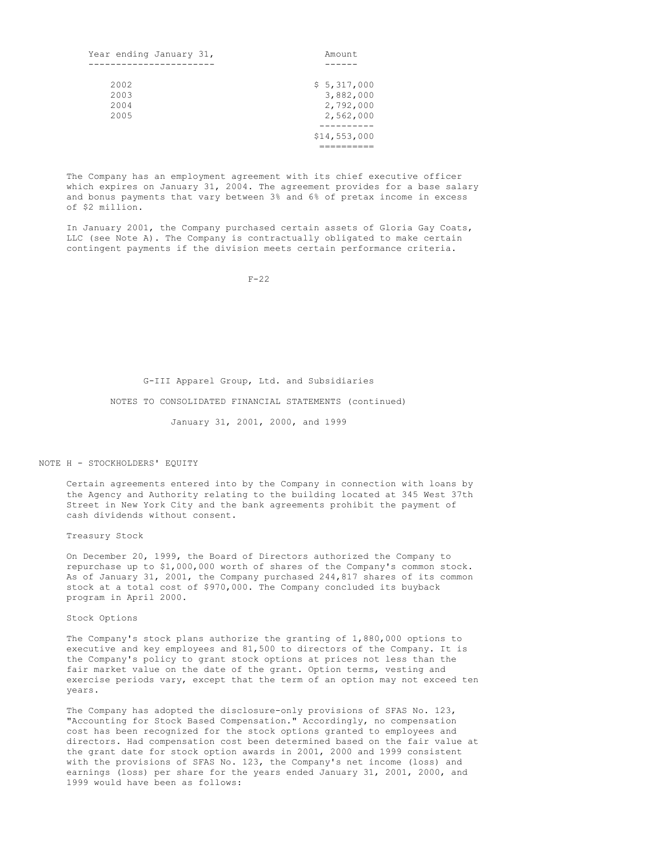| Year ending January 31, | Amount                                |
|-------------------------|---------------------------------------|
|                         |                                       |
| 2002<br>2003<br>2004    | \$5,317,000<br>3,882,000<br>2,792,000 |
| 2005                    | 2,562,000                             |
|                         | \$14,553,000<br>-------               |

The Company has an employment agreement with its chief executive officer which expires on January 31, 2004. The agreement provides for a base salary and bonus payments that vary between 3% and 6% of pretax income in excess of \$2 million.

In January 2001, the Company purchased certain assets of Gloria Gay Coats, LLC (see Note A). The Company is contractually obligated to make certain contingent payments if the division meets certain performance criteria.

F-22

## G-III Apparel Group, Ltd. and Subsidiaries

NOTES TO CONSOLIDATED FINANCIAL STATEMENTS (continued)

January 31, 2001, 2000, and 1999

NOTE H - STOCKHOLDERS' EQUITY

Certain agreements entered into by the Company in connection with loans by the Agency and Authority relating to the building located at 345 West 37th Street in New York City and the bank agreements prohibit the payment of cash dividends without consent.

Treasury Stock

On December 20, 1999, the Board of Directors authorized the Company to repurchase up to \$1,000,000 worth of shares of the Company's common stock. As of January 31, 2001, the Company purchased 244,817 shares of its common stock at a total cost of \$970,000. The Company concluded its buyback program in April 2000.

Stock Options

The Company's stock plans authorize the granting of 1,880,000 options to executive and key employees and 81,500 to directors of the Company. It is the Company's policy to grant stock options at prices not less than the fair market value on the date of the grant. Option terms, vesting and exercise periods vary, except that the term of an option may not exceed ten years.

The Company has adopted the disclosure-only provisions of SFAS No. 123, "Accounting for Stock Based Compensation." Accordingly, no compensation cost has been recognized for the stock options granted to employees and directors. Had compensation cost been determined based on the fair value at the grant date for stock option awards in 2001, 2000 and 1999 consistent with the provisions of SFAS No. 123, the Company's net income (loss) and earnings (loss) per share for the years ended January 31, 2001, 2000, and 1999 would have been as follows: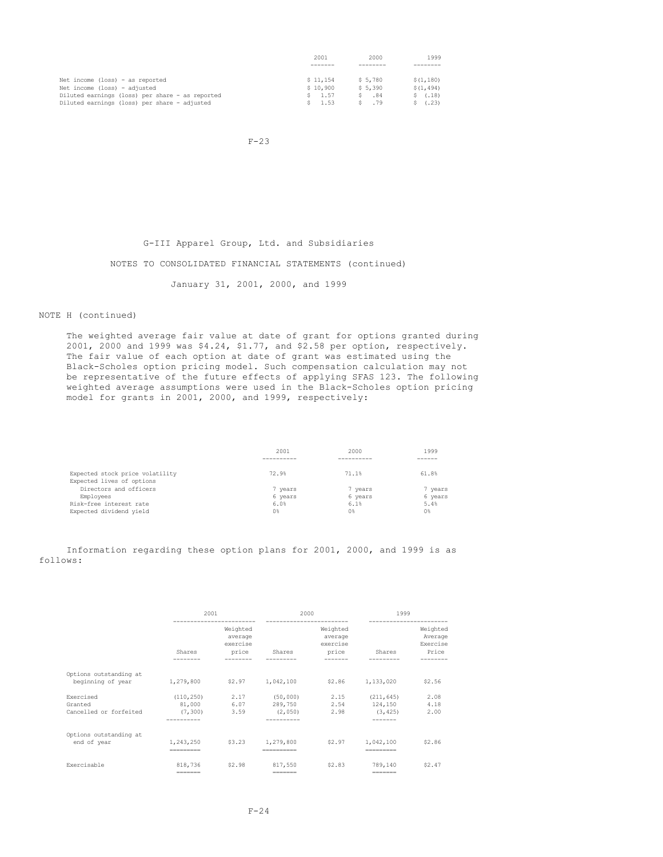|                                                 | 2001     | 2000    | 1999       |
|-------------------------------------------------|----------|---------|------------|
|                                                 |          |         |            |
|                                                 |          |         |            |
| Net income (loss) - as reported                 | \$11.154 | \$5.780 | \$(1,180)  |
| Net income (loss) - adjusted                    | \$10,900 | \$5,390 | \$(1, 494) |
| Diluted earnings (loss) per share - as reported | 1.57     | .84     | S(18)      |
| Diluted earnings (loss) per share - adjusted    | 1.53     | .79     | (.23)      |

F-23

# G-III Apparel Group, Ltd. and Subsidiaries

# NOTES TO CONSOLIDATED FINANCIAL STATEMENTS (continued)

January 31, 2001, 2000, and 1999

# NOTE H (continued)

The weighted average fair value at date of grant for options granted during 2001, 2000 and 1999 was \$4.24, \$1.77, and \$2.58 per option, respectively. The fair value of each option at date of grant was estimated using the Black-Scholes option pricing model. Such compensation calculation may not be representative of the future effects of applying SFAS 123. The following weighted average assumptions were used in the Black-Scholes option pricing model for grants in 2001, 2000, and 1999, respectively:

|                                                              | 2001    | 2000           | 1999    |
|--------------------------------------------------------------|---------|----------------|---------|
|                                                              |         |                |         |
| Expected stock price volatility<br>Expected lives of options | 72.9%   | 71.1%          | 61.8%   |
| Directors and officers                                       | 7 years | 7 years        | years   |
| Employees                                                    | 6 years | 6 years        | 6 years |
| Risk-free interest rate                                      | 6.0%    | 6.1%           | 5.4%    |
| Expected dividend yield                                      | 0%      | 0 <sup>°</sup> | 0%      |

# Information regarding these option plans for 2001, 2000, and 1999 is as follows:

|                                                | 2001<br>--------------------                   |                                          |                                | 2000<br>---------------------            |                                              | 1999<br>---------------------            |  |
|------------------------------------------------|------------------------------------------------|------------------------------------------|--------------------------------|------------------------------------------|----------------------------------------------|------------------------------------------|--|
|                                                | Shares                                         | Weighted<br>average<br>exercise<br>price | Shares                         | Weighted<br>average<br>exercise<br>price | Shares                                       | Weighted<br>Average<br>Exercise<br>Price |  |
| Options outstanding at<br>beginning of year    | 1,279,800                                      | \$2.97                                   | 1,042,100                      | \$2.86                                   | 1,133,020                                    | \$2.56                                   |  |
| Exercised<br>Granted<br>Cancelled or forfeited | (110, 250)<br>81,000<br>(7, 300)<br>---------- | 2.17<br>6.07<br>3.59                     | (50,000)<br>289,750<br>(2.050) | 2.15<br>2.54<br>2.98                     | (211, 645)<br>124,150<br>(3, 425)<br>------- | 2.08<br>4.18<br>2.00                     |  |
| Options outstanding at<br>end of year          | 1,243,250<br>=========                         | \$3,23                                   | 1,279,800<br>----------        | \$2.97                                   | 1,042,100<br>---------                       | \$2.86                                   |  |
| Exercisable                                    | 818,736<br>-------                             | \$2.98                                   | 817,550<br>=======             | \$2.83                                   | 789,140<br>=======                           | \$2.47                                   |  |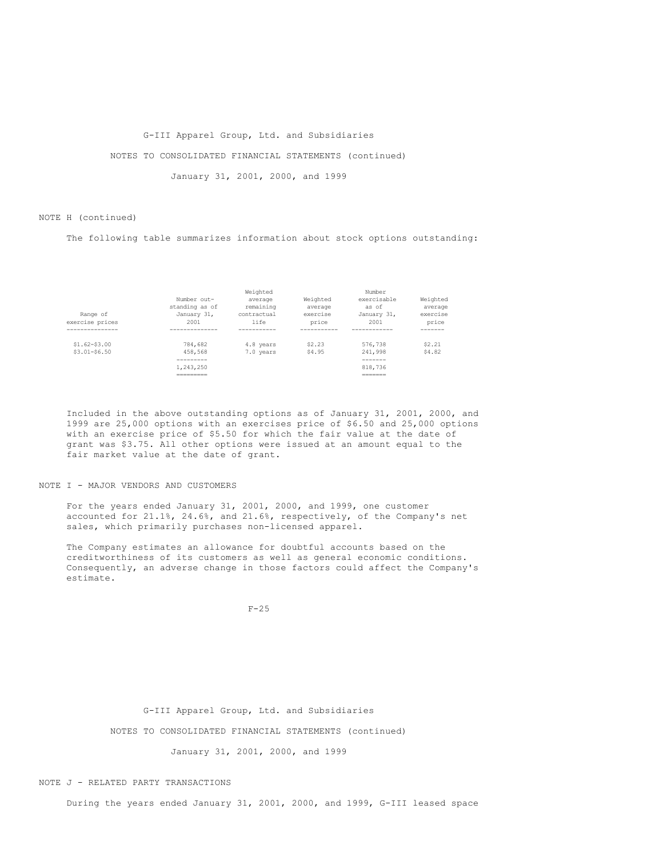## G-III Apparel Group, Ltd. and Subsidiaries

# NOTES TO CONSOLIDATED FINANCIAL STATEMENTS (continued)

January 31, 2001, 2000, and 1999

#### NOTE H (continued)

The following table summarizes information about stock options outstanding:

|                 | Number out-            | Weighted<br>average | Weighted | Number<br>exercisable | Weighted |
|-----------------|------------------------|---------------------|----------|-----------------------|----------|
|                 | standing as of         | remaining           | average  | as of                 | average  |
| Range of        | January 31,            | contractual         | exercise | January 31,           | exercise |
| exercise prices | 2001                   | life                | price    | 2001                  | price    |
| ------------    |                        |                     |          |                       |          |
| $$1.62 - $3.00$ | 784,682                | 4.8 years           | \$2.23   | 576,738               | \$2.21   |
| $$3.01 - $6.50$ | 458,568                | 7.0 years           | \$4.95   | 241,998               | \$4.82   |
|                 | --------               |                     |          | -------               |          |
|                 | 1,243,250              |                     |          | 818,736               |          |
|                 | _________<br>--------- |                     |          | _______<br>_______    |          |

Included in the above outstanding options as of January 31, 2001, 2000, and 1999 are 25,000 options with an exercises price of \$6.50 and 25,000 options with an exercise price of \$5.50 for which the fair value at the date of grant was \$3.75. All other options were issued at an amount equal to the fair market value at the date of grant.

## NOTE I - MAJOR VENDORS AND CUSTOMERS

For the years ended January 31, 2001, 2000, and 1999, one customer accounted for 21.1%, 24.6%, and 21.6%, respectively, of the Company's net sales, which primarily purchases non-licensed apparel.

The Company estimates an allowance for doubtful accounts based on the creditworthiness of its customers as well as general economic conditions. Consequently, an adverse change in those factors could affect the Company's estimate.

F-25

G-III Apparel Group, Ltd. and Subsidiaries NOTES TO CONSOLIDATED FINANCIAL STATEMENTS (continued)

January 31, 2001, 2000, and 1999

## NOTE J - RELATED PARTY TRANSACTIONS

During the years ended January 31, 2001, 2000, and 1999, G-III leased space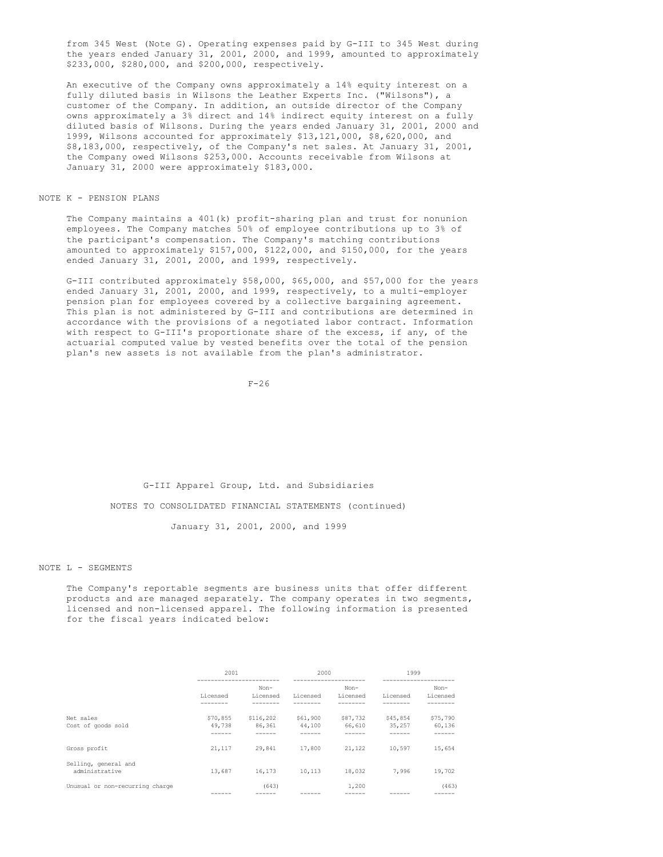from 345 West (Note G). Operating expenses paid by G-III to 345 West during the years ended January 31, 2001, 2000, and 1999, amounted to approximately \$233,000, \$280,000, and \$200,000, respectively.

An executive of the Company owns approximately a 14% equity interest on a fully diluted basis in Wilsons the Leather Experts Inc. ("Wilsons"), a customer of the Company. In addition, an outside director of the Company owns approximately a 3% direct and 14% indirect equity interest on a fully diluted basis of Wilsons. During the years ended January 31, 2001, 2000 and 1999, Wilsons accounted for approximately \$13,121,000, \$8,620,000, and \$8,183,000, respectively, of the Company's net sales. At January 31, 2001, the Company owed Wilsons \$253,000. Accounts receivable from Wilsons at January 31, 2000 were approximately \$183,000.

NOTE K - PENSION PLANS

The Company maintains a 401(k) profit-sharing plan and trust for nonunion employees. The Company matches 50% of employee contributions up to 3% of the participant's compensation. The Company's matching contributions amounted to approximately \$157,000, \$122,000, and \$150,000, for the years ended January 31, 2001, 2000, and 1999, respectively.

G-III contributed approximately \$58,000, \$65,000, and \$57,000 for the years ended January 31, 2001, 2000, and 1999, respectively, to a multi-employer pension plan for employees covered by a collective bargaining agreement. This plan is not administered by G-III and contributions are determined in accordance with the provisions of a negotiated labor contract. Information with respect to G-III's proportionate share of the excess, if any, of the actuarial computed value by vested benefits over the total of the pension plan's new assets is not available from the plan's administrator.

 $F - 26$ 

G-III Apparel Group, Ltd. and Subsidiaries NOTES TO CONSOLIDATED FINANCIAL STATEMENTS (continued)

January 31, 2001, 2000, and 1999

#### NOTE L - SEGMENTS

The Company's reportable segments are business units that offer different products and are managed separately. The company operates in two segments, licensed and non-licensed apparel. The following information is presented for the fiscal years indicated below:

|                                        | 2001                         |                     | 2000               |                    | 1999               |                              |
|----------------------------------------|------------------------------|---------------------|--------------------|--------------------|--------------------|------------------------------|
|                                        | Licensed                     | Non-<br>Licensed    | Licensed           | Non-<br>Licensed   | Licensed           | Non-<br>Licensed             |
| Net sales<br>Cost of goods sold        | \$70,855<br>49,738<br>------ | \$116,202<br>86,361 | \$61,900<br>44,100 | \$87,732<br>66,610 | \$45,854<br>35,257 | \$75,790<br>60,136<br>------ |
| Gross profit                           | 21, 117                      | 29,841              | 17,800             | 21,122             | 10,597             | 15,654                       |
| Selling, general and<br>administrative | 13,687                       | 16,173              | 10,113             | 18,032             | 7,996              | 19,702                       |
| Unusual or non-recurring charge        |                              | (643)               |                    | 1,200              |                    | (463)                        |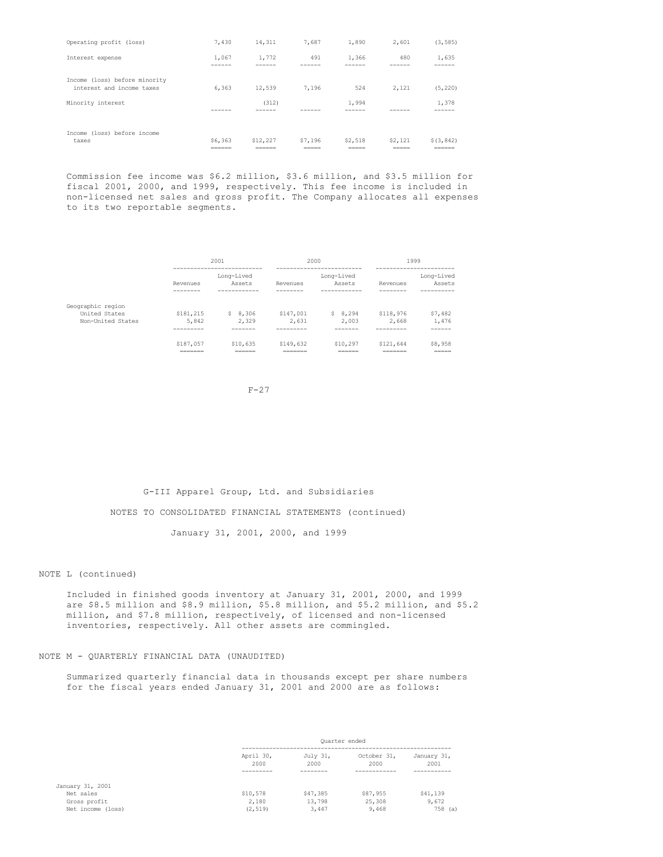| Operating profit (loss)                                    | 7,430             | 14,311             | 7.687            | 1,890            | 2.601   | (3, 585)             |
|------------------------------------------------------------|-------------------|--------------------|------------------|------------------|---------|----------------------|
| Interest expense                                           | 1,067             | 1,772              | 491              | 1,366            | 480     | 1,635                |
| Income (loss) before minority<br>interest and income taxes | 6,363             | 12,539             | 7.196            | 524              | 2.121   | (5, 220)             |
| Minority interest                                          |                   | (312)              |                  | 1,994            |         | 1,378                |
| Income (loss) before income<br>taxes                       | \$6,363<br>------ | \$12,227<br>------ | \$7,196<br>===== | \$2,518<br>===== | \$2,121 | \$(3, 842)<br>------ |

Commission fee income was \$6.2 million, \$3.6 million, and \$3.5 million for fiscal 2001, 2000, and 1999, respectively. This fee income is included in non-licensed net sales and gross profit. The Company allocates all expenses to its two reportable segments.

|                                                         |                                 | 2001                              |                                  | 2000                              |                                  | 1999                            |  |
|---------------------------------------------------------|---------------------------------|-----------------------------------|----------------------------------|-----------------------------------|----------------------------------|---------------------------------|--|
|                                                         | Revenues<br>--------            | Long-Lived<br>Assets<br>--------- | Revenues<br>-----                | Long-Lived<br>Assets<br>--------- | Revenues                         | Long-Lived<br>Assets<br>------- |  |
| Geographic region<br>United States<br>Non-United States | \$181,215<br>5,842<br>--------- | 8,306<br>s.<br>2.329              | \$147,001<br>2.631<br>------     | 8,294<br>S.<br>2,003<br>----      | \$118,976<br>2,668<br>-------    | \$7,482<br>1.476<br>------      |  |
|                                                         | \$187,057<br>_______<br>======= | \$10,635<br>______<br>______      | \$149,632<br>________<br>======= | \$10,297<br>_______<br>------     | \$121,644<br>________<br>======= | \$8,958<br>______<br>_____      |  |

 $F-27$ 

G-III Apparel Group, Ltd. and Subsidiaries NOTES TO CONSOLIDATED FINANCIAL STATEMENTS (continued)

January 31, 2001, 2000, and 1999

## NOTE L (continued)

Included in finished goods inventory at January 31, 2001, 2000, and 1999 are \$8.5 million and \$8.9 million, \$5.8 million, and \$5.2 million, and \$5.2 million, and \$7.8 million, respectively, of licensed and non-licensed inventories, respectively. All other assets are commingled.

# NOTE M - QUARTERLY FINANCIAL DATA (UNAUDITED)

Summarized quarterly financial data in thousands except per share numbers for the fiscal years ended January 31, 2001 and 2000 are as follows:

|                   |                   |                  | Quarter ended       |                     |
|-------------------|-------------------|------------------|---------------------|---------------------|
|                   | April 30,<br>2000 | July 31,<br>2000 | October 31,<br>2000 | January 31,<br>2001 |
|                   |                   |                  |                     |                     |
| January 31, 2001  |                   |                  |                     |                     |
| Net sales         | \$10,578          | \$47,385         | \$87,955            | \$41,139            |
| Gross profit      | 2,180             | 13,798           | 25,308              | 9,672               |
| Net income (loss) | (2, 519)          | 3,447            | 9,468               | $758$ (a)           |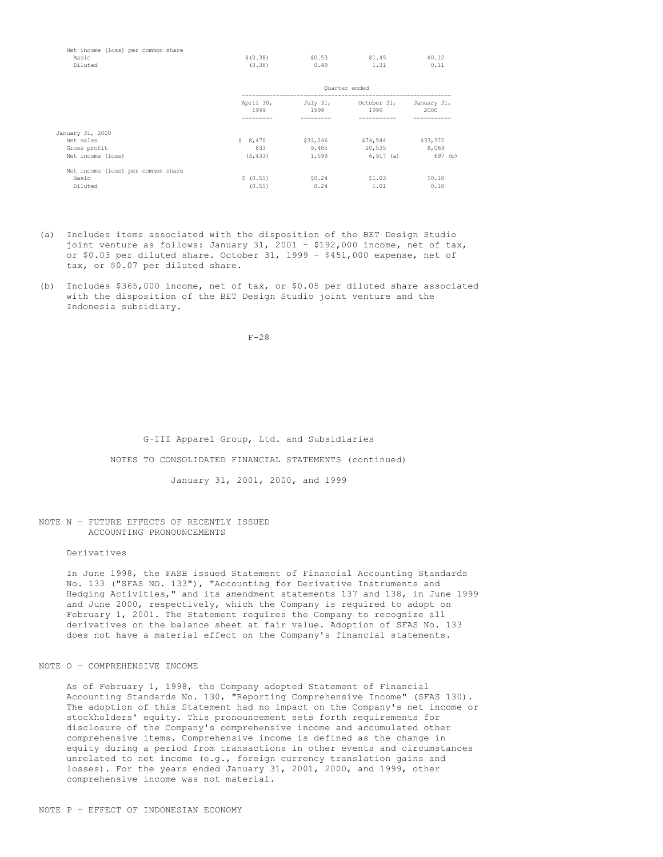| Net income (loss) per common share |          |        |        |        |
|------------------------------------|----------|--------|--------|--------|
| Basic                              | \$(0.38) | \$0.53 | \$1.45 | \$0.12 |
| Diluted                            | (0.38)   | 0.49   | 1.31   | 0.11   |

|                                                                    | Ouarter ended              |                            |                                   |                                |
|--------------------------------------------------------------------|----------------------------|----------------------------|-----------------------------------|--------------------------------|
|                                                                    | April 30,<br>1999          | July 31,<br>1999           | October 31,<br>1999               | January 31,<br>2000            |
| January 31, 2000<br>Net sales<br>Gross profit<br>Net income (loss) | \$8,470<br>833<br>(3, 433) | \$33,246<br>9,485<br>1,599 | \$74,544<br>20,535<br>$6,917$ (a) | \$33,372<br>8,069<br>$697$ (b) |
| Net income (loss) per common share<br>Basic<br>Diluted             | \$ (0.51)<br>(0.51)        | \$0.24<br>0.24             | \$1.03<br>1.01                    | \$0.10<br>0.10                 |

- (a) Includes items associated with the disposition of the BET Design Studio joint venture as follows: January 31, 2001 - \$192,000 income, net of tax, or \$0.03 per diluted share. October 31, 1999 - \$451,000 expense, net of tax, or \$0.07 per diluted share.
- (b) Includes \$365,000 income, net of tax, or \$0.05 per diluted share associated with the disposition of the BET Design Studio joint venture and the Indonesia subsidiary.

F-28

G-III Apparel Group, Ltd. and Subsidiaries

NOTES TO CONSOLIDATED FINANCIAL STATEMENTS (continued)

January 31, 2001, 2000, and 1999

NOTE N - FUTURE EFFECTS OF RECENTLY ISSUED ACCOUNTING PRONOUNCEMENTS

Derivatives

In June 1998, the FASB issued Statement of Financial Accounting Standards No. 133 ("SFAS NO. 133"), "Accounting for Derivative Instruments and Hedging Activities," and its amendment statements 137 and 138, in June 1999 and June 2000, respectively, which the Company is required to adopt on February 1, 2001. The Statement requires the Company to recognize all derivatives on the balance sheet at fair value. Adoption of SFAS No. 133 does not have a material effect on the Company's financial statements.

# NOTE O - COMPREHENSIVE INCOME

As of February 1, 1998, the Company adopted Statement of Financial Accounting Standards No. 130, "Reporting Comprehensive Income" (SFAS 130). The adoption of this Statement had no impact on the Company's net income or stockholders' equity. This pronouncement sets forth requirements for disclosure of the Company's comprehensive income and accumulated other comprehensive items. Comprehensive income is defined as the change in equity during a period from transactions in other events and circumstances unrelated to net income (e.g., foreign currency translation gains and losses). For the years ended January 31, 2001, 2000, and 1999, other comprehensive income was not material.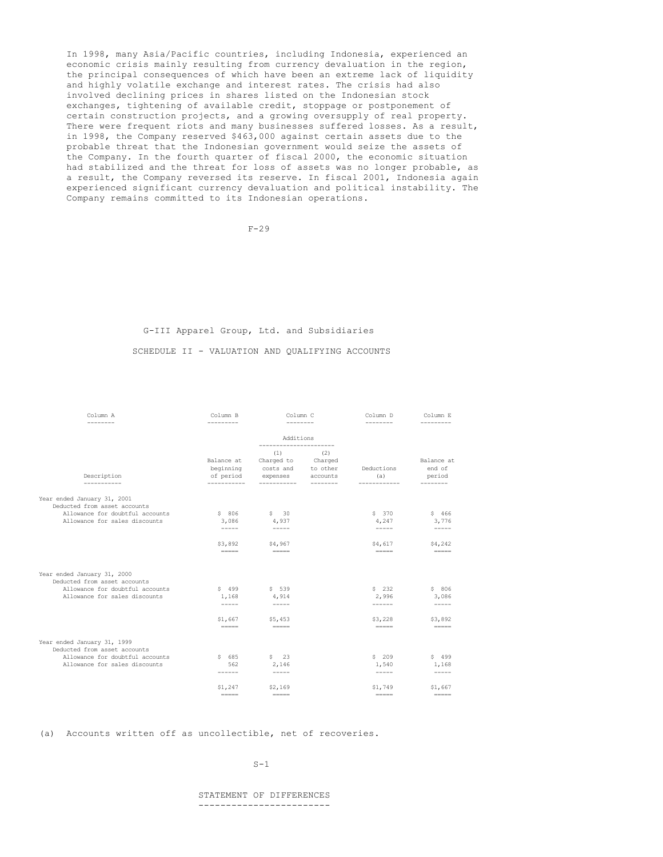In 1998, many Asia/Pacific countries, including Indonesia, experienced an economic crisis mainly resulting from currency devaluation in the region, the principal consequences of which have been an extreme lack of liquidity and highly volatile exchange and interest rates. The crisis had also involved declining prices in shares listed on the Indonesian stock exchanges, tightening of available credit, stoppage or postponement of certain construction projects, and a growing oversupply of real property. There were frequent riots and many businesses suffered losses. As a result, in 1998, the Company reserved \$463,000 against certain assets due to the probable threat that the Indonesian government would seize the assets of the Company. In the fourth quarter of fiscal 2000, the economic situation had stabilized and the threat for loss of assets was no longer probable, as a result, the Company reversed its reserve. In fiscal 2001, Indonesia again experienced significant currency devaluation and political instability. The Company remains committed to its Indonesian operations.

 $F-29$ 

## G-III Apparel Group, Ltd. and Subsidiaries

## SCHEDULE II - VALUATION AND QUALIFYING ACCOUNTS

| Column A<br>--------                                             | Column B<br>----------                              | Column C                                                             |                                         | Column <sub>D</sub>                            | Column E                                     |
|------------------------------------------------------------------|-----------------------------------------------------|----------------------------------------------------------------------|-----------------------------------------|------------------------------------------------|----------------------------------------------|
|                                                                  |                                                     | Additions                                                            |                                         |                                                |                                              |
| Description<br>-----------                                       | Balance at<br>beginning<br>of period<br>----------- | (1)<br>Charged to<br>costs and to other<br>expenses<br>-----------   | (2)<br>Charged<br>accounts<br>--------- | Deductions<br>(a)<br>----------                | Balance at<br>end of<br>period               |
| Year ended January 31, 2001<br>Deducted from asset accounts      |                                                     |                                                                      |                                         |                                                |                                              |
| Allowance for doubtful accounts<br>Allowance for sales discounts | \$806<br>3,086<br>$- - - - -$                       | $S$ 30<br>4,937<br>$--- - -$                                         |                                         | $S$ 370<br>4,247<br>$- - - - -$                | \$ 466<br>3,776<br>$- - - - -$               |
|                                                                  | \$3,892<br>$= = = = = =$                            | \$4,967<br>$\qquad \qquad \doteq \qquad \qquad \doteq \qquad \qquad$ |                                         | \$4,617<br>$= = = = = =$                       | \$4,242<br>$= = = = = =$                     |
| Year ended January 31, 2000<br>Deducted from asset accounts      |                                                     |                                                                      |                                         |                                                |                                              |
| Allowance for doubtful accounts<br>Allowance for sales discounts | \$499<br>1,168<br>$\cdots\cdots\cdots\cdots$        | \$ 539<br>4,914<br>$\cdots\cdots\cdots$                              |                                         | $S$ 232<br>2,996<br>$\cdots\cdots\cdots\cdots$ | \$806<br>3,086<br>$\cdots\cdots\cdots\cdots$ |
|                                                                  | \$1,667<br>$= = = = = =$                            | \$5,453<br>$= = = = = =$                                             |                                         | \$3,228<br>$=$                                 | \$3,892<br>$= = = = = =$                     |
| Year ended January 31, 1999<br>Deducted from asset accounts      |                                                     |                                                                      |                                         |                                                |                                              |
| Allowance for doubtful accounts<br>Allowance for sales discounts | \$685<br>562<br>------                              | $S = 23$<br>2,146<br>$\cdots\cdots\cdots$                            |                                         | \$209<br>1,540<br>$- - - - -$                  | \$499<br>1,168<br>$- - - - -$                |
|                                                                  | \$1,247                                             | \$2,169                                                              |                                         | \$1.749                                        | \$1,667                                      |

(a) Accounts written off as uncollectible, net of recoveries.

 $S-1$ 

===== ===== ===== =====

# STATEMENT OF DIFFERENCES

------------------------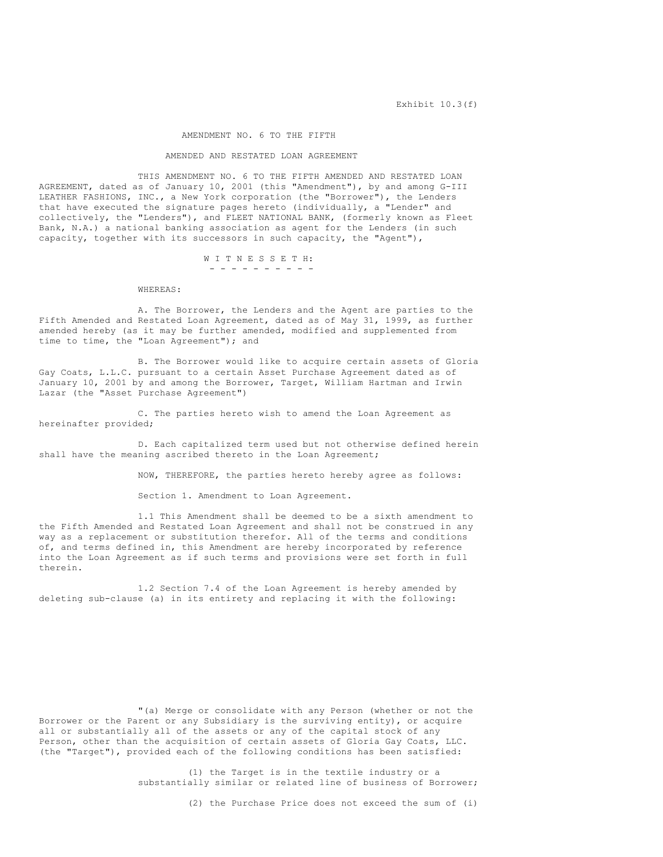#### AMENDMENT NO. 6 TO THE FIFTH

## AMENDED AND RESTATED LOAN AGREEMENT

THIS AMENDMENT NO. 6 TO THE FIFTH AMENDED AND RESTATED LOAN AGREEMENT, dated as of January 10, 2001 (this "Amendment"), by and among G-III LEATHER FASHIONS, INC., a New York corporation (the "Borrower"), the Lenders that have executed the signature pages hereto (individually, a "Lender" and collectively, the "Lenders"), and FLEET NATIONAL BANK, (formerly known as Fleet Bank, N.A.) a national banking association as agent for the Lenders (in such capacity, together with its successors in such capacity, the "Agent"),

# W I T N E S S E T H: - - - - - - - - - -

#### WHEREAS:

A. The Borrower, the Lenders and the Agent are parties to the Fifth Amended and Restated Loan Agreement, dated as of May 31, 1999, as further amended hereby (as it may be further amended, modified and supplemented from time to time, the "Loan Agreement"); and

B. The Borrower would like to acquire certain assets of Gloria Gay Coats, L.L.C. pursuant to a certain Asset Purchase Agreement dated as of January 10, 2001 by and among the Borrower, Target, William Hartman and Irwin Lazar (the "Asset Purchase Agreement")

C. The parties hereto wish to amend the Loan Agreement as hereinafter provided;

D. Each capitalized term used but not otherwise defined herein shall have the meaning ascribed thereto in the Loan Agreement;

NOW, THEREFORE, the parties hereto hereby agree as follows:

Section 1. Amendment to Loan Agreement.

1.1 This Amendment shall be deemed to be a sixth amendment to the Fifth Amended and Restated Loan Agreement and shall not be construed in any way as a replacement or substitution therefor. All of the terms and conditions of, and terms defined in, this Amendment are hereby incorporated by reference into the Loan Agreement as if such terms and provisions were set forth in full therein.

1.2 Section 7.4 of the Loan Agreement is hereby amended by deleting sub-clause (a) in its entirety and replacing it with the following:

"(a) Merge or consolidate with any Person (whether or not the Borrower or the Parent or any Subsidiary is the surviving entity), or acquire all or substantially all of the assets or any of the capital stock of any Person, other than the acquisition of certain assets of Gloria Gay Coats, LLC. (the "Target"), provided each of the following conditions has been satisfied:

> (1) the Target is in the textile industry or a substantially similar or related line of business of Borrower;

> > (2) the Purchase Price does not exceed the sum of (i)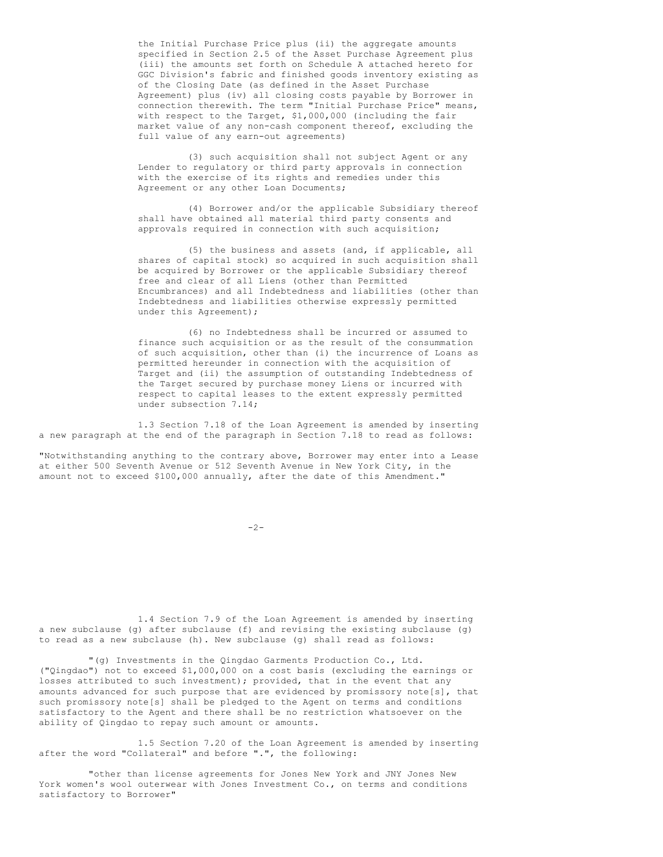the Initial Purchase Price plus (ii) the aggregate amounts specified in Section 2.5 of the Asset Purchase Agreement plus (iii) the amounts set forth on Schedule A attached hereto for GGC Division's fabric and finished goods inventory existing as of the Closing Date (as defined in the Asset Purchase Agreement) plus (iv) all closing costs payable by Borrower in connection therewith. The term "Initial Purchase Price" means, with respect to the Target, \$1,000,000 (including the fair market value of any non-cash component thereof, excluding the full value of any earn-out agreements)

(3) such acquisition shall not subject Agent or any Lender to regulatory or third party approvals in connection with the exercise of its rights and remedies under this Agreement or any other Loan Documents;

(4) Borrower and/or the applicable Subsidiary thereof shall have obtained all material third party consents and approvals required in connection with such acquisition;

(5) the business and assets (and, if applicable, all shares of capital stock) so acquired in such acquisition shall be acquired by Borrower or the applicable Subsidiary thereof free and clear of all Liens (other than Permitted Encumbrances) and all Indebtedness and liabilities (other than Indebtedness and liabilities otherwise expressly permitted under this Agreement);

(6) no Indebtedness shall be incurred or assumed to finance such acquisition or as the result of the consummation of such acquisition, other than (i) the incurrence of Loans as permitted hereunder in connection with the acquisition of Target and (ii) the assumption of outstanding Indebtedness of the Target secured by purchase money Liens or incurred with respect to capital leases to the extent expressly permitted under subsection 7.14;

1.3 Section 7.18 of the Loan Agreement is amended by inserting a new paragraph at the end of the paragraph in Section 7.18 to read as follows:

"Notwithstanding anything to the contrary above, Borrower may enter into a Lease at either 500 Seventh Avenue or 512 Seventh Avenue in New York City, in the amount not to exceed \$100,000 annually, after the date of this Amendment."

 $-2-$ 

1.4 Section 7.9 of the Loan Agreement is amended by inserting a new subclause (g) after subclause (f) and revising the existing subclause (g) to read as a new subclause (h). New subclause (g) shall read as follows:

"(g) Investments in the Qingdao Garments Production Co., Ltd. ("Qingdao") not to exceed \$1,000,000 on a cost basis (excluding the earnings or losses attributed to such investment); provided, that in the event that any amounts advanced for such purpose that are evidenced by promissory note[s], that such promissory note[s] shall be pledged to the Agent on terms and conditions satisfactory to the Agent and there shall be no restriction whatsoever on the ability of Qingdao to repay such amount or amounts.

1.5 Section 7.20 of the Loan Agreement is amended by inserting after the word "Collateral" and before ".", the following:

"other than license agreements for Jones New York and JNY Jones New York women's wool outerwear with Jones Investment Co., on terms and conditions satisfactory to Borrower"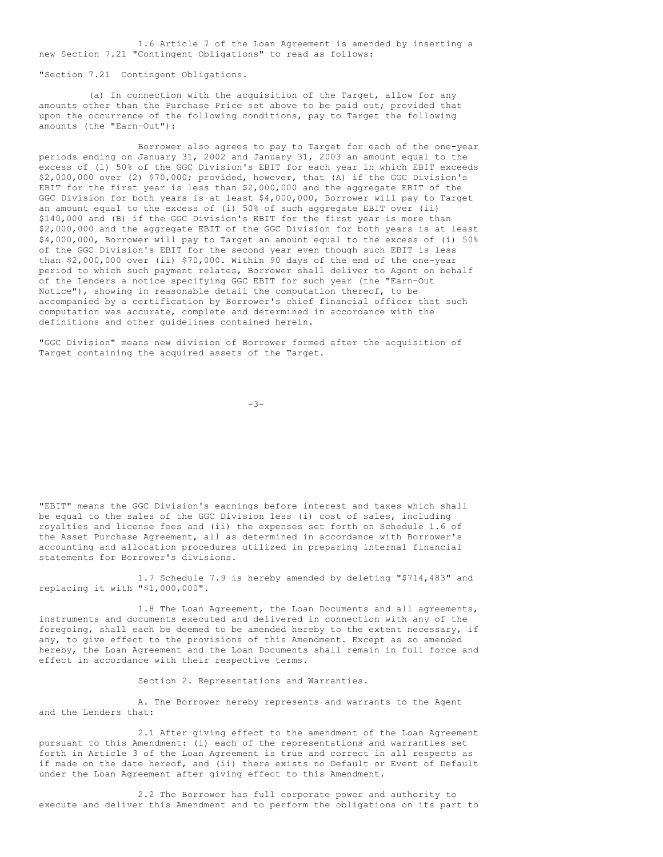1.6 Article 7 of the Loan Agreement is amended by inserting a new Section 7.21 "Contingent Obligations" to read as follows:

"Section 7.21 Contingent Obligations.

(a) In connection with the acquisition of the Target, allow for any amounts other than the Purchase Price set above to be paid out; provided that upon the occurrence of the following conditions, pay to Target the following amounts (the "Earn-Out"):

Borrower also agrees to pay to Target for each of the one-year periods ending on January 31, 2002 and January 31, 2003 an amount equal to the excess of (1) 50% of the GGC Division's EBIT for each year in which EBIT exceeds \$2,000,000 over (2) \$70,000; provided, however, that (A) if the GGC Division's EBIT for the first year is less than \$2,000,000 and the aggregate EBIT of the GGC Division for both years is at least \$4,000,000, Borrower will pay to Target an amount equal to the excess of (i) 50% of such aggregate EBIT over (ii) \$140,000 and (B) if the GGC Division's EBIT for the first year is more than \$2,000,000 and the aggregate EBIT of the GGC Division for both years is at least \$4,000,000, Borrower will pay to Target an amount equal to the excess of (i) 50% of the GGC Division's EBIT for the second year even though such EBIT is less than \$2,000,000 over (ii) \$70,000. Within 90 days of the end of the one-year period to which such payment relates, Borrower shall deliver to Agent on behalf of the Lenders a notice specifying GGC EBIT for such year (the "Earn-Out Notice"), showing in reasonable detail the computation thereof, to be accompanied by a certification by Borrower's chief financial officer that such computation was accurate, complete and determined in accordance with the definitions and other guidelines contained herein.

"GGC Division" means new division of Borrower formed after the acquisition of Target containing the acquired assets of the Target.

 $-3-$ 

"EBIT" means the GGC Division's earnings before interest and taxes which shall be equal to the sales of the GGC Division less (i) cost of sales, including royalties and license fees and (ii) the expenses set forth on Schedule 1.6 of the Asset Purchase Agreement, all as determined in accordance with Borrower's accounting and allocation procedures utilized in preparing internal financial statements for Borrower's divisions.

1.7 Schedule 7.9 is hereby amended by deleting "\$714,483" and replacing it with "\$1,000,000".

1.8 The Loan Agreement, the Loan Documents and all agreements, instruments and documents executed and delivered in connection with any of the foregoing, shall each be deemed to be amended hereby to the extent necessary, if any, to give effect to the provisions of this Amendment. Except as so amended hereby, the Loan Agreement and the Loan Documents shall remain in full force and effect in accordance with their respective terms.

Section 2. Representations and Warranties.

A. The Borrower hereby represents and warrants to the Agent and the Lenders that:

2.1 After giving effect to the amendment of the Loan Agreement pursuant to this Amendment: (i) each of the representations and warranties set forth in Article 3 of the Loan Agreement is true and correct in all respects as if made on the date hereof, and (ii) there exists no Default or Event of Default under the Loan Agreement after giving effect to this Amendment.

2.2 The Borrower has full corporate power and authority to execute and deliver this Amendment and to perform the obligations on its part to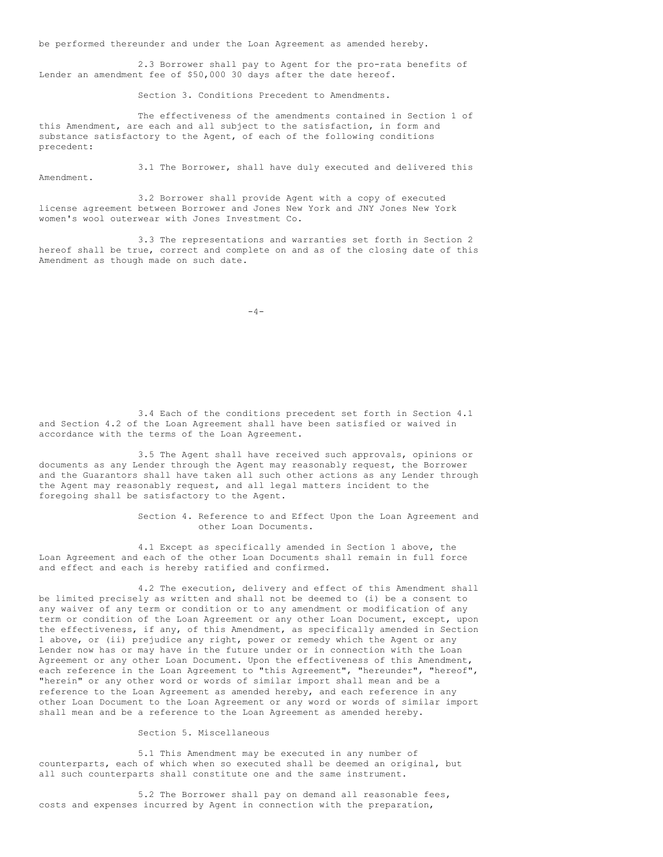be performed thereunder and under the Loan Agreement as amended hereby.

2.3 Borrower shall pay to Agent for the pro-rata benefits of Lender an amendment fee of \$50,000 30 days after the date hereof.

Section 3. Conditions Precedent to Amendments.

The effectiveness of the amendments contained in Section 1 of this Amendment, are each and all subject to the satisfaction, in form and substance satisfactory to the Agent, of each of the following conditions precedent:

3.1 The Borrower, shall have duly executed and delivered this Amendment.

3.2 Borrower shall provide Agent with a copy of executed license agreement between Borrower and Jones New York and JNY Jones New York women's wool outerwear with Jones Investment Co.

3.3 The representations and warranties set forth in Section 2 hereof shall be true, correct and complete on and as of the closing date of this Amendment as though made on such date.

 $-4-$ 

3.4 Each of the conditions precedent set forth in Section 4.1 and Section 4.2 of the Loan Agreement shall have been satisfied or waived in accordance with the terms of the Loan Agreement.

3.5 The Agent shall have received such approvals, opinions or documents as any Lender through the Agent may reasonably request, the Borrower and the Guarantors shall have taken all such other actions as any Lender through the Agent may reasonably request, and all legal matters incident to the foregoing shall be satisfactory to the Agent.

> Section 4. Reference to and Effect Upon the Loan Agreement and other Loan Documents.

4.1 Except as specifically amended in Section 1 above, the Loan Agreement and each of the other Loan Documents shall remain in full force and effect and each is hereby ratified and confirmed.

4.2 The execution, delivery and effect of this Amendment shall be limited precisely as written and shall not be deemed to (i) be a consent to any waiver of any term or condition or to any amendment or modification of any term or condition of the Loan Agreement or any other Loan Document, except, upon the effectiveness, if any, of this Amendment, as specifically amended in Section 1 above, or (ii) prejudice any right, power or remedy which the Agent or any Lender now has or may have in the future under or in connection with the Loan Agreement or any other Loan Document. Upon the effectiveness of this Amendment, each reference in the Loan Agreement to "this Agreement", "hereunder", "hereof", "herein" or any other word or words of similar import shall mean and be a reference to the Loan Agreement as amended hereby, and each reference in any other Loan Document to the Loan Agreement or any word or words of similar import shall mean and be a reference to the Loan Agreement as amended hereby.

# Section 5. Miscellaneous

5.1 This Amendment may be executed in any number of counterparts, each of which when so executed shall be deemed an original, but all such counterparts shall constitute one and the same instrument.

5.2 The Borrower shall pay on demand all reasonable fees, costs and expenses incurred by Agent in connection with the preparation,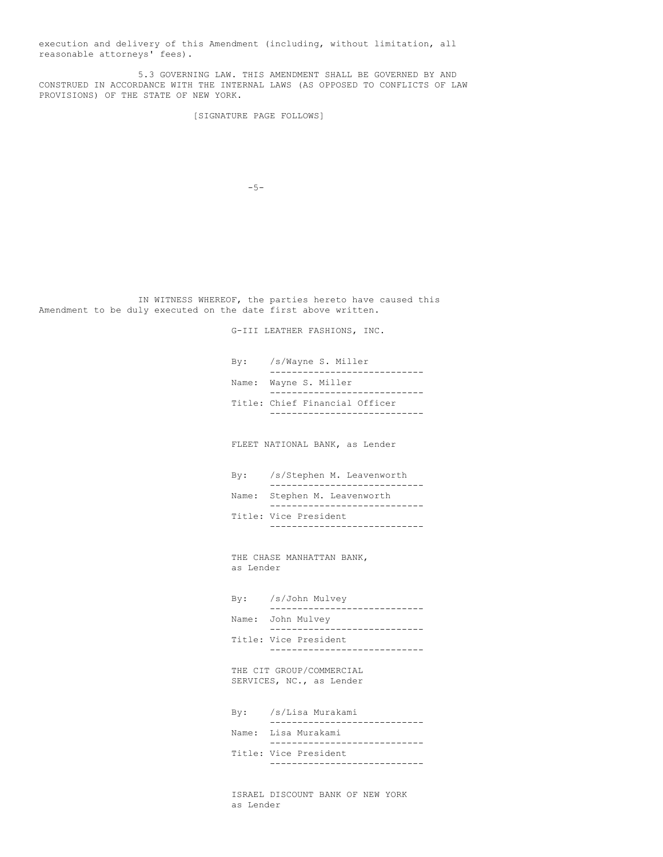execution and delivery of this Amendment (including, without limitation, all reasonable attorneys' fees).

5.3 GOVERNING LAW. THIS AMENDMENT SHALL BE GOVERNED BY AND CONSTRUED IN ACCORDANCE WITH THE INTERNAL LAWS (AS OPPOSED TO CONFLICTS OF LAW PROVISIONS) OF THE STATE OF NEW YORK.

[SIGNATURE PAGE FOLLOWS]

 $-5-$ 

IN WITNESS WHEREOF, the parties hereto have caused this Amendment to be duly executed on the date first above written.

G-III LEATHER FASHIONS, INC.

By: /s/Wayne S. Miller ---------------------------- Name: Wayne S. Miller ---------------------------- Title: Chief Financial Officer ---------------------------- FLEET NATIONAL BANK, as Lender By: /s/Stephen M. Leavenworth ---------------------------- Name: Stephen M. Leavenworth ---------------------------- Title: Vice President ---------------------------- THE CHASE MANHATTAN BANK, as Lender By: /s/John Mulvey ---------------------------- Name: John Mulvey ---------------------------- Title: Vice President ---------------------------- THE CIT GROUP/COMMERCIAL SERVICES, NC., as Lender By: /s/Lisa Murakami ---------------------------- Name: Lisa Murakami ---------------------------- Title: Vice President ----------------------------

ISRAEL DISCOUNT BANK OF NEW YORK as Lender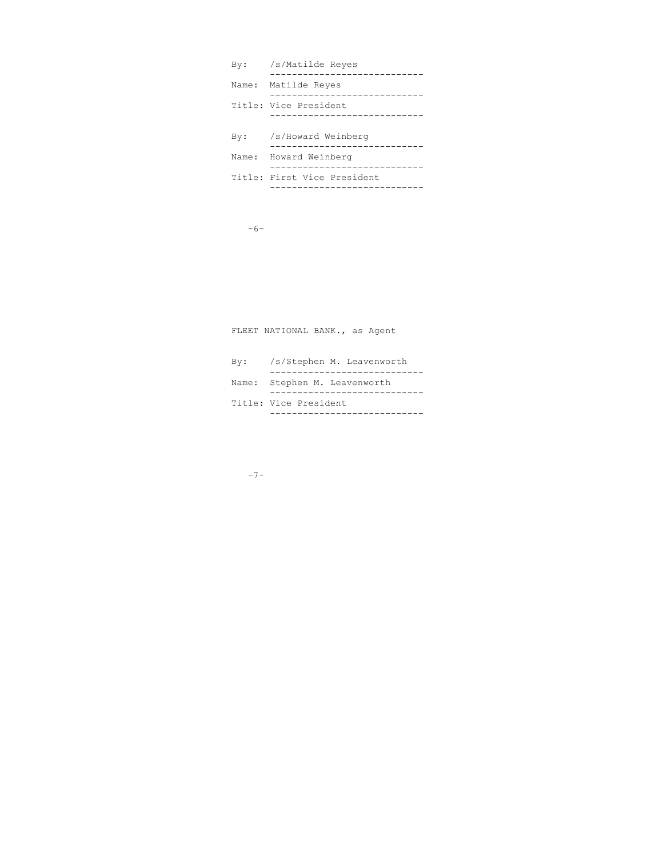| Bv:   | /s/Matilde Reyes            |
|-------|-----------------------------|
| Name: | Matilde Reyes               |
|       | Title: Vice President       |
| Bv:   | /s/Howard Weinberg          |
| Name: | Howard Weinberg             |
|       | Title: First Vice President |
|       |                             |

```
-6-
```
FLEET NATIONAL BANK., as Agent By: /s/Stephen M. Leavenworth ---------------------------- Name: Stephen M. Leavenworth ---------------------------- Title: Vice President ----------------------------

 $-7-$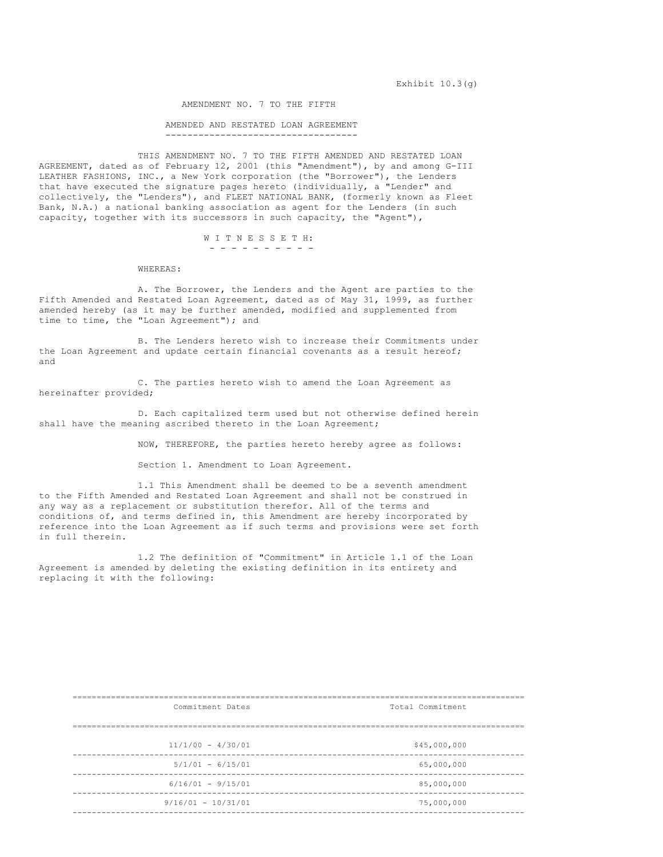#### AMENDMENT NO. 7 TO THE FIFTH

AMENDED AND RESTATED LOAN AGREEMENT -----------------------------------

THIS AMENDMENT NO. 7 TO THE FIFTH AMENDED AND RESTATED LOAN AGREEMENT, dated as of February 12, 2001 (this "Amendment"), by and among G-III LEATHER FASHIONS, INC., a New York corporation (the "Borrower"), the Lenders that have executed the signature pages hereto (individually, a "Lender" and collectively, the "Lenders"), and FLEET NATIONAL BANK, (formerly known as Fleet Bank, N.A.) a national banking association as agent for the Lenders (in such capacity, together with its successors in such capacity, the "Agent"),

#### W I T N E S S E T H: - - - - - - - - - -

## WHEREAS:

A. The Borrower, the Lenders and the Agent are parties to the Fifth Amended and Restated Loan Agreement, dated as of May 31, 1999, as further amended hereby (as it may be further amended, modified and supplemented from time to time, the "Loan Agreement"); and

B. The Lenders hereto wish to increase their Commitments under the Loan Agreement and update certain financial covenants as a result hereof; and

C. The parties hereto wish to amend the Loan Agreement as hereinafter provided;

D. Each capitalized term used but not otherwise defined herein shall have the meaning ascribed thereto in the Loan Agreement;

NOW, THEREFORE, the parties hereto hereby agree as follows:

Section 1. Amendment to Loan Agreement.

1.1 This Amendment shall be deemed to be a seventh amendment to the Fifth Amended and Restated Loan Agreement and shall not be construed in any way as a replacement or substitution therefor. All of the terms and conditions of, and terms defined in, this Amendment are hereby incorporated by reference into the Loan Agreement as if such terms and provisions were set forth in full therein.

1.2 The definition of "Commitment" in Article 1.1 of the Loan Agreement is amended by deleting the existing definition in its entirety and replacing it with the following:

| Commitment Dates     | Total Commitment |
|----------------------|------------------|
|                      |                  |
|                      |                  |
| $11/1/00 - 4/30/01$  | \$45,000,000     |
| $5/1/01 - 6/15/01$   | 65,000,000       |
| $6/16/01 - 9/15/01$  | 85,000,000       |
| $9/16/01 - 10/31/01$ | 75,000,000       |
|                      |                  |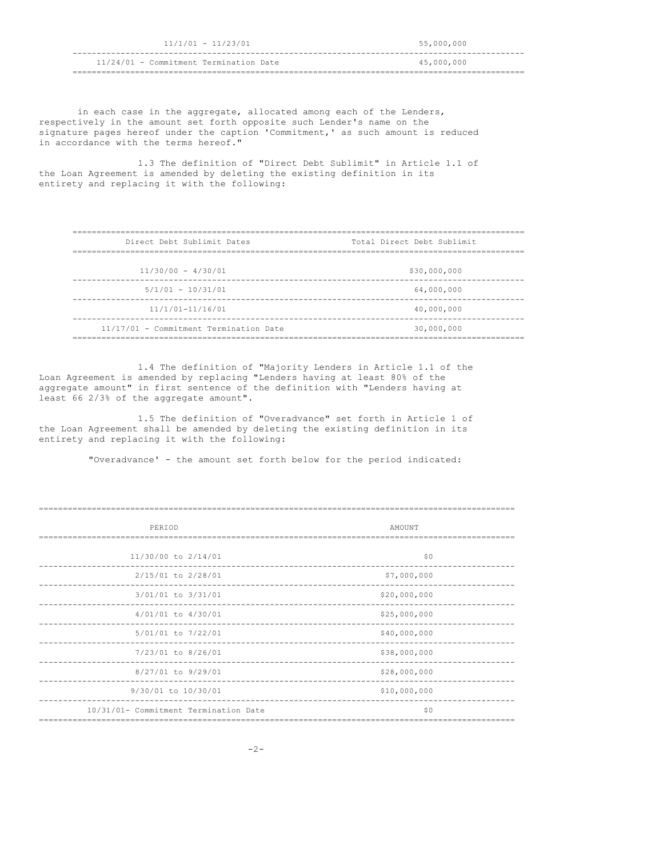| $11/1/01 - 11/23/01$                   | 55,000,000 |
|----------------------------------------|------------|
| 11/24/01 - Commitment Termination Date | 45,000,000 |

in each case in the aggregate, allocated among each of the Lenders, respectively in the amount set forth opposite such Lender's name on the signature pages hereof under the caption 'Commitment,' as such amount is reduced in accordance with the terms hereof."

1.3 The definition of "Direct Debt Sublimit" in Article 1.1 of the Loan Agreement is amended by deleting the existing definition in its entirety and replacing it with the following:

| Direct Debt Sublimit Dates             | Total Direct Debt Sublimit |
|----------------------------------------|----------------------------|
| $11/30/00 - 4/30/01$                   | \$30,000,000               |
| $5/1/01 - 10/31/01$                    | 64,000,000                 |
| 11/1/01-11/16/01                       | 40,000,000                 |
| 11/17/01 - Commitment Termination Date | 30,000,000                 |

1.4 The definition of "Majority Lenders in Article 1.1 of the Loan Agreement is amended by replacing "Lenders having at least 80% of the aggregate amount" in first sentence of the definition with "Lenders having at least 66 2/3% of the aggregate amount".

1.5 The definition of "Overadvance" set forth in Article 1 of the Loan Agreement shall be amended by deleting the existing definition in its entirety and replacing it with the following:

"Overadvance' - the amount set forth below for the period indicated:

| PERIOD                                | AMOUNT       |
|---------------------------------------|--------------|
|                                       |              |
| 11/30/00 to 2/14/01                   | \$0          |
| 2/15/01 to 2/28/01                    | \$7,000,000  |
| 3/01/01 to 3/31/01                    | \$20,000,000 |
| 4/01/01 to 4/30/01                    | \$25,000,000 |
| 5/01/01 to 7/22/01                    | \$40,000,000 |
| 7/23/01 to 8/26/01                    | \$38,000,000 |
| 8/27/01 to 9/29/01                    | \$28,000,000 |
| 9/30/01 to 10/30/01                   | \$10,000,000 |
| 10/31/01- Commitment Termination Date | \$0          |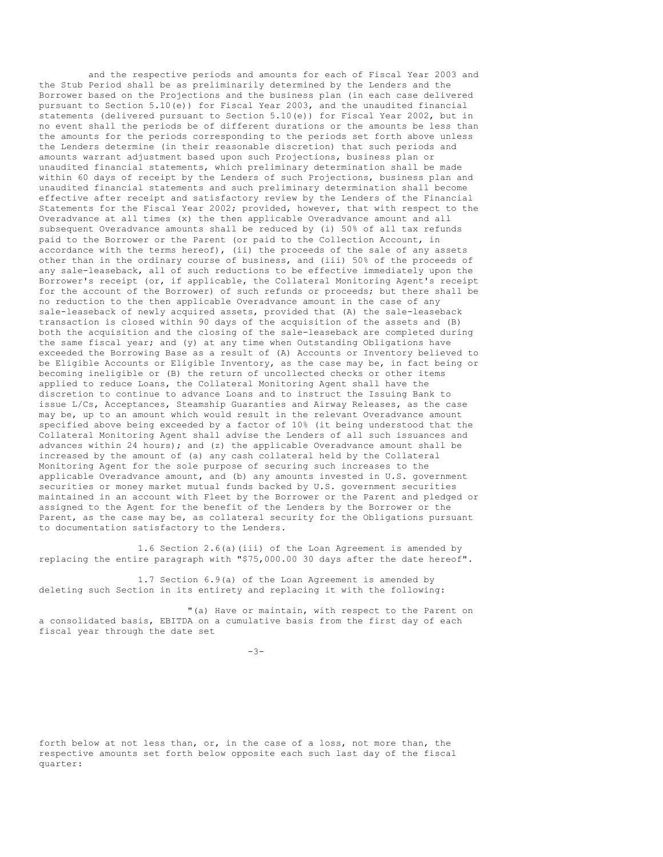and the respective periods and amounts for each of Fiscal Year 2003 and the Stub Period shall be as preliminarily determined by the Lenders and the Borrower based on the Projections and the business plan (in each case delivered pursuant to Section 5.10(e)) for Fiscal Year 2003, and the unaudited financial statements (delivered pursuant to Section 5.10(e)) for Fiscal Year 2002, but in no event shall the periods be of different durations or the amounts be less than the amounts for the periods corresponding to the periods set forth above unless the Lenders determine (in their reasonable discretion) that such periods and amounts warrant adjustment based upon such Projections, business plan or unaudited financial statements, which preliminary determination shall be made within 60 days of receipt by the Lenders of such Projections, business plan and unaudited financial statements and such preliminary determination shall become effective after receipt and satisfactory review by the Lenders of the Financial Statements for the Fiscal Year 2002; provided, however, that with respect to the Overadvance at all times (x) the then applicable Overadvance amount and all subsequent Overadvance amounts shall be reduced by (i) 50% of all tax refunds paid to the Borrower or the Parent (or paid to the Collection Account, in accordance with the terms hereof), (ii) the proceeds of the sale of any assets other than in the ordinary course of business, and (iii) 50% of the proceeds of any sale-leaseback, all of such reductions to be effective immediately upon the Borrower's receipt (or, if applicable, the Collateral Monitoring Agent's receipt for the account of the Borrower) of such refunds or proceeds; but there shall be no reduction to the then applicable Overadvance amount in the case of any sale-leaseback of newly acquired assets, provided that (A) the sale-leaseback transaction is closed within 90 days of the acquisition of the assets and (B) both the acquisition and the closing of the sale-leaseback are completed during the same fiscal year; and (y) at any time when Outstanding Obligations have exceeded the Borrowing Base as a result of (A) Accounts or Inventory believed to be Eligible Accounts or Eligible Inventory, as the case may be, in fact being or becoming ineligible or (B) the return of uncollected checks or other items applied to reduce Loans, the Collateral Monitoring Agent shall have the discretion to continue to advance Loans and to instruct the Issuing Bank to issue L/Cs, Acceptances, Steamship Guaranties and Airway Releases, as the case may be, up to an amount which would result in the relevant Overadvance amount specified above being exceeded by a factor of 10% (it being understood that the Collateral Monitoring Agent shall advise the Lenders of all such issuances and advances within 24 hours); and (z) the applicable Overadvance amount shall be increased by the amount of (a) any cash collateral held by the Collateral Monitoring Agent for the sole purpose of securing such increases to the applicable Overadvance amount, and (b) any amounts invested in U.S. government securities or money market mutual funds backed by U.S. government securities maintained in an account with Fleet by the Borrower or the Parent and pledged or assigned to the Agent for the benefit of the Lenders by the Borrower or the Parent, as the case may be, as collateral security for the Obligations pursuant to documentation satisfactory to the Lenders.

1.6 Section 2.6(a)(iii) of the Loan Agreement is amended by replacing the entire paragraph with "\$75,000.00 30 days after the date hereof".

1.7 Section 6.9(a) of the Loan Agreement is amended by deleting such Section in its entirety and replacing it with the following:

"(a) Have or maintain, with respect to the Parent on a consolidated basis, EBITDA on a cumulative basis from the first day of each fiscal year through the date set

 $-3-$ 

forth below at not less than, or, in the case of a loss, not more than, the respective amounts set forth below opposite each such last day of the fiscal quarter: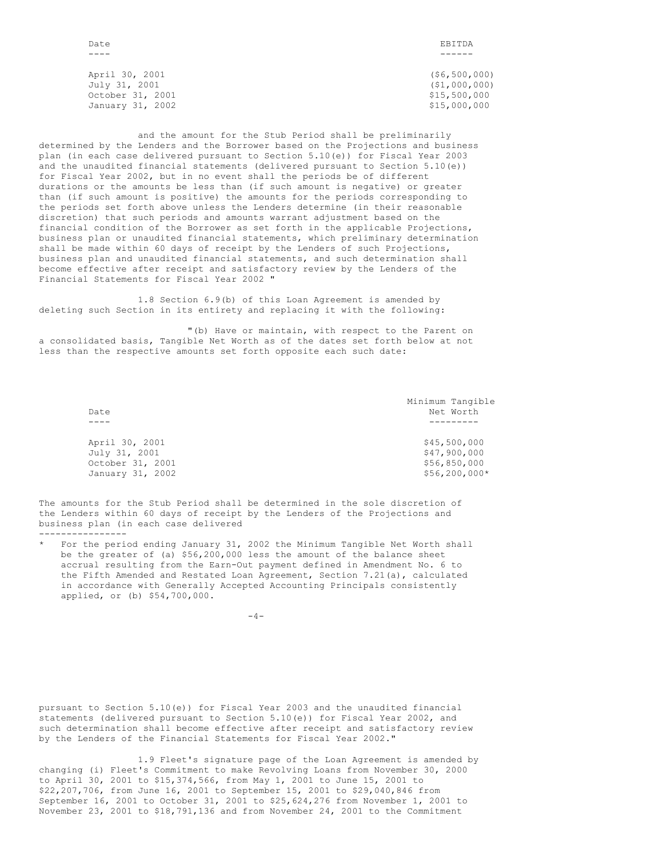Date EBITDA ---- ------ April 30, 2001 (\$6,500,000)

July 31, 2001 (\$1,000,000)<br>October 31, 2001 (\$1,500,000) October 31, 2001<br>
January 31, 2002<br>
January 31, 2002 January 31, 2002

and the amount for the Stub Period shall be preliminarily determined by the Lenders and the Borrower based on the Projections and business plan (in each case delivered pursuant to Section 5.10(e)) for Fiscal Year 2003 and the unaudited financial statements (delivered pursuant to Section 5.10(e)) for Fiscal Year 2002, but in no event shall the periods be of different durations or the amounts be less than (if such amount is negative) or greater than (if such amount is positive) the amounts for the periods corresponding to the periods set forth above unless the Lenders determine (in their reasonable discretion) that such periods and amounts warrant adjustment based on the financial condition of the Borrower as set forth in the applicable Projections, business plan or unaudited financial statements, which preliminary determination shall be made within 60 days of receipt by the Lenders of such Projections, business plan and unaudited financial statements, and such determination shall become effective after receipt and satisfactory review by the Lenders of the Financial Statements for Fiscal Year 2002 "

1.8 Section 6.9(b) of this Loan Agreement is amended by deleting such Section in its entirety and replacing it with the following:

"(b) Have or maintain, with respect to the Parent on a consolidated basis, Tangible Net Worth as of the dates set forth below at not less than the respective amounts set forth opposite each such date:

|                  | Minimum Tangible |
|------------------|------------------|
| Date             | Net Worth        |
|                  |                  |
|                  |                  |
| April 30, 2001   | \$45,500,000     |
| July 31, 2001    | \$47,900,000     |
| October 31, 2001 | \$56,850,000     |
| January 31, 2002 | $$56, 200, 000*$ |

The amounts for the Stub Period shall be determined in the sole discretion of the Lenders within 60 days of receipt by the Lenders of the Projections and business plan (in each case delivered ----------------

For the period ending January 31, 2002 the Minimum Tangible Net Worth shall be the greater of (a) \$56,200,000 less the amount of the balance sheet accrual resulting from the Earn-Out payment defined in Amendment No. 6 to the Fifth Amended and Restated Loan Agreement, Section 7.21(a), calculated in accordance with Generally Accepted Accounting Principals consistently applied, or (b) \$54,700,000.

 $-4-$ 

pursuant to Section 5.10(e)) for Fiscal Year 2003 and the unaudited financial statements (delivered pursuant to Section 5.10(e)) for Fiscal Year 2002, and such determination shall become effective after receipt and satisfactory review by the Lenders of the Financial Statements for Fiscal Year 2002."

1.9 Fleet's signature page of the Loan Agreement is amended by changing (i) Fleet's Commitment to make Revolving Loans from November 30, 2000 to April 30, 2001 to \$15,374,566, from May 1, 2001 to June 15, 2001 to \$22,207,706, from June 16, 2001 to September 15, 2001 to \$29,040,846 from September 16, 2001 to October 31, 2001 to \$25,624,276 from November 1, 2001 to November 23, 2001 to \$18,791,136 and from November 24, 2001 to the Commitment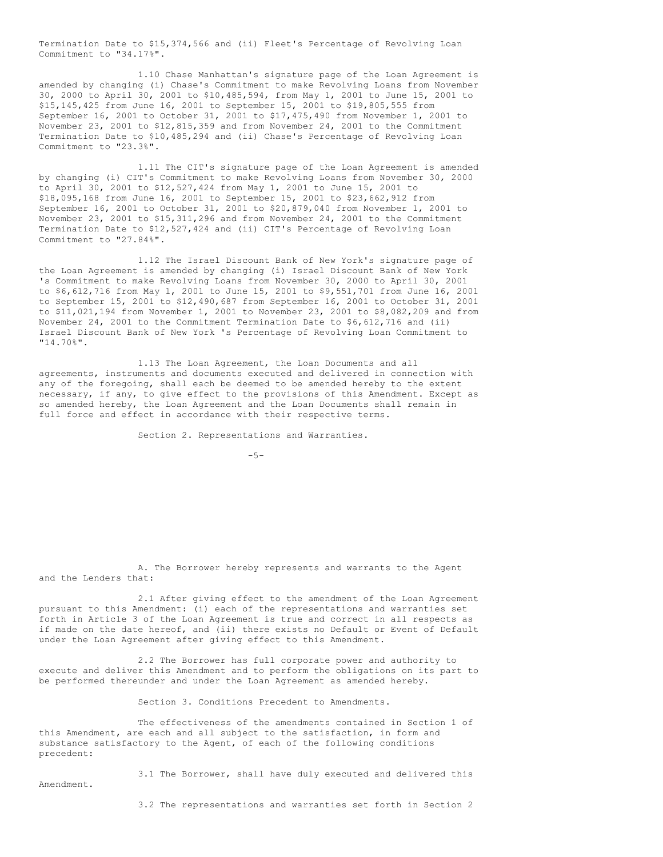Termination Date to \$15,374,566 and (ii) Fleet's Percentage of Revolving Loan Commitment to "34.17%".

1.10 Chase Manhattan's signature page of the Loan Agreement is amended by changing (i) Chase's Commitment to make Revolving Loans from November 30, 2000 to April 30, 2001 to \$10,485,594, from May 1, 2001 to June 15, 2001 to \$15,145,425 from June 16, 2001 to September 15, 2001 to \$19,805,555 from September 16, 2001 to October 31, 2001 to \$17,475,490 from November 1, 2001 to November 23, 2001 to \$12,815,359 and from November 24, 2001 to the Commitment Termination Date to \$10,485,294 and (ii) Chase's Percentage of Revolving Loan Commitment to "23.3%".

1.11 The CIT's signature page of the Loan Agreement is amended by changing (i) CIT's Commitment to make Revolving Loans from November 30, 2000 to April 30, 2001 to \$12,527,424 from May 1, 2001 to June 15, 2001 to \$18,095,168 from June 16, 2001 to September 15, 2001 to \$23,662,912 from September 16, 2001 to October 31, 2001 to \$20,879,040 from November 1, 2001 to November 23, 2001 to \$15,311,296 and from November 24, 2001 to the Commitment Termination Date to \$12,527,424 and (ii) CIT's Percentage of Revolving Loan Commitment to "27.84%".

1.12 The Israel Discount Bank of New York's signature page of the Loan Agreement is amended by changing (i) Israel Discount Bank of New York 's Commitment to make Revolving Loans from November 30, 2000 to April 30, 2001 to \$6,612,716 from May 1, 2001 to June 15, 2001 to \$9,551,701 from June 16, 2001 to September 15, 2001 to \$12,490,687 from September 16, 2001 to October 31, 2001 to \$11,021,194 from November 1, 2001 to November 23, 2001 to \$8,082,209 and from November 24, 2001 to the Commitment Termination Date to \$6,612,716 and (ii) Israel Discount Bank of New York 's Percentage of Revolving Loan Commitment to "14.70%".

1.13 The Loan Agreement, the Loan Documents and all agreements, instruments and documents executed and delivered in connection with any of the foregoing, shall each be deemed to be amended hereby to the extent necessary, if any, to give effect to the provisions of this Amendment. Except as so amended hereby, the Loan Agreement and the Loan Documents shall remain in full force and effect in accordance with their respective terms.

Section 2. Representations and Warranties.

-5-

A. The Borrower hereby represents and warrants to the Agent and the Lenders that:

2.1 After giving effect to the amendment of the Loan Agreement pursuant to this Amendment: (i) each of the representations and warranties set forth in Article 3 of the Loan Agreement is true and correct in all respects as if made on the date hereof, and (ii) there exists no Default or Event of Default under the Loan Agreement after giving effect to this Amendment.

2.2 The Borrower has full corporate power and authority to execute and deliver this Amendment and to perform the obligations on its part to be performed thereunder and under the Loan Agreement as amended hereby.

Section 3. Conditions Precedent to Amendments.

The effectiveness of the amendments contained in Section 1 of this Amendment, are each and all subject to the satisfaction, in form and substance satisfactory to the Agent, of each of the following conditions precedent:

Amendment.

3.1 The Borrower, shall have duly executed and delivered this

3.2 The representations and warranties set forth in Section 2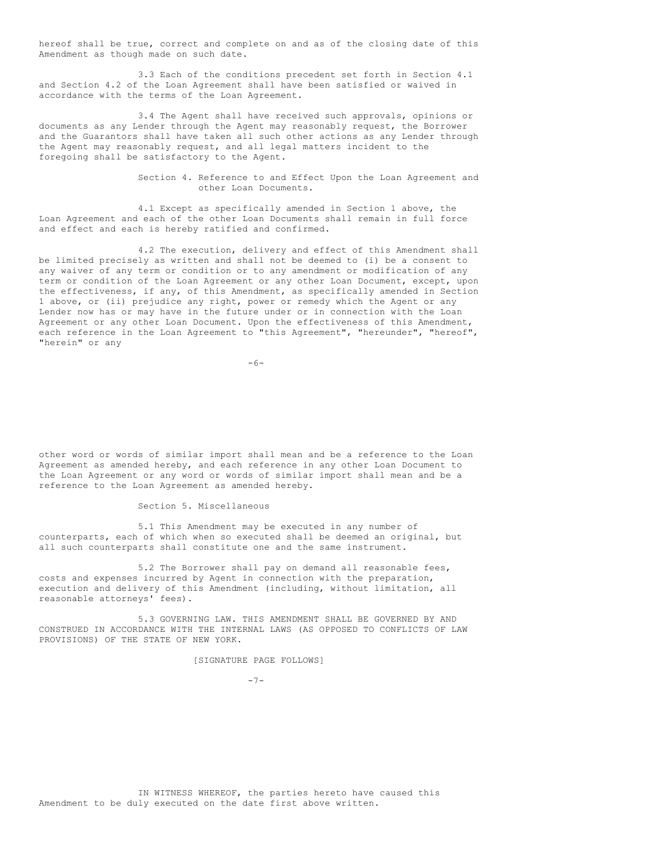hereof shall be true, correct and complete on and as of the closing date of this Amendment as though made on such date.

3.3 Each of the conditions precedent set forth in Section 4.1 and Section 4.2 of the Loan Agreement shall have been satisfied or waived in accordance with the terms of the Loan Agreement.

3.4 The Agent shall have received such approvals, opinions or documents as any Lender through the Agent may reasonably request, the Borrower and the Guarantors shall have taken all such other actions as any Lender through the Agent may reasonably request, and all legal matters incident to the foregoing shall be satisfactory to the Agent.

> Section 4. Reference to and Effect Upon the Loan Agreement and other Loan Documents.

4.1 Except as specifically amended in Section 1 above, the Loan Agreement and each of the other Loan Documents shall remain in full force and effect and each is hereby ratified and confirmed.

4.2 The execution, delivery and effect of this Amendment shall be limited precisely as written and shall not be deemed to (i) be a consent to any waiver of any term or condition or to any amendment or modification of any term or condition of the Loan Agreement or any other Loan Document, except, upon the effectiveness, if any, of this Amendment, as specifically amended in Section 1 above, or (ii) prejudice any right, power or remedy which the Agent or any Lender now has or may have in the future under or in connection with the Loan Agreement or any other Loan Document. Upon the effectiveness of this Amendment, each reference in the Loan Agreement to "this Agreement", "hereunder", "hereof", "herein" or any

 $-6-$ 

other word or words of similar import shall mean and be a reference to the Loan Agreement as amended hereby, and each reference in any other Loan Document to the Loan Agreement or any word or words of similar import shall mean and be a reference to the Loan Agreement as amended hereby.

Section 5. Miscellaneous

5.1 This Amendment may be executed in any number of counterparts, each of which when so executed shall be deemed an original, but all such counterparts shall constitute one and the same instrument.

5.2 The Borrower shall pay on demand all reasonable fees, costs and expenses incurred by Agent in connection with the preparation, execution and delivery of this Amendment (including, without limitation, all reasonable attorneys' fees).

5.3 GOVERNING LAW. THIS AMENDMENT SHALL BE GOVERNED BY AND CONSTRUED IN ACCORDANCE WITH THE INTERNAL LAWS (AS OPPOSED TO CONFLICTS OF LAW PROVISIONS) OF THE STATE OF NEW YORK.

[SIGNATURE PAGE FOLLOWS]

 $-7-$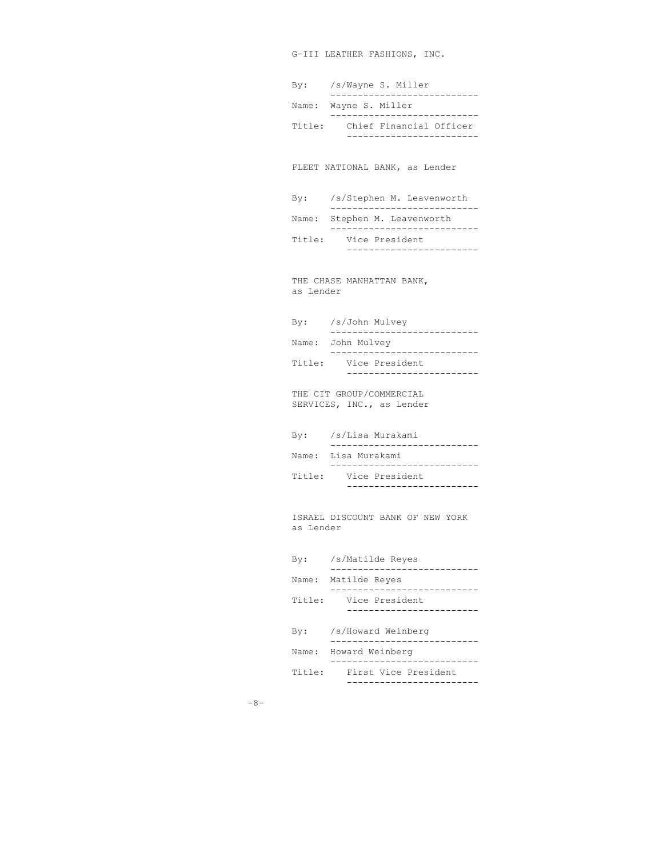G-III LEATHER FASHIONS, INC. By: /s/Wayne S. Miller --------------------------- Name: Wayne S. Miller --------------------------- Title: Chief Financial Officer ------------------------ FLEET NATIONAL BANK, as Lender By: /s/Stephen M. Leavenworth --------------------------- Name: Stephen M. Leavenworth --------------------------- Title: Vice President ------------------------ THE CHASE MANHATTAN BANK, as Lender By: /s/John Mulvey --------------------------- Name: John Mulvey --------------------------- Title: Vice President ------------------------ THE CIT GROUP/COMMERCIAL SERVICES, INC., as Lender By: /s/Lisa Murakami --------------------------- Name: Lisa Murakami --------------------------- Title: Vice President ------------------------ ISRAEL DISCOUNT BANK OF NEW YORK as Lender By: /s/Matilde Reyes --------------------------- Name: Matilde Reyes --------------------------- Title: Vice President ------------------------ By: /s/Howard Weinberg --------------------------- Name: Howard Weinberg --------------------------- Title: First Vice President ------------------------

-8-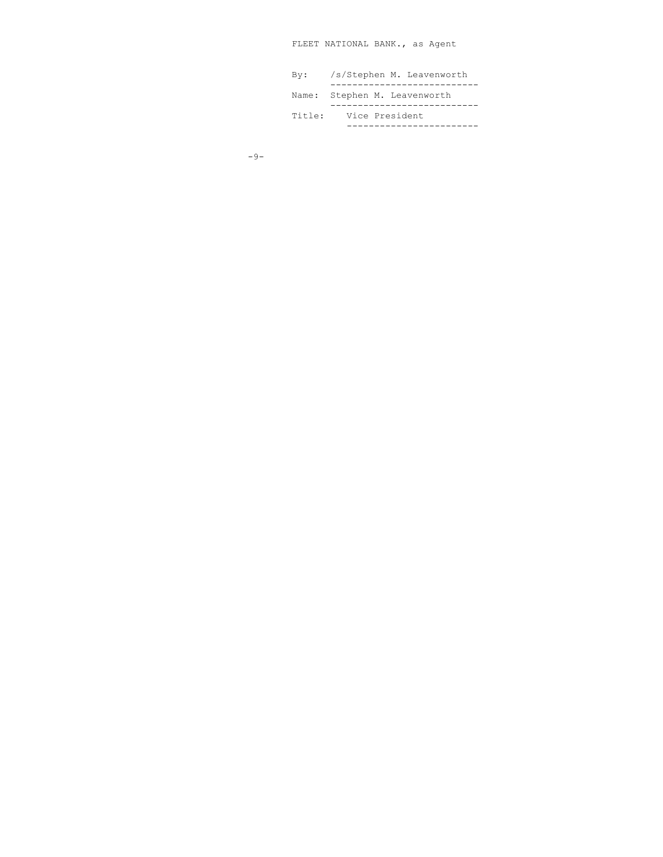FLEET NATIONAL BANK., as Agent

| Bv:    | /s/Stephen M. Leavenworth    |
|--------|------------------------------|
|        | Name: Stephen M. Leavenworth |
| Title: | Vice President               |

-9-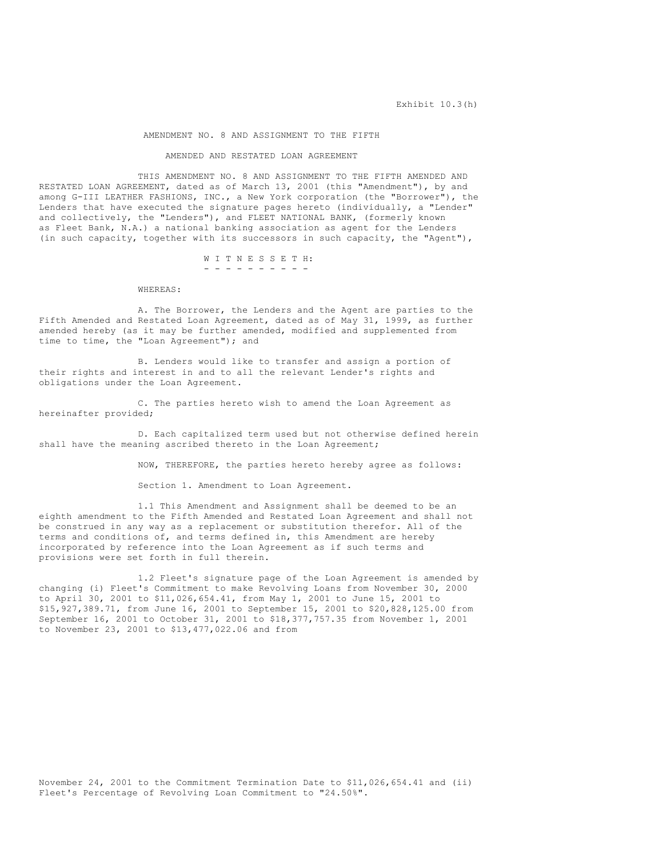#### AMENDMENT NO. 8 AND ASSIGNMENT TO THE FIFTH

## AMENDED AND RESTATED LOAN AGREEMENT

THIS AMENDMENT NO. 8 AND ASSIGNMENT TO THE FIFTH AMENDED AND RESTATED LOAN AGREEMENT, dated as of March 13, 2001 (this "Amendment"), by and among G-III LEATHER FASHIONS, INC., a New York corporation (the "Borrower"), the Lenders that have executed the signature pages hereto (individually, a "Lender" and collectively, the "Lenders"), and FLEET NATIONAL BANK, (formerly known as Fleet Bank, N.A.) a national banking association as agent for the Lenders (in such capacity, together with its successors in such capacity, the "Agent"),

## W I T N E S S E T H: - - - - - - - - - -

#### WHEREAS:

A. The Borrower, the Lenders and the Agent are parties to the Fifth Amended and Restated Loan Agreement, dated as of May 31, 1999, as further amended hereby (as it may be further amended, modified and supplemented from time to time, the "Loan Agreement"); and

B. Lenders would like to transfer and assign a portion of their rights and interest in and to all the relevant Lender's rights and obligations under the Loan Agreement.

C. The parties hereto wish to amend the Loan Agreement as hereinafter provided;

D. Each capitalized term used but not otherwise defined herein shall have the meaning ascribed thereto in the Loan Agreement;

NOW, THEREFORE, the parties hereto hereby agree as follows:

Section 1. Amendment to Loan Agreement.

1.1 This Amendment and Assignment shall be deemed to be an eighth amendment to the Fifth Amended and Restated Loan Agreement and shall not be construed in any way as a replacement or substitution therefor. All of the terms and conditions of, and terms defined in, this Amendment are hereby incorporated by reference into the Loan Agreement as if such terms and provisions were set forth in full therein.

1.2 Fleet's signature page of the Loan Agreement is amended by changing (i) Fleet's Commitment to make Revolving Loans from November 30, 2000 to April 30, 2001 to \$11,026,654.41, from May 1, 2001 to June 15, 2001 to \$15,927,389.71, from June 16, 2001 to September 15, 2001 to \$20,828,125.00 from September 16, 2001 to October 31, 2001 to \$18,377,757.35 from November 1, 2001 to November 23, 2001 to \$13,477,022.06 and from

November 24, 2001 to the Commitment Termination Date to \$11,026,654.41 and (ii) Fleet's Percentage of Revolving Loan Commitment to "24.50%".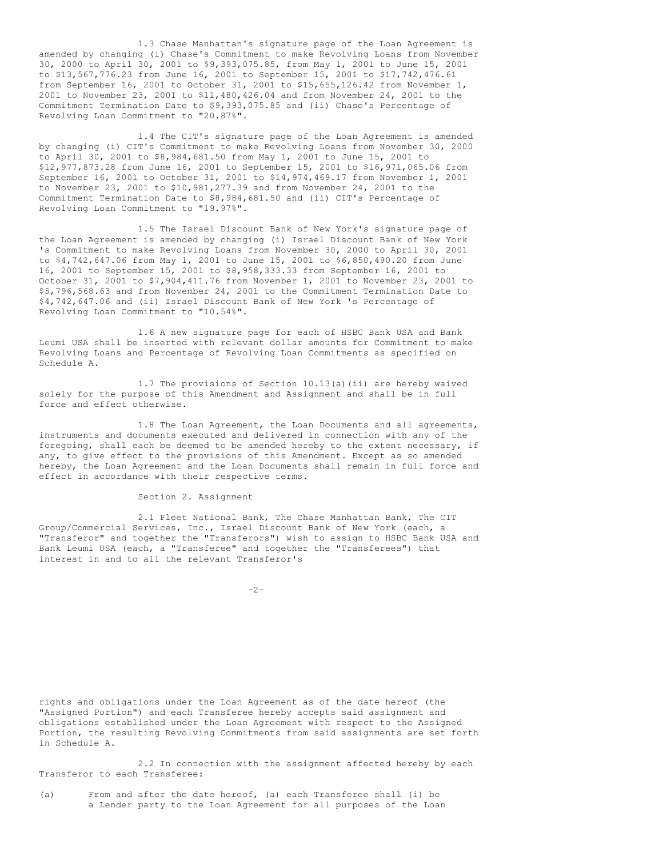1.3 Chase Manhattan's signature page of the Loan Agreement is amended by changing (i) Chase's Commitment to make Revolving Loans from November 30, 2000 to April 30, 2001 to \$9,393,075.85, from May 1, 2001 to June 15, 2001 to \$13,567,776.23 from June 16, 2001 to September 15, 2001 to \$17,742,476.61 from September 16, 2001 to October 31, 2001 to \$15,655,126.42 from November 1, 2001 to November 23, 2001 to \$11,480,426.04 and from November 24, 2001 to the Commitment Termination Date to \$9,393,075.85 and (ii) Chase's Percentage of Revolving Loan Commitment to "20.87%".

1.4 The CIT's signature page of the Loan Agreement is amended by changing (i) CIT's Commitment to make Revolving Loans from November 30, 2000 to April 30, 2001 to \$8,984,681.50 from May 1, 2001 to June 15, 2001 to \$12,977,873.28 from June 16, 2001 to September 15, 2001 to \$16,971,065.06 from September 16, 2001 to October 31, 2001 to \$14,974,469.17 from November 1, 2001 to November 23, 2001 to \$10,981,277.39 and from November 24, 2001 to the Commitment Termination Date to \$8,984,681.50 and (ii) CIT's Percentage of Revolving Loan Commitment to "19.97%".

1.5 The Israel Discount Bank of New York's signature page of the Loan Agreement is amended by changing (i) Israel Discount Bank of New York 's Commitment to make Revolving Loans from November 30, 2000 to April 30, 2001 to \$4,742,647.06 from May 1, 2001 to June 15, 2001 to \$6,850,490.20 from June 16, 2001 to September 15, 2001 to \$8,958,333.33 from September 16, 2001 to October 31, 2001 to \$7,904,411.76 from November 1, 2001 to November 23, 2001 to \$5,796,568.63 and from November 24, 2001 to the Commitment Termination Date to \$4,742,647.06 and (ii) Israel Discount Bank of New York 's Percentage of Revolving Loan Commitment to "10.54%".

1.6 A new signature page for each of HSBC Bank USA and Bank Leumi USA shall be inserted with relevant dollar amounts for Commitment to make Revolving Loans and Percentage of Revolving Loan Commitments as specified on Schedule A.

1.7 The provisions of Section 10.13(a)(ii) are hereby waived solely for the purpose of this Amendment and Assignment and shall be in full force and effect otherwise.

1.8 The Loan Agreement, the Loan Documents and all agreements, instruments and documents executed and delivered in connection with any of the foregoing, shall each be deemed to be amended hereby to the extent necessary, if any, to give effect to the provisions of this Amendment. Except as so amended hereby, the Loan Agreement and the Loan Documents shall remain in full force and effect in accordance with their respective terms.

#### Section 2. Assignment

2.1 Fleet National Bank, The Chase Manhattan Bank, The CIT Group/Commercial Services, Inc., Israel Discount Bank of New York (each, a "Transferor" and together the "Transferors") wish to assign to HSBC Bank USA and Bank Leumi USA (each, a "Transferee" and together the "Transferees") that interest in and to all the relevant Transferor's

 $-2-$ 

rights and obligations under the Loan Agreement as of the date hereof (the "Assigned Portion") and each Transferee hereby accepts said assignment and obligations established under the Loan Agreement with respect to the Assigned Portion, the resulting Revolving Commitments from said assignments are set forth in Schedule A.

2.2 In connection with the assignment affected hereby by each Transferor to each Transferee:

(a) From and after the date hereof, (a) each Transferee shall (i) be a Lender party to the Loan Agreement for all purposes of the Loan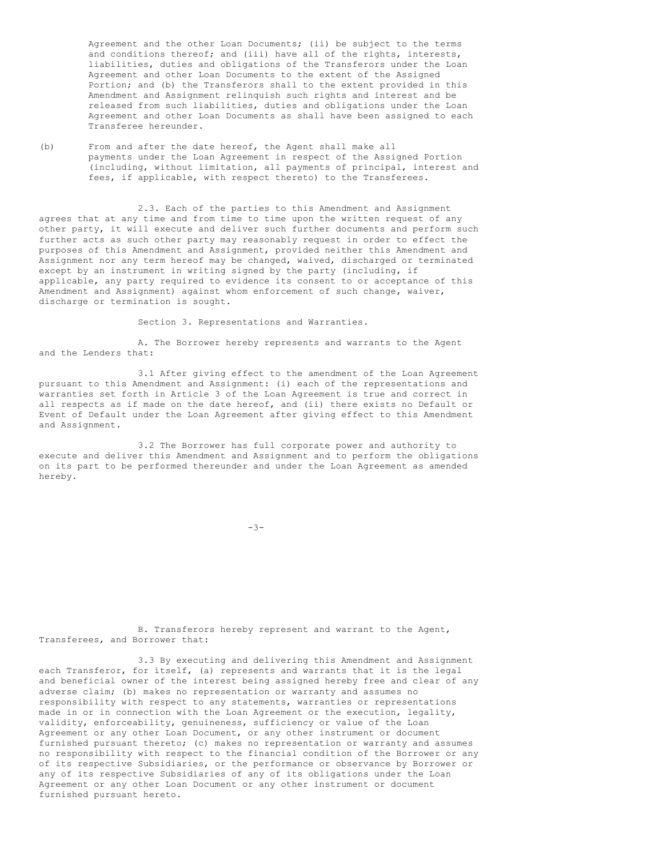Agreement and the other Loan Documents; (ii) be subject to the terms and conditions thereof; and (iii) have all of the rights, interests, liabilities, duties and obligations of the Transferors under the Loan Agreement and other Loan Documents to the extent of the Assigned Portion; and (b) the Transferors shall to the extent provided in this Amendment and Assignment relinquish such rights and interest and be released from such liabilities, duties and obligations under the Loan Agreement and other Loan Documents as shall have been assigned to each Transferee hereunder.

(b) From and after the date hereof, the Agent shall make all payments under the Loan Agreement in respect of the Assigned Portion (including, without limitation, all payments of principal, interest and fees, if applicable, with respect thereto) to the Transferees.

2.3. Each of the parties to this Amendment and Assignment agrees that at any time and from time to time upon the written request of any other party, it will execute and deliver such further documents and perform such further acts as such other party may reasonably request in order to effect the purposes of this Amendment and Assignment, provided neither this Amendment and Assignment nor any term hereof may be changed, waived, discharged or terminated except by an instrument in writing signed by the party (including, if applicable, any party required to evidence its consent to or acceptance of this Amendment and Assignment) against whom enforcement of such change, waiver, discharge or termination is sought.

Section 3. Representations and Warranties.

A. The Borrower hereby represents and warrants to the Agent and the Lenders that:

3.1 After giving effect to the amendment of the Loan Agreement pursuant to this Amendment and Assignment: (i) each of the representations and warranties set forth in Article 3 of the Loan Agreement is true and correct in all respects as if made on the date hereof, and (ii) there exists no Default or Event of Default under the Loan Agreement after giving effect to this Amendment and Assignment.

3.2 The Borrower has full corporate power and authority to execute and deliver this Amendment and Assignment and to perform the obligations on its part to be performed thereunder and under the Loan Agreement as amended hereby.

 $-3-$ 

B. Transferors hereby represent and warrant to the Agent, Transferees, and Borrower that:

3.3 By executing and delivering this Amendment and Assignment each Transferor, for itself, (a) represents and warrants that it is the legal and beneficial owner of the interest being assigned hereby free and clear of any adverse claim; (b) makes no representation or warranty and assumes no responsibility with respect to any statements, warranties or representations made in or in connection with the Loan Agreement or the execution, legality, validity, enforceability, genuineness, sufficiency or value of the Loan Agreement or any other Loan Document, or any other instrument or document furnished pursuant thereto; (c) makes no representation or warranty and assumes no responsibility with respect to the financial condition of the Borrower or any of its respective Subsidiaries, or the performance or observance by Borrower or any of its respective Subsidiaries of any of its obligations under the Loan Agreement or any other Loan Document or any other instrument or document furnished pursuant hereto.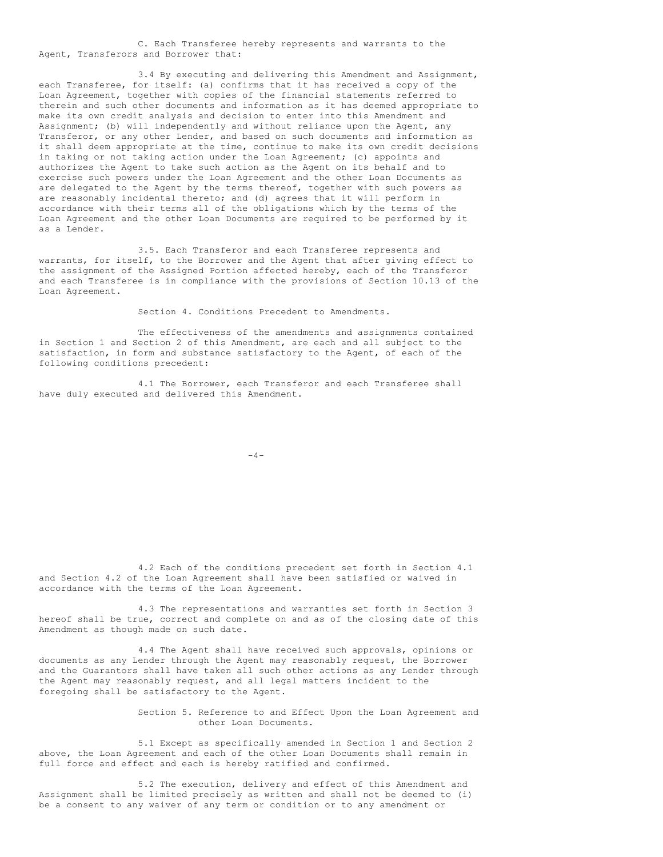C. Each Transferee hereby represents and warrants to the Agent, Transferors and Borrower that:

3.4 By executing and delivering this Amendment and Assignment, each Transferee, for itself: (a) confirms that it has received a copy of the Loan Agreement, together with copies of the financial statements referred to therein and such other documents and information as it has deemed appropriate to make its own credit analysis and decision to enter into this Amendment and Assignment; (b) will independently and without reliance upon the Agent, any Transferor, or any other Lender, and based on such documents and information as it shall deem appropriate at the time, continue to make its own credit decisions in taking or not taking action under the Loan Agreement; (c) appoints and authorizes the Agent to take such action as the Agent on its behalf and to exercise such powers under the Loan Agreement and the other Loan Documents as are delegated to the Agent by the terms thereof, together with such powers as are reasonably incidental thereto; and (d) agrees that it will perform in accordance with their terms all of the obligations which by the terms of the Loan Agreement and the other Loan Documents are required to be performed by it as a Lender.

3.5. Each Transferor and each Transferee represents and warrants, for itself, to the Borrower and the Agent that after giving effect to the assignment of the Assigned Portion affected hereby, each of the Transferor and each Transferee is in compliance with the provisions of Section 10.13 of the Loan Agreement.

Section 4. Conditions Precedent to Amendments.

The effectiveness of the amendments and assignments contained in Section 1 and Section 2 of this Amendment, are each and all subject to the satisfaction, in form and substance satisfactory to the Agent, of each of the following conditions precedent:

4.1 The Borrower, each Transferor and each Transferee shall have duly executed and delivered this Amendment.

 $-4-$ 

4.2 Each of the conditions precedent set forth in Section 4.1 and Section 4.2 of the Loan Agreement shall have been satisfied or waived in accordance with the terms of the Loan Agreement.

4.3 The representations and warranties set forth in Section 3 hereof shall be true, correct and complete on and as of the closing date of this Amendment as though made on such date.

4.4 The Agent shall have received such approvals, opinions or documents as any Lender through the Agent may reasonably request, the Borrower and the Guarantors shall have taken all such other actions as any Lender through the Agent may reasonably request, and all legal matters incident to the foregoing shall be satisfactory to the Agent.

> Section 5. Reference to and Effect Upon the Loan Agreement and other Loan Documents.

5.1 Except as specifically amended in Section 1 and Section 2 above, the Loan Agreement and each of the other Loan Documents shall remain in full force and effect and each is hereby ratified and confirmed.

5.2 The execution, delivery and effect of this Amendment and Assignment shall be limited precisely as written and shall not be deemed to (i) be a consent to any waiver of any term or condition or to any amendment or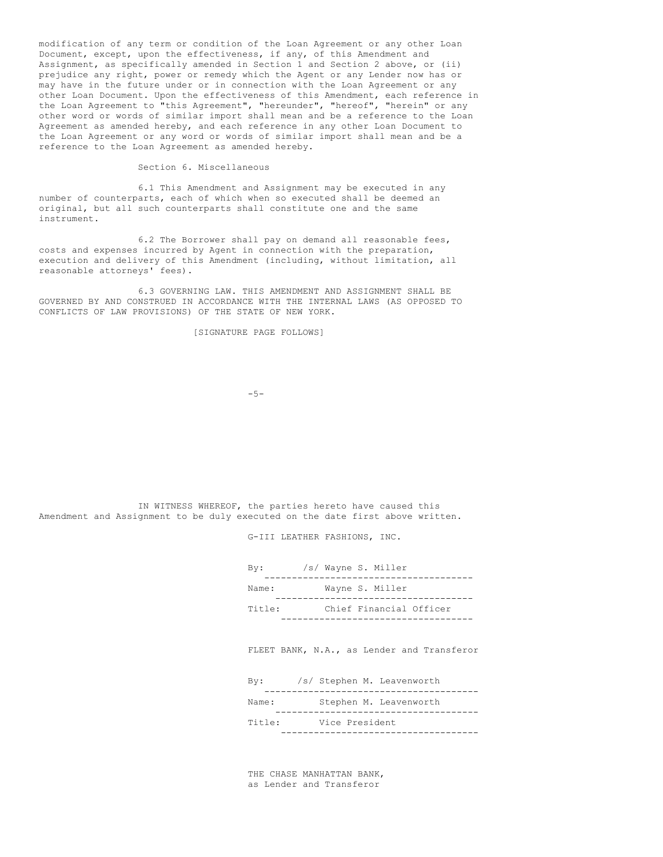modification of any term or condition of the Loan Agreement or any other Loan Document, except, upon the effectiveness, if any, of this Amendment and Assignment, as specifically amended in Section 1 and Section 2 above, or (ii) prejudice any right, power or remedy which the Agent or any Lender now has or may have in the future under or in connection with the Loan Agreement or any other Loan Document. Upon the effectiveness of this Amendment, each reference in the Loan Agreement to "this Agreement", "hereunder", "hereof", "herein" or any other word or words of similar import shall mean and be a reference to the Loan Agreement as amended hereby, and each reference in any other Loan Document to the Loan Agreement or any word or words of similar import shall mean and be a reference to the Loan Agreement as amended hereby.

Section 6. Miscellaneous

6.1 This Amendment and Assignment may be executed in any number of counterparts, each of which when so executed shall be deemed an original, but all such counterparts shall constitute one and the same instrument.

6.2 The Borrower shall pay on demand all reasonable fees, costs and expenses incurred by Agent in connection with the preparation, execution and delivery of this Amendment (including, without limitation, all reasonable attorneys' fees).

6.3 GOVERNING LAW. THIS AMENDMENT AND ASSIGNMENT SHALL BE GOVERNED BY AND CONSTRUED IN ACCORDANCE WITH THE INTERNAL LAWS (AS OPPOSED TO CONFLICTS OF LAW PROVISIONS) OF THE STATE OF NEW YORK.

[SIGNATURE PAGE FOLLOWS]

-5-

IN WITNESS WHEREOF, the parties hereto have caused this Amendment and Assignment to be duly executed on the date first above written.

G-III LEATHER FASHIONS, INC.

| By:    | /s/ Wayne S. Miller                        |
|--------|--------------------------------------------|
| Name:  | Wayne S. Miller                            |
| Title: | Chief Financial Officer                    |
|        | FLEET BANK, N.A., as Lender and Transferor |
| Bv:    | /s/ Stephen M. Leavenworth                 |
| Name:  | Stephen M. Leavenworth                     |
| Title: | Vice President                             |
|        |                                            |

THE CHASE MANHATTAN BANK, as Lender and Transferor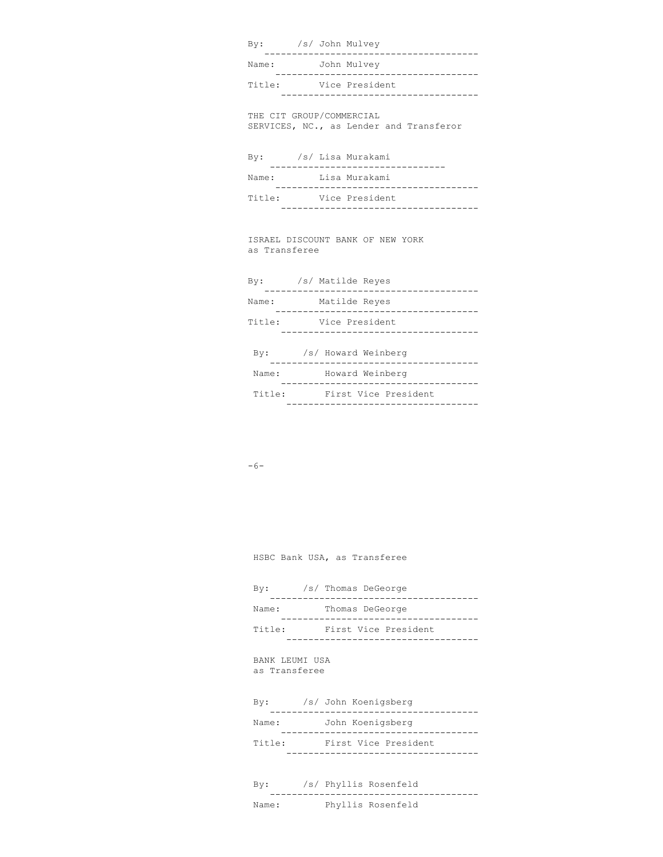By: /s/ John Mulvey --------------------------------------- Name: John Mulvey ------------------------------------- Title: Vice President ------------------------------------ THE CIT GROUP/COMMERCIAL SERVICES, NC., as Lender and Transferor By: /s/ Lisa Murakami -------------------------------- Lisa Murakami ------------------------------------- Title: Vice President ------------------------------------ ISRAEL DISCOUNT BANK OF NEW YORK as Transferee By: /s/ Matilde Reyes --------------------------------------- Name: Matilde Reyes ------------------------------------- Title: Vice President ------------------------------------ By: /s/ Howard Weinberg -------------------------------------- Name: Howard Weinberg

------------------------------------ Title: First Vice President -----------------------------------

#### -6-

HSBC Bank USA, as Transferee

By: /s/ Thomas DeGeorge -------------------------------------- Name: Thomas DeGeorge ------------------------------------ Title: First Vice President ----------------------------------- BANK LEUMI USA as Transferee By: /s/ John Koenigsberg -------------------------------------- Name: John Koenigsberg ------------------------------------ First Vice President ----------------------------------- By: /s/ Phyllis Rosenfeld -------------------------------------- Name: Phyllis Rosenfeld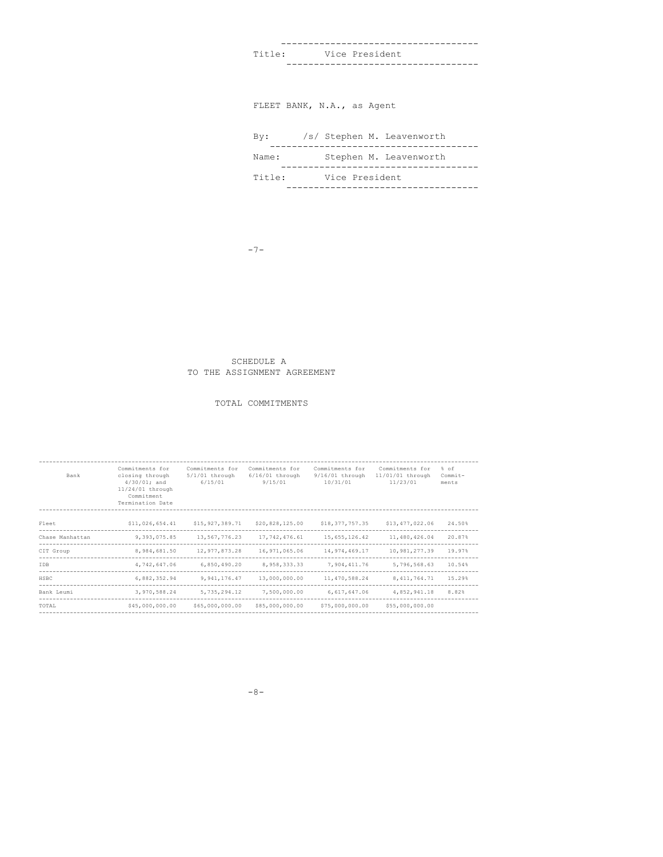| Vice President<br>Title:          |
|-----------------------------------|
| FLEET BANK, N.A., as Agent        |
| /s/ Stephen M. Leavenworth<br>Bv: |
| Stephen M. Leavenworth<br>Name:   |
| $T$ itle:<br>Vice President       |

-7-

# SCHEDULE A TO THE ASSIGNMENT AGREEMENT

# TOTAL COMMITMENTS

| Bank            | Commitments for<br>closing through<br>$4/30/01$ ; and<br>11/24/01 through<br>Commitment<br>Termination Date | Commitments for<br>$5/1/01$ through<br>6/15/01 | Commitments for<br>$6/16/01$ through<br>9/15/01 | Commitments for<br>$9/16/01$ through<br>10/31/01 | Commitments for<br>11/01/01 through<br>11/23/01 | % of<br>Commit-<br>ments |
|-----------------|-------------------------------------------------------------------------------------------------------------|------------------------------------------------|-------------------------------------------------|--------------------------------------------------|-------------------------------------------------|--------------------------|
| Fleet           | \$11,026,654.41                                                                                             | \$15,927,389.71                                | \$20,828,125.00                                 | \$18,377,757.35                                  | \$13,477,022.06                                 | 24.50%                   |
| Chase Manhattan | 9,393,075.85                                                                                                | 13,567,776.23                                  | 17,742,476.61                                   | 15, 655, 126.42                                  | 11,480,426.04                                   | 20.87%                   |
| CIT Group       | 8,984,681.50                                                                                                | 12,977,873.28                                  | 16,971,065.06                                   | 14,974,469.17                                    | 10,981,277.39                                   | 19.97%                   |
| IDB             | 4,742,647.06                                                                                                | 6,850,490.20                                   | 8, 958, 333.33                                  | 7,904,411.76                                     | 5,796,568.63                                    | 10.54%                   |
| HSBC            | 6,882,352.94                                                                                                | 9, 941, 176.47                                 | 13,000,000.00                                   | 11,470,588.24                                    | 8, 411, 764.71                                  | 15.29%                   |
| Bank Leumi      | 3,970,588.24                                                                                                | 5,735,294.12                                   | 7,500,000.00                                    | 6,617,647.06                                     | 4,852,941.18                                    | 8.82%                    |
| TOTAL           | \$45,000,000.00                                                                                             | \$65,000,000.00                                | \$85,000,000.00                                 | \$75,000,000.00                                  | \$55,000,000.00                                 |                          |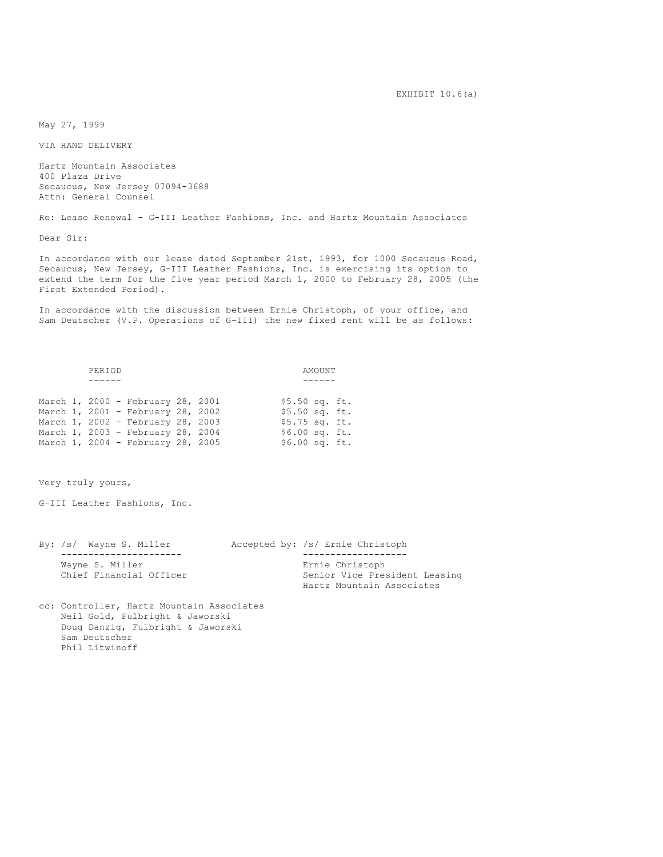May 27, 1999

VIA HAND DELIVERY

Hartz Mountain Associates 400 Plaza Drive Secaucus, New Jersey 07094-3688 Attn: General Counsel

Re: Lease Renewal - G-III Leather Fashions, Inc. and Hartz Mountain Associates

Dear Sir:

In accordance with our lease dated September 21st, 1993, for 1000 Secaucus Road, Secaucus, New Jersey, G-III Leather Fashions, Inc. is exercising its option to extend the term for the five year period March 1, 2000 to February 28, 2005 (the First Extended Period).

In accordance with the discussion between Ernie Christoph, of your office, and Sam Deutscher (V.P. Operations of G-III) the new fixed rent will be as follows:

| PERIOD |  |  |                                   |  | AMOUNT          |  |  |
|--------|--|--|-----------------------------------|--|-----------------|--|--|
|        |  |  |                                   |  |                 |  |  |
|        |  |  |                                   |  |                 |  |  |
|        |  |  | March 1, 2000 - February 28, 2001 |  | $$5.50$ sq. ft. |  |  |
|        |  |  | March 1, 2001 - February 28, 2002 |  | $$5.50$ sq. ft. |  |  |
|        |  |  | March 1, 2002 - February 28, 2003 |  | $$5.75$ sq. ft. |  |  |
|        |  |  | March 1, 2003 - February 28, 2004 |  | $$6.00$ sq. ft. |  |  |
|        |  |  | March 1, 2004 - February 28, 2005 |  | $$6.00$ sq. ft. |  |  |

Very truly yours,

G-III Leather Fashions, Inc.

|  | By: /s/ Wayne S. Miller |                               | Accepted by: /s/ Ernie Christoph |
|--|-------------------------|-------------------------------|----------------------------------|
|  |                         |                               |                                  |
|  | Wayne S. Miller         |                               | Ernie Christoph                  |
|  | Chief Financial Officer | Senior Vice President Leasing |                                  |
|  |                         |                               | Hartz Mountain Associates        |

cc: Controller, Hartz Mountain Associates Neil Gold, Fulbright & Jaworski Doug Danzig, Fulbright & Jaworski Sam Deutscher Phil Litwinoff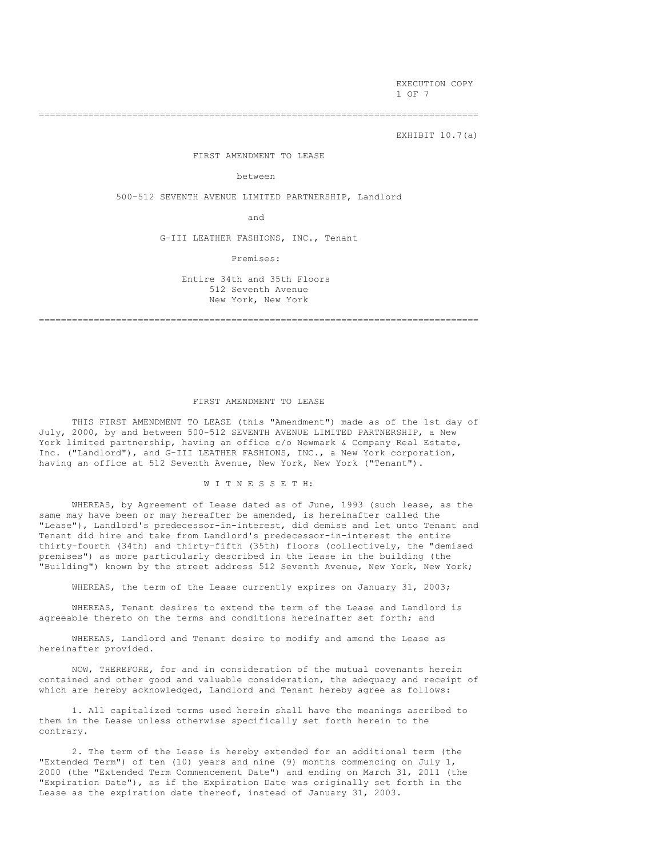EXECUTION COPY 1 OF 7

================================================================================

EXHIBIT 10.7(a)

FIRST AMENDMENT TO LEASE

between

500-512 SEVENTH AVENUE LIMITED PARTNERSHIP, Landlord

and

G-III LEATHER FASHIONS, INC., Tenant

Premises:

Entire 34th and 35th Floors 512 Seventh Avenue New York, New York

================================================================================

#### FIRST AMENDMENT TO LEASE

THIS FIRST AMENDMENT TO LEASE (this "Amendment") made as of the 1st day of July, 2000, by and between 500-512 SEVENTH AVENUE LIMITED PARTNERSHIP, a New York limited partnership, having an office c/o Newmark & Company Real Estate, Inc. ("Landlord"), and G-III LEATHER FASHIONS, INC., a New York corporation, having an office at 512 Seventh Avenue, New York, New York ("Tenant").

#### W I T N E S S E T H:

WHEREAS, by Agreement of Lease dated as of June, 1993 (such lease, as the same may have been or may hereafter be amended, is hereinafter called the "Lease"), Landlord's predecessor-in-interest, did demise and let unto Tenant and Tenant did hire and take from Landlord's predecessor-in-interest the entire thirty-fourth (34th) and thirty-fifth (35th) floors (collectively, the "demised premises") as more particularly described in the Lease in the building (the "Building") known by the street address 512 Seventh Avenue, New York, New York;

WHEREAS, the term of the Lease currently expires on January 31, 2003;

WHEREAS, Tenant desires to extend the term of the Lease and Landlord is agreeable thereto on the terms and conditions hereinafter set forth; and

WHEREAS, Landlord and Tenant desire to modify and amend the Lease as hereinafter provided.

NOW, THEREFORE, for and in consideration of the mutual covenants herein contained and other good and valuable consideration, the adequacy and receipt of which are hereby acknowledged, Landlord and Tenant hereby agree as follows:

1. All capitalized terms used herein shall have the meanings ascribed to them in the Lease unless otherwise specifically set forth herein to the contrary.

2. The term of the Lease is hereby extended for an additional term (the "Extended Term") of ten (10) years and nine (9) months commencing on July 1, 2000 (the "Extended Term Commencement Date") and ending on March 31, 2011 (the "Expiration Date"), as if the Expiration Date was originally set forth in the Lease as the expiration date thereof, instead of January 31, 2003.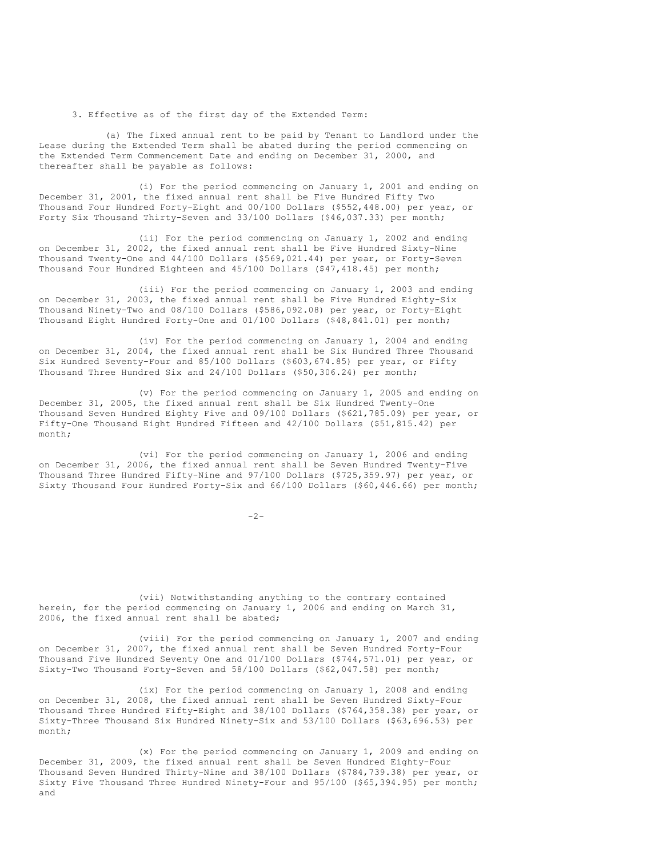## 3. Effective as of the first day of the Extended Term:

(a) The fixed annual rent to be paid by Tenant to Landlord under the Lease during the Extended Term shall be abated during the period commencing on the Extended Term Commencement Date and ending on December 31, 2000, and thereafter shall be payable as follows:

(i) For the period commencing on January 1, 2001 and ending on December 31, 2001, the fixed annual rent shall be Five Hundred Fifty Two Thousand Four Hundred Forty-Eight and 00/100 Dollars (\$552,448.00) per year, or Forty Six Thousand Thirty-Seven and 33/100 Dollars (\$46,037.33) per month;

(ii) For the period commencing on January 1, 2002 and ending on December 31, 2002, the fixed annual rent shall be Five Hundred Sixty-Nine Thousand Twenty-One and 44/100 Dollars (\$569,021.44) per year, or Forty-Seven Thousand Four Hundred Eighteen and 45/100 Dollars (\$47,418.45) per month;

(iii) For the period commencing on January 1, 2003 and ending on December 31, 2003, the fixed annual rent shall be Five Hundred Eighty-Six Thousand Ninety-Two and 08/100 Dollars (\$586,092.08) per year, or Forty-Eight Thousand Eight Hundred Forty-One and 01/100 Dollars (\$48,841.01) per month;

(iv) For the period commencing on January 1, 2004 and ending on December 31, 2004, the fixed annual rent shall be Six Hundred Three Thousand Six Hundred Seventy-Four and 85/100 Dollars (\$603,674.85) per year, or Fifty Thousand Three Hundred Six and 24/100 Dollars (\$50,306.24) per month;

(v) For the period commencing on January 1, 2005 and ending on December 31, 2005, the fixed annual rent shall be Six Hundred Twenty-One Thousand Seven Hundred Eighty Five and 09/100 Dollars (\$621,785.09) per year, or Fifty-One Thousand Eight Hundred Fifteen and 42/100 Dollars (\$51,815.42) per month;

(vi) For the period commencing on January 1, 2006 and ending on December 31, 2006, the fixed annual rent shall be Seven Hundred Twenty-Five Thousand Three Hundred Fifty-Nine and 97/100 Dollars (\$725,359.97) per year, or Sixty Thousand Four Hundred Forty-Six and 66/100 Dollars (\$60,446.66) per month;

 $-2-$ 

(vii) Notwithstanding anything to the contrary contained herein, for the period commencing on January 1, 2006 and ending on March 31, 2006, the fixed annual rent shall be abated;

(viii) For the period commencing on January 1, 2007 and ending on December 31, 2007, the fixed annual rent shall be Seven Hundred Forty-Four Thousand Five Hundred Seventy One and 01/100 Dollars (\$744,571.01) per year, or Sixty-Two Thousand Forty-Seven and 58/100 Dollars (\$62,047.58) per month;

(ix) For the period commencing on January 1, 2008 and ending on December 31, 2008, the fixed annual rent shall be Seven Hundred Sixty-Four Thousand Three Hundred Fifty-Eight and 38/100 Dollars (\$764,358.38) per year, or Sixty-Three Thousand Six Hundred Ninety-Six and 53/100 Dollars (\$63,696.53) per month;

(x) For the period commencing on January 1, 2009 and ending on December 31, 2009, the fixed annual rent shall be Seven Hundred Eighty-Four Thousand Seven Hundred Thirty-Nine and 38/100 Dollars (\$784,739.38) per year, or Sixty Five Thousand Three Hundred Ninety-Four and 95/100 (\$65,394.95) per month; and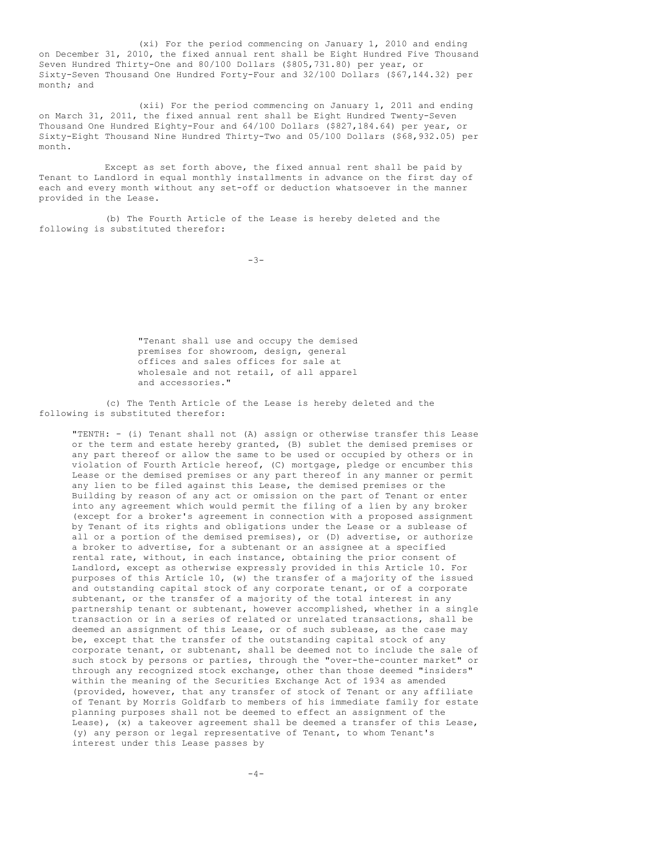(xi) For the period commencing on January 1, 2010 and ending on December 31, 2010, the fixed annual rent shall be Eight Hundred Five Thousand Seven Hundred Thirty-One and 80/100 Dollars (\$805,731.80) per year, or Sixty-Seven Thousand One Hundred Forty-Four and 32/100 Dollars (\$67,144.32) per month; and

(xii) For the period commencing on January 1, 2011 and ending on March 31, 2011, the fixed annual rent shall be Eight Hundred Twenty-Seven Thousand One Hundred Eighty-Four and 64/100 Dollars (\$827,184.64) per year, or Sixty-Eight Thousand Nine Hundred Thirty-Two and 05/100 Dollars (\$68,932.05) per month.

Except as set forth above, the fixed annual rent shall be paid by Tenant to Landlord in equal monthly installments in advance on the first day of each and every month without any set-off or deduction whatsoever in the manner provided in the Lease.

(b) The Fourth Article of the Lease is hereby deleted and the following is substituted therefor:

 $-3-$ 

"Tenant shall use and occupy the demised premises for showroom, design, general offices and sales offices for sale at wholesale and not retail, of all apparel and accessories."

(c) The Tenth Article of the Lease is hereby deleted and the following is substituted therefor:

"TENTH: - (i) Tenant shall not (A) assign or otherwise transfer this Lease or the term and estate hereby granted, (B) sublet the demised premises or any part thereof or allow the same to be used or occupied by others or in violation of Fourth Article hereof, (C) mortgage, pledge or encumber this Lease or the demised premises or any part thereof in any manner or permit any lien to be filed against this Lease, the demised premises or the Building by reason of any act or omission on the part of Tenant or enter into any agreement which would permit the filing of a lien by any broker (except for a broker's agreement in connection with a proposed assignment by Tenant of its rights and obligations under the Lease or a sublease of all or a portion of the demised premises), or (D) advertise, or authorize a broker to advertise, for a subtenant or an assignee at a specified rental rate, without, in each instance, obtaining the prior consent of Landlord, except as otherwise expressly provided in this Article 10. For purposes of this Article 10, (w) the transfer of a majority of the issued and outstanding capital stock of any corporate tenant, or of a corporate subtenant, or the transfer of a majority of the total interest in any partnership tenant or subtenant, however accomplished, whether in a single transaction or in a series of related or unrelated transactions, shall be deemed an assignment of this Lease, or of such sublease, as the case may be, except that the transfer of the outstanding capital stock of any corporate tenant, or subtenant, shall be deemed not to include the sale of such stock by persons or parties, through the "over-the-counter market" or through any recognized stock exchange, other than those deemed "insiders" within the meaning of the Securities Exchange Act of 1934 as amended (provided, however, that any transfer of stock of Tenant or any affiliate of Tenant by Morris Goldfarb to members of his immediate family for estate planning purposes shall not be deemed to effect an assignment of the Lease), (x) a takeover agreement shall be deemed a transfer of this Lease, (y) any person or legal representative of Tenant, to whom Tenant's interest under this Lease passes by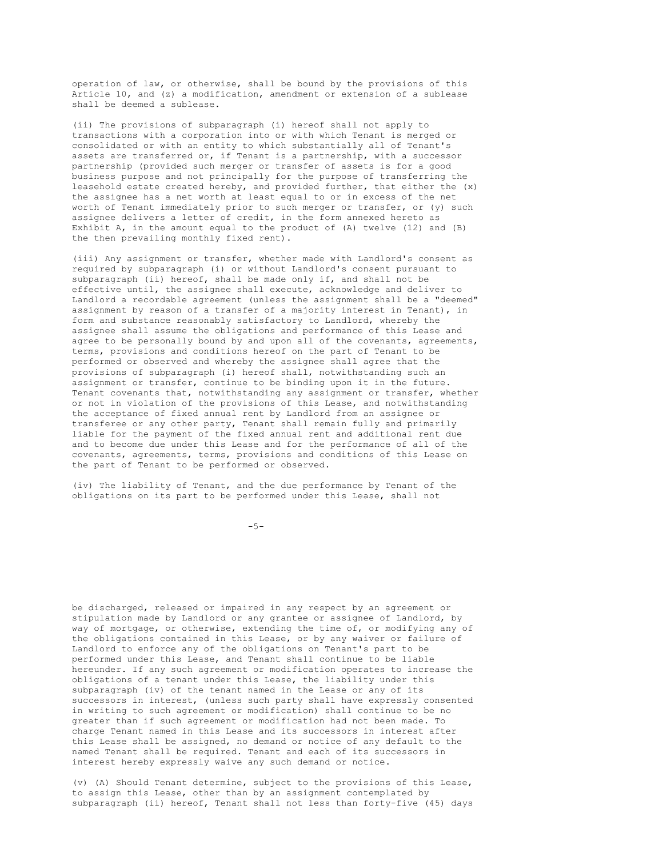operation of law, or otherwise, shall be bound by the provisions of this Article 10, and (z) a modification, amendment or extension of a sublease shall be deemed a sublease.

(ii) The provisions of subparagraph (i) hereof shall not apply to transactions with a corporation into or with which Tenant is merged or consolidated or with an entity to which substantially all of Tenant's assets are transferred or, if Tenant is a partnership, with a successor partnership (provided such merger or transfer of assets is for a good business purpose and not principally for the purpose of transferring the leasehold estate created hereby, and provided further, that either the (x) the assignee has a net worth at least equal to or in excess of the net worth of Tenant immediately prior to such merger or transfer, or (y) such assignee delivers a letter of credit, in the form annexed hereto as Exhibit A, in the amount equal to the product of (A) twelve (12) and (B) the then prevailing monthly fixed rent).

(iii) Any assignment or transfer, whether made with Landlord's consent as required by subparagraph (i) or without Landlord's consent pursuant to subparagraph (ii) hereof, shall be made only if, and shall not be effective until, the assignee shall execute, acknowledge and deliver to Landlord a recordable agreement (unless the assignment shall be a "deemed" assignment by reason of a transfer of a majority interest in Tenant), in form and substance reasonably satisfactory to Landlord, whereby the assignee shall assume the obligations and performance of this Lease and agree to be personally bound by and upon all of the covenants, agreements, terms, provisions and conditions hereof on the part of Tenant to be performed or observed and whereby the assignee shall agree that the provisions of subparagraph (i) hereof shall, notwithstanding such an assignment or transfer, continue to be binding upon it in the future. Tenant covenants that, notwithstanding any assignment or transfer, whether or not in violation of the provisions of this Lease, and notwithstanding the acceptance of fixed annual rent by Landlord from an assignee or transferee or any other party, Tenant shall remain fully and primarily liable for the payment of the fixed annual rent and additional rent due and to become due under this Lease and for the performance of all of the covenants, agreements, terms, provisions and conditions of this Lease on the part of Tenant to be performed or observed.

(iv) The liability of Tenant, and the due performance by Tenant of the obligations on its part to be performed under this Lease, shall not

 $-5-$ 

be discharged, released or impaired in any respect by an agreement or stipulation made by Landlord or any grantee or assignee of Landlord, by way of mortgage, or otherwise, extending the time of, or modifying any of the obligations contained in this Lease, or by any waiver or failure of Landlord to enforce any of the obligations on Tenant's part to be performed under this Lease, and Tenant shall continue to be liable hereunder. If any such agreement or modification operates to increase the obligations of a tenant under this Lease, the liability under this subparagraph (iv) of the tenant named in the Lease or any of its successors in interest, (unless such party shall have expressly consented in writing to such agreement or modification) shall continue to be no greater than if such agreement or modification had not been made. To charge Tenant named in this Lease and its successors in interest after this Lease shall be assigned, no demand or notice of any default to the named Tenant shall be required. Tenant and each of its successors in interest hereby expressly waive any such demand or notice.

(v) (A) Should Tenant determine, subject to the provisions of this Lease, to assign this Lease, other than by an assignment contemplated by subparagraph (ii) hereof, Tenant shall not less than forty-five (45) days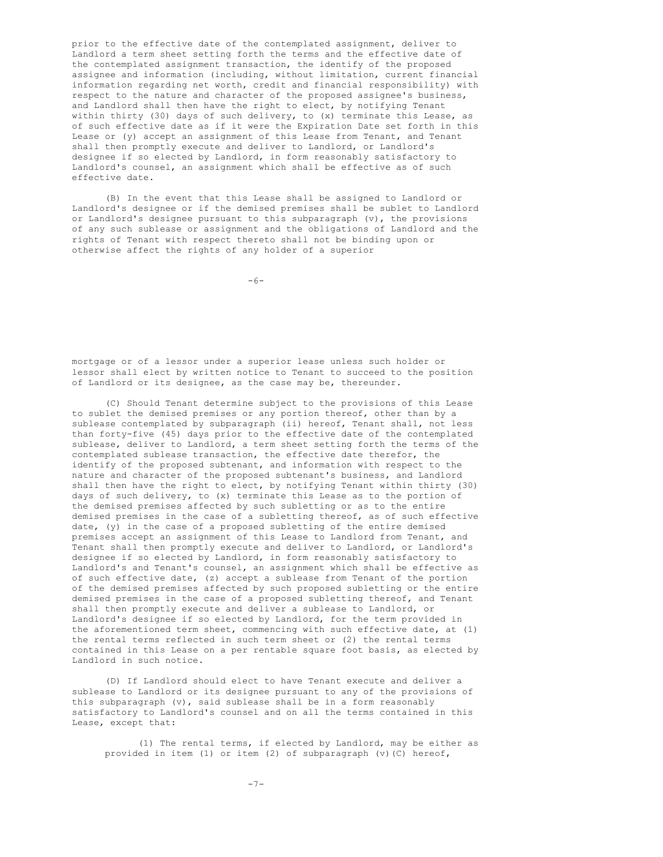prior to the effective date of the contemplated assignment, deliver to Landlord a term sheet setting forth the terms and the effective date of the contemplated assignment transaction, the identify of the proposed assignee and information (including, without limitation, current financial information regarding net worth, credit and financial responsibility) with respect to the nature and character of the proposed assignee's business, and Landlord shall then have the right to elect, by notifying Tenant within thirty (30) days of such delivery, to (x) terminate this Lease, as of such effective date as if it were the Expiration Date set forth in this Lease or (y) accept an assignment of this Lease from Tenant, and Tenant shall then promptly execute and deliver to Landlord, or Landlord's designee if so elected by Landlord, in form reasonably satisfactory to Landlord's counsel, an assignment which shall be effective as of such effective date.

(B) In the event that this Lease shall be assigned to Landlord or Landlord's designee or if the demised premises shall be sublet to Landlord or Landlord's designee pursuant to this subparagraph (v), the provisions of any such sublease or assignment and the obligations of Landlord and the rights of Tenant with respect thereto shall not be binding upon or otherwise affect the rights of any holder of a superior

 $-6-$ 

mortgage or of a lessor under a superior lease unless such holder or lessor shall elect by written notice to Tenant to succeed to the position of Landlord or its designee, as the case may be, thereunder.

(C) Should Tenant determine subject to the provisions of this Lease to sublet the demised premises or any portion thereof, other than by a sublease contemplated by subparagraph (ii) hereof, Tenant shall, not less than forty-five (45) days prior to the effective date of the contemplated sublease, deliver to Landlord, a term sheet setting forth the terms of the contemplated sublease transaction, the effective date therefor, the identify of the proposed subtenant, and information with respect to the nature and character of the proposed subtenant's business, and Landlord shall then have the right to elect, by notifying Tenant within thirty (30) days of such delivery, to (x) terminate this Lease as to the portion of the demised premises affected by such subletting or as to the entire demised premises in the case of a subletting thereof, as of such effective date, (y) in the case of a proposed subletting of the entire demised premises accept an assignment of this Lease to Landlord from Tenant, and Tenant shall then promptly execute and deliver to Landlord, or Landlord's designee if so elected by Landlord, in form reasonably satisfactory to Landlord's and Tenant's counsel, an assignment which shall be effective as of such effective date, (z) accept a sublease from Tenant of the portion of the demised premises affected by such proposed subletting or the entire demised premises in the case of a proposed subletting thereof, and Tenant shall then promptly execute and deliver a sublease to Landlord, or Landlord's designee if so elected by Landlord, for the term provided in the aforementioned term sheet, commencing with such effective date, at (1) the rental terms reflected in such term sheet or (2) the rental terms contained in this Lease on a per rentable square foot basis, as elected by Landlord in such notice.

(D) If Landlord should elect to have Tenant execute and deliver a sublease to Landlord or its designee pursuant to any of the provisions of this subparagraph  $(v)$ , said sublease shall be in a form reasonably satisfactory to Landlord's counsel and on all the terms contained in this Lease, except that:

(1) The rental terms, if elected by Landlord, may be either as provided in item (1) or item (2) of subparagraph (v)(C) hereof,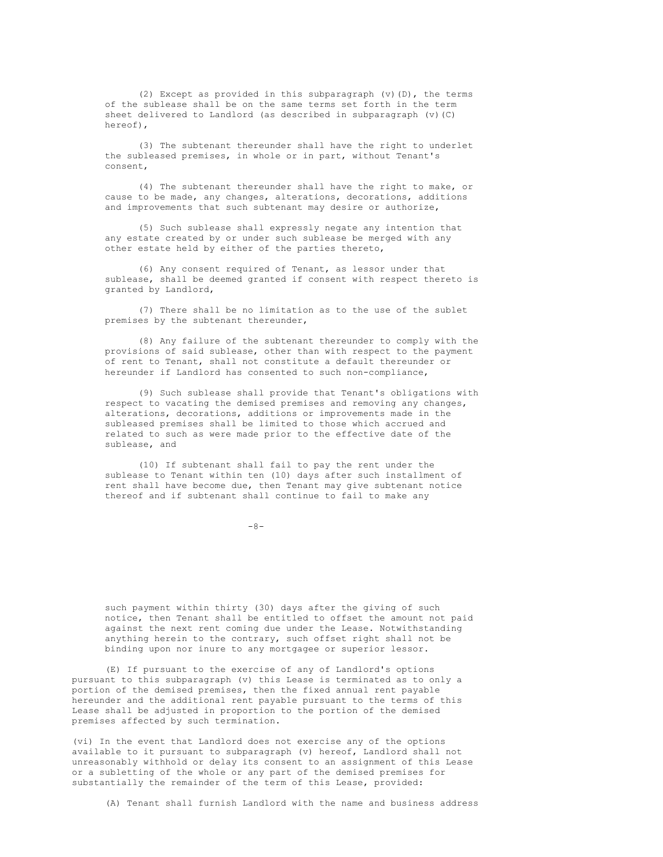(2) Except as provided in this subparagraph (v)(D), the terms of the sublease shall be on the same terms set forth in the term sheet delivered to Landlord (as described in subparagraph (v)(C) hereof),

(3) The subtenant thereunder shall have the right to underlet the subleased premises, in whole or in part, without Tenant's consent,

(4) The subtenant thereunder shall have the right to make, or cause to be made, any changes, alterations, decorations, additions and improvements that such subtenant may desire or authorize,

(5) Such sublease shall expressly negate any intention that any estate created by or under such sublease be merged with any other estate held by either of the parties thereto,

(6) Any consent required of Tenant, as lessor under that sublease, shall be deemed granted if consent with respect thereto is granted by Landlord,

(7) There shall be no limitation as to the use of the sublet premises by the subtenant thereunder,

(8) Any failure of the subtenant thereunder to comply with the provisions of said sublease, other than with respect to the payment of rent to Tenant, shall not constitute a default thereunder or hereunder if Landlord has consented to such non-compliance,

(9) Such sublease shall provide that Tenant's obligations with respect to vacating the demised premises and removing any changes, alterations, decorations, additions or improvements made in the subleased premises shall be limited to those which accrued and related to such as were made prior to the effective date of the sublease, and

(10) If subtenant shall fail to pay the rent under the sublease to Tenant within ten (10) days after such installment of rent shall have become due, then Tenant may give subtenant notice thereof and if subtenant shall continue to fail to make any

 $-8-$ 

such payment within thirty (30) days after the giving of such notice, then Tenant shall be entitled to offset the amount not paid against the next rent coming due under the Lease. Notwithstanding anything herein to the contrary, such offset right shall not be binding upon nor inure to any mortgagee or superior lessor.

(E) If pursuant to the exercise of any of Landlord's options pursuant to this subparagraph (v) this Lease is terminated as to only a portion of the demised premises, then the fixed annual rent payable hereunder and the additional rent payable pursuant to the terms of this Lease shall be adjusted in proportion to the portion of the demised premises affected by such termination.

(vi) In the event that Landlord does not exercise any of the options available to it pursuant to subparagraph (v) hereof, Landlord shall not unreasonably withhold or delay its consent to an assignment of this Lease or a subletting of the whole or any part of the demised premises for substantially the remainder of the term of this Lease, provided:

(A) Tenant shall furnish Landlord with the name and business address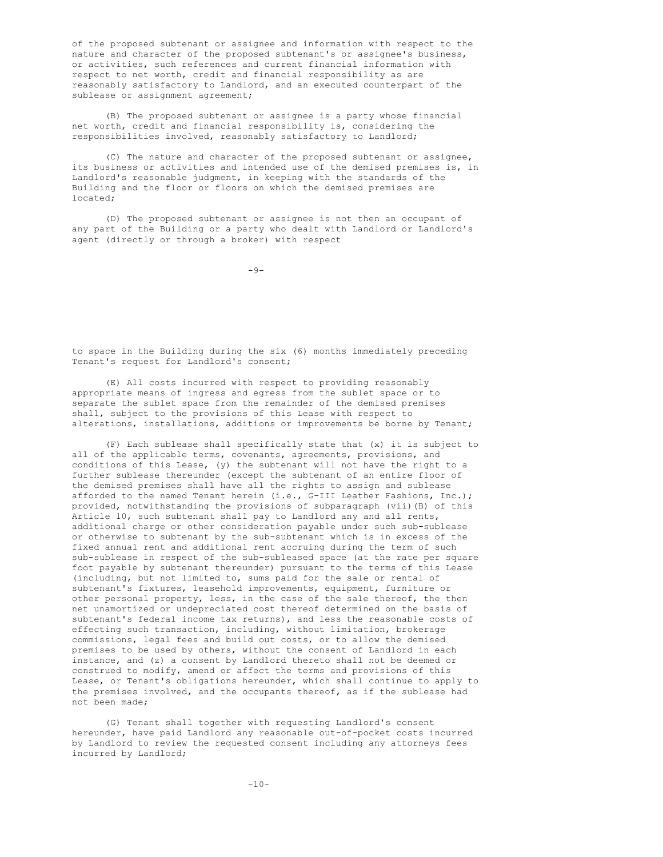of the proposed subtenant or assignee and information with respect to the nature and character of the proposed subtenant's or assignee's business, or activities, such references and current financial information with respect to net worth, credit and financial responsibility as are reasonably satisfactory to Landlord, and an executed counterpart of the sublease or assignment agreement;

(B) The proposed subtenant or assignee is a party whose financial net worth, credit and financial responsibility is, considering the responsibilities involved, reasonably satisfactory to Landlord;

(C) The nature and character of the proposed subtenant or assignee, its business or activities and intended use of the demised premises is, in Landlord's reasonable judgment, in keeping with the standards of the Building and the floor or floors on which the demised premises are located;

(D) The proposed subtenant or assignee is not then an occupant of any part of the Building or a party who dealt with Landlord or Landlord's agent (directly or through a broker) with respect

 $-9-$ 

to space in the Building during the six (6) months immediately preceding Tenant's request for Landlord's consent;

(E) All costs incurred with respect to providing reasonably appropriate means of ingress and egress from the sublet space or to separate the sublet space from the remainder of the demised premises shall, subject to the provisions of this Lease with respect to alterations, installations, additions or improvements be borne by Tenant;

(F) Each sublease shall specifically state that (x) it is subject to all of the applicable terms, covenants, agreements, provisions, and conditions of this Lease, (y) the subtenant will not have the right to a further sublease thereunder (except the subtenant of an entire floor of the demised premises shall have all the rights to assign and sublease afforded to the named Tenant herein (i.e., G-III Leather Fashions, Inc.); provided, notwithstanding the provisions of subparagraph (vii)(B) of this Article 10, such subtenant shall pay to Landlord any and all rents, additional charge or other consideration payable under such sub-sublease or otherwise to subtenant by the sub-subtenant which is in excess of the fixed annual rent and additional rent accruing during the term of such sub-sublease in respect of the sub-subleased space (at the rate per square foot payable by subtenant thereunder) pursuant to the terms of this Lease (including, but not limited to, sums paid for the sale or rental of subtenant's fixtures, leasehold improvements, equipment, furniture or other personal property, less, in the case of the sale thereof, the then net unamortized or undepreciated cost thereof determined on the basis of subtenant's federal income tax returns), and less the reasonable costs of effecting such transaction, including, without limitation, brokerage commissions, legal fees and build out costs, or to allow the demised premises to be used by others, without the consent of Landlord in each instance, and (z) a consent by Landlord thereto shall not be deemed or construed to modify, amend or affect the terms and provisions of this Lease, or Tenant's obligations hereunder, which shall continue to apply to the premises involved, and the occupants thereof, as if the sublease had not been made;

(G) Tenant shall together with requesting Landlord's consent hereunder, have paid Landlord any reasonable out-of-pocket costs incurred by Landlord to review the requested consent including any attorneys fees incurred by Landlord;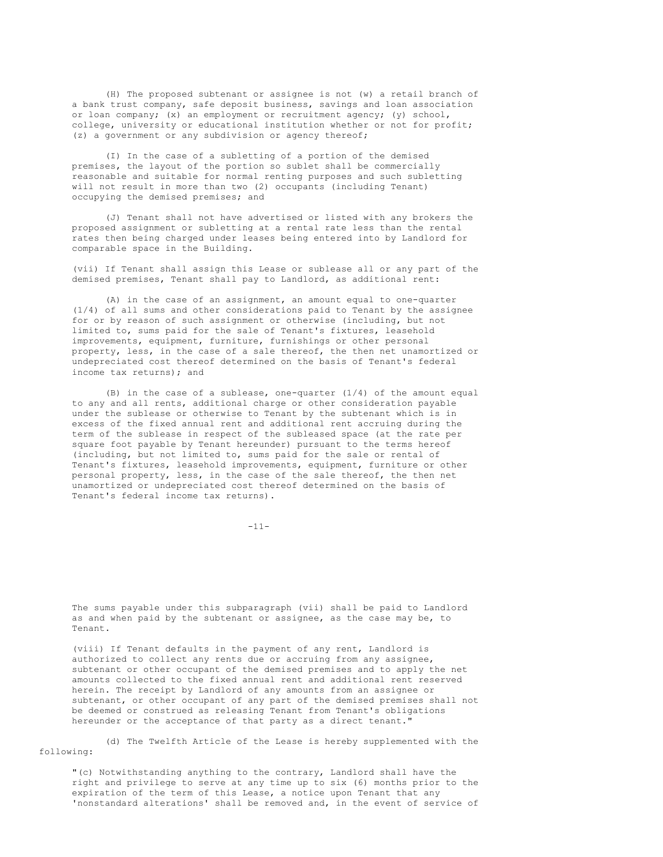(H) The proposed subtenant or assignee is not (w) a retail branch of a bank trust company, safe deposit business, savings and loan association or loan company; (x) an employment or recruitment agency; (y) school, college, university or educational institution whether or not for profit; (z) a government or any subdivision or agency thereof;

(I) In the case of a subletting of a portion of the demised premises, the layout of the portion so sublet shall be commercially reasonable and suitable for normal renting purposes and such subletting will not result in more than two (2) occupants (including Tenant) occupying the demised premises; and

(J) Tenant shall not have advertised or listed with any brokers the proposed assignment or subletting at a rental rate less than the rental rates then being charged under leases being entered into by Landlord for comparable space in the Building.

(vii) If Tenant shall assign this Lease or sublease all or any part of the demised premises, Tenant shall pay to Landlord, as additional rent:

(A) in the case of an assignment, an amount equal to one-quarter (1/4) of all sums and other considerations paid to Tenant by the assignee for or by reason of such assignment or otherwise (including, but not limited to, sums paid for the sale of Tenant's fixtures, leasehold improvements, equipment, furniture, furnishings or other personal property, less, in the case of a sale thereof, the then net unamortized or undepreciated cost thereof determined on the basis of Tenant's federal income tax returns); and

(B) in the case of a sublease, one-quarter (1/4) of the amount equal to any and all rents, additional charge or other consideration payable under the sublease or otherwise to Tenant by the subtenant which is in excess of the fixed annual rent and additional rent accruing during the term of the sublease in respect of the subleased space (at the rate per square foot payable by Tenant hereunder) pursuant to the terms hereof (including, but not limited to, sums paid for the sale or rental of Tenant's fixtures, leasehold improvements, equipment, furniture or other personal property, less, in the case of the sale thereof, the then net unamortized or undepreciated cost thereof determined on the basis of Tenant's federal income tax returns).

 $-11-$ 

The sums payable under this subparagraph (vii) shall be paid to Landlord as and when paid by the subtenant or assignee, as the case may be, to Tenant.

(viii) If Tenant defaults in the payment of any rent, Landlord is authorized to collect any rents due or accruing from any assignee, subtenant or other occupant of the demised premises and to apply the net amounts collected to the fixed annual rent and additional rent reserved herein. The receipt by Landlord of any amounts from an assignee or subtenant, or other occupant of any part of the demised premises shall not be deemed or construed as releasing Tenant from Tenant's obligations hereunder or the acceptance of that party as a direct tenant."

(d) The Twelfth Article of the Lease is hereby supplemented with the following:

"(c) Notwithstanding anything to the contrary, Landlord shall have the right and privilege to serve at any time up to six (6) months prior to the expiration of the term of this Lease, a notice upon Tenant that any 'nonstandard alterations' shall be removed and, in the event of service of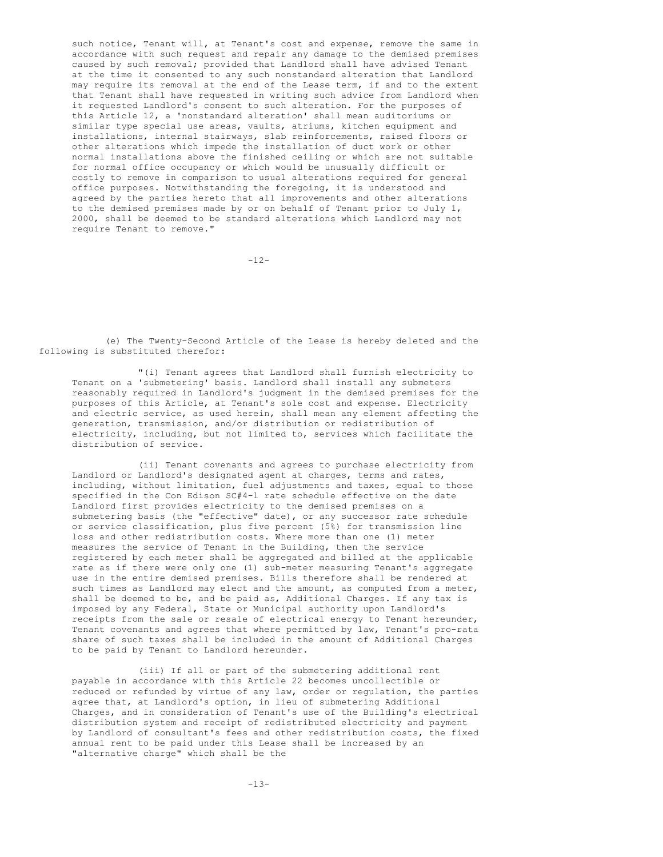such notice, Tenant will, at Tenant's cost and expense, remove the same in accordance with such request and repair any damage to the demised premises caused by such removal; provided that Landlord shall have advised Tenant at the time it consented to any such nonstandard alteration that Landlord may require its removal at the end of the Lease term, if and to the extent that Tenant shall have requested in writing such advice from Landlord when it requested Landlord's consent to such alteration. For the purposes of this Article 12, a 'nonstandard alteration' shall mean auditoriums or similar type special use areas, vaults, atriums, kitchen equipment and installations, internal stairways, slab reinforcements, raised floors or other alterations which impede the installation of duct work or other normal installations above the finished ceiling or which are not suitable for normal office occupancy or which would be unusually difficult or costly to remove in comparison to usual alterations required for general office purposes. Notwithstanding the foregoing, it is understood and agreed by the parties hereto that all improvements and other alterations to the demised premises made by or on behalf of Tenant prior to July 1, 2000, shall be deemed to be standard alterations which Landlord may not require Tenant to remove."

-12-

(e) The Twenty-Second Article of the Lease is hereby deleted and the following is substituted therefor:

"(i) Tenant agrees that Landlord shall furnish electricity to Tenant on a 'submetering' basis. Landlord shall install any submeters reasonably required in Landlord's judgment in the demised premises for the purposes of this Article, at Tenant's sole cost and expense. Electricity and electric service, as used herein, shall mean any element affecting the generation, transmission, and/or distribution or redistribution of electricity, including, but not limited to, services which facilitate the distribution of service.

(ii) Tenant covenants and agrees to purchase electricity from Landlord or Landlord's designated agent at charges, terms and rates, including, without limitation, fuel adjustments and taxes, equal to those specified in the Con Edison SC#4-l rate schedule effective on the date Landlord first provides electricity to the demised premises on a submetering basis (the "effective" date), or any successor rate schedule or service classification, plus five percent (5%) for transmission line loss and other redistribution costs. Where more than one (1) meter measures the service of Tenant in the Building, then the service registered by each meter shall be aggregated and billed at the applicable rate as if there were only one (1) sub-meter measuring Tenant's aggregate use in the entire demised premises. Bills therefore shall be rendered at such times as Landlord may elect and the amount, as computed from a meter, shall be deemed to be, and be paid as, Additional Charges. If any tax is imposed by any Federal, State or Municipal authority upon Landlord's receipts from the sale or resale of electrical energy to Tenant hereunder, Tenant covenants and agrees that where permitted by law, Tenant's pro-rata share of such taxes shall be included in the amount of Additional Charges to be paid by Tenant to Landlord hereunder.

(iii) If all or part of the submetering additional rent payable in accordance with this Article 22 becomes uncollectible or reduced or refunded by virtue of any law, order or regulation, the parties agree that, at Landlord's option, in lieu of submetering Additional Charges, and in consideration of Tenant's use of the Building's electrical distribution system and receipt of redistributed electricity and payment by Landlord of consultant's fees and other redistribution costs, the fixed annual rent to be paid under this Lease shall be increased by an "alternative charge" which shall be the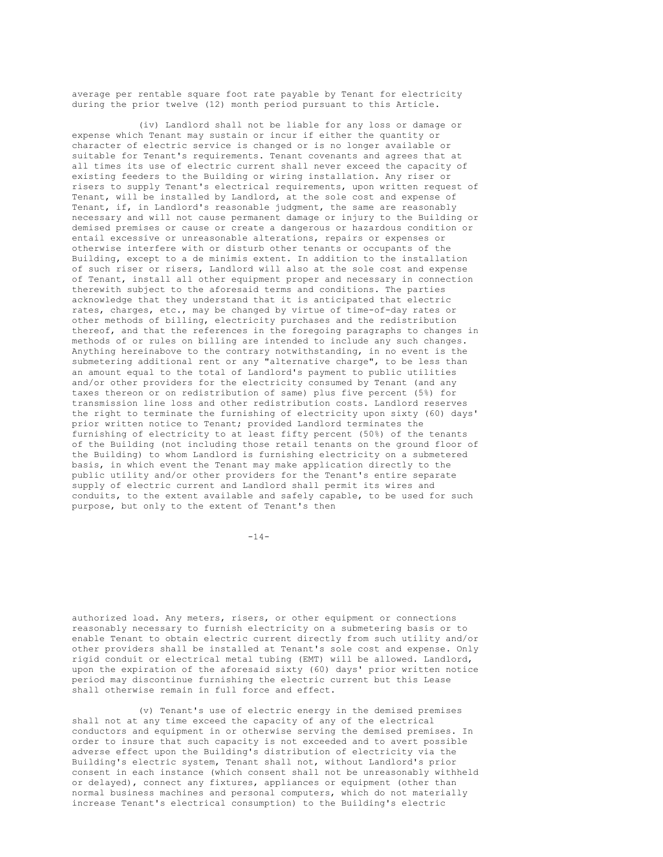average per rentable square foot rate payable by Tenant for electricity during the prior twelve (12) month period pursuant to this Article.

(iv) Landlord shall not be liable for any loss or damage or expense which Tenant may sustain or incur if either the quantity or character of electric service is changed or is no longer available or suitable for Tenant's requirements. Tenant covenants and agrees that at all times its use of electric current shall never exceed the capacity of existing feeders to the Building or wiring installation. Any riser or risers to supply Tenant's electrical requirements, upon written request of Tenant, will be installed by Landlord, at the sole cost and expense of Tenant, if, in Landlord's reasonable judgment, the same are reasonably necessary and will not cause permanent damage or injury to the Building or demised premises or cause or create a dangerous or hazardous condition or entail excessive or unreasonable alterations, repairs or expenses or otherwise interfere with or disturb other tenants or occupants of the Building, except to a de minimis extent. In addition to the installation of such riser or risers, Landlord will also at the sole cost and expense of Tenant, install all other equipment proper and necessary in connection therewith subject to the aforesaid terms and conditions. The parties acknowledge that they understand that it is anticipated that electric rates, charges, etc., may be changed by virtue of time-of-day rates or other methods of billing, electricity purchases and the redistribution thereof, and that the references in the foregoing paragraphs to changes in methods of or rules on billing are intended to include any such changes. Anything hereinabove to the contrary notwithstanding, in no event is the submetering additional rent or any "alternative charge", to be less than an amount equal to the total of Landlord's payment to public utilities and/or other providers for the electricity consumed by Tenant (and any taxes thereon or on redistribution of same) plus five percent (5%) for transmission line loss and other redistribution costs. Landlord reserves the right to terminate the furnishing of electricity upon sixty (60) days' prior written notice to Tenant; provided Landlord terminates the furnishing of electricity to at least fifty percent (50%) of the tenants of the Building (not including those retail tenants on the ground floor of the Building) to whom Landlord is furnishing electricity on a submetered basis, in which event the Tenant may make application directly to the public utility and/or other providers for the Tenant's entire separate supply of electric current and Landlord shall permit its wires and conduits, to the extent available and safely capable, to be used for such purpose, but only to the extent of Tenant's then

-14-

authorized load. Any meters, risers, or other equipment or connections reasonably necessary to furnish electricity on a submetering basis or to enable Tenant to obtain electric current directly from such utility and/or other providers shall be installed at Tenant's sole cost and expense. Only rigid conduit or electrical metal tubing (EMT) will be allowed. Landlord, upon the expiration of the aforesaid sixty (60) days' prior written notice period may discontinue furnishing the electric current but this Lease shall otherwise remain in full force and effect.

(v) Tenant's use of electric energy in the demised premises shall not at any time exceed the capacity of any of the electrical conductors and equipment in or otherwise serving the demised premises. In order to insure that such capacity is not exceeded and to avert possible adverse effect upon the Building's distribution of electricity via the Building's electric system, Tenant shall not, without Landlord's prior consent in each instance (which consent shall not be unreasonably withheld or delayed), connect any fixtures, appliances or equipment (other than normal business machines and personal computers, which do not materially increase Tenant's electrical consumption) to the Building's electric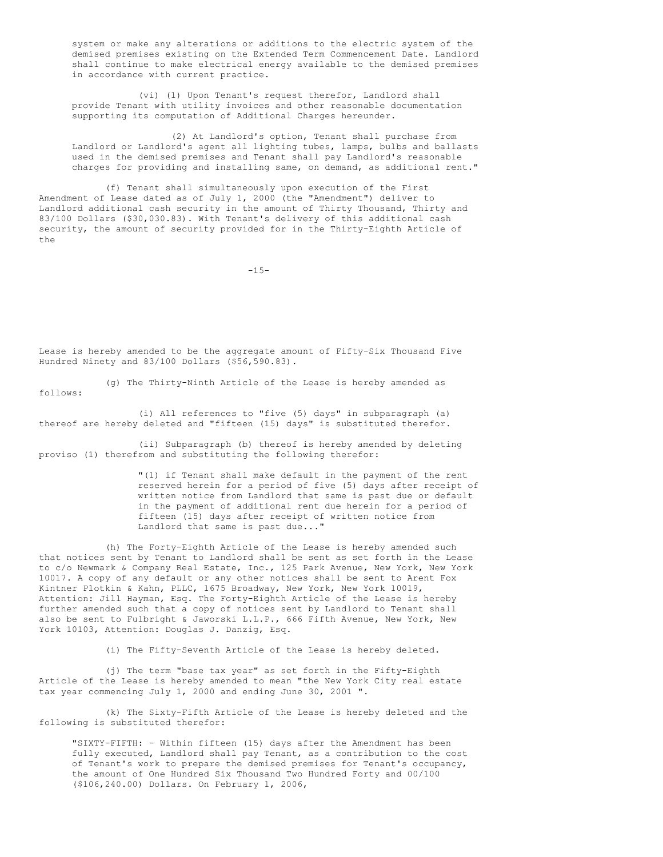system or make any alterations or additions to the electric system of the demised premises existing on the Extended Term Commencement Date. Landlord shall continue to make electrical energy available to the demised premises in accordance with current practice.

(vi) (1) Upon Tenant's request therefor, Landlord shall provide Tenant with utility invoices and other reasonable documentation supporting its computation of Additional Charges hereunder.

(2) At Landlord's option, Tenant shall purchase from Landlord or Landlord's agent all lighting tubes, lamps, bulbs and ballasts used in the demised premises and Tenant shall pay Landlord's reasonable charges for providing and installing same, on demand, as additional rent."

(f) Tenant shall simultaneously upon execution of the First Amendment of Lease dated as of July 1, 2000 (the "Amendment") deliver to Landlord additional cash security in the amount of Thirty Thousand, Thirty and 83/100 Dollars (\$30,030.83). With Tenant's delivery of this additional cash security, the amount of security provided for in the Thirty-Eighth Article of the

 $-15-$ 

Lease is hereby amended to be the aggregate amount of Fifty-Six Thousand Five Hundred Ninety and 83/100 Dollars (\$56,590.83).

(g) The Thirty-Ninth Article of the Lease is hereby amended as follows:

(i) All references to "five (5) days" in subparagraph (a) thereof are hereby deleted and "fifteen (15) days" is substituted therefor.

(ii) Subparagraph (b) thereof is hereby amended by deleting proviso (1) therefrom and substituting the following therefor:

> "(1) if Tenant shall make default in the payment of the rent reserved herein for a period of five (5) days after receipt of written notice from Landlord that same is past due or default in the payment of additional rent due herein for a period of fifteen (15) days after receipt of written notice from Landlord that same is past due..."

(h) The Forty-Eighth Article of the Lease is hereby amended such that notices sent by Tenant to Landlord shall be sent as set forth in the Lease to c/o Newmark & Company Real Estate, Inc., 125 Park Avenue, New York, New York 10017. A copy of any default or any other notices shall be sent to Arent Fox Kintner Plotkin & Kahn, PLLC, 1675 Broadway, New York, New York 10019, Attention: Jill Hayman, Esq. The Forty-Eighth Article of the Lease is hereby further amended such that a copy of notices sent by Landlord to Tenant shall also be sent to Fulbright & Jaworski L.L.P., 666 Fifth Avenue, New York, New York 10103, Attention: Douglas J. Danzig, Esq.

(i) The Fifty-Seventh Article of the Lease is hereby deleted.

(j) The term "base tax year" as set forth in the Fifty-Eighth Article of the Lease is hereby amended to mean "the New York City real estate tax year commencing July 1, 2000 and ending June 30, 2001 ".

(k) The Sixty-Fifth Article of the Lease is hereby deleted and the following is substituted therefor:

"SIXTY-FIFTH: - Within fifteen (15) days after the Amendment has been fully executed, Landlord shall pay Tenant, as a contribution to the cost of Tenant's work to prepare the demised premises for Tenant's occupancy, the amount of One Hundred Six Thousand Two Hundred Forty and 00/100 (\$106,240.00) Dollars. On February 1, 2006,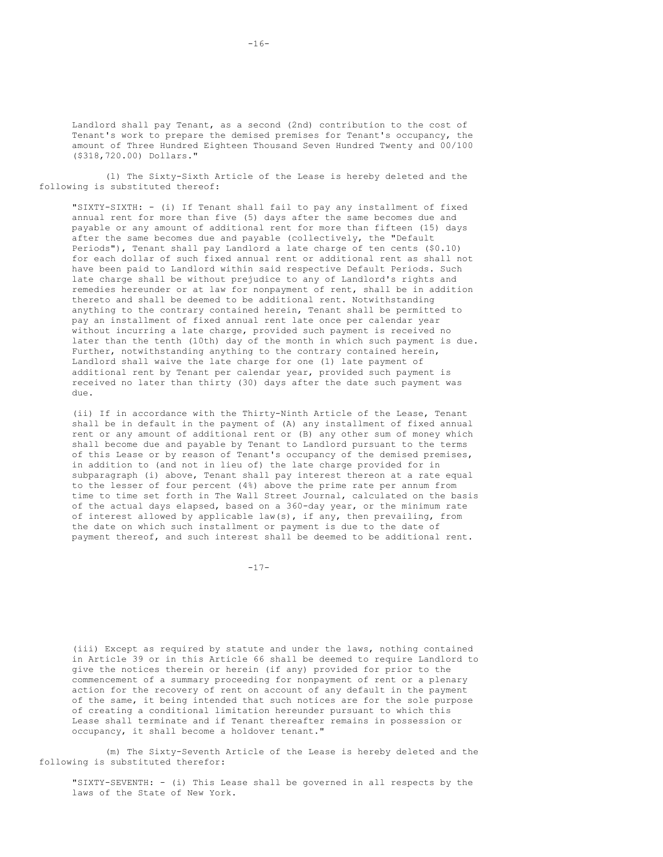Landlord shall pay Tenant, as a second (2nd) contribution to the cost of Tenant's work to prepare the demised premises for Tenant's occupancy, the amount of Three Hundred Eighteen Thousand Seven Hundred Twenty and 00/100 (\$318,720.00) Dollars."

(l) The Sixty-Sixth Article of the Lease is hereby deleted and the following is substituted thereof:

"SIXTY-SIXTH: - (i) If Tenant shall fail to pay any installment of fixed annual rent for more than five (5) days after the same becomes due and payable or any amount of additional rent for more than fifteen (15) days after the same becomes due and payable (collectively, the "Default Periods"), Tenant shall pay Landlord a late charge of ten cents (\$0.10) for each dollar of such fixed annual rent or additional rent as shall not have been paid to Landlord within said respective Default Periods. Such late charge shall be without prejudice to any of Landlord's rights and remedies hereunder or at law for nonpayment of rent, shall be in addition thereto and shall be deemed to be additional rent. Notwithstanding anything to the contrary contained herein, Tenant shall be permitted to pay an installment of fixed annual rent late once per calendar year without incurring a late charge, provided such payment is received no later than the tenth (10th) day of the month in which such payment is due. Further, notwithstanding anything to the contrary contained herein, Landlord shall waive the late charge for one (1) late payment of additional rent by Tenant per calendar year, provided such payment is received no later than thirty (30) days after the date such payment was due.

(ii) If in accordance with the Thirty-Ninth Article of the Lease, Tenant shall be in default in the payment of (A) any installment of fixed annual rent or any amount of additional rent or (B) any other sum of money which shall become due and payable by Tenant to Landlord pursuant to the terms of this Lease or by reason of Tenant's occupancy of the demised premises, in addition to (and not in lieu of) the late charge provided for in subparagraph (i) above, Tenant shall pay interest thereon at a rate equal to the lesser of four percent (4%) above the prime rate per annum from time to time set forth in The Wall Street Journal, calculated on the basis of the actual days elapsed, based on a 360-day year, or the minimum rate of interest allowed by applicable law(s), if any, then prevailing, from the date on which such installment or payment is due to the date of payment thereof, and such interest shall be deemed to be additional rent.

 $-17-$ 

(iii) Except as required by statute and under the laws, nothing contained in Article 39 or in this Article 66 shall be deemed to require Landlord to give the notices therein or herein (if any) provided for prior to the commencement of a summary proceeding for nonpayment of rent or a plenary action for the recovery of rent on account of any default in the payment of the same, it being intended that such notices are for the sole purpose of creating a conditional limitation hereunder pursuant to which this Lease shall terminate and if Tenant thereafter remains in possession or occupancy, it shall become a holdover tenant."

(m) The Sixty-Seventh Article of the Lease is hereby deleted and the following is substituted therefor:

"SIXTY-SEVENTH: - (i) This Lease shall be governed in all respects by the laws of the State of New York.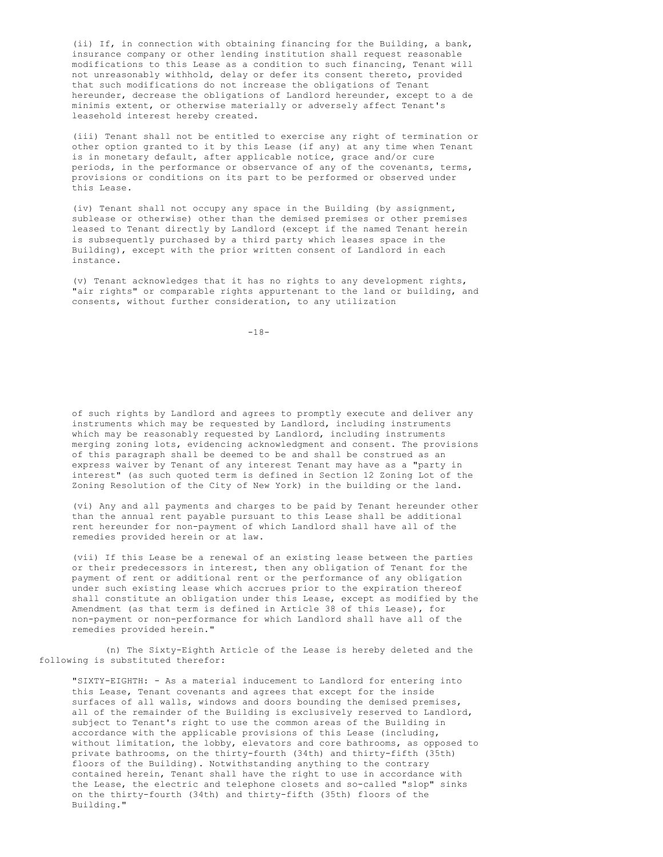(ii) If, in connection with obtaining financing for the Building, a bank, insurance company or other lending institution shall request reasonable modifications to this Lease as a condition to such financing, Tenant will not unreasonably withhold, delay or defer its consent thereto, provided that such modifications do not increase the obligations of Tenant hereunder, decrease the obligations of Landlord hereunder, except to a de minimis extent, or otherwise materially or adversely affect Tenant's leasehold interest hereby created.

(iii) Tenant shall not be entitled to exercise any right of termination or other option granted to it by this Lease (if any) at any time when Tenant is in monetary default, after applicable notice, grace and/or cure periods, in the performance or observance of any of the covenants, terms, provisions or conditions on its part to be performed or observed under this Lease.

(iv) Tenant shall not occupy any space in the Building (by assignment, sublease or otherwise) other than the demised premises or other premises leased to Tenant directly by Landlord (except if the named Tenant herein is subsequently purchased by a third party which leases space in the Building), except with the prior written consent of Landlord in each instance.

(v) Tenant acknowledges that it has no rights to any development rights, "air rights" or comparable rights appurtenant to the land or building, and consents, without further consideration, to any utilization

-18-

of such rights by Landlord and agrees to promptly execute and deliver any instruments which may be requested by Landlord, including instruments which may be reasonably requested by Landlord, including instruments merging zoning lots, evidencing acknowledgment and consent. The provisions of this paragraph shall be deemed to be and shall be construed as an express waiver by Tenant of any interest Tenant may have as a "party in interest" (as such quoted term is defined in Section 12 Zoning Lot of the Zoning Resolution of the City of New York) in the building or the land.

(vi) Any and all payments and charges to be paid by Tenant hereunder other than the annual rent payable pursuant to this Lease shall be additional rent hereunder for non-payment of which Landlord shall have all of the remedies provided herein or at law.

(vii) If this Lease be a renewal of an existing lease between the parties or their predecessors in interest, then any obligation of Tenant for the payment of rent or additional rent or the performance of any obligation under such existing lease which accrues prior to the expiration thereof shall constitute an obligation under this Lease, except as modified by the Amendment (as that term is defined in Article 38 of this Lease), for non-payment or non-performance for which Landlord shall have all of the remedies provided herein."

(n) The Sixty-Eighth Article of the Lease is hereby deleted and the following is substituted therefor:

"SIXTY-EIGHTH: - As a material inducement to Landlord for entering into this Lease, Tenant covenants and agrees that except for the inside surfaces of all walls, windows and doors bounding the demised premises, all of the remainder of the Building is exclusively reserved to Landlord, subject to Tenant's right to use the common areas of the Building in accordance with the applicable provisions of this Lease (including, without limitation, the lobby, elevators and core bathrooms, as opposed to private bathrooms, on the thirty-fourth (34th) and thirty-fifth (35th) floors of the Building). Notwithstanding anything to the contrary contained herein, Tenant shall have the right to use in accordance with the Lease, the electric and telephone closets and so-called "slop" sinks on the thirty-fourth (34th) and thirty-fifth (35th) floors of the Building."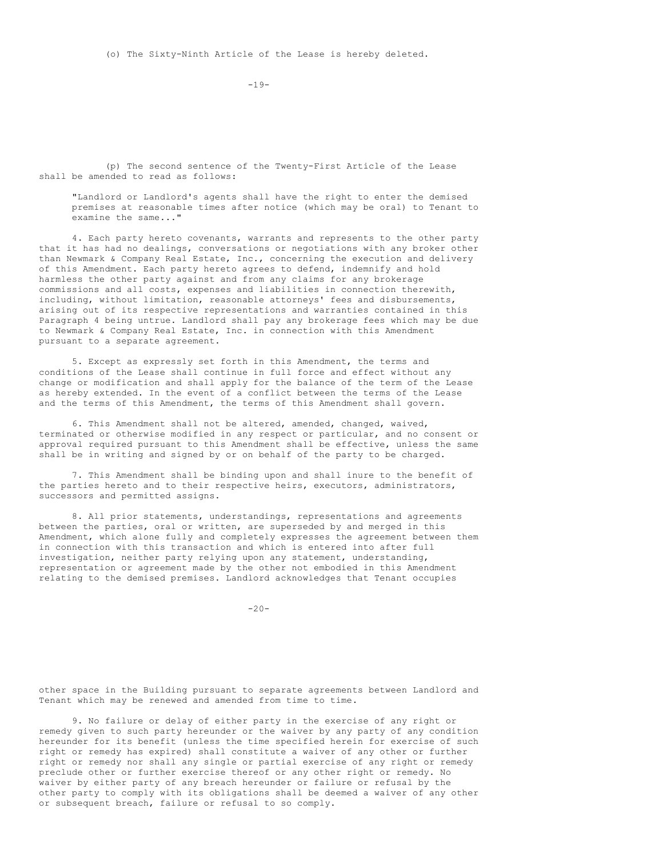(o) The Sixty-Ninth Article of the Lease is hereby deleted.

 $-19-$ 

(p) The second sentence of the Twenty-First Article of the Lease shall be amended to read as follows:

"Landlord or Landlord's agents shall have the right to enter the demised premises at reasonable times after notice (which may be oral) to Tenant to examine the same..."

4. Each party hereto covenants, warrants and represents to the other party that it has had no dealings, conversations or negotiations with any broker other than Newmark & Company Real Estate, Inc., concerning the execution and delivery of this Amendment. Each party hereto agrees to defend, indemnify and hold harmless the other party against and from any claims for any brokerage commissions and all costs, expenses and liabilities in connection therewith, including, without limitation, reasonable attorneys' fees and disbursements, arising out of its respective representations and warranties contained in this Paragraph 4 being untrue. Landlord shall pay any brokerage fees which may be due to Newmark & Company Real Estate, Inc. in connection with this Amendment pursuant to a separate agreement.

5. Except as expressly set forth in this Amendment, the terms and conditions of the Lease shall continue in full force and effect without any change or modification and shall apply for the balance of the term of the Lease as hereby extended. In the event of a conflict between the terms of the Lease and the terms of this Amendment, the terms of this Amendment shall govern.

6. This Amendment shall not be altered, amended, changed, waived, terminated or otherwise modified in any respect or particular, and no consent or approval required pursuant to this Amendment shall be effective, unless the same shall be in writing and signed by or on behalf of the party to be charged.

7. This Amendment shall be binding upon and shall inure to the benefit of the parties hereto and to their respective heirs, executors, administrators, successors and permitted assigns.

8. All prior statements, understandings, representations and agreements between the parties, oral or written, are superseded by and merged in this Amendment, which alone fully and completely expresses the agreement between them in connection with this transaction and which is entered into after full investigation, neither party relying upon any statement, understanding, representation or agreement made by the other not embodied in this Amendment relating to the demised premises. Landlord acknowledges that Tenant occupies

 $-20-$ 

other space in the Building pursuant to separate agreements between Landlord and Tenant which may be renewed and amended from time to time.

9. No failure or delay of either party in the exercise of any right or remedy given to such party hereunder or the waiver by any party of any condition hereunder for its benefit (unless the time specified herein for exercise of such right or remedy has expired) shall constitute a waiver of any other or further right or remedy nor shall any single or partial exercise of any right or remedy preclude other or further exercise thereof or any other right or remedy. No waiver by either party of any breach hereunder or failure or refusal by the other party to comply with its obligations shall be deemed a waiver of any other or subsequent breach, failure or refusal to so comply.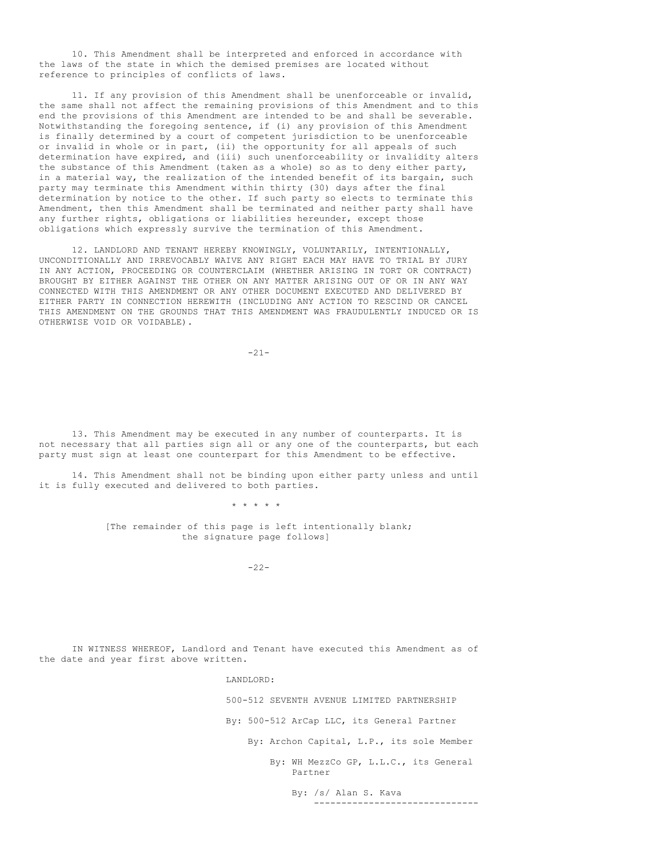10. This Amendment shall be interpreted and enforced in accordance with the laws of the state in which the demised premises are located without reference to principles of conflicts of laws.

11. If any provision of this Amendment shall be unenforceable or invalid, the same shall not affect the remaining provisions of this Amendment and to this end the provisions of this Amendment are intended to be and shall be severable. Notwithstanding the foregoing sentence, if (i) any provision of this Amendment is finally determined by a court of competent jurisdiction to be unenforceable or invalid in whole or in part, (ii) the opportunity for all appeals of such determination have expired, and (iii) such unenforceability or invalidity alters the substance of this Amendment (taken as a whole) so as to deny either party, in a material way, the realization of the intended benefit of its bargain, such party may terminate this Amendment within thirty (30) days after the final determination by notice to the other. If such party so elects to terminate this Amendment, then this Amendment shall be terminated and neither party shall have any further rights, obligations or liabilities hereunder, except those obligations which expressly survive the termination of this Amendment.

12. LANDLORD AND TENANT HEREBY KNOWINGLY, VOLUNTARILY, INTENTIONALLY, UNCONDITIONALLY AND IRREVOCABLY WAIVE ANY RIGHT EACH MAY HAVE TO TRIAL BY JURY IN ANY ACTION, PROCEEDING OR COUNTERCLAIM (WHETHER ARISING IN TORT OR CONTRACT) BROUGHT BY EITHER AGAINST THE OTHER ON ANY MATTER ARISING OUT OF OR IN ANY WAY CONNECTED WITH THIS AMENDMENT OR ANY OTHER DOCUMENT EXECUTED AND DELIVERED BY EITHER PARTY IN CONNECTION HEREWITH (INCLUDING ANY ACTION TO RESCIND OR CANCEL THIS AMENDMENT ON THE GROUNDS THAT THIS AMENDMENT WAS FRAUDULENTLY INDUCED OR IS OTHERWISE VOID OR VOIDABLE).

 $-21-$ 

13. This Amendment may be executed in any number of counterparts. It is not necessary that all parties sign all or any one of the counterparts, but each party must sign at least one counterpart for this Amendment to be effective.

14. This Amendment shall not be binding upon either party unless and until it is fully executed and delivered to both parties.

\* \* \* \* \*

[The remainder of this page is left intentionally blank; the signature page follows]

 $-22-$ 

IN WITNESS WHEREOF, Landlord and Tenant have executed this Amendment as of the date and year first above written.

> LANDLORD: 500-512 SEVENTH AVENUE LIMITED PARTNERSHIP By: 500-512 ArCap LLC, its General Partner By: Archon Capital, L.P., its sole Member By: WH MezzCo GP, L.L.C., its General Partner By: /s/ Alan S. Kava

> > ------------------------------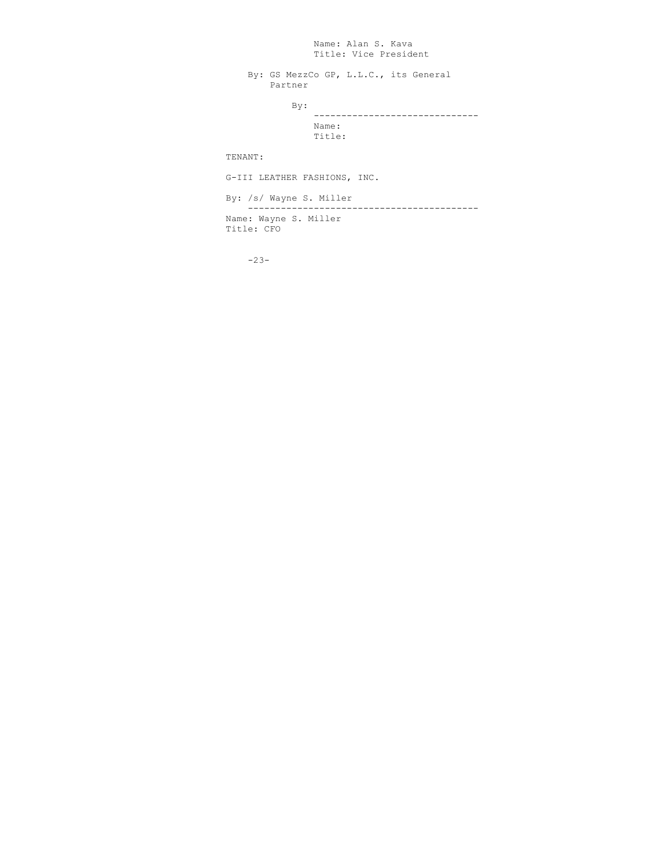Name: Alan S. Kava Title: Vice President By: GS MezzCo GP, L.L.C., its General Partner By: ------------------------------ Name: Title: TENANT: G-III LEATHER FASHIONS, INC. By: /s/ Wayne S. Miller ------------------------------------------ Name: Wayne S. Miller

-23-

Title: CFO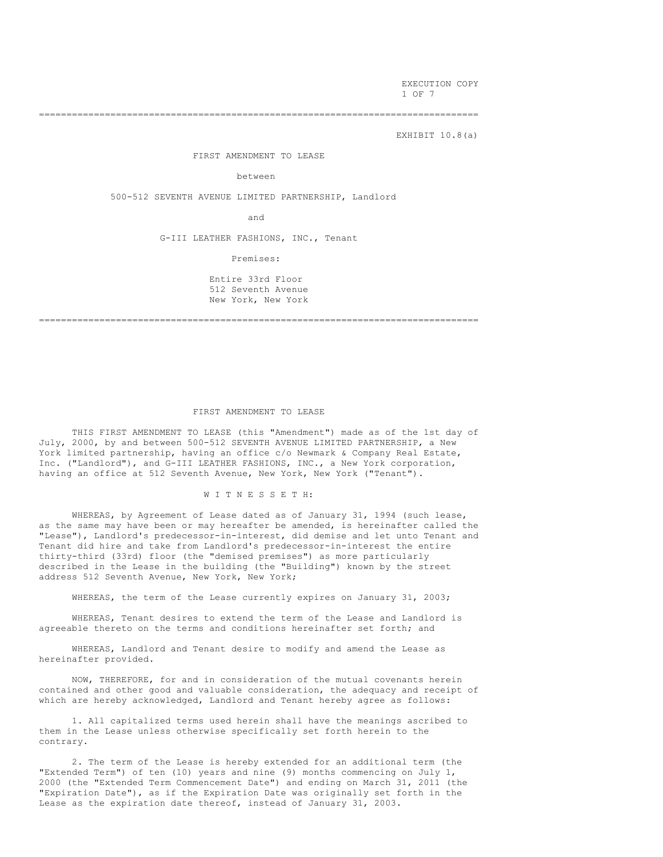EXECUTION COPY 1 OF 7

================================================================================

EXHIBIT 10.8(a)

FIRST AMENDMENT TO LEASE

between

500-512 SEVENTH AVENUE LIMITED PARTNERSHIP, Landlord

and

G-III LEATHER FASHIONS, INC., Tenant

Premises:

Entire 33rd Floor 512 Seventh Avenue New York, New York

#### ================================================================================

## FIRST AMENDMENT TO LEASE

THIS FIRST AMENDMENT TO LEASE (this "Amendment") made as of the 1st day of July, 2000, by and between 500-512 SEVENTH AVENUE LIMITED PARTNERSHIP, a New York limited partnership, having an office c/o Newmark & Company Real Estate, Inc. ("Landlord"), and G-III LEATHER FASHIONS, INC., a New York corporation, having an office at 512 Seventh Avenue, New York, New York ("Tenant").

#### W I T N E S S E T H:

WHEREAS, by Agreement of Lease dated as of January 31, 1994 (such lease, as the same may have been or may hereafter be amended, is hereinafter called the "Lease"), Landlord's predecessor-in-interest, did demise and let unto Tenant and Tenant did hire and take from Landlord's predecessor-in-interest the entire thirty-third (33rd) floor (the "demised premises") as more particularly described in the Lease in the building (the "Building") known by the street address 512 Seventh Avenue, New York, New York;

WHEREAS, the term of the Lease currently expires on January 31, 2003;

WHEREAS, Tenant desires to extend the term of the Lease and Landlord is agreeable thereto on the terms and conditions hereinafter set forth; and

WHEREAS, Landlord and Tenant desire to modify and amend the Lease as hereinafter provided.

NOW, THEREFORE, for and in consideration of the mutual covenants herein contained and other good and valuable consideration, the adequacy and receipt of which are hereby acknowledged, Landlord and Tenant hereby agree as follows:

1. All capitalized terms used herein shall have the meanings ascribed to them in the Lease unless otherwise specifically set forth herein to the contrary.

2. The term of the Lease is hereby extended for an additional term (the "Extended Term") of ten (10) years and nine (9) months commencing on July 1, 2000 (the "Extended Term Commencement Date") and ending on March 31, 2011 (the "Expiration Date"), as if the Expiration Date was originally set forth in the Lease as the expiration date thereof, instead of January 31, 2003.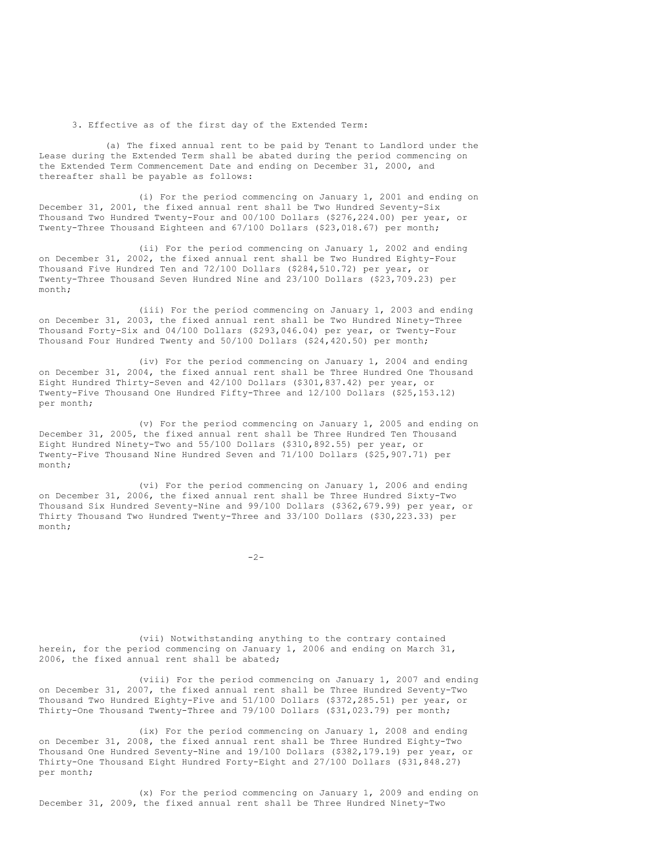3. Effective as of the first day of the Extended Term:

(a) The fixed annual rent to be paid by Tenant to Landlord under the Lease during the Extended Term shall be abated during the period commencing on the Extended Term Commencement Date and ending on December 31, 2000, and thereafter shall be payable as follows:

(i) For the period commencing on January 1, 2001 and ending on December 31, 2001, the fixed annual rent shall be Two Hundred Seventy-Six Thousand Two Hundred Twenty-Four and 00/100 Dollars (\$276,224.00) per year, or Twenty-Three Thousand Eighteen and 67/100 Dollars (\$23,018.67) per month;

(ii) For the period commencing on January 1, 2002 and ending on December 31, 2002, the fixed annual rent shall be Two Hundred Eighty-Four Thousand Five Hundred Ten and 72/100 Dollars (\$284,510.72) per year, or Twenty-Three Thousand Seven Hundred Nine and 23/100 Dollars (\$23,709.23) per month:

(iii) For the period commencing on January 1, 2003 and ending on December 31, 2003, the fixed annual rent shall be Two Hundred Ninety-Three Thousand Forty-Six and 04/100 Dollars (\$293,046.04) per year, or Twenty-Four Thousand Four Hundred Twenty and 50/100 Dollars (\$24,420.50) per month;

(iv) For the period commencing on January 1, 2004 and ending on December 31, 2004, the fixed annual rent shall be Three Hundred One Thousand Eight Hundred Thirty-Seven and 42/100 Dollars (\$301,837.42) per year, or Twenty-Five Thousand One Hundred Fifty-Three and 12/100 Dollars (\$25,153.12) per month;

(v) For the period commencing on January 1, 2005 and ending on December 31, 2005, the fixed annual rent shall be Three Hundred Ten Thousand Eight Hundred Ninety-Two and 55/100 Dollars (\$310,892.55) per year, or Twenty-Five Thousand Nine Hundred Seven and 71/100 Dollars (\$25,907.71) per month;

(vi) For the period commencing on January 1, 2006 and ending on December 31, 2006, the fixed annual rent shall be Three Hundred Sixty-Two Thousand Six Hundred Seventy-Nine and 99/100 Dollars (\$362,679.99) per year, or Thirty Thousand Two Hundred Twenty-Three and 33/100 Dollars (\$30,223.33) per month;

 $-2-$ 

(vii) Notwithstanding anything to the contrary contained herein, for the period commencing on January 1, 2006 and ending on March 31, 2006, the fixed annual rent shall be abated;

(viii) For the period commencing on January 1, 2007 and ending on December 31, 2007, the fixed annual rent shall be Three Hundred Seventy-Two Thousand Two Hundred Eighty-Five and 51/100 Dollars (\$372,285.51) per year, or Thirty-One Thousand Twenty-Three and 79/100 Dollars (\$31,023.79) per month;

(ix) For the period commencing on January 1, 2008 and ending on December 31, 2008, the fixed annual rent shall be Three Hundred Eighty-Two Thousand One Hundred Seventy-Nine and 19/100 Dollars (\$382,179.19) per year, or Thirty-One Thousand Eight Hundred Forty-Eight and 27/100 Dollars (\$31,848.27) per month;

(x) For the period commencing on January 1, 2009 and ending on December 31, 2009, the fixed annual rent shall be Three Hundred Ninety-Two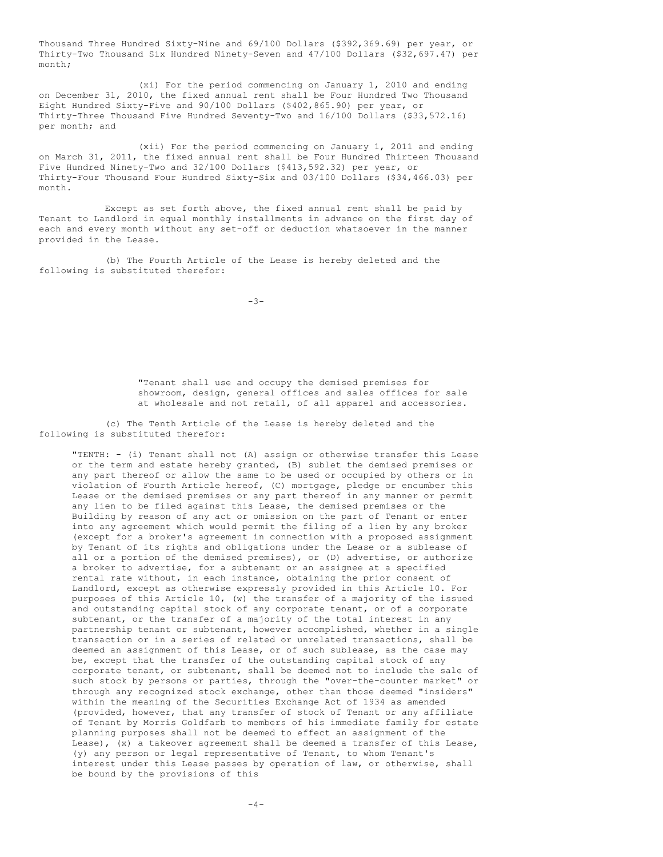Thousand Three Hundred Sixty-Nine and 69/100 Dollars (\$392,369.69) per year, or Thirty-Two Thousand Six Hundred Ninety-Seven and 47/100 Dollars (\$32,697.47) per month;

(xi) For the period commencing on January 1, 2010 and ending on December 31, 2010, the fixed annual rent shall be Four Hundred Two Thousand Eight Hundred Sixty-Five and 90/100 Dollars (\$402,865.90) per year, or Thirty-Three Thousand Five Hundred Seventy-Two and 16/100 Dollars (\$33,572.16) per month; and

(xii) For the period commencing on January 1, 2011 and ending on March 31, 2011, the fixed annual rent shall be Four Hundred Thirteen Thousand Five Hundred Ninety-Two and 32/100 Dollars (\$413,592.32) per year, or Thirty-Four Thousand Four Hundred Sixty-Six and 03/100 Dollars (\$34,466.03) per month.

Except as set forth above, the fixed annual rent shall be paid by Tenant to Landlord in equal monthly installments in advance on the first day of each and every month without any set-off or deduction whatsoever in the manner provided in the Lease.

(b) The Fourth Article of the Lease is hereby deleted and the following is substituted therefor:

 $-3-$ 

"Tenant shall use and occupy the demised premises for showroom, design, general offices and sales offices for sale at wholesale and not retail, of all apparel and accessories.

(c) The Tenth Article of the Lease is hereby deleted and the following is substituted therefor:

"TENTH: - (i) Tenant shall not (A) assign or otherwise transfer this Lease or the term and estate hereby granted, (B) sublet the demised premises or any part thereof or allow the same to be used or occupied by others or in violation of Fourth Article hereof, (C) mortgage, pledge or encumber this Lease or the demised premises or any part thereof in any manner or permit any lien to be filed against this Lease, the demised premises or the Building by reason of any act or omission on the part of Tenant or enter into any agreement which would permit the filing of a lien by any broker (except for a broker's agreement in connection with a proposed assignment by Tenant of its rights and obligations under the Lease or a sublease of all or a portion of the demised premises), or (D) advertise, or authorize a broker to advertise, for a subtenant or an assignee at a specified rental rate without, in each instance, obtaining the prior consent of Landlord, except as otherwise expressly provided in this Article 10. For purposes of this Article 10, (w) the transfer of a majority of the issued and outstanding capital stock of any corporate tenant, or of a corporate subtenant, or the transfer of a majority of the total interest in any partnership tenant or subtenant, however accomplished, whether in a single transaction or in a series of related or unrelated transactions, shall be deemed an assignment of this Lease, or of such sublease, as the case may be, except that the transfer of the outstanding capital stock of any corporate tenant, or subtenant, shall be deemed not to include the sale of such stock by persons or parties, through the "over-the-counter market" or through any recognized stock exchange, other than those deemed "insiders" within the meaning of the Securities Exchange Act of 1934 as amended (provided, however, that any transfer of stock of Tenant or any affiliate of Tenant by Morris Goldfarb to members of his immediate family for estate planning purposes shall not be deemed to effect an assignment of the Lease), (x) a takeover agreement shall be deemed a transfer of this Lease, (y) any person or legal representative of Tenant, to whom Tenant's interest under this Lease passes by operation of law, or otherwise, shall be bound by the provisions of this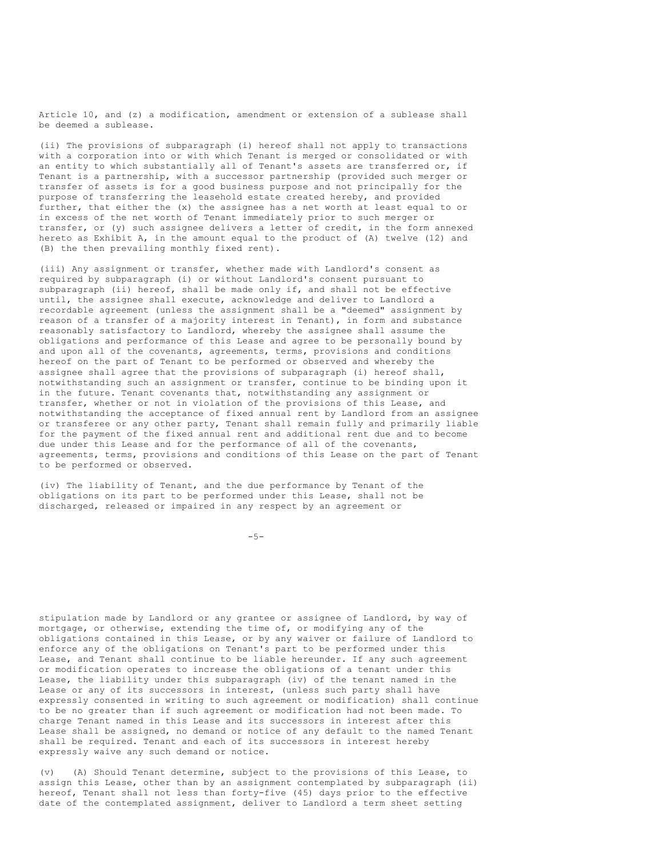Article 10, and (z) a modification, amendment or extension of a sublease shall be deemed a sublease.

(ii) The provisions of subparagraph (i) hereof shall not apply to transactions with a corporation into or with which Tenant is merged or consolidated or with an entity to which substantially all of Tenant's assets are transferred or, if Tenant is a partnership, with a successor partnership (provided such merger or transfer of assets is for a good business purpose and not principally for the purpose of transferring the leasehold estate created hereby, and provided further, that either the (x) the assignee has a net worth at least equal to or in excess of the net worth of Tenant immediately prior to such merger or transfer, or (y) such assignee delivers a letter of credit, in the form annexed hereto as Exhibit A, in the amount equal to the product of (A) twelve (12) and (B) the then prevailing monthly fixed rent).

(iii) Any assignment or transfer, whether made with Landlord's consent as required by subparagraph (i) or without Landlord's consent pursuant to subparagraph (ii) hereof, shall be made only if, and shall not be effective until, the assignee shall execute, acknowledge and deliver to Landlord a recordable agreement (unless the assignment shall be a "deemed" assignment by reason of a transfer of a majority interest in Tenant), in form and substance reasonably satisfactory to Landlord, whereby the assignee shall assume the obligations and performance of this Lease and agree to be personally bound by and upon all of the covenants, agreements, terms, provisions and conditions hereof on the part of Tenant to be performed or observed and whereby the assignee shall agree that the provisions of subparagraph (i) hereof shall, notwithstanding such an assignment or transfer, continue to be binding upon it in the future. Tenant covenants that, notwithstanding any assignment or transfer, whether or not in violation of the provisions of this Lease, and notwithstanding the acceptance of fixed annual rent by Landlord from an assignee or transferee or any other party, Tenant shall remain fully and primarily liable for the payment of the fixed annual rent and additional rent due and to become due under this Lease and for the performance of all of the covenants, agreements, terms, provisions and conditions of this Lease on the part of Tenant to be performed or observed.

(iv) The liability of Tenant, and the due performance by Tenant of the obligations on its part to be performed under this Lease, shall not be discharged, released or impaired in any respect by an agreement or

-5-

stipulation made by Landlord or any grantee or assignee of Landlord, by way of mortgage, or otherwise, extending the time of, or modifying any of the obligations contained in this Lease, or by any waiver or failure of Landlord to enforce any of the obligations on Tenant's part to be performed under this Lease, and Tenant shall continue to be liable hereunder. If any such agreement or modification operates to increase the obligations of a tenant under this Lease, the liability under this subparagraph (iv) of the tenant named in the Lease or any of its successors in interest, (unless such party shall have expressly consented in writing to such agreement or modification) shall continue to be no greater than if such agreement or modification had not been made. To charge Tenant named in this Lease and its successors in interest after this Lease shall be assigned, no demand or notice of any default to the named Tenant shall be required. Tenant and each of its successors in interest hereby expressly waive any such demand or notice.

(v) (A) Should Tenant determine, subject to the provisions of this Lease, to assign this Lease, other than by an assignment contemplated by subparagraph (ii) hereof, Tenant shall not less than forty-five (45) days prior to the effective date of the contemplated assignment, deliver to Landlord a term sheet setting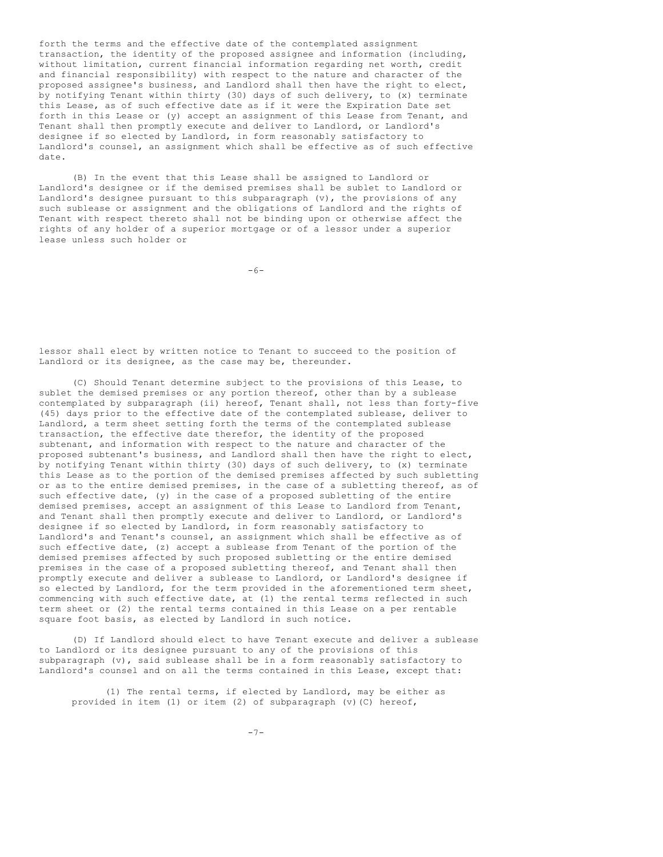forth the terms and the effective date of the contemplated assignment transaction, the identity of the proposed assignee and information (including, without limitation, current financial information regarding net worth, credit and financial responsibility) with respect to the nature and character of the proposed assignee's business, and Landlord shall then have the right to elect, by notifying Tenant within thirty (30) days of such delivery, to (x) terminate this Lease, as of such effective date as if it were the Expiration Date set forth in this Lease or (y) accept an assignment of this Lease from Tenant, and Tenant shall then promptly execute and deliver to Landlord, or Landlord's designee if so elected by Landlord, in form reasonably satisfactory to Landlord's counsel, an assignment which shall be effective as of such effective date.

(B) In the event that this Lease shall be assigned to Landlord or Landlord's designee or if the demised premises shall be sublet to Landlord or Landlord's designee pursuant to this subparagraph (v), the provisions of any such sublease or assignment and the obligations of Landlord and the rights of Tenant with respect thereto shall not be binding upon or otherwise affect the rights of any holder of a superior mortgage or of a lessor under a superior lease unless such holder or

-6-

lessor shall elect by written notice to Tenant to succeed to the position of Landlord or its designee, as the case may be, thereunder.

(C) Should Tenant determine subject to the provisions of this Lease, to sublet the demised premises or any portion thereof, other than by a sublease contemplated by subparagraph (ii) hereof, Tenant shall, not less than forty-five (45) days prior to the effective date of the contemplated sublease, deliver to Landlord, a term sheet setting forth the terms of the contemplated sublease transaction, the effective date therefor, the identity of the proposed subtenant, and information with respect to the nature and character of the proposed subtenant's business, and Landlord shall then have the right to elect, by notifying Tenant within thirty (30) days of such delivery, to (x) terminate this Lease as to the portion of the demised premises affected by such subletting or as to the entire demised premises, in the case of a subletting thereof, as of such effective date, (y) in the case of a proposed subletting of the entire demised premises, accept an assignment of this Lease to Landlord from Tenant, and Tenant shall then promptly execute and deliver to Landlord, or Landlord's designee if so elected by Landlord, in form reasonably satisfactory to Landlord's and Tenant's counsel, an assignment which shall be effective as of such effective date, (z) accept a sublease from Tenant of the portion of the demised premises affected by such proposed subletting or the entire demised premises in the case of a proposed subletting thereof, and Tenant shall then promptly execute and deliver a sublease to Landlord, or Landlord's designee if so elected by Landlord, for the term provided in the aforementioned term sheet, commencing with such effective date, at (1) the rental terms reflected in such term sheet or (2) the rental terms contained in this Lease on a per rentable square foot basis, as elected by Landlord in such notice.

(D) If Landlord should elect to have Tenant execute and deliver a sublease to Landlord or its designee pursuant to any of the provisions of this subparagraph (v), said sublease shall be in a form reasonably satisfactory to Landlord's counsel and on all the terms contained in this Lease, except that:

(1) The rental terms, if elected by Landlord, may be either as provided in item (1) or item (2) of subparagraph (v)(C) hereof,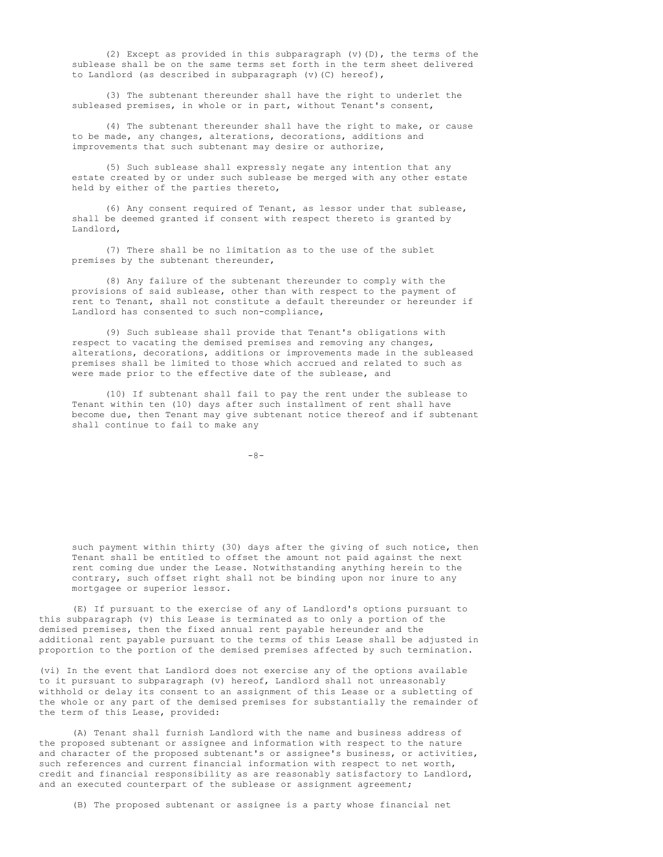(2) Except as provided in this subparagraph (v)(D), the terms of the sublease shall be on the same terms set forth in the term sheet delivered to Landlord (as described in subparagraph (v)(C) hereof),

(3) The subtenant thereunder shall have the right to underlet the subleased premises, in whole or in part, without Tenant's consent,

(4) The subtenant thereunder shall have the right to make, or cause to be made, any changes, alterations, decorations, additions and improvements that such subtenant may desire or authorize,

(5) Such sublease shall expressly negate any intention that any estate created by or under such sublease be merged with any other estate held by either of the parties thereto,

(6) Any consent required of Tenant, as lessor under that sublease, shall be deemed granted if consent with respect thereto is granted by Landlord,

(7) There shall be no limitation as to the use of the sublet premises by the subtenant thereunder,

(8) Any failure of the subtenant thereunder to comply with the provisions of said sublease, other than with respect to the payment of rent to Tenant, shall not constitute a default thereunder or hereunder if Landlord has consented to such non-compliance,

(9) Such sublease shall provide that Tenant's obligations with respect to vacating the demised premises and removing any changes, alterations, decorations, additions or improvements made in the subleased premises shall be limited to those which accrued and related to such as were made prior to the effective date of the sublease, and

(10) If subtenant shall fail to pay the rent under the sublease to Tenant within ten (10) days after such installment of rent shall have become due, then Tenant may give subtenant notice thereof and if subtenant shall continue to fail to make any

 $-8-$ 

such payment within thirty (30) days after the giving of such notice, then Tenant shall be entitled to offset the amount not paid against the next rent coming due under the Lease. Notwithstanding anything herein to the contrary, such offset right shall not be binding upon nor inure to any mortgagee or superior lessor.

(E) If pursuant to the exercise of any of Landlord's options pursuant to this subparagraph (v) this Lease is terminated as to only a portion of the demised premises, then the fixed annual rent payable hereunder and the additional rent payable pursuant to the terms of this Lease shall be adjusted in proportion to the portion of the demised premises affected by such termination.

(vi) In the event that Landlord does not exercise any of the options available to it pursuant to subparagraph (v) hereof, Landlord shall not unreasonably withhold or delay its consent to an assignment of this Lease or a subletting of the whole or any part of the demised premises for substantially the remainder of the term of this Lease, provided:

(A) Tenant shall furnish Landlord with the name and business address of the proposed subtenant or assignee and information with respect to the nature and character of the proposed subtenant's or assignee's business, or activities, such references and current financial information with respect to net worth, credit and financial responsibility as are reasonably satisfactory to Landlord, and an executed counterpart of the sublease or assignment agreement;

(B) The proposed subtenant or assignee is a party whose financial net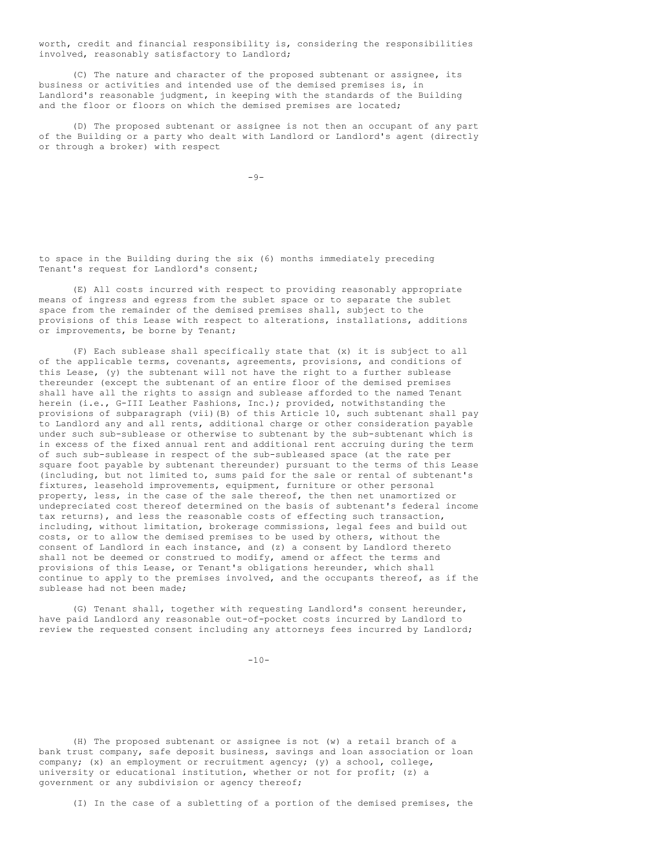worth, credit and financial responsibility is, considering the responsibilities involved, reasonably satisfactory to Landlord;

(C) The nature and character of the proposed subtenant or assignee, its business or activities and intended use of the demised premises is, in Landlord's reasonable judgment, in keeping with the standards of the Building and the floor or floors on which the demised premises are located;

(D) The proposed subtenant or assignee is not then an occupant of any part of the Building or a party who dealt with Landlord or Landlord's agent (directly or through a broker) with respect

 $-9-$ 

to space in the Building during the six (6) months immediately preceding Tenant's request for Landlord's consent;

(E) All costs incurred with respect to providing reasonably appropriate means of ingress and egress from the sublet space or to separate the sublet space from the remainder of the demised premises shall, subject to the provisions of this Lease with respect to alterations, installations, additions or improvements, be borne by Tenant;

(F) Each sublease shall specifically state that (x) it is subject to all of the applicable terms, covenants, agreements, provisions, and conditions of this Lease, (y) the subtenant will not have the right to a further sublease thereunder (except the subtenant of an entire floor of the demised premises shall have all the rights to assign and sublease afforded to the named Tenant herein (i.e., G-III Leather Fashions, Inc.); provided, notwithstanding the provisions of subparagraph (vii)(B) of this Article 10, such subtenant shall pay to Landlord any and all rents, additional charge or other consideration payable under such sub-sublease or otherwise to subtenant by the sub-subtenant which is in excess of the fixed annual rent and additional rent accruing during the term of such sub-sublease in respect of the sub-subleased space (at the rate per square foot payable by subtenant thereunder) pursuant to the terms of this Lease (including, but not limited to, sums paid for the sale or rental of subtenant's fixtures, leasehold improvements, equipment, furniture or other personal property, less, in the case of the sale thereof, the then net unamortized or undepreciated cost thereof determined on the basis of subtenant's federal income tax returns), and less the reasonable costs of effecting such transaction, including, without limitation, brokerage commissions, legal fees and build out costs, or to allow the demised premises to be used by others, without the consent of Landlord in each instance, and (z) a consent by Landlord thereto shall not be deemed or construed to modify, amend or affect the terms and provisions of this Lease, or Tenant's obligations hereunder, which shall continue to apply to the premises involved, and the occupants thereof, as if the sublease had not been made;

(G) Tenant shall, together with requesting Landlord's consent hereunder, have paid Landlord any reasonable out-of-pocket costs incurred by Landlord to review the requested consent including any attorneys fees incurred by Landlord;

 $-10-$ 

(H) The proposed subtenant or assignee is not (w) a retail branch of a bank trust company, safe deposit business, savings and loan association or loan company; (x) an employment or recruitment agency; (y) a school, college, university or educational institution, whether or not for profit; (z) a government or any subdivision or agency thereof;

(I) In the case of a subletting of a portion of the demised premises, the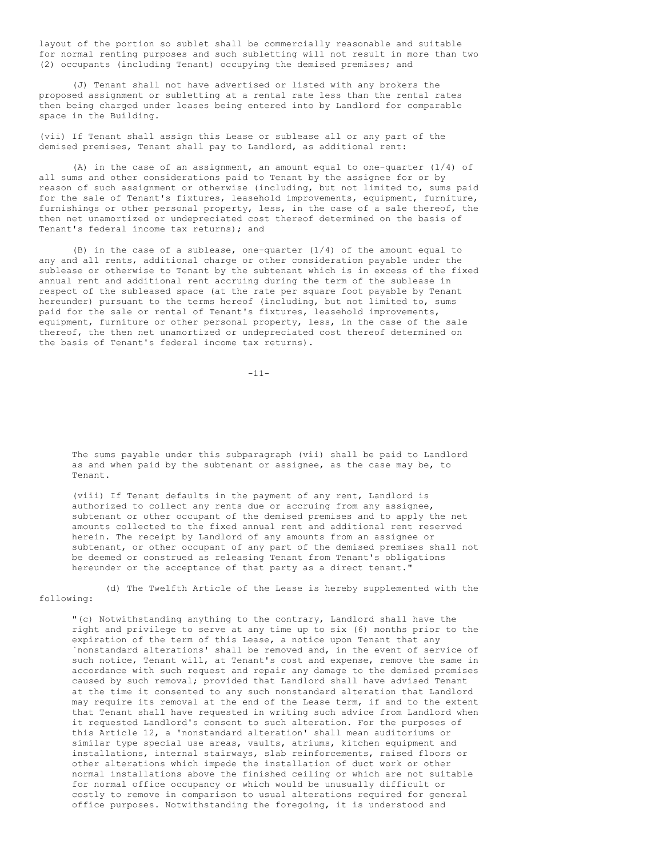layout of the portion so sublet shall be commercially reasonable and suitable for normal renting purposes and such subletting will not result in more than two (2) occupants (including Tenant) occupying the demised premises; and

(J) Tenant shall not have advertised or listed with any brokers the proposed assignment or subletting at a rental rate less than the rental rates then being charged under leases being entered into by Landlord for comparable space in the Building.

(vii) If Tenant shall assign this Lease or sublease all or any part of the demised premises, Tenant shall pay to Landlord, as additional rent:

(A) in the case of an assignment, an amount equal to one-quarter (1/4) of all sums and other considerations paid to Tenant by the assignee for or by reason of such assignment or otherwise (including, but not limited to, sums paid for the sale of Tenant's fixtures, leasehold improvements, equipment, furniture, furnishings or other personal property, less, in the case of a sale thereof, the then net unamortized or undepreciated cost thereof determined on the basis of Tenant's federal income tax returns); and

(B) in the case of a sublease, one-quarter (1/4) of the amount equal to any and all rents, additional charge or other consideration payable under the sublease or otherwise to Tenant by the subtenant which is in excess of the fixed annual rent and additional rent accruing during the term of the sublease in respect of the subleased space (at the rate per square foot payable by Tenant hereunder) pursuant to the terms hereof (including, but not limited to, sums paid for the sale or rental of Tenant's fixtures, leasehold improvements, equipment, furniture or other personal property, less, in the case of the sale thereof, the then net unamortized or undepreciated cost thereof determined on the basis of Tenant's federal income tax returns).

-11-

The sums payable under this subparagraph (vii) shall be paid to Landlord as and when paid by the subtenant or assignee, as the case may be, to Tenant.

(viii) If Tenant defaults in the payment of any rent, Landlord is authorized to collect any rents due or accruing from any assignee, subtenant or other occupant of the demised premises and to apply the net amounts collected to the fixed annual rent and additional rent reserved herein. The receipt by Landlord of any amounts from an assignee or subtenant, or other occupant of any part of the demised premises shall not be deemed or construed as releasing Tenant from Tenant's obligations hereunder or the acceptance of that party as a direct tenant."

(d) The Twelfth Article of the Lease is hereby supplemented with the following:

"(c) Notwithstanding anything to the contrary, Landlord shall have the right and privilege to serve at any time up to six (6) months prior to the expiration of the term of this Lease, a notice upon Tenant that any `nonstandard alterations' shall be removed and, in the event of service of such notice, Tenant will, at Tenant's cost and expense, remove the same in accordance with such request and repair any damage to the demised premises caused by such removal; provided that Landlord shall have advised Tenant at the time it consented to any such nonstandard alteration that Landlord may require its removal at the end of the Lease term, if and to the extent that Tenant shall have requested in writing such advice from Landlord when it requested Landlord's consent to such alteration. For the purposes of this Article 12, a 'nonstandard alteration' shall mean auditoriums or similar type special use areas, vaults, atriums, kitchen equipment and installations, internal stairways, slab reinforcements, raised floors or other alterations which impede the installation of duct work or other normal installations above the finished ceiling or which are not suitable for normal office occupancy or which would be unusually difficult or costly to remove in comparison to usual alterations required for general office purposes. Notwithstanding the foregoing, it is understood and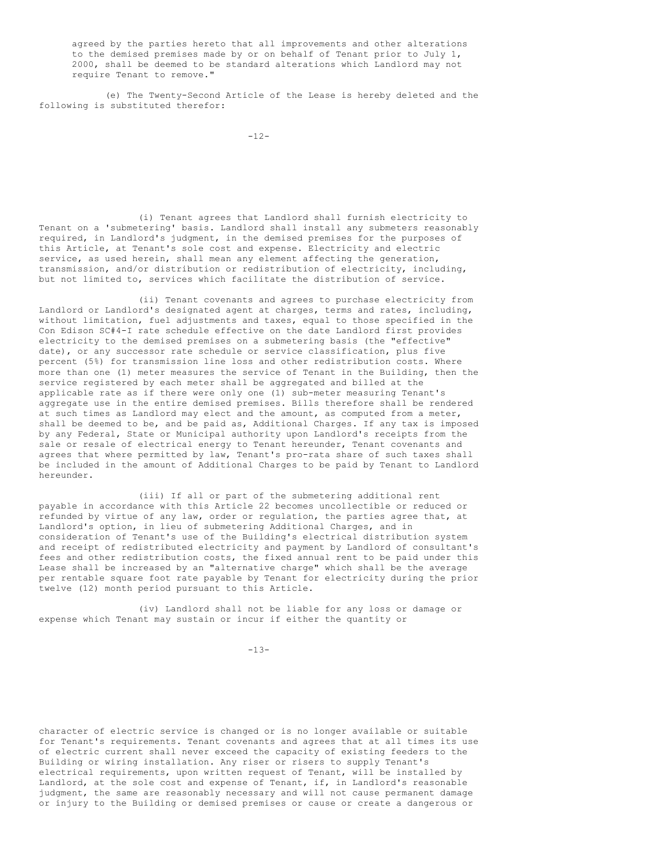agreed by the parties hereto that all improvements and other alterations to the demised premises made by or on behalf of Tenant prior to July 1, 2000, shall be deemed to be standard alterations which Landlord may not require Tenant to remove."

(e) The Twenty-Second Article of the Lease is hereby deleted and the following is substituted therefor:

-12-

(i) Tenant agrees that Landlord shall furnish electricity to Tenant on a 'submetering' basis. Landlord shall install any submeters reasonably required, in Landlord's judgment, in the demised premises for the purposes of this Article, at Tenant's sole cost and expense. Electricity and electric service, as used herein, shall mean any element affecting the generation, transmission, and/or distribution or redistribution of electricity, including, but not limited to, services which facilitate the distribution of service.

(ii) Tenant covenants and agrees to purchase electricity from Landlord or Landlord's designated agent at charges, terms and rates, including, without limitation, fuel adjustments and taxes, equal to those specified in the Con Edison SC#4-I rate schedule effective on the date Landlord first provides electricity to the demised premises on a submetering basis (the "effective" date), or any successor rate schedule or service classification, plus five percent (5%) for transmission line loss and other redistribution costs. Where more than one (1) meter measures the service of Tenant in the Building, then the service registered by each meter shall be aggregated and billed at the applicable rate as if there were only one (1) sub-meter measuring Tenant's aggregate use in the entire demised premises. Bills therefore shall be rendered at such times as Landlord may elect and the amount, as computed from a meter, shall be deemed to be, and be paid as, Additional Charges. If any tax is imposed by any Federal, State or Municipal authority upon Landlord's receipts from the sale or resale of electrical energy to Tenant hereunder, Tenant covenants and agrees that where permitted by law, Tenant's pro-rata share of such taxes shall be included in the amount of Additional Charges to be paid by Tenant to Landlord hereunder.

(iii) If all or part of the submetering additional rent payable in accordance with this Article 22 becomes uncollectible or reduced or refunded by virtue of any law, order or regulation, the parties agree that, at Landlord's option, in lieu of submetering Additional Charges, and in consideration of Tenant's use of the Building's electrical distribution system and receipt of redistributed electricity and payment by Landlord of consultant's fees and other redistribution costs, the fixed annual rent to be paid under this Lease shall be increased by an "alternative charge" which shall be the average per rentable square foot rate payable by Tenant for electricity during the prior twelve (12) month period pursuant to this Article.

(iv) Landlord shall not be liable for any loss or damage or expense which Tenant may sustain or incur if either the quantity or

-13-

character of electric service is changed or is no longer available or suitable for Tenant's requirements. Tenant covenants and agrees that at all times its use of electric current shall never exceed the capacity of existing feeders to the Building or wiring installation. Any riser or risers to supply Tenant's electrical requirements, upon written request of Tenant, will be installed by Landlord, at the sole cost and expense of Tenant, if, in Landlord's reasonable judgment, the same are reasonably necessary and will not cause permanent damage or injury to the Building or demised premises or cause or create a dangerous or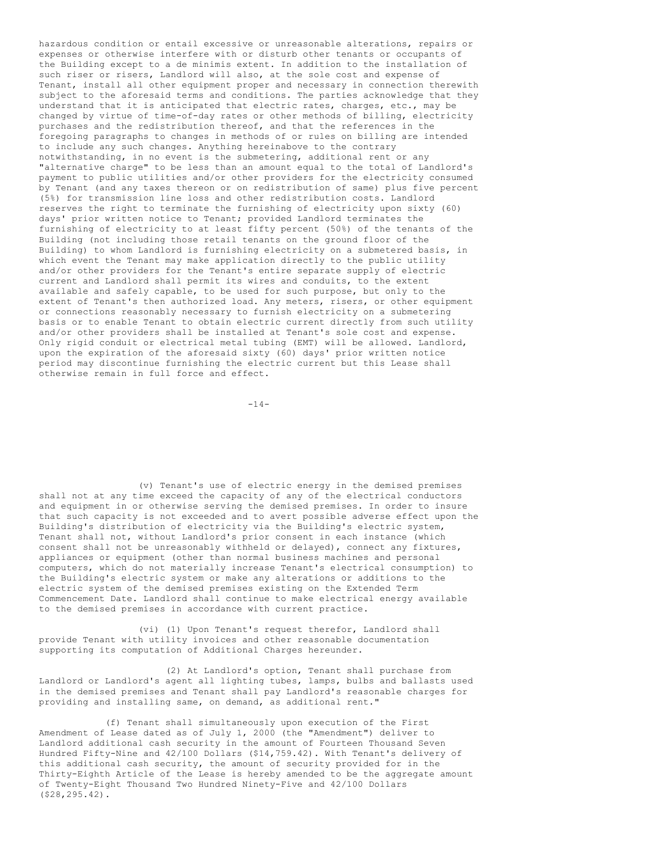hazardous condition or entail excessive or unreasonable alterations, repairs or expenses or otherwise interfere with or disturb other tenants or occupants of the Building except to a de minimis extent. In addition to the installation of such riser or risers, Landlord will also, at the sole cost and expense of Tenant, install all other equipment proper and necessary in connection therewith subject to the aforesaid terms and conditions. The parties acknowledge that they understand that it is anticipated that electric rates, charges, etc., may be changed by virtue of time-of-day rates or other methods of billing, electricity purchases and the redistribution thereof, and that the references in the foregoing paragraphs to changes in methods of or rules on billing are intended to include any such changes. Anything hereinabove to the contrary notwithstanding, in no event is the submetering, additional rent or any "alternative charge" to be less than an amount equal to the total of Landlord's payment to public utilities and/or other providers for the electricity consumed by Tenant (and any taxes thereon or on redistribution of same) plus five percent (5%) for transmission line loss and other redistribution costs. Landlord reserves the right to terminate the furnishing of electricity upon sixty (60) days' prior written notice to Tenant; provided Landlord terminates the furnishing of electricity to at least fifty percent (50%) of the tenants of the Building (not including those retail tenants on the ground floor of the Building) to whom Landlord is furnishing electricity on a submetered basis, in which event the Tenant may make application directly to the public utility and/or other providers for the Tenant's entire separate supply of electric current and Landlord shall permit its wires and conduits, to the extent available and safely capable, to be used for such purpose, but only to the extent of Tenant's then authorized load. Any meters, risers, or other equipment or connections reasonably necessary to furnish electricity on a submetering basis or to enable Tenant to obtain electric current directly from such utility and/or other providers shall be installed at Tenant's sole cost and expense. Only rigid conduit or electrical metal tubing (EMT) will be allowed. Landlord, upon the expiration of the aforesaid sixty (60) days' prior written notice period may discontinue furnishing the electric current but this Lease shall otherwise remain in full force and effect.

-14-

(v) Tenant's use of electric energy in the demised premises shall not at any time exceed the capacity of any of the electrical conductors and equipment in or otherwise serving the demised premises. In order to insure that such capacity is not exceeded and to avert possible adverse effect upon the Building's distribution of electricity via the Building's electric system, Tenant shall not, without Landlord's prior consent in each instance (which consent shall not be unreasonably withheld or delayed), connect any fixtures, appliances or equipment (other than normal business machines and personal computers, which do not materially increase Tenant's electrical consumption) to the Building's electric system or make any alterations or additions to the electric system of the demised premises existing on the Extended Term Commencement Date. Landlord shall continue to make electrical energy available to the demised premises in accordance with current practice.

(vi) (1) Upon Tenant's request therefor, Landlord shall provide Tenant with utility invoices and other reasonable documentation supporting its computation of Additional Charges hereunder.

(2) At Landlord's option, Tenant shall purchase from Landlord or Landlord's agent all lighting tubes, lamps, bulbs and ballasts used in the demised premises and Tenant shall pay Landlord's reasonable charges for providing and installing same, on demand, as additional rent."

(f) Tenant shall simultaneously upon execution of the First Amendment of Lease dated as of July 1, 2000 (the "Amendment") deliver to Landlord additional cash security in the amount of Fourteen Thousand Seven Hundred Fifty-Nine and 42/100 Dollars (\$14,759.42). With Tenant's delivery of this additional cash security, the amount of security provided for in the Thirty-Eighth Article of the Lease is hereby amended to be the aggregate amount of Twenty-Eight Thousand Two Hundred Ninety-Five and 42/100 Dollars (\$28,295.42).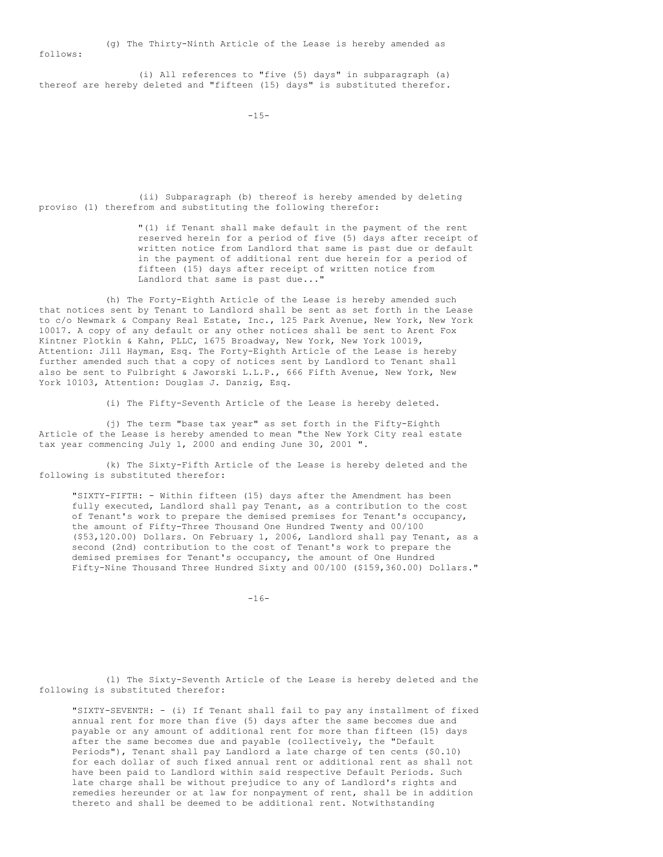(g) The Thirty-Ninth Article of the Lease is hereby amended as

follows:

(i) All references to "five (5) days" in subparagraph (a) thereof are hereby deleted and "fifteen (15) days" is substituted therefor.

 $-15-$ 

(ii) Subparagraph (b) thereof is hereby amended by deleting proviso (1) therefrom and substituting the following therefor:

> "(1) if Tenant shall make default in the payment of the rent reserved herein for a period of five (5) days after receipt of written notice from Landlord that same is past due or default in the payment of additional rent due herein for a period of fifteen (15) days after receipt of written notice from Landlord that same is past due..."

(h) The Forty-Eighth Article of the Lease is hereby amended such that notices sent by Tenant to Landlord shall be sent as set forth in the Lease to c/o Newmark & Company Real Estate, Inc., 125 Park Avenue, New York, New York 10017. A copy of any default or any other notices shall be sent to Arent Fox Kintner Plotkin & Kahn, PLLC, 1675 Broadway, New York, New York 10019, Attention: Jill Hayman, Esq. The Forty-Eighth Article of the Lease is hereby further amended such that a copy of notices sent by Landlord to Tenant shall also be sent to Fulbright & Jaworski L.L.P., 666 Fifth Avenue, New York, New York 10103, Attention: Douglas J. Danzig, Esq.

(i) The Fifty-Seventh Article of the Lease is hereby deleted.

(j) The term "base tax year" as set forth in the Fifty-Eighth Article of the Lease is hereby amended to mean "the New York City real estate tax year commencing July 1, 2000 and ending June 30, 2001 ".

(k) The Sixty-Fifth Article of the Lease is hereby deleted and the following is substituted therefor:

"SIXTY-FIFTH: - Within fifteen (15) days after the Amendment has been fully executed, Landlord shall pay Tenant, as a contribution to the cost of Tenant's work to prepare the demised premises for Tenant's occupancy, the amount of Fifty-Three Thousand One Hundred Twenty and 00/100 (\$53,120.00) Dollars. On February 1, 2006, Landlord shall pay Tenant, as a second (2nd) contribution to the cost of Tenant's work to prepare the demised premises for Tenant's occupancy, the amount of One Hundred Fifty-Nine Thousand Three Hundred Sixty and 00/100 (\$159,360.00) Dollars."

 $-16-$ 

(l) The Sixty-Seventh Article of the Lease is hereby deleted and the following is substituted therefor:

"SIXTY-SEVENTH: - (i) If Tenant shall fail to pay any installment of fixed annual rent for more than five (5) days after the same becomes due and payable or any amount of additional rent for more than fifteen (15) days after the same becomes due and payable (collectively, the "Default Periods"), Tenant shall pay Landlord a late charge of ten cents (\$0.10) for each dollar of such fixed annual rent or additional rent as shall not have been paid to Landlord within said respective Default Periods. Such late charge shall be without prejudice to any of Landlord's rights and remedies hereunder or at law for nonpayment of rent, shall be in addition thereto and shall be deemed to be additional rent. Notwithstanding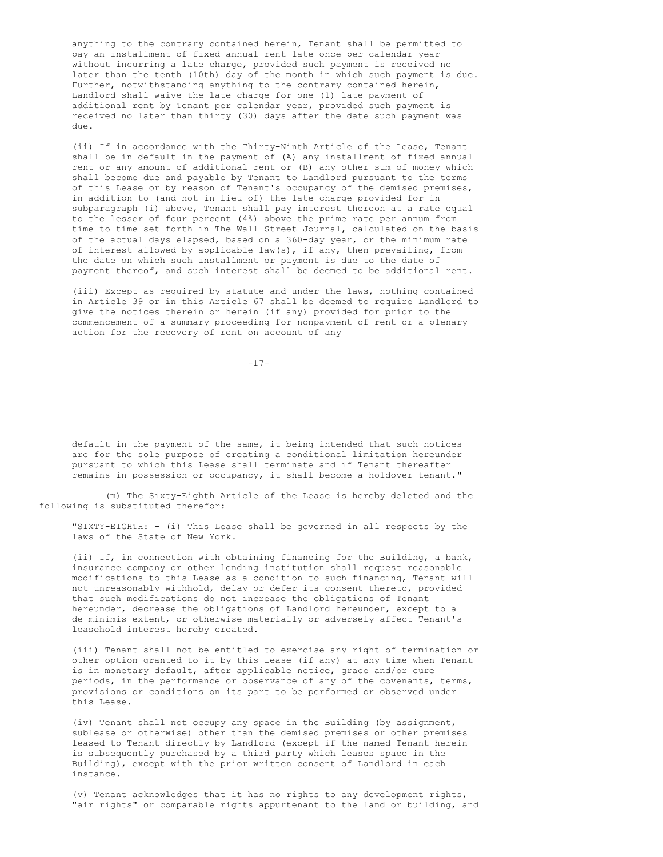anything to the contrary contained herein, Tenant shall be permitted to pay an installment of fixed annual rent late once per calendar year without incurring a late charge, provided such payment is received no later than the tenth (10th) day of the month in which such payment is due. Further, notwithstanding anything to the contrary contained herein, Landlord shall waive the late charge for one (1) late payment of additional rent by Tenant per calendar year, provided such payment is received no later than thirty (30) days after the date such payment was due.

(ii) If in accordance with the Thirty-Ninth Article of the Lease, Tenant shall be in default in the payment of (A) any installment of fixed annual rent or any amount of additional rent or (B) any other sum of money which shall become due and payable by Tenant to Landlord pursuant to the terms of this Lease or by reason of Tenant's occupancy of the demised premises, in addition to (and not in lieu of) the late charge provided for in subparagraph (i) above, Tenant shall pay interest thereon at a rate equal to the lesser of four percent (4%) above the prime rate per annum from time to time set forth in The Wall Street Journal, calculated on the basis of the actual days elapsed, based on a 360-day year, or the minimum rate of interest allowed by applicable law(s), if any, then prevailing, from the date on which such installment or payment is due to the date of payment thereof, and such interest shall be deemed to be additional rent.

(iii) Except as required by statute and under the laws, nothing contained in Article 39 or in this Article 67 shall be deemed to require Landlord to give the notices therein or herein (if any) provided for prior to the commencement of a summary proceeding for nonpayment of rent or a plenary action for the recovery of rent on account of any

 $-17-$ 

default in the payment of the same, it being intended that such notices are for the sole purpose of creating a conditional limitation hereunder pursuant to which this Lease shall terminate and if Tenant thereafter remains in possession or occupancy, it shall become a holdover tenant."

(m) The Sixty-Eighth Article of the Lease is hereby deleted and the following is substituted therefor:

"SIXTY-EIGHTH: - (i) This Lease shall be governed in all respects by the laws of the State of New York.

(ii) If, in connection with obtaining financing for the Building, a bank, insurance company or other lending institution shall request reasonable modifications to this Lease as a condition to such financing, Tenant will not unreasonably withhold, delay or defer its consent thereto, provided that such modifications do not increase the obligations of Tenant hereunder, decrease the obligations of Landlord hereunder, except to a de minimis extent, or otherwise materially or adversely affect Tenant's leasehold interest hereby created.

(iii) Tenant shall not be entitled to exercise any right of termination or other option granted to it by this Lease (if any) at any time when Tenant is in monetary default, after applicable notice, grace and/or cure periods, in the performance or observance of any of the covenants, terms, provisions or conditions on its part to be performed or observed under this Lease.

(iv) Tenant shall not occupy any space in the Building (by assignment, sublease or otherwise) other than the demised premises or other premises leased to Tenant directly by Landlord (except if the named Tenant herein is subsequently purchased by a third party which leases space in the Building), except with the prior written consent of Landlord in each instance.

(v) Tenant acknowledges that it has no rights to any development rights, "air rights" or comparable rights appurtenant to the land or building, and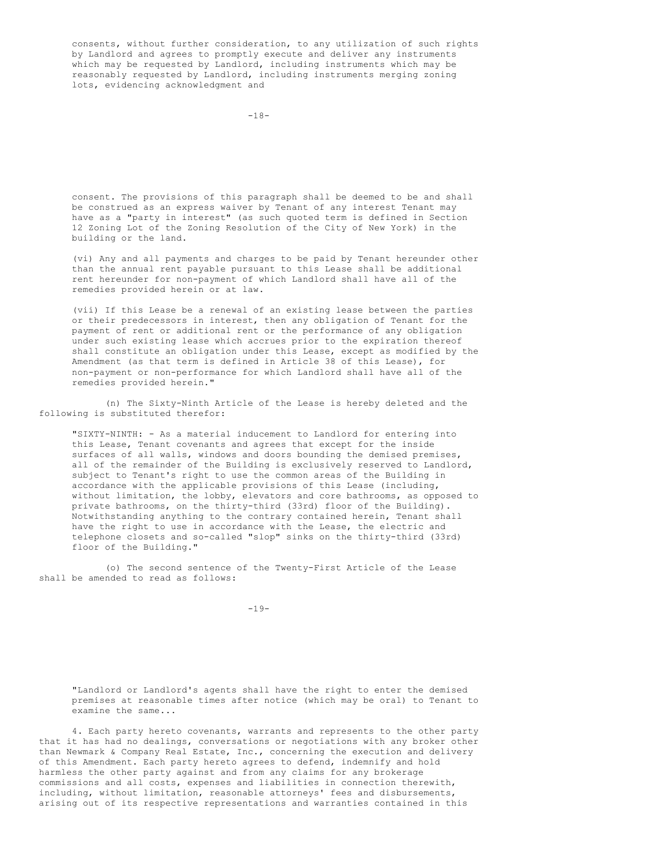consents, without further consideration, to any utilization of such rights by Landlord and agrees to promptly execute and deliver any instruments which may be requested by Landlord, including instruments which may be reasonably requested by Landlord, including instruments merging zoning lots, evidencing acknowledgment and

```
-18-
```
consent. The provisions of this paragraph shall be deemed to be and shall be construed as an express waiver by Tenant of any interest Tenant may have as a "party in interest" (as such quoted term is defined in Section 12 Zoning Lot of the Zoning Resolution of the City of New York) in the building or the land.

(vi) Any and all payments and charges to be paid by Tenant hereunder other than the annual rent payable pursuant to this Lease shall be additional rent hereunder for non-payment of which Landlord shall have all of the remedies provided herein or at law.

(vii) If this Lease be a renewal of an existing lease between the parties or their predecessors in interest, then any obligation of Tenant for the payment of rent or additional rent or the performance of any obligation under such existing lease which accrues prior to the expiration thereof shall constitute an obligation under this Lease, except as modified by the Amendment (as that term is defined in Article 38 of this Lease), for non-payment or non-performance for which Landlord shall have all of the remedies provided herein."

(n) The Sixty-Ninth Article of the Lease is hereby deleted and the following is substituted therefor:

"SIXTY-NINTH: - As a material inducement to Landlord for entering into this Lease, Tenant covenants and agrees that except for the inside surfaces of all walls, windows and doors bounding the demised premises, all of the remainder of the Building is exclusively reserved to Landlord, subject to Tenant's right to use the common areas of the Building in accordance with the applicable provisions of this Lease (including, without limitation, the lobby, elevators and core bathrooms, as opposed to private bathrooms, on the thirty-third (33rd) floor of the Building). Notwithstanding anything to the contrary contained herein, Tenant shall have the right to use in accordance with the Lease, the electric and telephone closets and so-called "slop" sinks on the thirty-third (33rd) floor of the Building."

(o) The second sentence of the Twenty-First Article of the Lease shall be amended to read as follows:

 $-19-$ 

"Landlord or Landlord's agents shall have the right to enter the demised premises at reasonable times after notice (which may be oral) to Tenant to examine the same...

4. Each party hereto covenants, warrants and represents to the other party that it has had no dealings, conversations or negotiations with any broker other than Newmark & Company Real Estate, Inc., concerning the execution and delivery of this Amendment. Each party hereto agrees to defend, indemnify and hold harmless the other party against and from any claims for any brokerage commissions and all costs, expenses and liabilities in connection therewith, including, without limitation, reasonable attorneys' fees and disbursements, arising out of its respective representations and warranties contained in this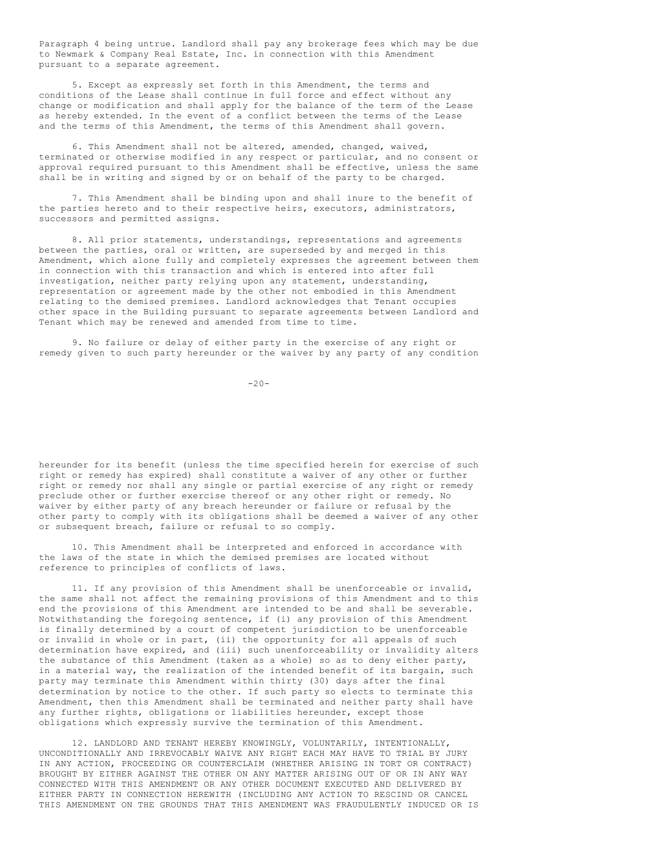Paragraph 4 being untrue. Landlord shall pay any brokerage fees which may be due to Newmark & Company Real Estate, Inc. in connection with this Amendment pursuant to a separate agreement.

5. Except as expressly set forth in this Amendment, the terms and conditions of the Lease shall continue in full force and effect without any change or modification and shall apply for the balance of the term of the Lease as hereby extended. In the event of a conflict between the terms of the Lease and the terms of this Amendment, the terms of this Amendment shall govern.

6. This Amendment shall not be altered, amended, changed, waived, terminated or otherwise modified in any respect or particular, and no consent or approval required pursuant to this Amendment shall be effective, unless the same shall be in writing and signed by or on behalf of the party to be charged.

7. This Amendment shall be binding upon and shall inure to the benefit of the parties hereto and to their respective heirs, executors, administrators, successors and permitted assigns.

8. All prior statements, understandings, representations and agreements between the parties, oral or written, are superseded by and merged in this Amendment, which alone fully and completely expresses the agreement between them in connection with this transaction and which is entered into after full investigation, neither party relying upon any statement, understanding, representation or agreement made by the other not embodied in this Amendment relating to the demised premises. Landlord acknowledges that Tenant occupies other space in the Building pursuant to separate agreements between Landlord and Tenant which may be renewed and amended from time to time.

9. No failure or delay of either party in the exercise of any right or remedy given to such party hereunder or the waiver by any party of any condition

 $-20-$ 

hereunder for its benefit (unless the time specified herein for exercise of such right or remedy has expired) shall constitute a waiver of any other or further right or remedy nor shall any single or partial exercise of any right or remedy preclude other or further exercise thereof or any other right or remedy. No waiver by either party of any breach hereunder or failure or refusal by the other party to comply with its obligations shall be deemed a waiver of any other or subsequent breach, failure or refusal to so comply.

10. This Amendment shall be interpreted and enforced in accordance with the laws of the state in which the demised premises are located without reference to principles of conflicts of laws.

11. If any provision of this Amendment shall be unenforceable or invalid, the same shall not affect the remaining provisions of this Amendment and to this end the provisions of this Amendment are intended to be and shall be severable. Notwithstanding the foregoing sentence, if (i) any provision of this Amendment is finally determined by a court of competent jurisdiction to be unenforceable or invalid in whole or in part, (ii) the opportunity for all appeals of such determination have expired, and (iii) such unenforceability or invalidity alters the substance of this Amendment (taken as a whole) so as to deny either party, in a material way, the realization of the intended benefit of its bargain, such party may terminate this Amendment within thirty (30) days after the final determination by notice to the other. If such party so elects to terminate this Amendment, then this Amendment shall be terminated and neither party shall have any further rights, obligations or liabilities hereunder, except those obligations which expressly survive the termination of this Amendment.

12. LANDLORD AND TENANT HEREBY KNOWINGLY, VOLUNTARILY, INTENTIONALLY, UNCONDITIONALLY AND IRREVOCABLY WAIVE ANY RIGHT EACH MAY HAVE TO TRIAL BY JURY IN ANY ACTION, PROCEEDING OR COUNTERCLAIM (WHETHER ARISING IN TORT OR CONTRACT) BROUGHT BY EITHER AGAINST THE OTHER ON ANY MATTER ARISING OUT OF OR IN ANY WAY CONNECTED WITH THIS AMENDMENT OR ANY OTHER DOCUMENT EXECUTED AND DELIVERED BY EITHER PARTY IN CONNECTION HEREWITH (INCLUDING ANY ACTION TO RESCIND OR CANCEL THIS AMENDMENT ON THE GROUNDS THAT THIS AMENDMENT WAS FRAUDULENTLY INDUCED OR IS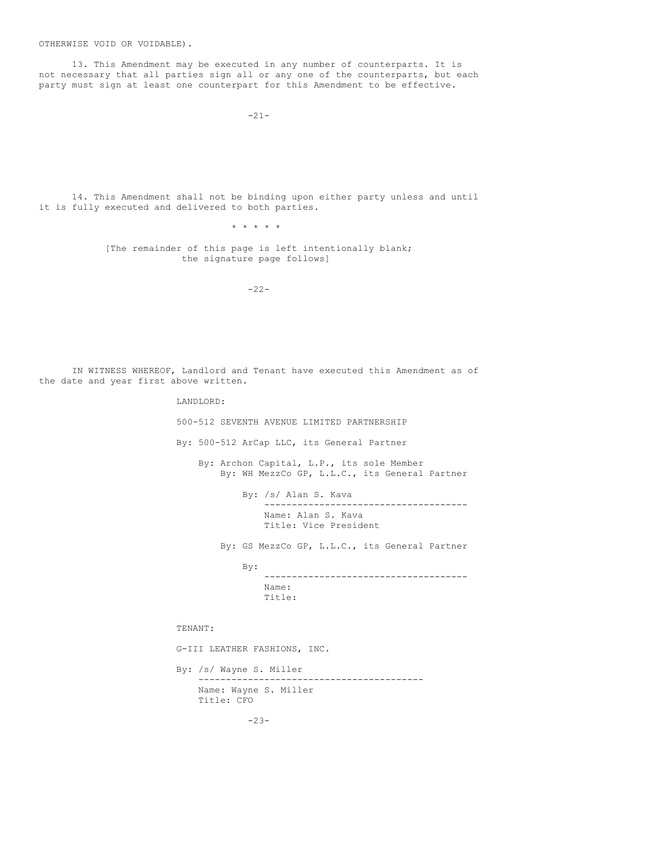13. This Amendment may be executed in any number of counterparts. It is not necessary that all parties sign all or any one of the counterparts, but each party must sign at least one counterpart for this Amendment to be effective.

```
-21-
```
14. This Amendment shall not be binding upon either party unless and until it is fully executed and delivered to both parties.

\* \* \* \* \*

[The remainder of this page is left intentionally blank; the signature page follows]

 $-22-$ 

IN WITNESS WHEREOF, Landlord and Tenant have executed this Amendment as of the date and year first above written.

LANDLORD:

500-512 SEVENTH AVENUE LIMITED PARTNERSHIP

By: 500-512 ArCap LLC, its General Partner

By: Archon Capital, L.P., its sole Member By: WH MezzCo GP, L.L.C., its General Partner

> By: /s/ Alan S. Kava ------------------------------------- Name: Alan S. Kava Title: Vice President

By: GS MezzCo GP, L.L.C., its General Partner

By:

------------------------------------- Name: Title:

TENANT:

G-III LEATHER FASHIONS, INC. By: /s/ Wayne S. Miller ----------------------------------------- Name: Wayne S. Miller Title: CFO

 $-23-$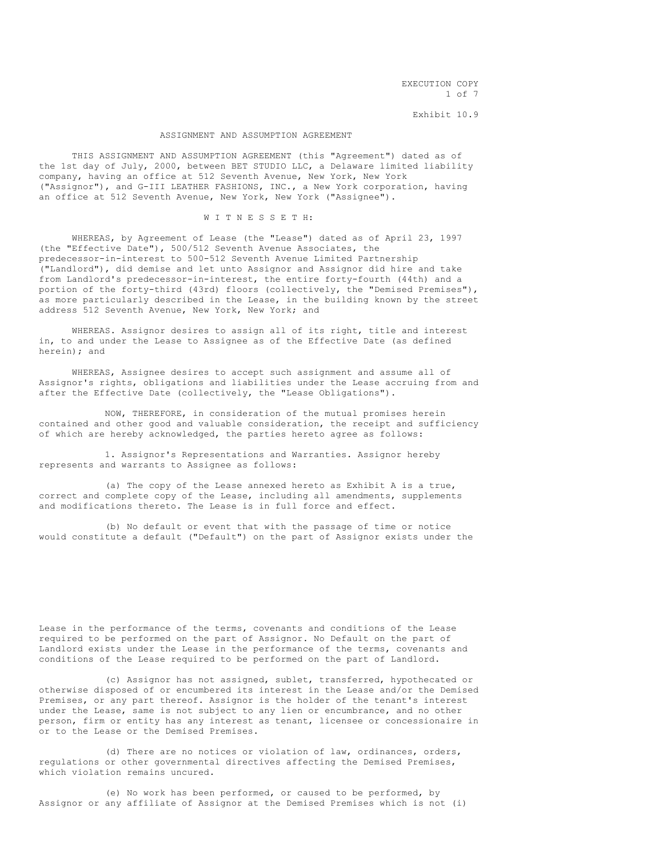Exhibit 10.9

## ASSIGNMENT AND ASSUMPTION AGREEMENT

THIS ASSIGNMENT AND ASSUMPTION AGREEMENT (this "Agreement") dated as of the 1st day of July, 2000, between BET STUDIO LLC, a Delaware limited liability company, having an office at 512 Seventh Avenue, New York, New York ("Assignor"), and G-III LEATHER FASHIONS, INC., a New York corporation, having an office at 512 Seventh Avenue, New York, New York ("Assignee").

## W I T N E S S E T H:

WHEREAS, by Agreement of Lease (the "Lease") dated as of April 23, 1997 (the "Effective Date"), 500/512 Seventh Avenue Associates, the predecessor-in-interest to 500-512 Seventh Avenue Limited Partnership ("Landlord"), did demise and let unto Assignor and Assignor did hire and take from Landlord's predecessor-in-interest, the entire forty-fourth (44th) and a portion of the forty-third (43rd) floors (collectively, the "Demised Premises"), as more particularly described in the Lease, in the building known by the street address 512 Seventh Avenue, New York, New York; and

WHEREAS. Assignor desires to assign all of its right, title and interest in, to and under the Lease to Assignee as of the Effective Date (as defined herein); and

WHEREAS, Assignee desires to accept such assignment and assume all of Assignor's rights, obligations and liabilities under the Lease accruing from and after the Effective Date (collectively, the "Lease Obligations").

NOW, THEREFORE, in consideration of the mutual promises herein contained and other good and valuable consideration, the receipt and sufficiency of which are hereby acknowledged, the parties hereto agree as follows:

1. Assignor's Representations and Warranties. Assignor hereby represents and warrants to Assignee as follows:

(a) The copy of the Lease annexed hereto as Exhibit A is a true, correct and complete copy of the Lease, including all amendments, supplements and modifications thereto. The Lease is in full force and effect.

(b) No default or event that with the passage of time or notice would constitute a default ("Default") on the part of Assignor exists under the

Lease in the performance of the terms, covenants and conditions of the Lease required to be performed on the part of Assignor. No Default on the part of Landlord exists under the Lease in the performance of the terms, covenants and conditions of the Lease required to be performed on the part of Landlord.

(c) Assignor has not assigned, sublet, transferred, hypothecated or otherwise disposed of or encumbered its interest in the Lease and/or the Demised Premises, or any part thereof. Assignor is the holder of the tenant's interest under the Lease, same is not subject to any lien or encumbrance, and no other person, firm or entity has any interest as tenant, licensee or concessionaire in or to the Lease or the Demised Premises.

(d) There are no notices or violation of law, ordinances, orders, regulations or other governmental directives affecting the Demised Premises, which violation remains uncured.

(e) No work has been performed, or caused to be performed, by Assignor or any affiliate of Assignor at the Demised Premises which is not (i)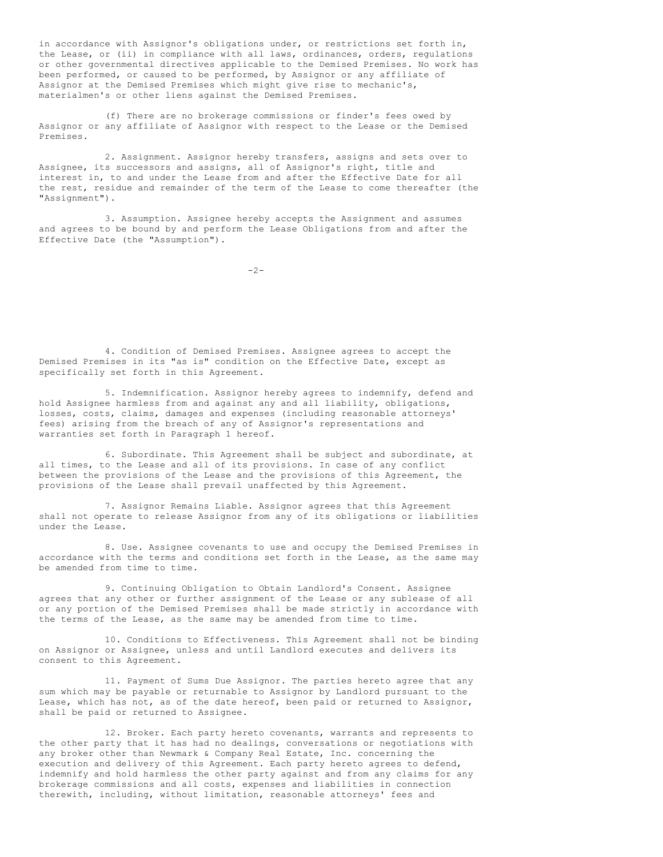in accordance with Assignor's obligations under, or restrictions set forth in, the Lease, or (ii) in compliance with all laws, ordinances, orders, regulations or other governmental directives applicable to the Demised Premises. No work has been performed, or caused to be performed, by Assignor or any affiliate of Assignor at the Demised Premises which might give rise to mechanic's, materialmen's or other liens against the Demised Premises.

(f) There are no brokerage commissions or finder's fees owed by Assignor or any affiliate of Assignor with respect to the Lease or the Demised Premises.

2. Assignment. Assignor hereby transfers, assigns and sets over to Assignee, its successors and assigns, all of Assignor's right, title and interest in, to and under the Lease from and after the Effective Date for all the rest, residue and remainder of the term of the Lease to come thereafter (the "Assignment").

3. Assumption. Assignee hereby accepts the Assignment and assumes and agrees to be bound by and perform the Lease Obligations from and after the Effective Date (the "Assumption").

 $-2-$ 

4. Condition of Demised Premises. Assignee agrees to accept the Demised Premises in its "as is" condition on the Effective Date, except as specifically set forth in this Agreement.

5. Indemnification. Assignor hereby agrees to indemnify, defend and hold Assignee harmless from and against any and all liability, obligations, losses, costs, claims, damages and expenses (including reasonable attorneys' fees) arising from the breach of any of Assignor's representations and warranties set forth in Paragraph 1 hereof.

6. Subordinate. This Agreement shall be subject and subordinate, at all times, to the Lease and all of its provisions. In case of any conflict between the provisions of the Lease and the provisions of this Agreement, the provisions of the Lease shall prevail unaffected by this Agreement.

7. Assignor Remains Liable. Assignor agrees that this Agreement shall not operate to release Assignor from any of its obligations or liabilities under the Lease.

8. Use. Assignee covenants to use and occupy the Demised Premises in accordance with the terms and conditions set forth in the Lease, as the same may be amended from time to time.

9. Continuing Obligation to Obtain Landlord's Consent. Assignee agrees that any other or further assignment of the Lease or any sublease of all or any portion of the Demised Premises shall be made strictly in accordance with the terms of the Lease, as the same may be amended from time to time.

10. Conditions to Effectiveness. This Agreement shall not be binding on Assignor or Assignee, unless and until Landlord executes and delivers its consent to this Agreement.

11. Payment of Sums Due Assignor. The parties hereto agree that any sum which may be payable or returnable to Assignor by Landlord pursuant to the Lease, which has not, as of the date hereof, been paid or returned to Assignor, shall be paid or returned to Assignee.

12. Broker. Each party hereto covenants, warrants and represents to the other party that it has had no dealings, conversations or negotiations with any broker other than Newmark & Company Real Estate, Inc. concerning the execution and delivery of this Agreement. Each party hereto agrees to defend, indemnify and hold harmless the other party against and from any claims for any brokerage commissions and all costs, expenses and liabilities in connection therewith, including, without limitation, reasonable attorneys' fees and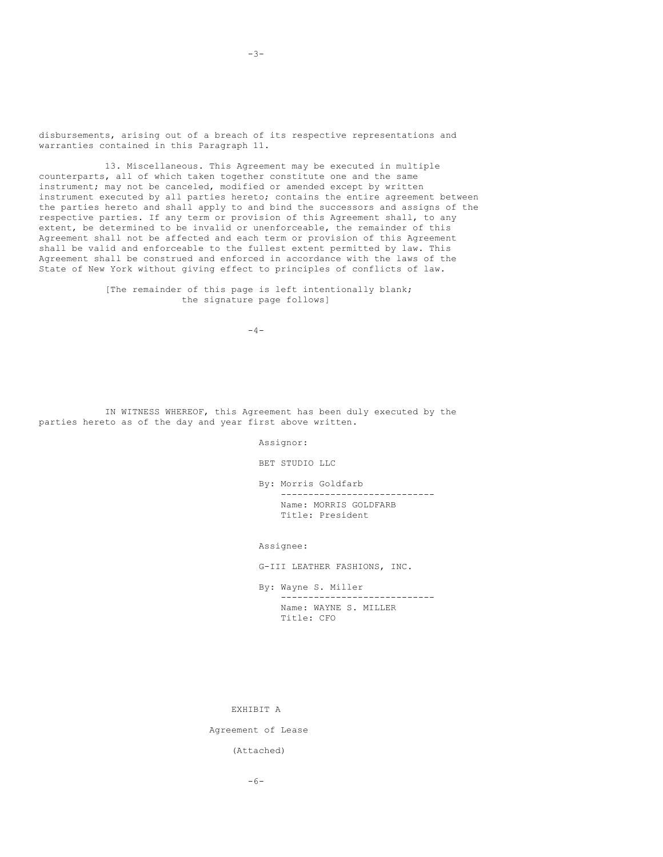disbursements, arising out of a breach of its respective representations and warranties contained in this Paragraph 11.

13. Miscellaneous. This Agreement may be executed in multiple counterparts, all of which taken together constitute one and the same instrument; may not be canceled, modified or amended except by written instrument executed by all parties hereto; contains the entire agreement between the parties hereto and shall apply to and bind the successors and assigns of the respective parties. If any term or provision of this Agreement shall, to any extent, be determined to be invalid or unenforceable, the remainder of this Agreement shall not be affected and each term or provision of this Agreement shall be valid and enforceable to the fullest extent permitted by law. This Agreement shall be construed and enforced in accordance with the laws of the State of New York without giving effect to principles of conflicts of law.

> [The remainder of this page is left intentionally blank; the signature page follows]

> > $-4-$

IN WITNESS WHEREOF, this Agreement has been duly executed by the parties hereto as of the day and year first above written.

## Assignor:

BET STUDIO LLC

By: Morris Goldfarb ---------------------------- Name: MORRIS GOLDFARB Title: President

Assignee:

G-III LEATHER FASHIONS, INC.

By: Wayne S. Miller ---------------------------- Name: WAYNE S. MILLER Title: CFO

EXHIBIT A Agreement of Lease (Attached)

-3-

-6-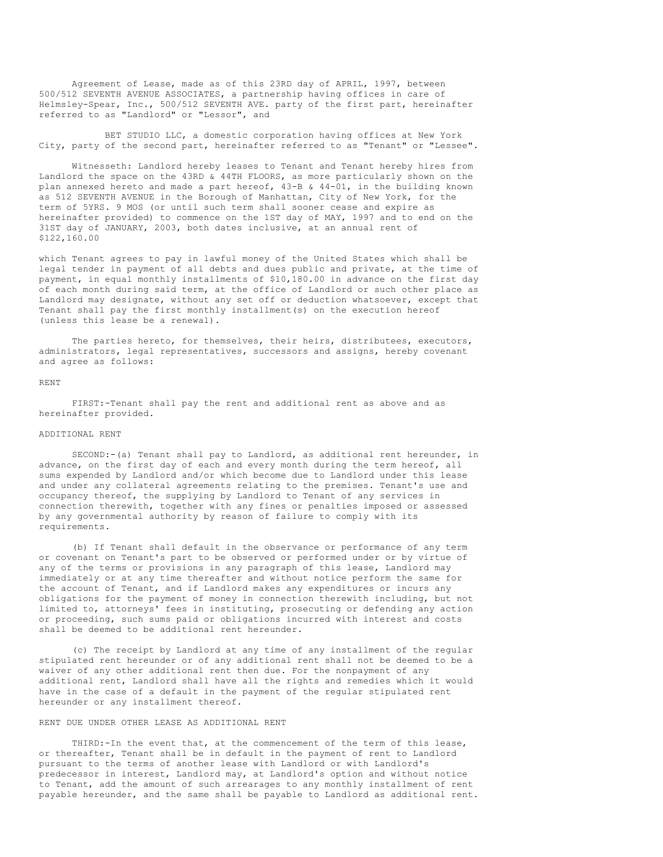Agreement of Lease, made as of this 23RD day of APRIL, 1997, between 500/512 SEVENTH AVENUE ASSOCIATES, a partnership having offices in care of Helmsley-Spear, Inc., 500/512 SEVENTH AVE. party of the first part, hereinafter referred to as "Landlord" or "Lessor", and

BET STUDIO LLC, a domestic corporation having offices at New York City, party of the second part, hereinafter referred to as "Tenant" or "Lessee".

Witnesseth: Landlord hereby leases to Tenant and Tenant hereby hires from Landlord the space on the 43RD & 44TH FLOORS, as more particularly shown on the plan annexed hereto and made a part hereof, 43-B & 44-01, in the building known as 512 SEVENTH AVENUE in the Borough of Manhattan, City of New York, for the term of 5YRS. 9 MOS (or until such term shall sooner cease and expire as hereinafter provided) to commence on the 1ST day of MAY, 1997 and to end on the 31ST day of JANUARY, 2003, both dates inclusive, at an annual rent of \$122,160.00

which Tenant agrees to pay in lawful money of the United States which shall be legal tender in payment of all debts and dues public and private, at the time of payment, in equal monthly installments of \$10,180.00 in advance on the first day of each month during said term, at the office of Landlord or such other place as Landlord may designate, without any set off or deduction whatsoever, except that Tenant shall pay the first monthly installment(s) on the execution hereof (unless this lease be a renewal).

The parties hereto, for themselves, their heirs, distributees, executors, administrators, legal representatives, successors and assigns, hereby covenant and agree as follows:

## RENT

FIRST:-Tenant shall pay the rent and additional rent as above and as hereinafter provided.

## ADDITIONAL RENT

SECOND:-(a) Tenant shall pay to Landlord, as additional rent hereunder, in advance, on the first day of each and every month during the term hereof, all sums expended by Landlord and/or which become due to Landlord under this lease and under any collateral agreements relating to the premises. Tenant's use and occupancy thereof, the supplying by Landlord to Tenant of any services in connection therewith, together with any fines or penalties imposed or assessed by any governmental authority by reason of failure to comply with its requirements.

(b) If Tenant shall default in the observance or performance of any term or covenant on Tenant's part to be observed or performed under or by virtue of any of the terms or provisions in any paragraph of this lease, Landlord may immediately or at any time thereafter and without notice perform the same for the account of Tenant, and if Landlord makes any expenditures or incurs any obligations for the payment of money in connection therewith including, but not limited to, attorneys' fees in instituting, prosecuting or defending any action or proceeding, such sums paid or obligations incurred with interest and costs shall be deemed to be additional rent hereunder.

(c) The receipt by Landlord at any time of any installment of the regular stipulated rent hereunder or of any additional rent shall not be deemed to be a waiver of any other additional rent then due. For the nonpayment of any additional rent, Landlord shall have all the rights and remedies which it would have in the case of a default in the payment of the regular stipulated rent hereunder or any installment thereof.

## RENT DUE UNDER OTHER LEASE AS ADDITIONAL RENT

THIRD:-In the event that, at the commencement of the term of this lease, or thereafter, Tenant shall be in default in the payment of rent to Landlord pursuant to the terms of another lease with Landlord or with Landlord's predecessor in interest, Landlord may, at Landlord's option and without notice to Tenant, add the amount of such arrearages to any monthly installment of rent payable hereunder, and the same shall be payable to Landlord as additional rent.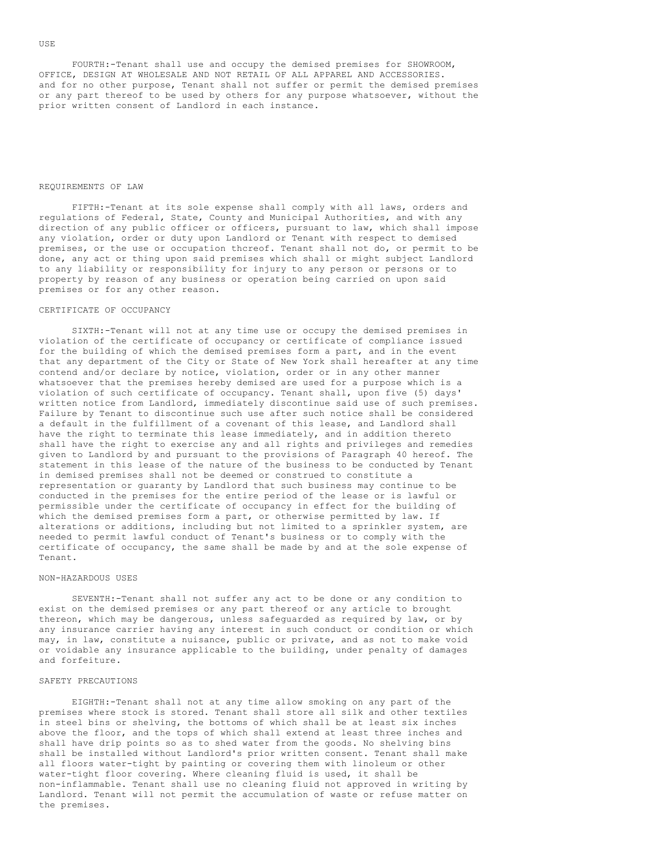FOURTH:-Tenant shall use and occupy the demised premises for SHOWROOM, OFFICE, DESIGN AT WHOLESALE AND NOT RETAIL OF ALL APPAREL AND ACCESSORIES. and for no other purpose, Tenant shall not suffer or permit the demised premises or any part thereof to be used by others for any purpose whatsoever, without the prior written consent of Landlord in each instance.

## REQUIREMENTS OF LAW

FIFTH:-Tenant at its sole expense shall comply with all laws, orders and regulations of Federal, State, County and Municipal Authorities, and with any direction of any public officer or officers, pursuant to law, which shall impose any violation, order or duty upon Landlord or Tenant with respect to demised premises, or the use or occupation thcreof. Tenant shall not do, or permit to be done, any act or thing upon said premises which shall or might subject Landlord to any liability or responsibility for injury to any person or persons or to property by reason of any business or operation being carried on upon said premises or for any other reason.

## CERTIFICATE OF OCCUPANCY

SIXTH:-Tenant will not at any time use or occupy the demised premises in violation of the certificate of occupancy or certificate of compliance issued for the building of which the demised premises form a part, and in the event that any department of the City or State of New York shall hereafter at any time contend and/or declare by notice, violation, order or in any other manner whatsoever that the premises hereby demised are used for a purpose which is a violation of such certificate of occupancy. Tenant shall, upon five (5) days' written notice from Landlord, immediately discontinue said use of such premises. Failure by Tenant to discontinue such use after such notice shall be considered a default in the fulfillment of a covenant of this lease, and Landlord shall have the right to terminate this lease immediately, and in addition thereto shall have the right to exercise any and all rights and privileges and remedies given to Landlord by and pursuant to the provisions of Paragraph 40 hereof. The statement in this lease of the nature of the business to be conducted by Tenant in demised premises shall not be deemed or construed to constitute a representation or guaranty by Landlord that such business may continue to be conducted in the premises for the entire period of the lease or is lawful or permissible under the certificate of occupancy in effect for the building of which the demised premises form a part, or otherwise permitted by law. If alterations or additions, including but not limited to a sprinkler system, are needed to permit lawful conduct of Tenant's business or to comply with the certificate of occupancy, the same shall be made by and at the sole expense of Tenant.

## NON-HAZARDOUS USES

SEVENTH:-Tenant shall not suffer any act to be done or any condition to exist on the demised premises or any part thereof or any article to brought thereon, which may be dangerous, unless safeguarded as required by law, or by any insurance carrier having any interest in such conduct or condition or which may, in law, constitute a nuisance, public or private, and as not to make void or voidable any insurance applicable to the building, under penalty of damages and forfeiture.

## SAFETY PRECAUTIONS

EIGHTH:-Tenant shall not at any time allow smoking on any part of the premises where stock is stored. Tenant shall store all silk and other textiles in steel bins or shelving, the bottoms of which shall be at least six inches above the floor, and the tops of which shall extend at least three inches and shall have drip points so as to shed water from the goods. No shelving bins shall be installed without Landlord's prior written consent. Tenant shall make all floors water-tight by painting or covering them with linoleum or other water-tight floor covering. Where cleaning fluid is used, it shall be non-inflammable. Tenant shall use no cleaning fluid not approved in writing by Landlord. Tenant will not permit the accumulation of waste or refuse matter on the premises.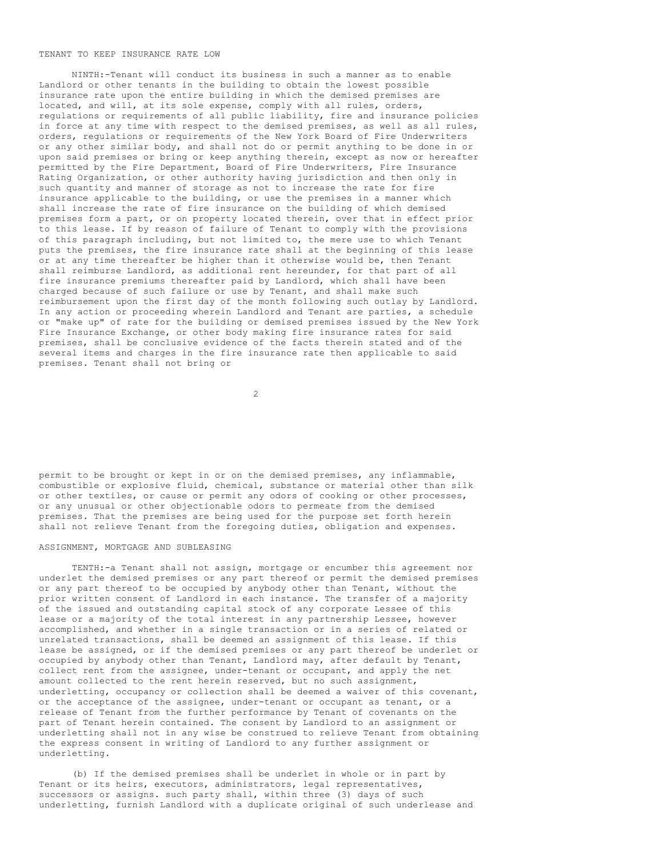#### TENANT TO KEEP INSURANCE RATE LOW

NINTH:-Tenant will conduct its business in such a manner as to enable Landlord or other tenants in the building to obtain the lowest possible insurance rate upon the entire building in which the demised premises are located, and will, at its sole expense, comply with all rules, orders, regulations or requirements of all public liability, fire and insurance policies in force at any time with respect to the demised premises, as well as all rules, orders, regulations or requirements of the New York Board of Fire Underwriters or any other similar body, and shall not do or permit anything to be done in or upon said premises or bring or keep anything therein, except as now or hereafter permitted by the Fire Department, Board of Fire Underwriters, Fire Insurance Rating Organization, or other authority having jurisdiction and then only in such quantity and manner of storage as not to increase the rate for fire insurance applicable to the building, or use the premises in a manner which shall increase the rate of fire insurance on the building of which demised premises form a part, or on property located therein, over that in effect prior to this lease. If by reason of failure of Tenant to comply with the provisions of this paragraph including, but not limited to, the mere use to which Tenant puts the premises, the fire insurance rate shall at the beginning of this lease or at any time thereafter be higher than it otherwise would be, then Tenant shall reimburse Landlord, as additional rent hereunder, for that part of all fire insurance premiums thereafter paid by Landlord, which shall have been charged because of such failure or use by Tenant, and shall make such reimbursement upon the first day of the month following such outlay by Landlord. In any action or proceeding wherein Landlord and Tenant are parties, a schedule or "make up" of rate for the building or demised premises issued by the New York Fire Insurance Exchange, or other body making fire insurance rates for said premises, shall be conclusive evidence of the facts therein stated and of the several items and charges in the fire insurance rate then applicable to said premises. Tenant shall not bring or

 $\overline{\mathcal{L}}$ 

permit to be brought or kept in or on the demised premises, any inflammable, combustible or explosive fluid, chemical, substance or material other than silk or other textiles, or cause or permit any odors of cooking or other processes, or any unusual or other objectionable odors to permeate from the demised premises. That the premises are being used for the purpose set forth herein shall not relieve Tenant from the foregoing duties, obligation and expenses.

## ASSIGNMENT, MORTGAGE AND SUBLEASING

TENTH:-a Tenant shall not assign, mortgage or encumber this agreement nor underlet the demised premises or any part thereof or permit the demised premises or any part thereof to be occupied by anybody other than Tenant, without the prior written consent of Landlord in each instance. The transfer of a majority of the issued and outstanding capital stock of any corporate Lessee of this lease or a majority of the total interest in any partnership Lessee, however accomplished, and whether in a single transaction or in a series of related or unrelated transactions, shall be deemed an assignment of this lease. If this lease be assigned, or if the demised premises or any part thereof be underlet or occupied by anybody other than Tenant, Landlord may, after default by Tenant, collect rent from the assignee, under-tenant or occupant, and apply the net amount collected to the rent herein reserved, but no such assignment, underletting, occupancy or collection shall be deemed a waiver of this covenant, or the acceptance of the assignee, under-tenant or occupant as tenant, or a release of Tenant from the further performance by Tenant of covenants on the part of Tenant herein contained. The consent by Landlord to an assignment or underletting shall not in any wise be construed to relieve Tenant from obtaining the express consent in writing of Landlord to any further assignment or underletting.

(b) If the demised premises shall be underlet in whole or in part by Tenant or its heirs, executors, administrators, legal representatives, successors or assigns. such party shall, within three (3) days of such underletting, furnish Landlord with a duplicate original of such underlease and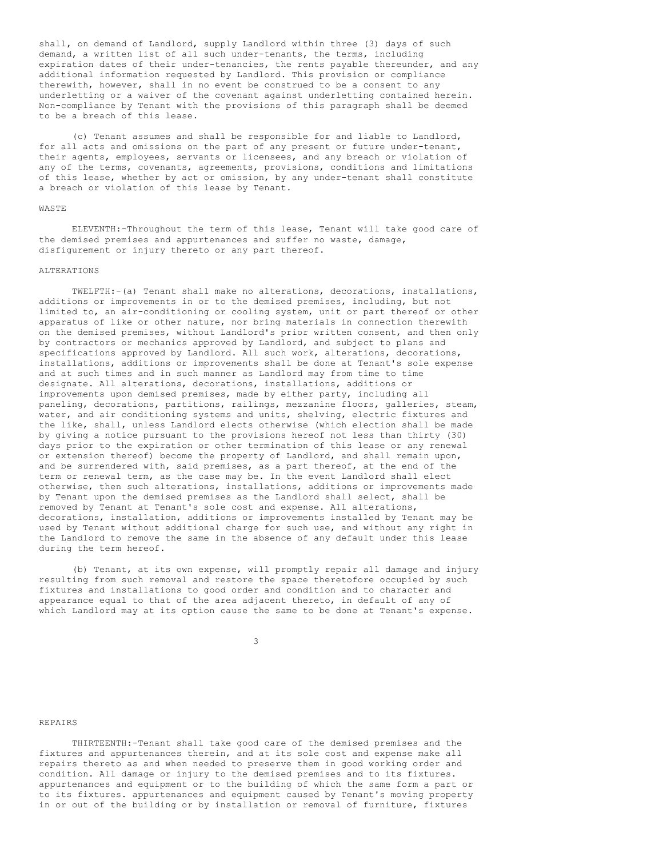shall, on demand of Landlord, supply Landlord within three (3) days of such demand, a written list of all such under-tenants, the terms, including expiration dates of their under-tenancies, the rents payable thereunder, and any additional information requested by Landlord. This provision or compliance therewith, however, shall in no event be construed to be a consent to any underletting or a waiver of the covenant against underletting contained herein. Non-compliance by Tenant with the provisions of this paragraph shall be deemed to be a breach of this lease.

(c) Tenant assumes and shall be responsible for and liable to Landlord, for all acts and omissions on the part of any present or future under-tenant, their agents, employees, servants or licensees, and any breach or violation of any of the terms, covenants, agreements, provisions, conditions and limitations of this lease, whether by act or omission, by any under-tenant shall constitute a breach or violation of this lease by Tenant.

#### WASTE

ELEVENTH:-Throughout the term of this lease, Tenant will take good care of the demised premises and appurtenances and suffer no waste, damage, disfigurement or injury thereto or any part thereof.

## ALTERATIONS

TWELFTH:-(a) Tenant shall make no alterations, decorations, installations, additions or improvements in or to the demised premises, including, but not limited to, an air-conditioning or cooling system, unit or part thereof or other apparatus of like or other nature, nor bring materials in connection therewith on the demised premises, without Landlord's prior written consent, and then only by contractors or mechanics approved by Landlord, and subject to plans and specifications approved by Landlord. All such work, alterations, decorations, installations, additions or improvements shall be done at Tenant's sole expense and at such times and in such manner as Landlord may from time to time designate. All alterations, decorations, installations, additions or improvements upon demised premises, made by either party, including all paneling, decorations, partitions, railings, mezzanine floors, galleries, steam, water, and air conditioning systems and units, shelving, electric fixtures and the like, shall, unless Landlord elects otherwise (which election shall be made by giving a notice pursuant to the provisions hereof not less than thirty (30) days prior to the expiration or other termination of this lease or any renewal or extension thereof) become the property of Landlord, and shall remain upon, and be surrendered with, said premises, as a part thereof, at the end of the term or renewal term, as the case may be. In the event Landlord shall elect otherwise, then such alterations, installations, additions or improvements made by Tenant upon the demised premises as the Landlord shall select, shall be removed by Tenant at Tenant's sole cost and expense. All alterations, decorations, installation, additions or improvements installed by Tenant may be used by Tenant without additional charge for such use, and without any right in the Landlord to remove the same in the absence of any default under this lease during the term hereof.

(b) Tenant, at its own expense, will promptly repair all damage and injury resulting from such removal and restore the space theretofore occupied by such fixtures and installations to good order and condition and to character and appearance equal to that of the area adjacent thereto, in default of any of which Landlord may at its option cause the same to be done at Tenant's expense.

3

## REPAIRS

THIRTEENTH:-Tenant shall take good care of the demised premises and the fixtures and appurtenances therein, and at its sole cost and expense make all repairs thereto as and when needed to preserve them in good working order and condition. All damage or injury to the demised premises and to its fixtures. appurtenances and equipment or to the building of which the same form a part or to its fixtures. appurtenances and equipment caused by Tenant's moving property in or out of the building or by installation or removal of furniture, fixtures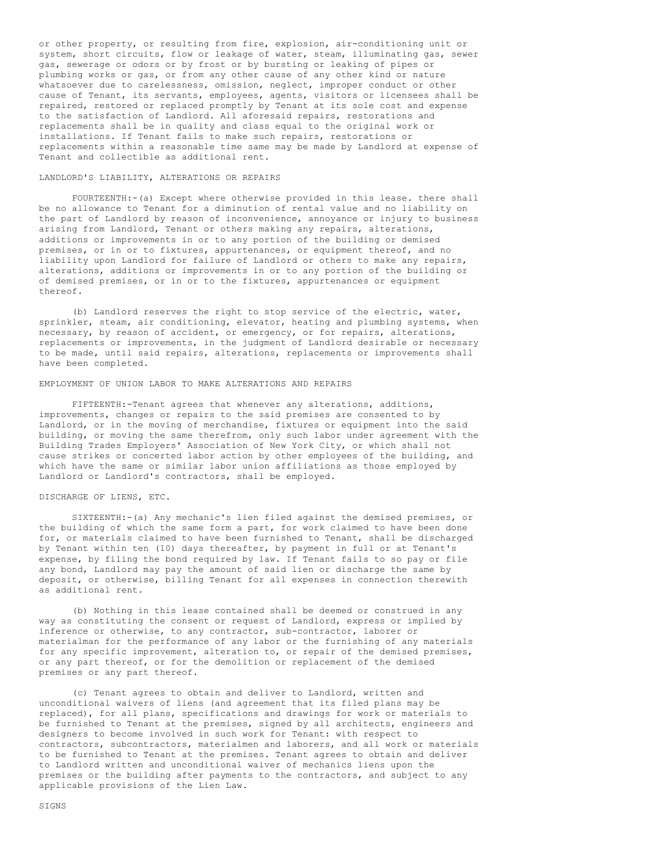or other property, or resulting from fire, explosion, air-conditioning unit or system, short circuits, flow or leakage of water, steam, illuminating gas, sewer gas, sewerage or odors or by frost or by bursting or leaking of pipes or plumbing works or gas, or from any other cause of any other kind or nature whatsoever due to carelessness, omission, neglect, improper conduct or other cause of Tenant, its servants, employees, agents, visitors or licensees shall be repaired, restored or replaced promptly by Tenant at its sole cost and expense to the satisfaction of Landlord. All aforesaid repairs, restorations and replacements shall be in quality and class equal to the original work or installations. If Tenant fails to make such repairs, restorations or replacements within a reasonable time same may be made by Landlord at expense of Tenant and collectible as additional rent.

# LANDLORD'S LIABILITY, ALTERATIONS OR REPAIRS

FOURTEENTH:-(a) Except where otherwise provided in this lease. there shall be no allowance to Tenant for a diminution of rental value and no liability on the part of Landlord by reason of inconvenience, annoyance or injury to business arising from Landlord, Tenant or others making any repairs, alterations, additions or improvements in or to any portion of the building or demised premises, or in or to fixtures, appurtenances, or equipment thereof, and no liability upon Landlord for failure of Landlord or others to make any repairs, alterations, additions or improvements in or to any portion of the building or of demised premises, or in or to the fixtures, appurtenances or equipment thereof.

(b) Landlord reserves the right to stop service of the electric, water, sprinkler, steam, air conditioning, elevator, heating and plumbing systems, when necessary, by reason of accident, or emergency, or for repairs, alterations, replacements or improvements, in the judgment of Landlord desirable or necessary to be made, until said repairs, alterations, replacements or improvements shall have been completed.

# EMPLOYMENT OF UNION LABOR TO MAKE ALTERATIONS AND REPAIRS

FIFTEENTH:-Tenant agrees that whenever any alterations, additions, improvements, changes or repairs to the said premises are consented to by Landlord, or in the moving of merchandise, fixtures or equipment into the said building, or moving the same therefrom, only such labor under agreement with the Building Trades Employers' Association of New York City, or which shall not cause strikes or concerted labor action by other employees of the building, and which have the same or similar labor union affiliations as those employed by Landlord or Landlord's contractors, shall be employed.

## DISCHARGE OF LIENS, ETC.

SIXTEENTH:-(a) Any mechanic's lien filed against the demised premises, or the building of which the same form a part, for work claimed to have been done for, or materials claimed to have been furnished to Tenant, shall be discharged by Tenant within ten (10) days thereafter, by payment in full or at Tenant's expense, by filing the bond required by law. If Tenant fails to so pay or file any bond, Landlord may pay the amount of said lien or discharge the same by deposit, or otherwise, billing Tenant for all expenses in connection therewith as additional rent.

(b) Nothing in this lease contained shall be deemed or construed in any way as constituting the consent or request of Landlord, express or implied by inference or otherwise, to any contractor, sub-contractor, laborer or materialman for the performance of any labor or the furnishing of any materials for any specific improvement, alteration to, or repair of the demised premises, or any part thereof, or for the demolition or replacement of the demised premises or any part thereof.

(c) Tenant agrees to obtain and deliver to Landlord, written and unconditional waivers of liens (and agreement that its filed plans may be replaced), for all plans, specifications and drawings for work or materials to be furnished to Tenant at the premises, signed by all architects, engineers and designers to become involved in such work for Tenant: with respect to contractors, subcontractors, materialmen and laborers, and all work or materials to be furnished to Tenant at the premises. Tenant agrees to obtain and deliver to Landlord written and unconditional waiver of mechanics liens upon the premises or the building after payments to the contractors, and subject to any applicable provisions of the Lien Law.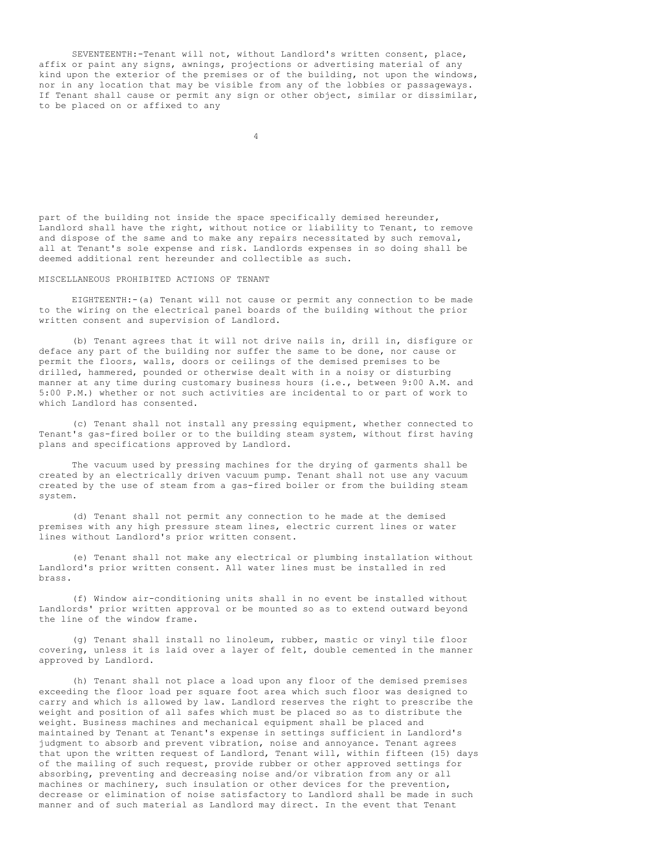SEVENTEENTH:-Tenant will not, without Landlord's written consent, place, affix or paint any signs, awnings, projections or advertising material of any kind upon the exterior of the premises or of the building, not upon the windows, nor in any location that may be visible from any of the lobbies or passageways. If Tenant shall cause or permit any sign or other object, similar or dissimilar, to be placed on or affixed to any

4

part of the building not inside the space specifically demised hereunder, Landlord shall have the right, without notice or liability to Tenant, to remove and dispose of the same and to make any repairs necessitated by such removal, all at Tenant's sole expense and risk. Landlords expenses in so doing shall be deemed additional rent hereunder and collectible as such.

### MISCELLANEOUS PROHIBITED ACTIONS OF TENANT

EIGHTEENTH:-(a) Tenant will not cause or permit any connection to be made to the wiring on the electrical panel boards of the building without the prior written consent and supervision of Landlord.

(b) Tenant agrees that it will not drive nails in, drill in, disfigure or deface any part of the building nor suffer the same to be done, nor cause or permit the floors, walls, doors or ceilings of the demised premises to be drilled, hammered, pounded or otherwise dealt with in a noisy or disturbing manner at any time during customary business hours (i.e., between 9:00 A.M. and 5:00 P.M.) whether or not such activities are incidental to or part of work to which Landlord has consented.

(c) Tenant shall not install any pressing equipment, whether connected to Tenant's gas-fired boiler or to the building steam system, without first having plans and specifications approved by Landlord.

The vacuum used by pressing machines for the drying of garments shall be created by an electrically driven vacuum pump. Tenant shall not use any vacuum created by the use of steam from a gas-fired boiler or from the building steam system.

(d) Tenant shall not permit any connection to he made at the demised premises with any high pressure steam lines, electric current lines or water lines without Landlord's prior written consent.

(e) Tenant shall not make any electrical or plumbing installation without Landlord's prior written consent. All water lines must be installed in red brass.

(f) Window air-conditioning units shall in no event be installed without Landlords' prior written approval or be mounted so as to extend outward beyond the line of the window frame.

(g) Tenant shall install no linoleum, rubber, mastic or vinyl tile floor covering, unless it is laid over a layer of felt, double cemented in the manner approved by Landlord.

(h) Tenant shall not place a load upon any floor of the demised premises exceeding the floor load per square foot area which such floor was designed to carry and which is allowed by law. Landlord reserves the right to prescribe the weight and position of all safes which must be placed so as to distribute the weight. Business machines and mechanical equipment shall be placed and maintained by Tenant at Tenant's expense in settings sufficient in Landlord's judgment to absorb and prevent vibration, noise and annoyance. Tenant agrees that upon the written request of Landlord, Tenant will, within fifteen (15) days of the mailing of such request, provide rubber or other approved settings for absorbing, preventing and decreasing noise and/or vibration from any or all machines or machinery, such insulation or other devices for the prevention, decrease or elimination of noise satisfactory to Landlord shall be made in such manner and of such material as Landlord may direct. In the event that Tenant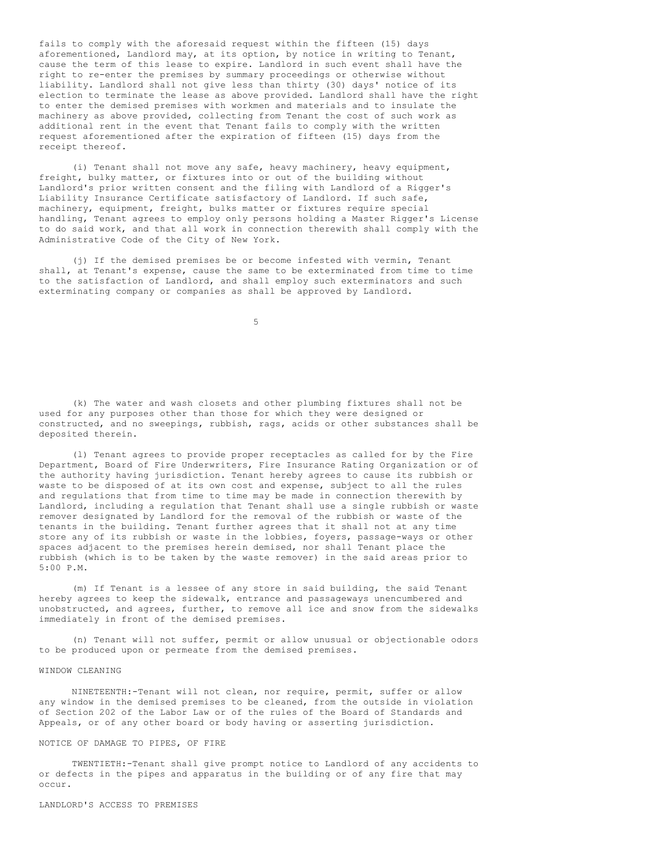fails to comply with the aforesaid request within the fifteen (15) days aforementioned, Landlord may, at its option, by notice in writing to Tenant, cause the term of this lease to expire. Landlord in such event shall have the right to re-enter the premises by summary proceedings or otherwise without liability. Landlord shall not give less than thirty (30) days' notice of its election to terminate the lease as above provided. Landlord shall have the right to enter the demised premises with workmen and materials and to insulate the machinery as above provided, collecting from Tenant the cost of such work as additional rent in the event that Tenant fails to comply with the written request aforementioned after the expiration of fifteen (15) days from the receipt thereof.

(i) Tenant shall not move any safe, heavy machinery, heavy equipment, freight, bulky matter, or fixtures into or out of the building without Landlord's prior written consent and the filing with Landlord of a Rigger's Liability Insurance Certificate satisfactory of Landlord. If such safe, machinery, equipment, freight, bulks matter or fixtures require special handling, Tenant agrees to employ only persons holding a Master Rigger's License to do said work, and that all work in connection therewith shall comply with the Administrative Code of the City of New York.

(j) If the demised premises be or become infested with vermin, Tenant shall, at Tenant's expense, cause the same to be exterminated from time to time to the satisfaction of Landlord, and shall employ such exterminators and such exterminating company or companies as shall be approved by Landlord.

5

(k) The water and wash closets and other plumbing fixtures shall not be used for any purposes other than those for which they were designed or constructed, and no sweepings, rubbish, rags, acids or other substances shall be deposited therein.

(l) Tenant agrees to provide proper receptacles as called for by the Fire Department, Board of Fire Underwriters, Fire Insurance Rating Organization or of the authority having jurisdiction. Tenant hereby agrees to cause its rubbish or waste to be disposed of at its own cost and expense, subject to all the rules and regulations that from time to time may be made in connection therewith by Landlord, including a regulation that Tenant shall use a single rubbish or waste remover designated by Landlord for the removal of the rubbish or waste of the tenants in the building. Tenant further agrees that it shall not at any time store any of its rubbish or waste in the lobbies, foyers, passage-ways or other spaces adjacent to the premises herein demised, nor shall Tenant place the rubbish (which is to be taken by the waste remover) in the said areas prior to 5:00 P.M.

(m) If Tenant is a lessee of any store in said building, the said Tenant hereby agrees to keep the sidewalk, entrance and passageways unencumbered and unobstructed, and agrees, further, to remove all ice and snow from the sidewalks immediately in front of the demised premises.

(n) Tenant will not suffer, permit or allow unusual or objectionable odors to be produced upon or permeate from the demised premises.

## WINDOW CLEANING

NINETEENTH:-Tenant will not clean, nor require, permit, suffer or allow any window in the demised premises to be cleaned, from the outside in violation of Section 202 of the Labor Law or of the rules of the Board of Standards and Appeals, or of any other board or body having or asserting jurisdiction.

# NOTICE OF DAMAGE TO PIPES, OF FIRE

TWENTIETH:-Tenant shall give prompt notice to Landlord of any accidents to or defects in the pipes and apparatus in the building or of any fire that may occur.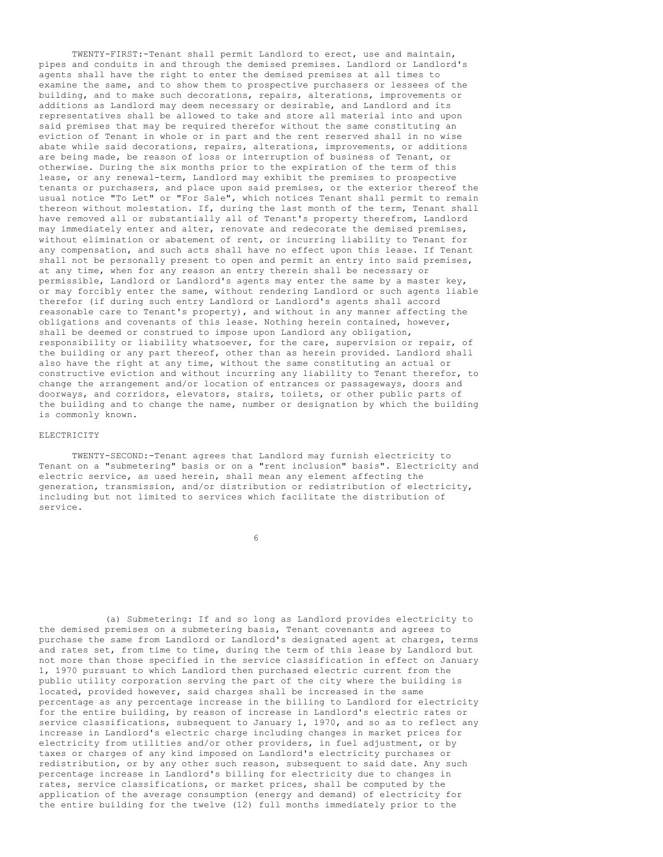TWENTY-FIRST:-Tenant shall permit Landlord to erect, use and maintain, pipes and conduits in and through the demised premises. Landlord or Landlord's agents shall have the right to enter the demised premises at all times to examine the same, and to show them to prospective purchasers or lessees of the building, and to make such decorations, repairs, alterations, improvements or additions as Landlord may deem necessary or desirable, and Landlord and its representatives shall be allowed to take and store all material into and upon said premises that may be required therefor without the same constituting an eviction of Tenant in whole or in part and the rent reserved shall in no wise abate while said decorations, repairs, alterations, improvements, or additions are being made, be reason of loss or interruption of business of Tenant, or otherwise. During the six months prior to the expiration of the term of this lease, or any renewal-term, Landlord may exhibit the premises to prospective tenants or purchasers, and place upon said premises, or the exterior thereof the usual notice "To Let" or "For Sale", which notices Tenant shall permit to remain thereon without molestation. If, during the last month of the term, Tenant shall have removed all or substantially all of Tenant's property therefrom, Landlord may immediately enter and alter, renovate and redecorate the demised premises, without elimination or abatement of rent, or incurring liability to Tenant for any compensation, and such acts shall have no effect upon this lease. If Tenant shall not be personally present to open and permit an entry into said premises, at any time, when for any reason an entry therein shall be necessary or permissible, Landlord or Landlord's agents may enter the same by a master key, or may forcibly enter the same, without rendering Landlord or such agents liable therefor (if during such entry Landlord or Landlord's agents shall accord reasonable care to Tenant's property), and without in any manner affecting the obligations and covenants of this lease. Nothing herein contained, however, shall be deemed or construed to impose upon Landlord any obligation, responsibility or liability whatsoever, for the care, supervision or repair, of the building or any part thereof, other than as herein provided. Landlord shall also have the right at any time, without the same constituting an actual or constructive eviction and without incurring any liability to Tenant therefor, to change the arrangement and/or location of entrances or passageways, doors and doorways, and corridors, elevators, stairs, toilets, or other public parts of the building and to change the name, number or designation by which the building is commonly known.

#### **ELECTRICITY**

TWENTY-SECOND:-Tenant agrees that Landlord may furnish electricity to Tenant on a "submetering" basis or on a "rent inclusion" basis". Electricity and electric service, as used herein, shall mean any element affecting the generation, transmission, and/or distribution or redistribution of electricity, including but not limited to services which facilitate the distribution of service.

6

(a) Submetering: If and so long as Landlord provides electricity to the demised premises on a submetering basis, Tenant covenants and agrees to purchase the same from Landlord or Landlord's designated agent at charges, terms and rates set, from time to time, during the term of this lease by Landlord but not more than those specified in the service classification in effect on January 1, 1970 pursuant to which Landlord then purchased electric current from the public utility corporation serving the part of the city where the building is located, provided however, said charges shall be increased in the same percentage as any percentage increase in the billing to Landlord for electricity for the entire building, by reason of increase in Landlord's electric rates or service classifications, subsequent to January 1, 1970, and so as to reflect any increase in Landlord's electric charge including changes in market prices for electricity from utilities and/or other providers, in fuel adjustment, or by taxes or charges of any kind imposed on Landlord's electricity purchases or redistribution, or by any other such reason, subsequent to said date. Any such percentage increase in Landlord's billing for electricity due to changes in rates, service classifications, or market prices, shall be computed by the application of the average consumption (energy and demand) of electricity for the entire building for the twelve (12) full months immediately prior to the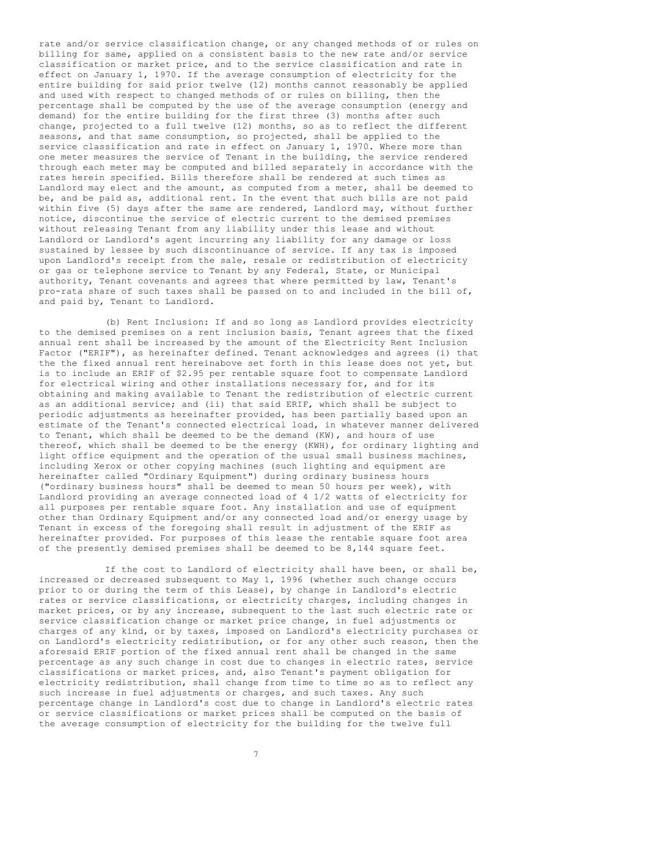rate and/or service classification change, or any changed methods of or rules on billing for same, applied on a consistent basis to the new rate and/or service classification or market price, and to the service classification and rate in effect on January 1, 1970. If the average consumption of electricity for the entire building for said prior twelve (12) months cannot reasonably be applied and used with respect to changed methods of or rules on billing, then the percentage shall be computed by the use of the average consumption (energy and demand) for the entire building for the first three (3) months after such change, projected to a full twelve (12) months, so as to reflect the different seasons, and that same consumption, so projected, shall be applied to the service classification and rate in effect on January 1, 1970. Where more than one meter measures the service of Tenant in the building, the service rendered through each meter may be computed and billed separately in accordance with the rates herein specified. Bills therefore shall be rendered at such times as Landlord may elect and the amount, as computed from a meter, shall be deemed to be, and be paid as, additional rent. In the event that such bills are not paid within five (5) days after the same are rendered, Landlord may, without further notice, discontinue the service of electric current to the demised premises without releasing Tenant from any liability under this lease and without Landlord or Landlord's agent incurring any liability for any damage or loss sustained by lessee by such discontinuance of service. If any tax is imposed upon Landlord's receipt from the sale, resale or redistribution of electricity or gas or telephone service to Tenant by any Federal, State, or Municipal authority, Tenant covenants and agrees that where permitted by law, Tenant's pro-rata share of such taxes shall be passed on to and included in the bill of, and paid by, Tenant to Landlord.

(b) Rent Inclusion: If and so long as Landlord provides electricity to the demised premises on a rent inclusion basis, Tenant agrees that the fixed annual rent shall be increased by the amount of the Electricity Rent Inclusion Factor ("ERIF"), as hereinafter defined. Tenant acknowledges and agrees (i) that the the fixed annual rent hereinabove set forth in this lease does not yet, but is to include an ERIF of \$2.95 per rentable square foot to compensate Landlord for electrical wiring and other installations necessary for, and for its obtaining and making available to Tenant the redistribution of electric current as an additional service; and (ii) that said ERIF, which shall be subject to periodic adjustments as hereinafter provided, has been partially based upon an estimate of the Tenant's connected electrical load, in whatever manner delivered to Tenant, which shall be deemed to be the demand (KW), and hours of use thereof, which shall be deemed to be the energy (KWH), for ordinary lighting and light office equipment and the operation of the usual small business machines, including Xerox or other copying machines (such lighting and equipment are hereinafter called "Ordinary Equipment") during ordinary business hours ("ordinary business hours" shall be deemed to mean 50 hours per week), with Landlord providing an average connected load of 4 1/2 watts of electricity for all purposes per rentable square foot. Any installation and use of equipment other than Ordinary Equipment and/or any connected load and/or energy usage by Tenant in excess of the foregoing shall result in adjustment of the ERIF as hereinafter provided. For purposes of this lease the rentable square foot area of the presently demised premises shall be deemed to be 8,144 square feet.

If the cost to Landlord of electricity shall have been, or shall be, increased or decreased subsequent to May 1, 1996 (whether such change occurs prior to or during the term of this Lease), by change in Landlord's electric rates or service classifications, or electricity charges, including changes in market prices, or by any increase, subsequent to the last such electric rate or service classification change or market price change, in fuel adjustments or charges of any kind, or by taxes, imposed on Landlord's electricity purchases or on Landlord's electricity redistribution, or for any other such reason, then the aforesaid ERIF portion of the fixed annual rent shall be changed in the same percentage as any such change in cost due to changes in electric rates, service classifications or market prices, and, also Tenant's payment obligation for electricity redistribution, shall change from time to time so as to reflect any such increase in fuel adjustments or charges, and such taxes. Any such percentage change in Landlord's cost due to change in Landlord's electric rates or service classifications or market prices shall be computed on the basis of the average consumption of electricity for the building for the twelve full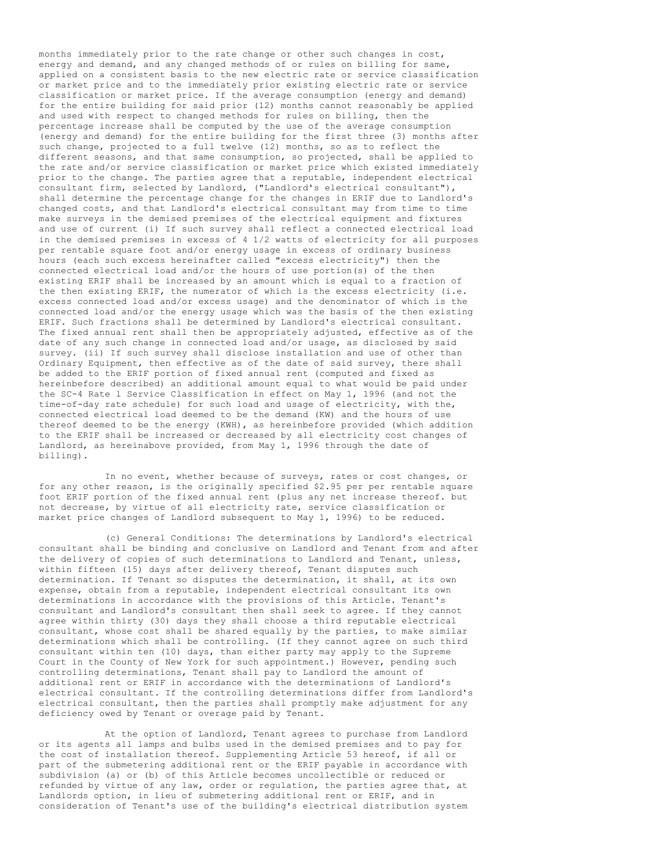months immediately prior to the rate change or other such changes in cost, energy and demand, and any changed methods of or rules on billing for same, applied on a consistent basis to the new electric rate or service classification or market price and to the immediately prior existing electric rate or service classification or market price. If the average consumption (energy and demand) for the entire building for said prior (12) months cannot reasonably be applied and used with respect to changed methods for rules on billing, then the percentage increase shall be computed by the use of the average consumption (energy and demand) for the entire building for the first three (3) months after such change, projected to a full twelve (12) months, so as to reflect the different seasons, and that same consumption, so projected, shall be applied to the rate and/or service classification or market price which existed immediately prior to the change. The parties agree that a reputable, independent electrical consultant firm, selected by Landlord, ("Landlord's electrical consultant"), shall determine the percentage change for the changes in ERIF due to Landlord's changed costs, and that Landlord's electrical consultant may from time to time make surveys in the demised premises of the electrical equipment and fixtures and use of current (i) If such survey shall reflect a connected electrical load in the demised premises in excess of 4 1/2 watts of electricity for all purposes per rentable square foot and/or energy usage in excess of ordinary business hours (each such excess hereinafter called "excess electricity") then the connected electrical load and/or the hours of use portion(s) of the then existing ERIF shall be increased by an amount which is equal to a fraction of the then existing ERIF, the numerator of which is the excess electricity (i.e. excess connected load and/or excess usage) and the denominator of which is the connected load and/or the energy usage which was the basis of the then existing ERIF. Such fractions shall be determined by Landlord's electrical consultant. The fixed annual rent shall then be appropriately adjusted, effective as of the date of any such change in connected load and/or usage, as disclosed by said survey. (ii) If such survey shall disclose installation and use of other than Ordinary Equipment, then effective as of the date of said survey, there shall be added to the ERIF portion of fixed annual rent (computed and fixed as hereinbefore described) an additional amount equal to what would be paid under the SC-4 Rate l Service Classification in effect on May 1, 1996 (and not the time-of-day rate schedule) for such load and usage of electricity, with the, connected electrical load deemed to be the demand (KW) and the hours of use thereof deemed to be the energy (KWH), as hereinbefore provided (which addition to the ERIF shall be increased or decreased by all electricity cost changes of Landlord, as hereinabove provided, from May 1, 1996 through the date of billing).

In no event, whether because of surveys, rates or cost changes, or for any other reason, is the originally specified \$2.95 per per rentable square foot ERIF portion of the fixed annual rent (plus any net increase thereof. but not decrease, by virtue of all electricity rate, service classification or market price changes of Landlord subsequent to May 1, 1996) to be reduced.

(c) General Conditions: The determinations by Landlord's electrical consultant shall be binding and conclusive on Landlord and Tenant from and after the delivery of copies of such determinations to Landlord and Tenant, unless, within fifteen (15) days after delivery thereof, Tenant disputes such determination. If Tenant so disputes the determination, it shall, at its own expense, obtain from a reputable, independent electrical consultant its own determinations in accordance with the provisions of this Article. Tenant's consultant and Landlord's consultant then shall seek to agree. If they cannot agree within thirty (30) days they shall choose a third reputable electrical consultant, whose cost shall be shared equally by the parties, to make similar determinations which shall be controlling. (If they cannot agree on such third consultant within ten (10) days, than either party may apply to the Supreme Court in the County of New York for such appointment.) However, pending such controlling determinations, Tenant shall pay to Landlord the amount of additional rent or ERIF in accordance with the determinations of Landlord's electrical consultant. If the controlling determinations differ from Landlord's electrical consultant, then the parties shall promptly make adjustment for any deficiency owed by Tenant or overage paid by Tenant.

At the option of Landlord, Tenant agrees to purchase from Landlord or its agents all lamps and bulbs used in the demised premises and to pay for the cost of installation thereof. Supplementing Article 53 hereof, if all or part of the submetering additional rent or the ERIF payable in accordance with subdivision (a) or (b) of this Article becomes uncollectible or reduced or refunded by virtue of any law, order or regulation, the parties agree that, at Landlords option, in lieu of submetering additional rent or ERIF, and in consideration of Tenant's use of the building's electrical distribution system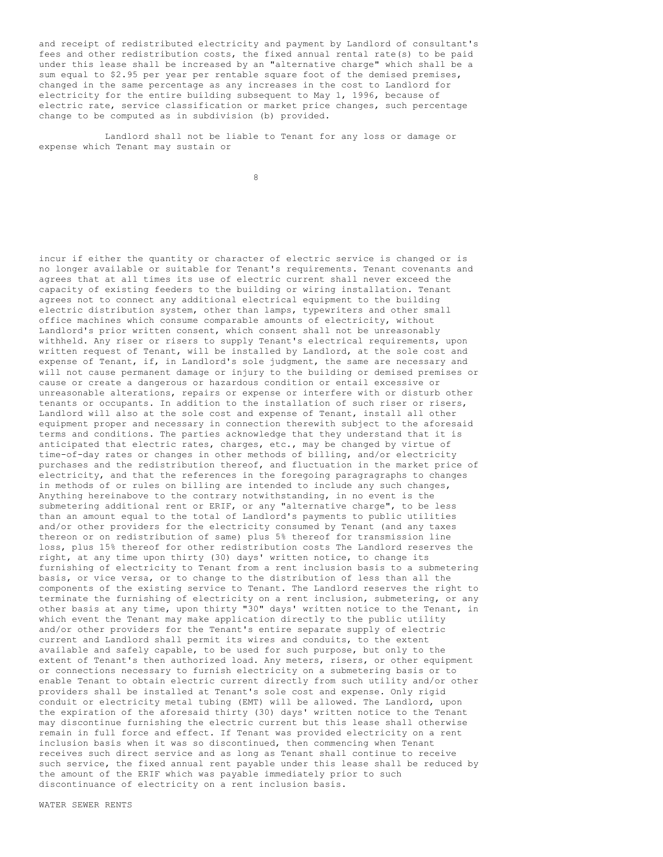and receipt of redistributed electricity and payment by Landlord of consultant's fees and other redistribution costs, the fixed annual rental rate(s) to be paid under this lease shall be increased by an "alternative charge" which shall be a sum equal to \$2.95 per year per rentable square foot of the demised premises, changed in the same percentage as any increases in the cost to Landlord for electricity for the entire building subsequent to May 1, 1996, because of electric rate, service classification or market price changes, such percentage change to be computed as in subdivision (b) provided.

Landlord shall not be liable to Tenant for any loss or damage or expense which Tenant may sustain or

8

incur if either the quantity or character of electric service is changed or is no longer available or suitable for Tenant's requirements. Tenant covenants and agrees that at all times its use of electric current shall never exceed the capacity of existing feeders to the building or wiring installation. Tenant agrees not to connect any additional electrical equipment to the building electric distribution system, other than lamps, typewriters and other small office machines which consume comparable amounts of electricity, without Landlord's prior written consent, which consent shall not be unreasonably withheld. Any riser or risers to supply Tenant's electrical requirements, upon written request of Tenant, will be installed by Landlord, at the sole cost and expense of Tenant, if, in Landlord's sole judgment, the same are necessary and will not cause permanent damage or injury to the building or demised premises or cause or create a dangerous or hazardous condition or entail excessive or unreasonable alterations, repairs or expense or interfere with or disturb other tenants or occupants. In addition to the installation of such riser or risers, Landlord will also at the sole cost and expense of Tenant, install all other equipment proper and necessary in connection therewith subject to the aforesaid terms and conditions. The parties acknowledge that they understand that it is anticipated that electric rates, charges, etc., may be changed by virtue of time-of-day rates or changes in other methods of billing, and/or electricity purchases and the redistribution thereof, and fluctuation in the market price of electricity, and that the references in the foregoing paragragraphs to changes in methods of or rules on billing are intended to include any such changes, Anything hereinabove to the contrary notwithstanding, in no event is the submetering additional rent or ERIF, or any "alternative charge", to be less than an amount equal to the total of Landlord's payments to public utilities and/or other providers for the electricity consumed by Tenant (and any taxes thereon or on redistribution of same) plus 5% thereof for transmission line loss, plus 15% thereof for other redistribution costs The Landlord reserves the right, at any time upon thirty (30) days' written notice, to change its furnishing of electricity to Tenant from a rent inclusion basis to a submetering basis, or vice versa, or to change to the distribution of less than all the components of the existing service to Tenant. The Landlord reserves the right to terminate the furnishing of electricity on a rent inclusion, submetering, or any other basis at any time, upon thirty "30" days' written notice to the Tenant, in which event the Tenant may make application directly to the public utility and/or other providers for the Tenant's entire separate supply of electric current and Landlord shall permit its wires and conduits, to the extent available and safely capable, to be used for such purpose, but only to the extent of Tenant's then authorized load. Any meters, risers, or other equipment or connections necessary to furnish electricity on a submetering basis or to enable Tenant to obtain electric current directly from such utility and/or other providers shall be installed at Tenant's sole cost and expense. Only rigid conduit or electricity metal tubing (EMT) will be allowed. The Landlord, upon the expiration of the aforesaid thirty (30) days' written notice to the Tenant may discontinue furnishing the electric current but this lease shall otherwise remain in full force and effect. If Tenant was provided electricity on a rent inclusion basis when it was so discontinued, then commencing when Tenant receives such direct service and as long as Tenant shall continue to receive such service, the fixed annual rent payable under this lease shall be reduced by the amount of the ERIF which was payable immediately prior to such discontinuance of electricity on a rent inclusion basis.

WATER SEWER RENTS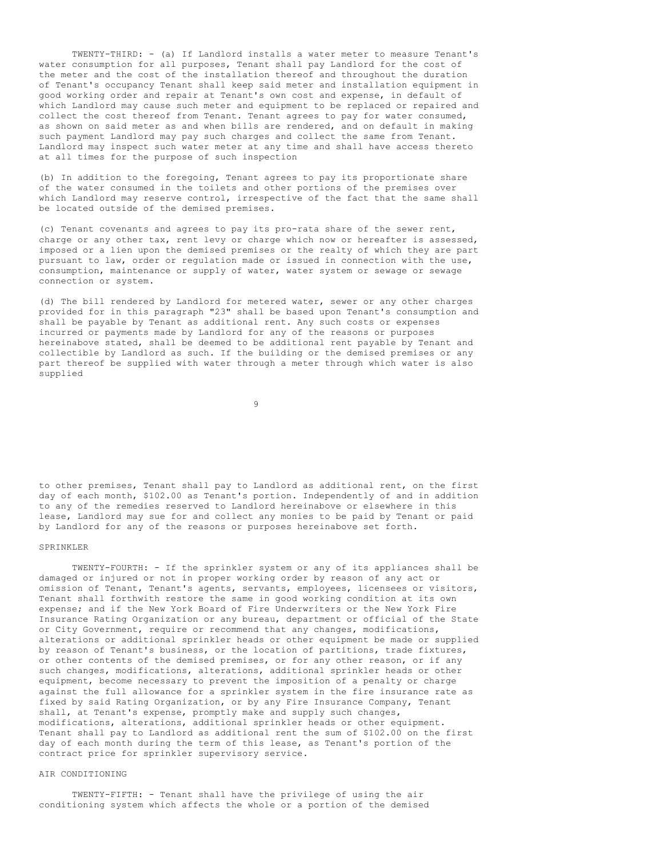TWENTY-THIRD: - (a) If Landlord installs a water meter to measure Tenant's water consumption for all purposes, Tenant shall pay Landlord for the cost of the meter and the cost of the installation thereof and throughout the duration of Tenant's occupancy Tenant shall keep said meter and installation equipment in good working order and repair at Tenant's own cost and expense, in default of which Landlord may cause such meter and equipment to be replaced or repaired and collect the cost thereof from Tenant. Tenant agrees to pay for water consumed, as shown on said meter as and when bills are rendered, and on default in making such payment Landlord may pay such charges and collect the same from Tenant. Landlord may inspect such water meter at any time and shall have access thereto at all times for the purpose of such inspection

(b) In addition to the foregoing, Tenant agrees to pay its proportionate share of the water consumed in the toilets and other portions of the premises over which Landlord may reserve control, irrespective of the fact that the same shall be located outside of the demised premises.

(c) Tenant covenants and agrees to pay its pro-rata share of the sewer rent, charge or any other tax, rent levy or charge which now or hereafter is assessed, imposed or a lien upon the demised premises or the realty of which they are part pursuant to law, order or regulation made or issued in connection with the use, consumption, maintenance or supply of water, water system or sewage or sewage connection or system.

(d) The bill rendered by Landlord for metered water, sewer or any other charges provided for in this paragraph "23" shall be based upon Tenant's consumption and shall be payable by Tenant as additional rent. Any such costs or expenses incurred or payments made by Landlord for any of the reasons or purposes hereinabove stated, shall be deemed to be additional rent payable by Tenant and collectible by Landlord as such. If the building or the demised premises or any part thereof be supplied with water through a meter through which water is also supplied

9

to other premises, Tenant shall pay to Landlord as additional rent, on the first day of each month, \$102.00 as Tenant's portion. Independently of and in addition to any of the remedies reserved to Landlord hereinabove or elsewhere in this lease, Landlord may sue for and collect any monies to be paid by Tenant or paid by Landlord for any of the reasons or purposes hereinabove set forth.

### SPRINKLER

TWENTY-FOURTH: - If the sprinkler system or any of its appliances shall be damaged or injured or not in proper working order by reason of any act or omission of Tenant, Tenant's agents, servants, employees, licensees or visitors, Tenant shall forthwith restore the same in good working condition at its own expense; and if the New York Board of Fire Underwriters or the New York Fire Insurance Rating Organization or any bureau, department or official of the State or City Government, require or recommend that any changes, modifications, alterations or additional sprinkler heads or other equipment be made or supplied by reason of Tenant's business, or the location of partitions, trade fixtures, or other contents of the demised premises, or for any other reason, or if any such changes, modifications, alterations, additional sprinkler heads or other equipment, become necessary to prevent the imposition of a penalty or charge against the full allowance for a sprinkler system in the fire insurance rate as fixed by said Rating Organization, or by any Fire Insurance Company, Tenant shall, at Tenant's expense, promptly make and supply such changes, modifications, alterations, additional sprinkler heads or other equipment. Tenant shall pay to Landlord as additional rent the sum of \$102.00 on the first day of each month during the term of this lease, as Tenant's portion of the contract price for sprinkler supervisory service.

## AIR CONDITIONING

TWENTY-FIFTH: - Tenant shall have the privilege of using the air conditioning system which affects the whole or a portion of the demised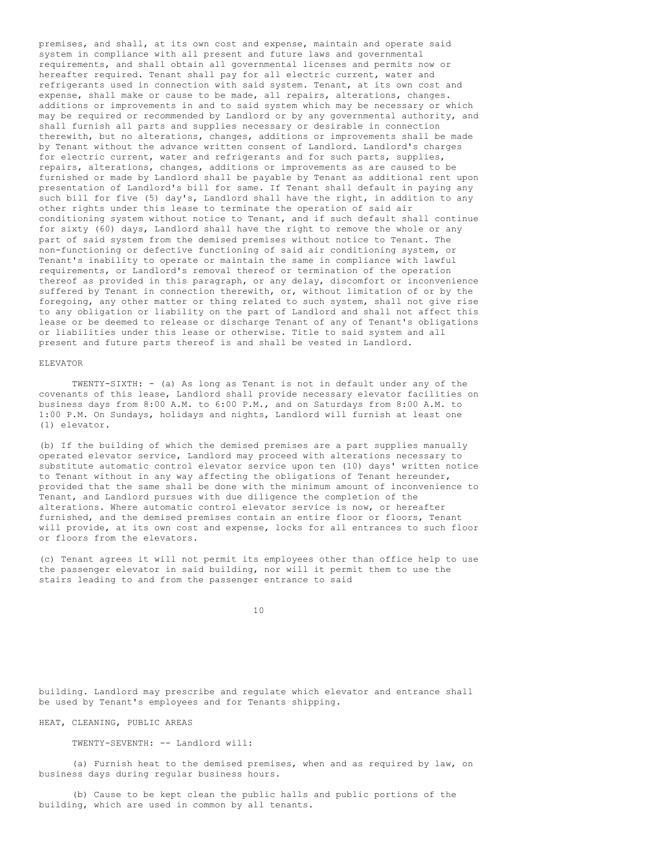premises, and shall, at its own cost and expense, maintain and operate said system in compliance with all present and future laws and governmental requirements, and shall obtain all governmental licenses and permits now or hereafter required. Tenant shall pay for all electric current, water and refrigerants used in connection with said system. Tenant, at its own cost and expense, shall make or cause to be made, all repairs, alterations, changes. additions or improvements in and to said system which may be necessary or which may be required or recommended by Landlord or by any governmental authority, and shall furnish all parts and supplies necessary or desirable in connection therewith, but no alterations, changes, additions or improvements shall be made by Tenant without the advance written consent of Landlord. Landlord's charges for electric current, water and refrigerants and for such parts, supplies, repairs, alterations, changes, additions or improvements as are caused to be furnished or made by Landlord shall be payable by Tenant as additional rent upon presentation of Landlord's bill for same. If Tenant shall default in paying any such bill for five (5) day's, Landlord shall have the right, in addition to any other rights under this lease to terminate the operation of said air conditioning system without notice to Tenant, and if such default shall continue for sixty (60) days, Landlord shall have the right to remove the whole or any part of said system from the demised premises without notice to Tenant. The non-functioning or defective functioning of said air conditioning system, or Tenant's inability to operate or maintain the same in compliance with lawful requirements, or Landlord's removal thereof or termination of the operation thereof as provided in this paragraph, or any delay, discomfort or inconvenience suffered by Tenant in connection therewith, or, without limitation of or by the foregoing, any other matter or thing related to such system, shall not give rise to any obligation or liability on the part of Landlord and shall not affect this lease or be deemed to release or discharge Tenant of any of Tenant's obligations or liabilities under this lease or otherwise. Title to said system and all present and future parts thereof is and shall be vested in Landlord.

#### ELEVATOR

TWENTY-SIXTH: - (a) As long as Tenant is not in default under any of the covenants of this lease, Landlord shall provide necessary elevator facilities on business days from 8:00 A.M. to 6:00 P.M., and on Saturdays from 8:00 A.M. to 1:00 P.M. On Sundays, holidays and nights, Landlord will furnish at least one (1) elevator.

(b) If the building of which the demised premises are a part supplies manually operated elevator service, Landlord may proceed with alterations necessary to substitute automatic control elevator service upon ten (10) days' written notice to Tenant without in any way affecting the obligations of Tenant hereunder, provided that the same shall be done with the minimum amount of inconvenience to Tenant, and Landlord pursues with due diligence the completion of the alterations. Where automatic control elevator service is now, or hereafter furnished, and the demised premises contain an entire floor or floors, Tenant will provide, at its own cost and expense, locks for all entrances to such floor or floors from the elevators.

(c) Tenant agrees it will not permit its employees other than office help to use the passenger elevator in said building, nor will it permit them to use the stairs leading to and from the passenger entrance to said

10

building. Landlord may prescribe and regulate which elevator and entrance shall be used by Tenant's employees and for Tenants shipping.

HEAT, CLEANING, PUBLIC AREAS

TWENTY-SEVENTH: -- Landlord will:

(a) Furnish heat to the demised premises, when and as required by law, on business days during regular business hours.

(b) Cause to be kept clean the public halls and public portions of the building, which are used in common by all tenants.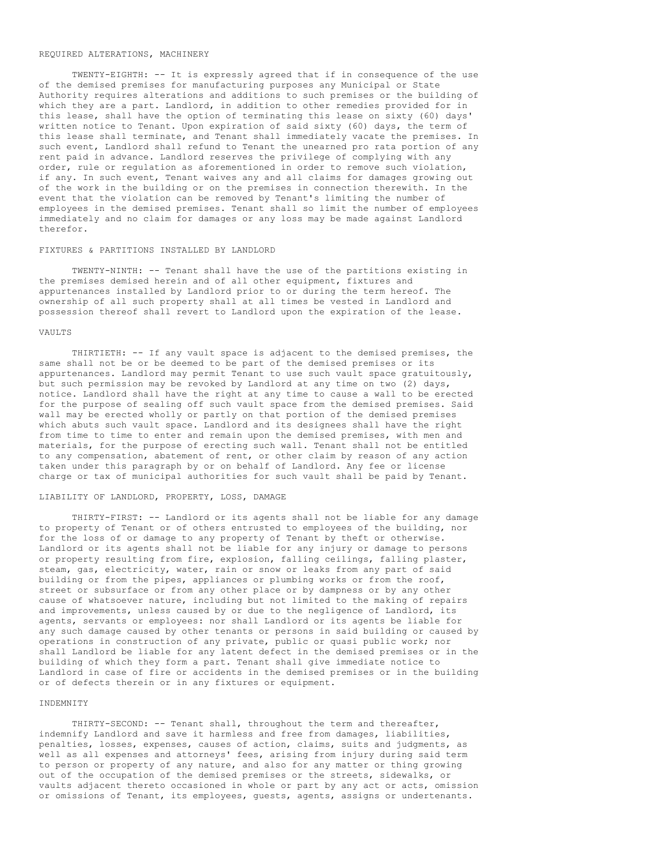## REQUIRED ALTERATIONS, MACHINERY

TWENTY-EIGHTH: -- It is expressly agreed that if in consequence of the use of the demised premises for manufacturing purposes any Municipal or State Authority requires alterations and additions to such premises or the building of which they are a part. Landlord, in addition to other remedies provided for in this lease, shall have the option of terminating this lease on sixty (60) days' written notice to Tenant. Upon expiration of said sixty (60) days, the term of this lease shall terminate, and Tenant shall immediately vacate the premises. In such event, Landlord shall refund to Tenant the unearned pro rata portion of any rent paid in advance. Landlord reserves the privilege of complying with any order, rule or regulation as aforementioned in order to remove such violation, if any. In such event, Tenant waives any and all claims for damages growing out of the work in the building or on the premises in connection therewith. In the event that the violation can be removed by Tenant's limiting the number of employees in the demised premises. Tenant shall so limit the number of employees immediately and no claim for damages or any loss may be made against Landlord therefor.

# FIXTURES & PARTITIONS INSTALLED BY LANDLORD

TWENTY-NINTH: -- Tenant shall have the use of the partitions existing in the premises demised herein and of all other equipment, fixtures and appurtenances installed by Landlord prior to or during the term hereof. The ownership of all such property shall at all times be vested in Landlord and possession thereof shall revert to Landlord upon the expiration of the lease.

## VAULTS

THIRTIETH: -- If any vault space is adjacent to the demised premises, the same shall not be or be deemed to be part of the demised premises or its appurtenances. Landlord may permit Tenant to use such vault space gratuitously, but such permission may be revoked by Landlord at any time on two (2) days, notice. Landlord shall have the right at any time to cause a wall to be erected for the purpose of sealing off such vault space from the demised premises. Said wall may be erected wholly or partly on that portion of the demised premises which abuts such vault space. Landlord and its designees shall have the right from time to time to enter and remain upon the demised premises, with men and materials, for the purpose of erecting such wall. Tenant shall not be entitled to any compensation, abatement of rent, or other claim by reason of any action taken under this paragraph by or on behalf of Landlord. Any fee or license charge or tax of municipal authorities for such vault shall be paid by Tenant.

## LIABILITY OF LANDLORD, PROPERTY, LOSS, DAMAGE

THIRTY-FIRST: -- Landlord or its agents shall not be liable for any damage to property of Tenant or of others entrusted to employees of the building, nor for the loss of or damage to any property of Tenant by theft or otherwise. Landlord or its agents shall not be liable for any injury or damage to persons or property resulting from fire, explosion, falling ceilings, falling plaster, steam, gas, electricity, water, rain or snow or leaks from any part of said building or from the pipes, appliances or plumbing works or from the roof, street or subsurface or from any other place or by dampness or by any other cause of whatsoever nature, including but not limited to the making of repairs and improvements, unless caused by or due to the negligence of Landlord, its agents, servants or employees: nor shall Landlord or its agents be liable for any such damage caused by other tenants or persons in said building or caused by operations in construction of any private, public or quasi public work; nor shall Landlord be liable for any latent defect in the demised premises or in the building of which they form a part. Tenant shall give immediate notice to Landlord in case of fire or accidents in the demised premises or in the building or of defects therein or in any fixtures or equipment.

#### INDEMNITY

THIRTY-SECOND: -- Tenant shall, throughout the term and thereafter, indemnify Landlord and save it harmless and free from damages, liabilities, penalties, losses, expenses, causes of action, claims, suits and judgments, as well as all expenses and attorneys' fees, arising from injury during said term to person or property of any nature, and also for any matter or thing growing out of the occupation of the demised premises or the streets, sidewalks, or vaults adjacent thereto occasioned in whole or part by any act or acts, omission or omissions of Tenant, its employees, guests, agents, assigns or undertenants.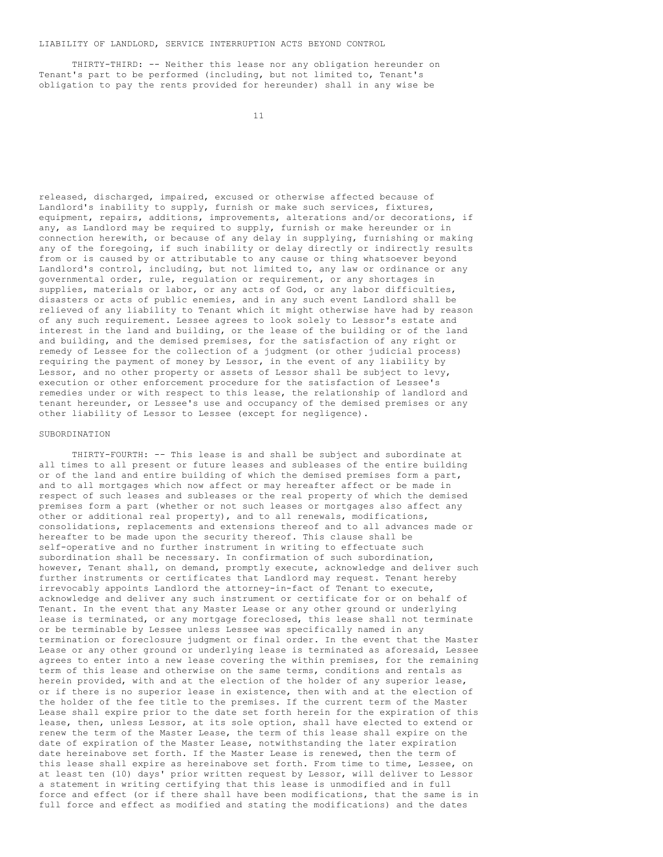LIABILITY OF LANDLORD, SERVICE INTERRUPTION ACTS BEYOND CONTROL

THIRTY-THIRD: -- Neither this lease nor any obligation hereunder on Tenant's part to be performed (including, but not limited to, Tenant's obligation to pay the rents provided for hereunder) shall in any wise be

released, discharged, impaired, excused or otherwise affected because of Landlord's inability to supply, furnish or make such services, fixtures, equipment, repairs, additions, improvements, alterations and/or decorations, if any, as Landlord may be required to supply, furnish or make hereunder or in connection herewith, or because of any delay in supplying, furnishing or making any of the foregoing, if such inability or delay directly or indirectly results from or is caused by or attributable to any cause or thing whatsoever beyond Landlord's control, including, but not limited to, any law or ordinance or any governmental order, rule, regulation or requirement, or any shortages in supplies, materials or labor, or any acts of God, or any labor difficulties, disasters or acts of public enemies, and in any such event Landlord shall be relieved of any liability to Tenant which it might otherwise have had by reason of any such requirement. Lessee agrees to look solely to Lessor's estate and interest in the land and building, or the lease of the building or of the land and building, and the demised premises, for the satisfaction of any right or remedy of Lessee for the collection of a judgment (or other judicial process) requiring the payment of money by Lessor, in the event of any liability by Lessor, and no other property or assets of Lessor shall be subject to levy, execution or other enforcement procedure for the satisfaction of Lessee's remedies under or with respect to this lease, the relationship of landlord and tenant hereunder, or Lessee's use and occupancy of the demised premises or any other liability of Lessor to Lessee (except for negligence).

#### SUBORDINATION

THIRTY-FOURTH: -- This lease is and shall be subject and subordinate at all times to all present or future leases and subleases of the entire building or of the land and entire building of which the demised premises form a part, and to all mortgages which now affect or may hereafter affect or be made in respect of such leases and subleases or the real property of which the demised premises form a part (whether or not such leases or mortgages also affect any other or additional real property), and to all renewals, modifications, consolidations, replacements and extensions thereof and to all advances made or hereafter to be made upon the security thereof. This clause shall be self-operative and no further instrument in writing to effectuate such subordination shall be necessary. In confirmation of such subordination, however, Tenant shall, on demand, promptly execute, acknowledge and deliver such further instruments or certificates that Landlord may request. Tenant hereby irrevocably appoints Landlord the attorney-in-fact of Tenant to execute, acknowledge and deliver any such instrument or certificate for or on behalf of Tenant. In the event that any Master Lease or any other ground or underlying lease is terminated, or any mortgage foreclosed, this lease shall not terminate or be terminable by Lessee unless Lessee was specifically named in any termination or foreclosure judgment or final order. In the event that the Master Lease or any other ground or underlying lease is terminated as aforesaid, Lessee agrees to enter into a new lease covering the within premises, for the remaining term of this lease and otherwise on the same terms, conditions and rentals as herein provided, with and at the election of the holder of any superior lease, or if there is no superior lease in existence, then with and at the election of the holder of the fee title to the premises. If the current term of the Master Lease shall expire prior to the date set forth herein for the expiration of this lease, then, unless Lessor, at its sole option, shall have elected to extend or renew the term of the Master Lease, the term of this lease shall expire on the date of expiration of the Master Lease, notwithstanding the later expiration date hereinabove set forth. If the Master Lease is renewed, then the term of this lease shall expire as hereinabove set forth. From time to time, Lessee, on at least ten (10) days' prior written request by Lessor, will deliver to Lessor a statement in writing certifying that this lease is unmodified and in full force and effect (or if there shall have been modifications, that the same is in full force and effect as modified and stating the modifications) and the dates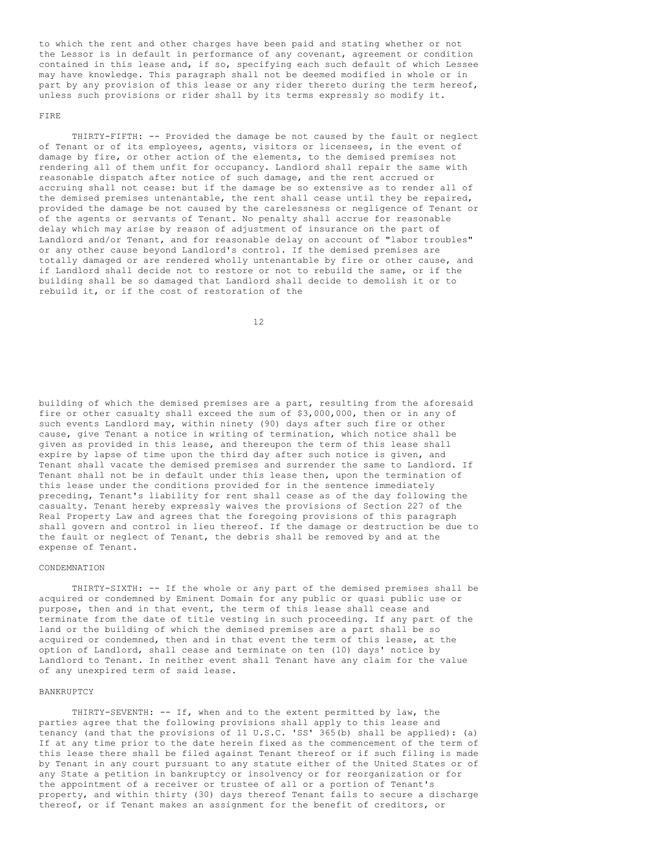to which the rent and other charges have been paid and stating whether or not the Lessor is in default in performance of any covenant, agreement or condition contained in this lease and, if so, specifying each such default of which Lessee may have knowledge. This paragraph shall not be deemed modified in whole or in part by any provision of this lease or any rider thereto during the term hereof, unless such provisions or rider shall by its terms expressly so modify it.

#### FIRE

THIRTY-FIFTH: -- Provided the damage be not caused by the fault or neglect of Tenant or of its employees, agents, visitors or licensees, in the event of damage by fire, or other action of the elements, to the demised premises not rendering all of them unfit for occupancy. Landlord shall repair the same with reasonable dispatch after notice of such damage, and the rent accrued or accruing shall not cease: but if the damage be so extensive as to render all of the demised premises untenantable, the rent shall cease until they be repaired, provided the damage be not caused by the carelessness or negligence of Tenant or of the agents or servants of Tenant. No penalty shall accrue for reasonable delay which may arise by reason of adjustment of insurance on the part of Landlord and/or Tenant, and for reasonable delay on account of "labor troubles" or any other cause beyond Landlord's control. If the demised premises are totally damaged or are rendered wholly untenantable by fire or other cause, and if Landlord shall decide not to restore or not to rebuild the same, or if the building shall be so damaged that Landlord shall decide to demolish it or to rebuild it, or if the cost of restoration of the

12

building of which the demised premises are a part, resulting from the aforesaid fire or other casualty shall exceed the sum of \$3,000,000, then or in any of such events Landlord may, within ninety (90) days after such fire or other cause, give Tenant a notice in writing of termination, which notice shall be given as provided in this lease, and thereupon the term of this lease shall expire by lapse of time upon the third day after such notice is given, and Tenant shall vacate the demised premises and surrender the same to Landlord. If Tenant shall not be in default under this lease then, upon the termination of this lease under the conditions provided for in the sentence immediately preceding, Tenant's liability for rent shall cease as of the day following the casualty. Tenant hereby expressly waives the provisions of Section 227 of the Real Property Law and agrees that the foregoing provisions of this paragraph shall govern and control in lieu thereof. If the damage or destruction be due to the fault or neglect of Tenant, the debris shall be removed by and at the expense of Tenant.

#### CONDEMNATION

THIRTY-SIXTH: -- If the whole or any part of the demised premises shall be acquired or condemned by Eminent Domain for any public or quasi public use or purpose, then and in that event, the term of this lease shall cease and terminate from the date of title vesting in such proceeding. If any part of the land or the building of which the demised premises are a part shall be so acquired or condemned, then and in that event the term of this lease, at the option of Landlord, shall cease and terminate on ten (10) days' notice by Landlord to Tenant. In neither event shall Tenant have any claim for the value of any unexpired term of said lease.

#### BANKRUPTCY

THIRTY-SEVENTH: -- If, when and to the extent permitted by law, the parties agree that the following provisions shall apply to this lease and tenancy (and that the provisions of 11 U.S.C. 'SS' 365(b) shall be applied): (a) If at any time prior to the date herein fixed as the commencement of the term of this lease there shall be filed against Tenant thereof or if such filing is made by Tenant in any court pursuant to any statute either of the United States or of any State a petition in bankruptcy or insolvency or for reorganization or for the appointment of a receiver or trustee of all or a portion of Tenant's property, and within thirty (30) days thereof Tenant fails to secure a discharge thereof, or if Tenant makes an assignment for the benefit of creditors, or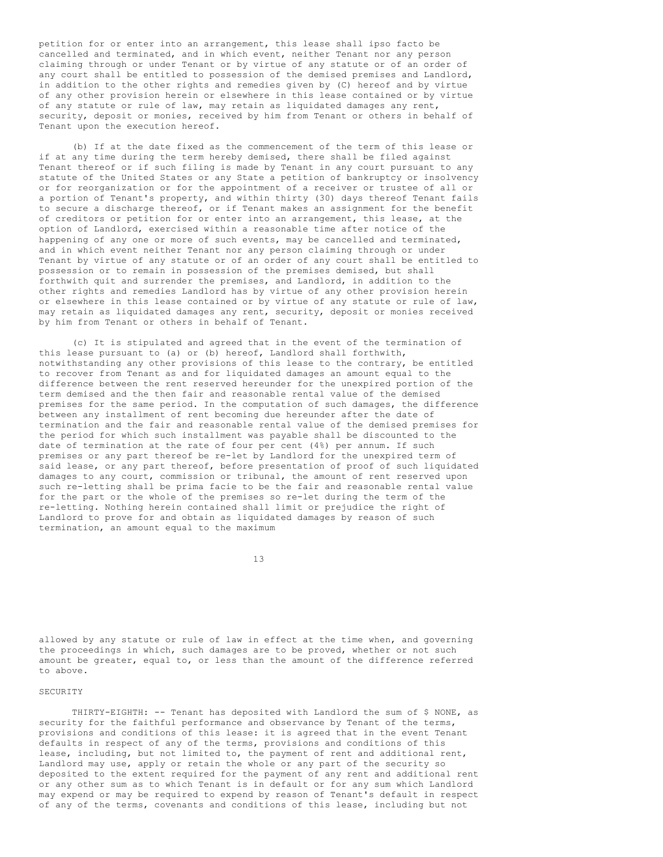petition for or enter into an arrangement, this lease shall ipso facto be cancelled and terminated, and in which event, neither Tenant nor any person claiming through or under Tenant or by virtue of any statute or of an order of any court shall be entitled to possession of the demised premises and Landlord, in addition to the other rights and remedies given by (C) hereof and by virtue of any other provision herein or elsewhere in this lease contained or by virtue of any statute or rule of law, may retain as liquidated damages any rent, security, deposit or monies, received by him from Tenant or others in behalf of Tenant upon the execution hereof.

(b) If at the date fixed as the commencement of the term of this lease or if at any time during the term hereby demised, there shall be filed against Tenant thereof or if such filing is made by Tenant in any court pursuant to any statute of the United States or any State a petition of bankruptcy or insolvency or for reorganization or for the appointment of a receiver or trustee of all or a portion of Tenant's property, and within thirty (30) days thereof Tenant fails to secure a discharge thereof, or if Tenant makes an assignment for the benefit of creditors or petition for or enter into an arrangement, this lease, at the option of Landlord, exercised within a reasonable time after notice of the happening of any one or more of such events, may be cancelled and terminated, and in which event neither Tenant nor any person claiming through or under Tenant by virtue of any statute or of an order of any court shall be entitled to possession or to remain in possession of the premises demised, but shall forthwith quit and surrender the premises, and Landlord, in addition to the other rights and remedies Landlord has by virtue of any other provision herein or elsewhere in this lease contained or by virtue of any statute or rule of law, may retain as liquidated damages any rent, security, deposit or monies received by him from Tenant or others in behalf of Tenant.

(c) It is stipulated and agreed that in the event of the termination of this lease pursuant to (a) or (b) hereof, Landlord shall forthwith, notwithstanding any other provisions of this lease to the contrary, be entitled to recover from Tenant as and for liquidated damages an amount equal to the difference between the rent reserved hereunder for the unexpired portion of the term demised and the then fair and reasonable rental value of the demised premises for the same period. In the computation of such damages, the difference between any installment of rent becoming due hereunder after the date of termination and the fair and reasonable rental value of the demised premises for the period for which such installment was payable shall be discounted to the date of termination at the rate of four per cent (4%) per annum. If such premises or any part thereof be re-let by Landlord for the unexpired term of said lease, or any part thereof, before presentation of proof of such liquidated damages to any court, commission or tribunal, the amount of rent reserved upon such re-letting shall be prima facie to be the fair and reasonable rental value for the part or the whole of the premises so re-let during the term of the re-letting. Nothing herein contained shall limit or prejudice the right of Landlord to prove for and obtain as liquidated damages by reason of such termination, an amount equal to the maximum

13

allowed by any statute or rule of law in effect at the time when, and governing the proceedings in which, such damages are to be proved, whether or not such amount be greater, equal to, or less than the amount of the difference referred to above.

## SECURITY

THIRTY-EIGHTH: -- Tenant has deposited with Landlord the sum of \$ NONE, as security for the faithful performance and observance by Tenant of the terms, provisions and conditions of this lease: it is agreed that in the event Tenant defaults in respect of any of the terms, provisions and conditions of this lease, including, but not limited to, the payment of rent and additional rent, Landlord may use, apply or retain the whole or any part of the security so deposited to the extent required for the payment of any rent and additional rent or any other sum as to which Tenant is in default or for any sum which Landlord may expend or may be required to expend by reason of Tenant's default in respect of any of the terms, covenants and conditions of this lease, including but not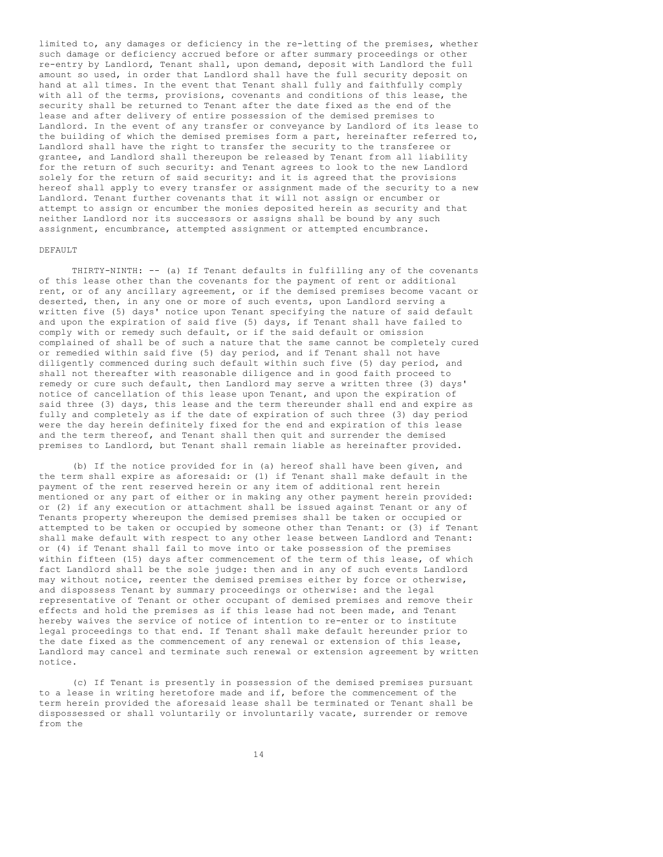limited to, any damages or deficiency in the re-letting of the premises, whether such damage or deficiency accrued before or after summary proceedings or other re-entry by Landlord, Tenant shall, upon demand, deposit with Landlord the full amount so used, in order that Landlord shall have the full security deposit on hand at all times. In the event that Tenant shall fully and faithfully comply with all of the terms, provisions, covenants and conditions of this lease, the security shall be returned to Tenant after the date fixed as the end of the lease and after delivery of entire possession of the demised premises to Landlord. In the event of any transfer or conveyance by Landlord of its lease to the building of which the demised premises form a part, hereinafter referred to, Landlord shall have the right to transfer the security to the transferee or grantee, and Landlord shall thereupon be released by Tenant from all liability for the return of such security: and Tenant agrees to look to the new Landlord solely for the return of said security: and it is agreed that the provisions hereof shall apply to every transfer or assignment made of the security to a new Landlord. Tenant further covenants that it will not assign or encumber or attempt to assign or encumber the monies deposited herein as security and that neither Landlord nor its successors or assigns shall be bound by any such assignment, encumbrance, attempted assignment or attempted encumbrance.

#### DEFAULT

THIRTY-NINTH: -- (a) If Tenant defaults in fulfilling any of the covenants of this lease other than the covenants for the payment of rent or additional rent, or of any ancillary agreement, or if the demised premises become vacant or deserted, then, in any one or more of such events, upon Landlord serving a written five (5) days' notice upon Tenant specifying the nature of said default and upon the expiration of said five (5) days, if Tenant shall have failed to comply with or remedy such default, or if the said default or omission complained of shall be of such a nature that the same cannot be completely cured or remedied within said five (5) day period, and if Tenant shall not have diligently commenced during such default within such five (5) day period, and shall not thereafter with reasonable diligence and in good faith proceed to remedy or cure such default, then Landlord may serve a written three (3) days' notice of cancellation of this lease upon Tenant, and upon the expiration of said three (3) days, this lease and the term thereunder shall end and expire as fully and completely as if the date of expiration of such three (3) day period were the day herein definitely fixed for the end and expiration of this lease and the term thereof, and Tenant shall then quit and surrender the demised premises to Landlord, but Tenant shall remain liable as hereinafter provided.

(b) If the notice provided for in (a) hereof shall have been given, and the term shall expire as aforesaid: or (1) if Tenant shall make default in the payment of the rent reserved herein or any item of additional rent herein mentioned or any part of either or in making any other payment herein provided: or (2) if any execution or attachment shall be issued against Tenant or any of Tenants property whereupon the demised premises shall be taken or occupied or attempted to be taken or occupied by someone other than Tenant: or (3) if Tenant shall make default with respect to any other lease between Landlord and Tenant: or (4) if Tenant shall fail to move into or take possession of the premises within fifteen (15) days after commencement of the term of this lease, of which fact Landlord shall be the sole judge: then and in any of such events Landlord may without notice, reenter the demised premises either by force or otherwise, and dispossess Tenant by summary proceedings or otherwise: and the legal representative of Tenant or other occupant of demised premises and remove their effects and hold the premises as if this lease had not been made, and Tenant hereby waives the service of notice of intention to re-enter or to institute legal proceedings to that end. If Tenant shall make default hereunder prior to the date fixed as the commencement of any renewal or extension of this lease, Landlord may cancel and terminate such renewal or extension agreement by written notice.

(c) If Tenant is presently in possession of the demised premises pursuant to a lease in writing heretofore made and if, before the commencement of the term herein provided the aforesaid lease shall be terminated or Tenant shall be dispossessed or shall voluntarily or involuntarily vacate, surrender or remove from the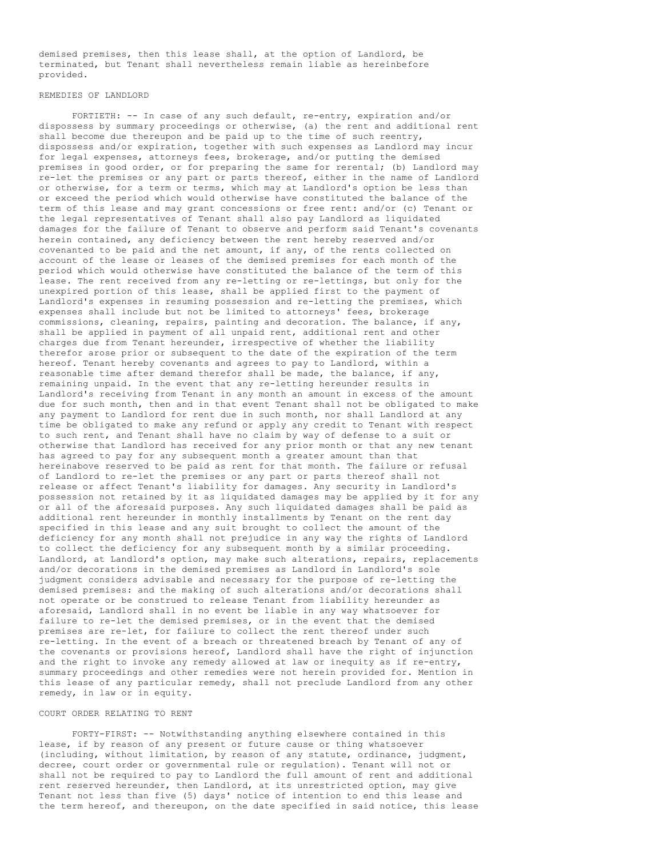demised premises, then this lease shall, at the option of Landlord, be terminated, but Tenant shall nevertheless remain liable as hereinbefore provided.

## REMEDIES OF LANDLORD

FORTIETH: -- In case of any such default, re-entry, expiration and/or dispossess by summary proceedings or otherwise, (a) the rent and additional rent shall become due thereupon and be paid up to the time of such reentry, dispossess and/or expiration, together with such expenses as Landlord may incur for legal expenses, attorneys fees, brokerage, and/or putting the demised premises in good order, or for preparing the same for rerental; (b) Landlord may re-let the premises or any part or parts thereof, either in the name of Landlord or otherwise, for a term or terms, which may at Landlord's option be less than or exceed the period which would otherwise have constituted the balance of the term of this lease and may grant concessions or free rent: and/or (c) Tenant or the legal representatives of Tenant shall also pay Landlord as liquidated damages for the failure of Tenant to observe and perform said Tenant's covenants herein contained, any deficiency between the rent hereby reserved and/or covenanted to be paid and the net amount, if any, of the rents collected on account of the lease or leases of the demised premises for each month of the period which would otherwise have constituted the balance of the term of this lease. The rent received from any re-letting or re-lettings, but only for the unexpired portion of this lease, shall be applied first to the payment of Landlord's expenses in resuming possession and re-letting the premises, which expenses shall include but not be limited to attorneys' fees, brokerage commissions, cleaning, repairs, painting and decoration. The balance, if any, shall be applied in payment of all unpaid rent, additional rent and other charges due from Tenant hereunder, irrespective of whether the liability therefor arose prior or subsequent to the date of the expiration of the term hereof. Tenant hereby covenants and agrees to pay to Landlord, within a reasonable time after demand therefor shall be made, the balance, if any, remaining unpaid. In the event that any re-letting hereunder results in Landlord's receiving from Tenant in any month an amount in excess of the amount due for such month, then and in that event Tenant shall not be obligated to make any payment to Landlord for rent due in such month, nor shall Landlord at any time be obligated to make any refund or apply any credit to Tenant with respect to such rent, and Tenant shall have no claim by way of defense to a suit or otherwise that Landlord has received for any prior month or that any new tenant has agreed to pay for any subsequent month a greater amount than that hereinabove reserved to be paid as rent for that month. The failure or refusal of Landlord to re-let the premises or any part or parts thereof shall not release or affect Tenant's liability for damages. Any security in Landlord's possession not retained by it as liquidated damages may be applied by it for any or all of the aforesaid purposes. Any such liquidated damages shall be paid as additional rent hereunder in monthly installments by Tenant on the rent day specified in this lease and any suit brought to collect the amount of the deficiency for any month shall not prejudice in any way the rights of Landlord to collect the deficiency for any subsequent month by a similar proceeding. Landlord, at Landlord's option, may make such alterations, repairs, replacements and/or decorations in the demised premises as Landlord in Landlord's sole judgment considers advisable and necessary for the purpose of re-letting the demised premises: and the making of such alterations and/or decorations shall not operate or be construed to release Tenant from liability hereunder as aforesaid, Landlord shall in no event be liable in any way whatsoever for failure to re-let the demised premises, or in the event that the demised premises are re-let, for failure to collect the rent thereof under such re-letting. In the event of a breach or threatened breach by Tenant of any of the covenants or provisions hereof, Landlord shall have the right of injunction and the right to invoke any remedy allowed at law or inequity as if re-entry, summary proceedings and other remedies were not herein provided for. Mention in this lease of any particular remedy, shall not preclude Landlord from any other remedy, in law or in equity.

## COURT ORDER RELATING TO RENT

FORTY-FIRST: -- Notwithstanding anything elsewhere contained in this lease, if by reason of any present or future cause or thing whatsoever (including, without limitation, by reason of any statute, ordinance, judgment, decree, court order or governmental rule or regulation). Tenant will not or shall not be required to pay to Landlord the full amount of rent and additional rent reserved hereunder, then Landlord, at its unrestricted option, may give Tenant not less than five (5) days' notice of intention to end this lease and the term hereof, and thereupon, on the date specified in said notice, this lease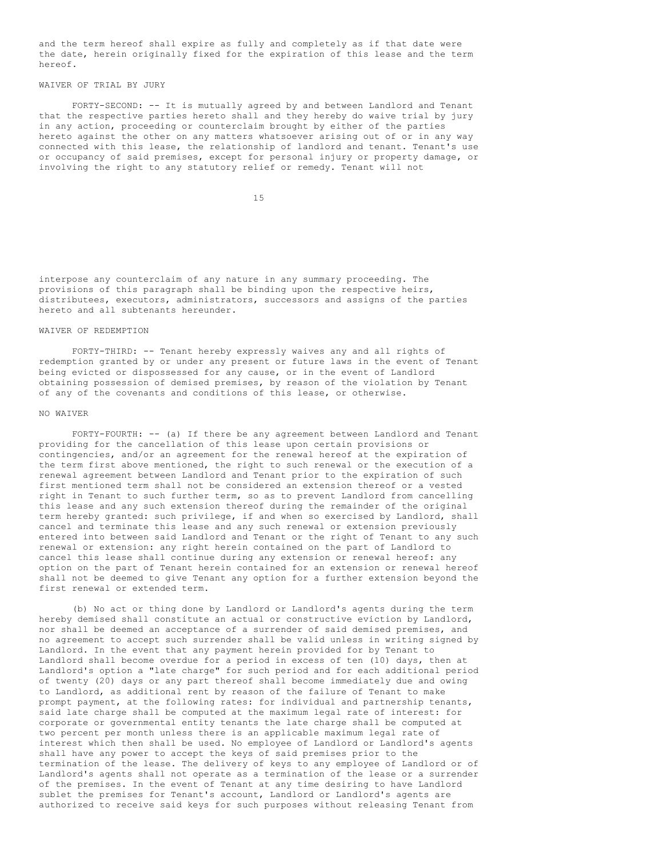and the term hereof shall expire as fully and completely as if that date were the date, herein originally fixed for the expiration of this lease and the term hereof.

# WAIVER OF TRIAL BY JURY

FORTY-SECOND: -- It is mutually agreed by and between Landlord and Tenant that the respective parties hereto shall and they hereby do waive trial by jury in any action, proceeding or counterclaim brought by either of the parties hereto against the other on any matters whatsoever arising out of or in any way connected with this lease, the relationship of landlord and tenant. Tenant's use or occupancy of said premises, except for personal injury or property damage, or involving the right to any statutory relief or remedy. Tenant will not

## 15

interpose any counterclaim of any nature in any summary proceeding. The provisions of this paragraph shall be binding upon the respective heirs, distributees, executors, administrators, successors and assigns of the parties hereto and all subtenants hereunder.

#### WAIVER OF REDEMPTION

FORTY-THIRD: -- Tenant hereby expressly waives any and all rights of redemption granted by or under any present or future laws in the event of Tenant being evicted or dispossessed for any cause, or in the event of Landlord obtaining possession of demised premises, by reason of the violation by Tenant of any of the covenants and conditions of this lease, or otherwise.

#### NO WAIVER

FORTY-FOURTH: -- (a) If there be any agreement between Landlord and Tenant providing for the cancellation of this lease upon certain provisions or contingencies, and/or an agreement for the renewal hereof at the expiration of the term first above mentioned, the right to such renewal or the execution of a renewal agreement between Landlord and Tenant prior to the expiration of such first mentioned term shall not be considered an extension thereof or a vested right in Tenant to such further term, so as to prevent Landlord from cancelling this lease and any such extension thereof during the remainder of the original term hereby granted: such privilege, if and when so exercised by Landlord, shall cancel and terminate this lease and any such renewal or extension previously entered into between said Landlord and Tenant or the right of Tenant to any such renewal or extension: any right herein contained on the part of Landlord to cancel this lease shall continue during any extension or renewal hereof: any option on the part of Tenant herein contained for an extension or renewal hereof shall not be deemed to give Tenant any option for a further extension beyond the first renewal or extended term.

(b) No act or thing done by Landlord or Landlord's agents during the term hereby demised shall constitute an actual or constructive eviction by Landlord, nor shall be deemed an acceptance of a surrender of said demised premises, and no agreement to accept such surrender shall be valid unless in writing signed by Landlord. In the event that any payment herein provided for by Tenant to Landlord shall become overdue for a period in excess of ten (10) days, then at Landlord's option a "late charge" for such period and for each additional period of twenty (20) days or any part thereof shall become immediately due and owing to Landlord, as additional rent by reason of the failure of Tenant to make prompt payment, at the following rates: for individual and partnership tenants, said late charge shall be computed at the maximum legal rate of interest: for corporate or governmental entity tenants the late charge shall be computed at two percent per month unless there is an applicable maximum legal rate of interest which then shall be used. No employee of Landlord or Landlord's agents shall have any power to accept the keys of said premises prior to the termination of the lease. The delivery of keys to any employee of Landlord or of Landlord's agents shall not operate as a termination of the lease or a surrender of the premises. In the event of Tenant at any time desiring to have Landlord sublet the premises for Tenant's account, Landlord or Landlord's agents are authorized to receive said keys for such purposes without releasing Tenant from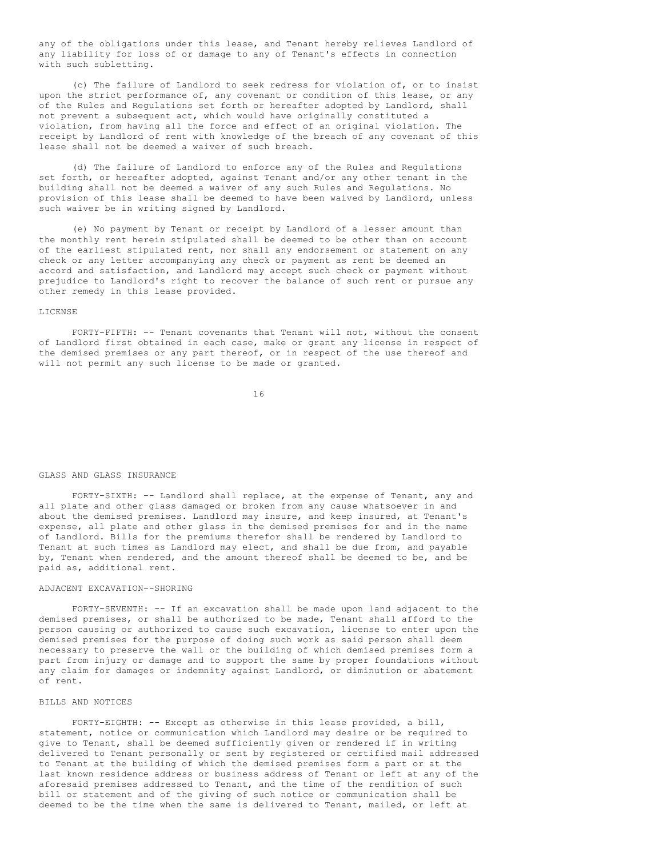any of the obligations under this lease, and Tenant hereby relieves Landlord of any liability for loss of or damage to any of Tenant's effects in connection with such subletting.

(c) The failure of Landlord to seek redress for violation of, or to insist upon the strict performance of, any covenant or condition of this lease, or any of the Rules and Regulations set forth or hereafter adopted by Landlord, shall not prevent a subsequent act, which would have originally constituted a violation, from having all the force and effect of an original violation. The receipt by Landlord of rent with knowledge of the breach of any covenant of this lease shall not be deemed a waiver of such breach.

(d) The failure of Landlord to enforce any of the Rules and Regulations set forth, or hereafter adopted, against Tenant and/or any other tenant in the building shall not be deemed a waiver of any such Rules and Regulations. No provision of this lease shall be deemed to have been waived by Landlord, unless such waiver be in writing signed by Landlord.

(e) No payment by Tenant or receipt by Landlord of a lesser amount than the monthly rent herein stipulated shall be deemed to be other than on account of the earliest stipulated rent, nor shall any endorsement or statement on any check or any letter accompanying any check or payment as rent be deemed an accord and satisfaction, and Landlord may accept such check or payment without prejudice to Landlord's right to recover the balance of such rent or pursue any other remedy in this lease provided.

#### LICENSE

FORTY-FIFTH: -- Tenant covenants that Tenant will not, without the consent of Landlord first obtained in each case, make or grant any license in respect of the demised premises or any part thereof, or in respect of the use thereof and will not permit any such license to be made or granted.

16

## GLASS AND GLASS INSURANCE

FORTY-SIXTH: -- Landlord shall replace, at the expense of Tenant, any and all plate and other glass damaged or broken from any cause whatsoever in and about the demised premises. Landlord may insure, and keep insured, at Tenant's expense, all plate and other glass in the demised premises for and in the name of Landlord. Bills for the premiums therefor shall be rendered by Landlord to Tenant at such times as Landlord may elect, and shall be due from, and payable by, Tenant when rendered, and the amount thereof shall be deemed to be, and be paid as, additional rent.

### ADJACENT EXCAVATION--SHORING

FORTY-SEVENTH: -- If an excavation shall be made upon land adjacent to the demised premises, or shall be authorized to be made, Tenant shall afford to the person causing or authorized to cause such excavation, license to enter upon the demised premises for the purpose of doing such work as said person shall deem necessary to preserve the wall or the building of which demised premises form a part from injury or damage and to support the same by proper foundations without any claim for damages or indemnity against Landlord, or diminution or abatement of rent.

## BILLS AND NOTICES

FORTY-EIGHTH: -- Except as otherwise in this lease provided, a bill, statement, notice or communication which Landlord may desire or be required to give to Tenant, shall be deemed sufficiently given or rendered if in writing delivered to Tenant personally or sent by registered or certified mail addressed to Tenant at the building of which the demised premises form a part or at the last known residence address or business address of Tenant or left at any of the aforesaid premises addressed to Tenant, and the time of the rendition of such bill or statement and of the giving of such notice or communication shall be deemed to be the time when the same is delivered to Tenant, mailed, or left at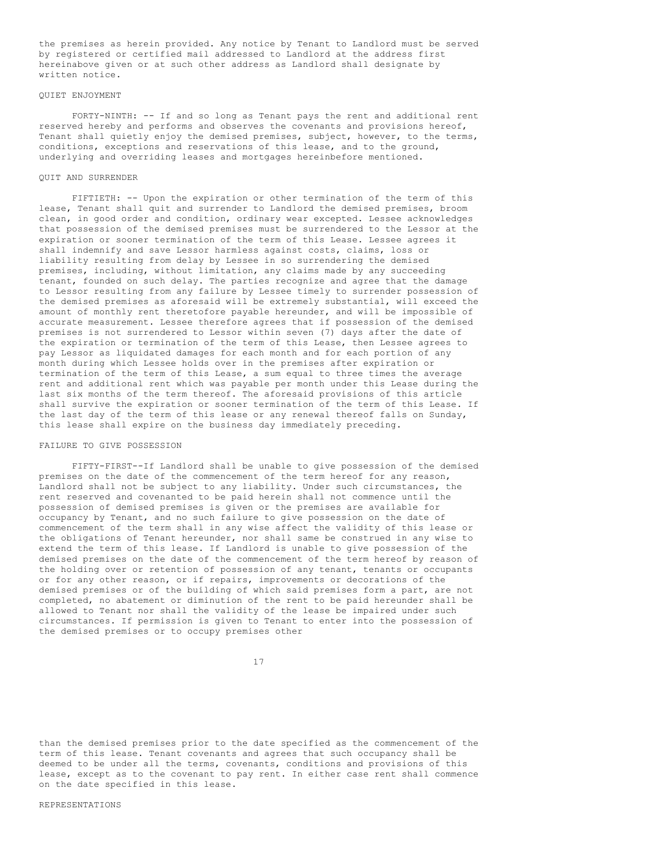the premises as herein provided. Any notice by Tenant to Landlord must be served by registered or certified mail addressed to Landlord at the address first hereinabove given or at such other address as Landlord shall designate by written notice.

# QUIET ENJOYMENT

FORTY-NINTH: -- If and so long as Tenant pays the rent and additional rent reserved hereby and performs and observes the covenants and provisions hereof, Tenant shall quietly enjoy the demised premises, subject, however, to the terms, conditions, exceptions and reservations of this lease, and to the ground, underlying and overriding leases and mortgages hereinbefore mentioned.

# QUIT AND SURRENDER

FIFTIETH: -- Upon the expiration or other termination of the term of this lease, Tenant shall quit and surrender to Landlord the demised premises, broom clean, in good order and condition, ordinary wear excepted. Lessee acknowledges that possession of the demised premises must be surrendered to the Lessor at the expiration or sooner termination of the term of this Lease. Lessee agrees it shall indemnify and save Lessor harmless against costs, claims, loss or liability resulting from delay by Lessee in so surrendering the demised premises, including, without limitation, any claims made by any succeeding tenant, founded on such delay. The parties recognize and agree that the damage to Lessor resulting from any failure by Lessee timely to surrender possession of the demised premises as aforesaid will be extremely substantial, will exceed the amount of monthly rent theretofore payable hereunder, and will be impossible of accurate measurement. Lessee therefore agrees that if possession of the demised premises is not surrendered to Lessor within seven (7) days after the date of the expiration or termination of the term of this Lease, then Lessee agrees to pay Lessor as liquidated damages for each month and for each portion of any month during which Lessee holds over in the premises after expiration or termination of the term of this Lease, a sum equal to three times the average rent and additional rent which was payable per month under this Lease during the last six months of the term thereof. The aforesaid provisions of this article shall survive the expiration or sooner termination of the term of this Lease. If the last day of the term of this lease or any renewal thereof falls on Sunday, this lease shall expire on the business day immediately preceding.

## FAILURE TO GIVE POSSESSION

FIFTY-FIRST--If Landlord shall be unable to give possession of the demised premises on the date of the commencement of the term hereof for any reason, Landlord shall not be subject to any liability. Under such circumstances, the rent reserved and covenanted to be paid herein shall not commence until the possession of demised premises is given or the premises are available for occupancy by Tenant, and no such failure to give possession on the date of commencement of the term shall in any wise affect the validity of this lease or the obligations of Tenant hereunder, nor shall same be construed in any wise to extend the term of this lease. If Landlord is unable to give possession of the demised premises on the date of the commencement of the term hereof by reason of the holding over or retention of possession of any tenant, tenants or occupants or for any other reason, or if repairs, improvements or decorations of the demised premises or of the building of which said premises form a part, are not completed, no abatement or diminution of the rent to be paid hereunder shall be allowed to Tenant nor shall the validity of the lease be impaired under such circumstances. If permission is given to Tenant to enter into the possession of the demised premises or to occupy premises other

17

than the demised premises prior to the date specified as the commencement of the term of this lease. Tenant covenants and agrees that such occupancy shall be deemed to be under all the terms, covenants, conditions and provisions of this lease, except as to the covenant to pay rent. In either case rent shall commence on the date specified in this lease.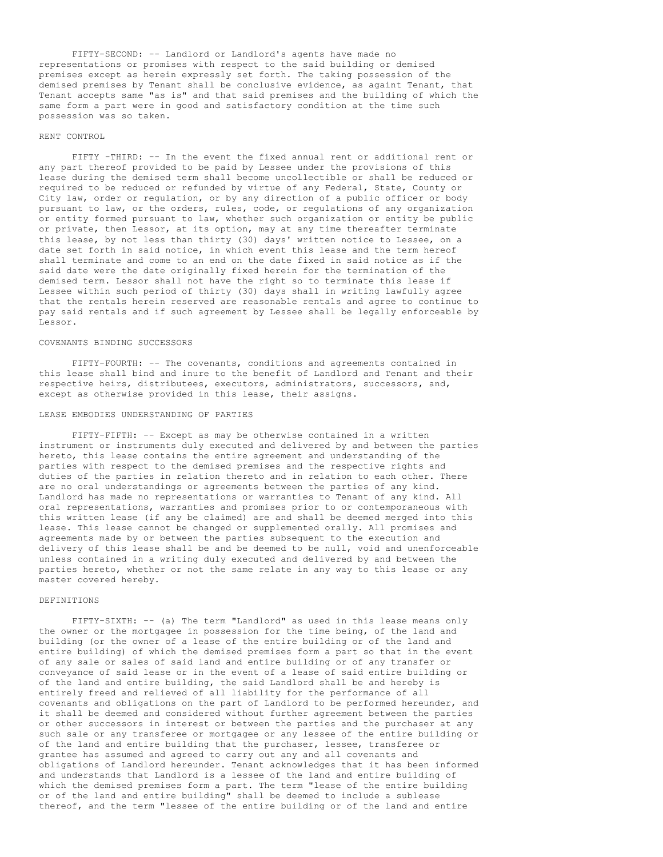FIFTY-SECOND: -- Landlord or Landlord's agents have made no representations or promises with respect to the said building or demised premises except as herein expressly set forth. The taking possession of the demised premises by Tenant shall be conclusive evidence, as againt Tenant, that Tenant accepts same "as is" and that said premises and the building of which the same form a part were in good and satisfactory condition at the time such possession was so taken.

#### RENT CONTROL

FIFTY -THIRD: -- In the event the fixed annual rent or additional rent or any part thereof provided to be paid by Lessee under the provisions of this lease during the demised term shall become uncollectible or shall be reduced or required to be reduced or refunded by virtue of any Federal, State, County or City law, order or regulation, or by any direction of a public officer or body pursuant to law, or the orders, rules, code, or regulations of any organization or entity formed pursuant to law, whether such organization or entity be public or private, then Lessor, at its option, may at any time thereafter terminate this lease, by not less than thirty (30) days' written notice to Lessee, on a date set forth in said notice, in which event this lease and the term hereof shall terminate and come to an end on the date fixed in said notice as if the said date were the date originally fixed herein for the termination of the demised term. Lessor shall not have the right so to terminate this lease if Lessee within such period of thirty (30) days shall in writing lawfully agree that the rentals herein reserved are reasonable rentals and agree to continue to pay said rentals and if such agreement by Lessee shall be legally enforceable by Lessor.

# COVENANTS BINDING SUCCESSORS

FIFTY-FOURTH: -- The covenants, conditions and agreements contained in this lease shall bind and inure to the benefit of Landlord and Tenant and their respective heirs, distributees, executors, administrators, successors, and, except as otherwise provided in this lease, their assigns.

## LEASE EMBODIES UNDERSTANDING OF PARTIES

FIFTY-FIFTH: -- Except as may be otherwise contained in a written instrument or instruments duly executed and delivered by and between the parties hereto, this lease contains the entire agreement and understanding of the parties with respect to the demised premises and the respective rights and duties of the parties in relation thereto and in relation to each other. There are no oral understandings or agreements between the parties of any kind. Landlord has made no representations or warranties to Tenant of any kind. All oral representations, warranties and promises prior to or contemporaneous with this written lease (if any be claimed) are and shall be deemed merged into this lease. This lease cannot be changed or supplemented orally. All promises and agreements made by or between the parties subsequent to the execution and delivery of this lease shall be and be deemed to be null, void and unenforceable unless contained in a writing duly executed and delivered by and between the parties hereto, whether or not the same relate in any way to this lease or any master covered hereby.

## DEFINITIONS

FIFTY-SIXTH: -- (a) The term "Landlord" as used in this lease means only the owner or the mortgagee in possession for the time being, of the land and building (or the owner of a lease of the entire building or of the land and entire building) of which the demised premises form a part so that in the event of any sale or sales of said land and entire building or of any transfer or conveyance of said lease or in the event of a lease of said entire building or of the land and entire building, the said Landlord shall be and hereby is entirely freed and relieved of all liability for the performance of all covenants and obligations on the part of Landlord to be performed hereunder, and it shall be deemed and considered without further agreement between the parties or other successors in interest or between the parties and the purchaser at any such sale or any transferee or mortgagee or any lessee of the entire building or of the land and entire building that the purchaser, lessee, transferee or grantee has assumed and agreed to carry out any and all covenants and obligations of Landlord hereunder. Tenant acknowledges that it has been informed and understands that Landlord is a lessee of the land and entire building of which the demised premises form a part. The term "lease of the entire building or of the land and entire building" shall be deemed to include a sublease thereof, and the term "lessee of the entire building or of the land and entire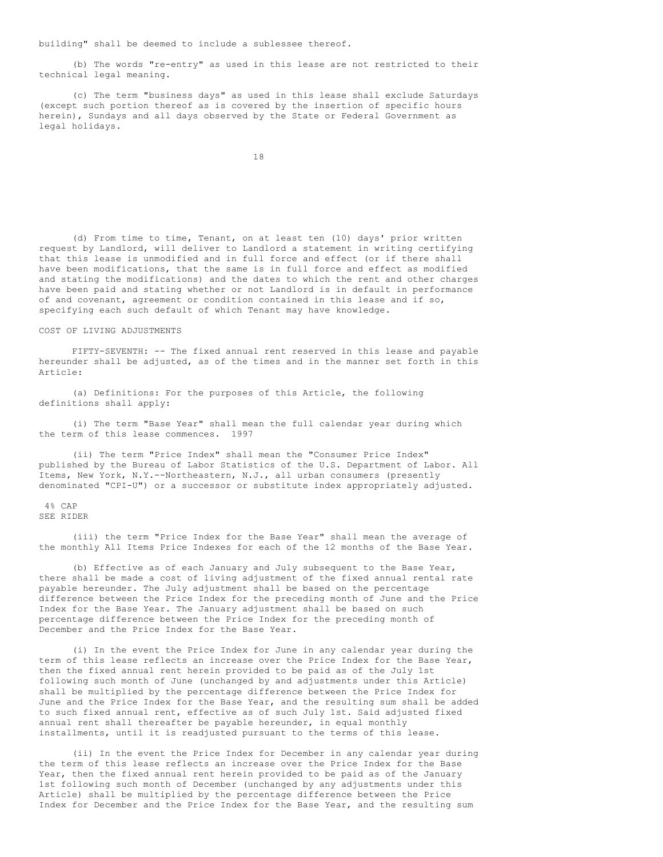building" shall be deemed to include a sublessee thereof.

(b) The words "re-entry" as used in this lease are not restricted to their technical legal meaning.

(c) The term "business days" as used in this lease shall exclude Saturdays (except such portion thereof as is covered by the insertion of specific hours herein), Sundays and all days observed by the State or Federal Government as legal holidays.

(d) From time to time, Tenant, on at least ten (10) days' prior written request by Landlord, will deliver to Landlord a statement in writing certifying that this lease is unmodified and in full force and effect (or if there shall have been modifications, that the same is in full force and effect as modified and stating the modifications) and the dates to which the rent and other charges have been paid and stating whether or not Landlord is in default in performance of and covenant, agreement or condition contained in this lease and if so, specifying each such default of which Tenant may have knowledge.

#### COST OF LIVING ADJUSTMENTS

FIFTY-SEVENTH: -- The fixed annual rent reserved in this lease and payable hereunder shall be adjusted, as of the times and in the manner set forth in this Article:

(a) Definitions: For the purposes of this Article, the following definitions shall apply:

(i) The term "Base Year" shall mean the full calendar year during which the term of this lease commences. 1997

(ii) The term "Price Index" shall mean the "Consumer Price Index" published by the Bureau of Labor Statistics of the U.S. Department of Labor. All Items, New York, N.Y.--Northeastern, N.J., all urban consumers (presently denominated "CPI-U") or a successor or substitute index appropriately adjusted.

# 4% CAP

SEE RIDER

(iii) the term "Price Index for the Base Year" shall mean the average of the monthly All Items Price Indexes for each of the 12 months of the Base Year.

(b) Effective as of each January and July subsequent to the Base Year, there shall be made a cost of living adjustment of the fixed annual rental rate payable hereunder. The July adjustment shall be based on the percentage difference between the Price Index for the preceding month of June and the Price Index for the Base Year. The January adjustment shall be based on such percentage difference between the Price Index for the preceding month of December and the Price Index for the Base Year.

(i) In the event the Price Index for June in any calendar year during the term of this lease reflects an increase over the Price Index for the Base Year, then the fixed annual rent herein provided to be paid as of the July 1st following such month of June (unchanged by and adjustments under this Article) shall be multiplied by the percentage difference between the Price Index for June and the Price Index for the Base Year, and the resulting sum shall be added to such fixed annual rent, effective as of such July 1st. Said adjusted fixed annual rent shall thereafter be payable hereunder, in equal monthly installments, until it is readjusted pursuant to the terms of this lease.

(ii) In the event the Price Index for December in any calendar year during the term of this lease reflects an increase over the Price Index for the Base Year, then the fixed annual rent herein provided to be paid as of the January 1st following such month of December (unchanged by any adjustments under this Article) shall be multiplied by the percentage difference between the Price Index for December and the Price Index for the Base Year, and the resulting sum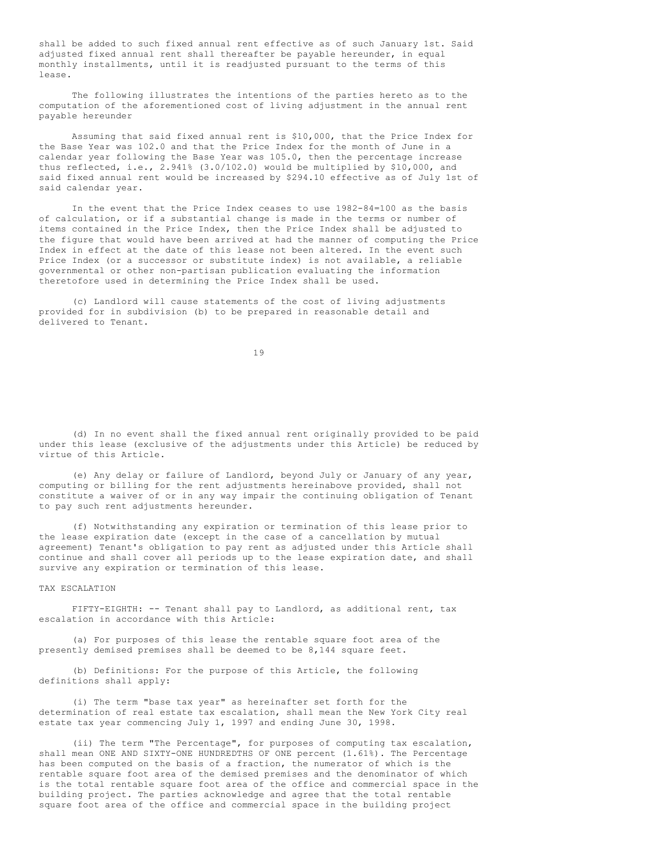shall be added to such fixed annual rent effective as of such January 1st. Said adjusted fixed annual rent shall thereafter be payable hereunder, in equal monthly installments, until it is readjusted pursuant to the terms of this lease.

The following illustrates the intentions of the parties hereto as to the computation of the aforementioned cost of living adjustment in the annual rent payable hereunder

Assuming that said fixed annual rent is \$10,000, that the Price Index for the Base Year was 102.0 and that the Price Index for the month of June in a calendar year following the Base Year was 105.0, then the percentage increase thus reflected, i.e., 2.941% (3.0/102.0) would be multiplied by \$10,000, and said fixed annual rent would be increased by \$294.10 effective as of July 1st of said calendar year.

In the event that the Price Index ceases to use 1982-84=100 as the basis of calculation, or if a substantial change is made in the terms or number of items contained in the Price Index, then the Price Index shall be adjusted to the figure that would have been arrived at had the manner of computing the Price Index in effect at the date of this lease not been altered. In the event such Price Index (or a successor or substitute index) is not available, a reliable governmental or other non-partisan publication evaluating the information theretofore used in determining the Price Index shall be used.

(c) Landlord will cause statements of the cost of living adjustments provided for in subdivision (b) to be prepared in reasonable detail and delivered to Tenant.

19

(d) In no event shall the fixed annual rent originally provided to be paid under this lease (exclusive of the adjustments under this Article) be reduced by virtue of this Article.

(e) Any delay or failure of Landlord, beyond July or January of any year, computing or billing for the rent adjustments hereinabove provided, shall not constitute a waiver of or in any way impair the continuing obligation of Tenant to pay such rent adjustments hereunder.

(f) Notwithstanding any expiration or termination of this lease prior to the lease expiration date (except in the case of a cancellation by mutual agreement) Tenant's obligation to pay rent as adjusted under this Article shall continue and shall cover all periods up to the lease expiration date, and shall survive any expiration or termination of this lease.

TAX ESCALATION

FIFTY-EIGHTH: -- Tenant shall pay to Landlord, as additional rent, tax escalation in accordance with this Article:

(a) For purposes of this lease the rentable square foot area of the presently demised premises shall be deemed to be 8,144 square feet.

(b) Definitions: For the purpose of this Article, the following definitions shall apply:

(i) The term "base tax year" as hereinafter set forth for the determination of real estate tax escalation, shall mean the New York City real estate tax year commencing July 1, 1997 and ending June 30, 1998.

(ii) The term "The Percentage", for purposes of computing tax escalation, shall mean ONE AND SIXTY-ONE HUNDREDTHS OF ONE percent (1.61%). The Percentage has been computed on the basis of a fraction, the numerator of which is the rentable square foot area of the demised premises and the denominator of which is the total rentable square foot area of the office and commercial space in the building project. The parties acknowledge and agree that the total rentable square foot area of the office and commercial space in the building project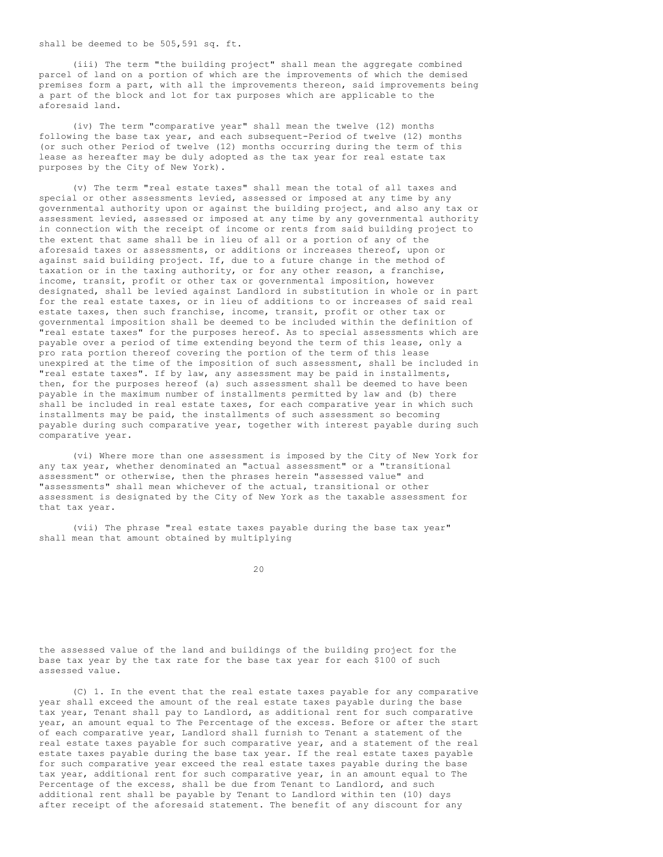(iii) The term "the building project" shall mean the aggregate combined parcel of land on a portion of which are the improvements of which the demised premises form a part, with all the improvements thereon, said improvements being a part of the block and lot for tax purposes which are applicable to the aforesaid land.

(iv) The term "comparative year" shall mean the twelve (12) months following the base tax year, and each subsequent-Period of twelve (12) months (or such other Period of twelve (12) months occurring during the term of this lease as hereafter may be duly adopted as the tax year for real estate tax purposes by the City of New York).

(v) The term "real estate taxes" shall mean the total of all taxes and special or other assessments levied, assessed or imposed at any time by any governmental authority upon or against the building project, and also any tax or assessment levied, assessed or imposed at any time by any governmental authority in connection with the receipt of income or rents from said building project to the extent that same shall be in lieu of all or a portion of any of the aforesaid taxes or assessments, or additions or increases thereof, upon or against said building project. If, due to a future change in the method of taxation or in the taxing authority, or for any other reason, a franchise, income, transit, profit or other tax or governmental imposition, however designated, shall be levied against Landlord in substitution in whole or in part for the real estate taxes, or in lieu of additions to or increases of said real estate taxes, then such franchise, income, transit, profit or other tax or governmental imposition shall be deemed to be included within the definition of "real estate taxes" for the purposes hereof. As to special assessments which are payable over a period of time extending beyond the term of this lease, only a pro rata portion thereof covering the portion of the term of this lease unexpired at the time of the imposition of such assessment, shall be included in "real estate taxes". If by law, any assessment may be paid in installments, then, for the purposes hereof (a) such assessment shall be deemed to have been payable in the maximum number of installments permitted by law and (b) there shall be included in real estate taxes, for each comparative year in which such installments may be paid, the installments of such assessment so becoming payable during such comparative year, together with interest payable during such comparative year.

(vi) Where more than one assessment is imposed by the City of New York for any tax year, whether denominated an "actual assessment" or a "transitional assessment" or otherwise, then the phrases herein "assessed value" and "assessments" shall mean whichever of the actual, transitional or other assessment is designated by the City of New York as the taxable assessment for that tax year.

(vii) The phrase "real estate taxes payable during the base tax year" shall mean that amount obtained by multiplying

20

the assessed value of the land and buildings of the building project for the base tax year by the tax rate for the base tax year for each \$100 of such assessed value.

(C) 1. In the event that the real estate taxes payable for any comparative year shall exceed the amount of the real estate taxes payable during the base tax year, Tenant shall pay to Landlord, as additional rent for such comparative year, an amount equal to The Percentage of the excess. Before or after the start of each comparative year, Landlord shall furnish to Tenant a statement of the real estate taxes payable for such comparative year, and a statement of the real estate taxes payable during the base tax year. If the real estate taxes payable for such comparative year exceed the real estate taxes payable during the base tax year, additional rent for such comparative year, in an amount equal to The Percentage of the excess, shall be due from Tenant to Landlord, and such additional rent shall be payable by Tenant to Landlord within ten (10) days after receipt of the aforesaid statement. The benefit of any discount for any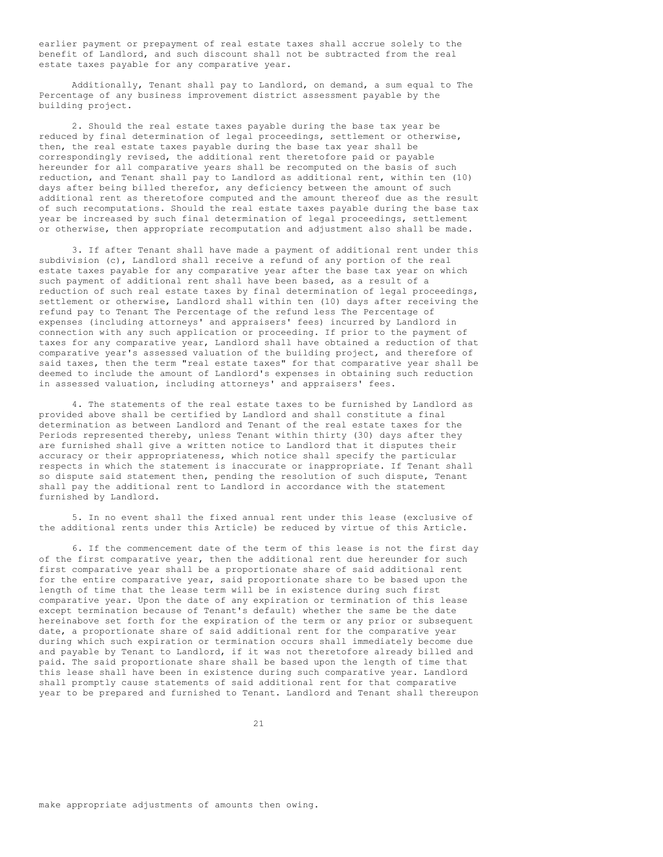earlier payment or prepayment of real estate taxes shall accrue solely to the benefit of Landlord, and such discount shall not be subtracted from the real estate taxes payable for any comparative year.

Additionally, Tenant shall pay to Landlord, on demand, a sum equal to The Percentage of any business improvement district assessment payable by the building project.

2. Should the real estate taxes payable during the base tax year be reduced by final determination of legal proceedings, settlement or otherwise, then, the real estate taxes payable during the base tax year shall be correspondingly revised, the additional rent theretofore paid or payable hereunder for all comparative years shall be recomputed on the basis of such reduction, and Tenant shall pay to Landlord as additional rent, within ten (10) days after being billed therefor, any deficiency between the amount of such additional rent as theretofore computed and the amount thereof due as the result of such recomputations. Should the real estate taxes payable during the base tax year be increased by such final determination of legal proceedings, settlement or otherwise, then appropriate recomputation and adjustment also shall be made.

3. If after Tenant shall have made a payment of additional rent under this subdivision (c), Landlord shall receive a refund of any portion of the real estate taxes payable for any comparative year after the base tax year on which such payment of additional rent shall have been based, as a result of a reduction of such real estate taxes by final determination of legal proceedings, settlement or otherwise, Landlord shall within ten (10) days after receiving the refund pay to Tenant The Percentage of the refund less The Percentage of expenses (including attorneys' and appraisers' fees) incurred by Landlord in connection with any such application or proceeding. If prior to the payment of taxes for any comparative year, Landlord shall have obtained a reduction of that comparative year's assessed valuation of the building project, and therefore of said taxes, then the term "real estate taxes" for that comparative year shall be deemed to include the amount of Landlord's expenses in obtaining such reduction in assessed valuation, including attorneys' and appraisers' fees.

4. The statements of the real estate taxes to be furnished by Landlord as provided above shall be certified by Landlord and shall constitute a final determination as between Landlord and Tenant of the real estate taxes for the Periods represented thereby, unless Tenant within thirty (30) days after they are furnished shall give a written notice to Landlord that it disputes their accuracy or their appropriateness, which notice shall specify the particular respects in which the statement is inaccurate or inappropriate. If Tenant shall so dispute said statement then, pending the resolution of such dispute, Tenant shall pay the additional rent to Landlord in accordance with the statement furnished by Landlord.

5. In no event shall the fixed annual rent under this lease (exclusive of the additional rents under this Article) be reduced by virtue of this Article.

6. If the commencement date of the term of this lease is not the first day of the first comparative year, then the additional rent due hereunder for such first comparative year shall be a proportionate share of said additional rent for the entire comparative year, said proportionate share to be based upon the length of time that the lease term will be in existence during such first comparative year. Upon the date of any expiration or termination of this lease except termination because of Tenant's default) whether the same be the date hereinabove set forth for the expiration of the term or any prior or subsequent date, a proportionate share of said additional rent for the comparative year during which such expiration or termination occurs shall immediately become due and payable by Tenant to Landlord, if it was not theretofore already billed and paid. The said proportionate share shall be based upon the length of time that this lease shall have been in existence during such comparative year. Landlord shall promptly cause statements of said additional rent for that comparative year to be prepared and furnished to Tenant. Landlord and Tenant shall thereupon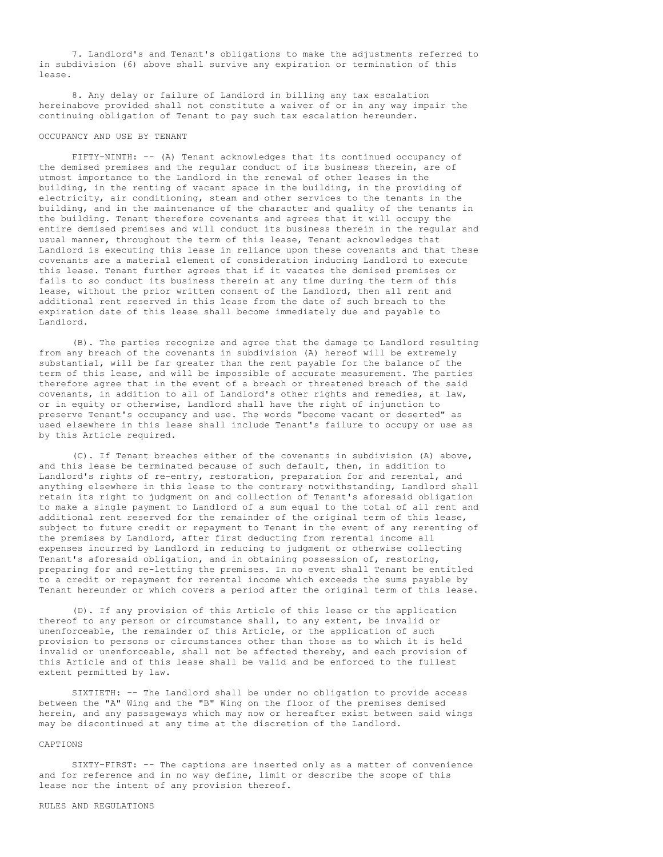7. Landlord's and Tenant's obligations to make the adjustments referred to in subdivision (6) above shall survive any expiration or termination of this lease.

8. Any delay or failure of Landlord in billing any tax escalation hereinabove provided shall not constitute a waiver of or in any way impair the continuing obligation of Tenant to pay such tax escalation hereunder.

## OCCUPANCY AND USE BY TENANT

FIFTY-NINTH: -- (A) Tenant acknowledges that its continued occupancy of the demised premises and the regular conduct of its business therein, are of utmost importance to the Landlord in the renewal of other leases in the building, in the renting of vacant space in the building, in the providing of electricity, air conditioning, steam and other services to the tenants in the building, and in the maintenance of the character and quality of the tenants in the building. Tenant therefore covenants and agrees that it will occupy the entire demised premises and will conduct its business therein in the regular and usual manner, throughout the term of this lease, Tenant acknowledges that Landlord is executing this lease in reliance upon these covenants and that these covenants are a material element of consideration inducing Landlord to execute this lease. Tenant further agrees that if it vacates the demised premises or fails to so conduct its business therein at any time during the term of this lease, without the prior written consent of the Landlord, then all rent and additional rent reserved in this lease from the date of such breach to the expiration date of this lease shall become immediately due and payable to Landlord.

(B). The parties recognize and agree that the damage to Landlord resulting from any breach of the covenants in subdivision (A) hereof will be extremely substantial, will be far greater than the rent payable for the balance of the term of this lease, and will be impossible of accurate measurement. The parties therefore agree that in the event of a breach or threatened breach of the said covenants, in addition to all of Landlord's other rights and remedies, at law, or in equity or otherwise, Landlord shall have the right of injunction to preserve Tenant's occupancy and use. The words "become vacant or deserted" as used elsewhere in this lease shall include Tenant's failure to occupy or use as by this Article required.

(C). If Tenant breaches either of the covenants in subdivision (A) above, and this lease be terminated because of such default, then, in addition to Landlord's rights of re-entry, restoration, preparation for and rerental, and anything elsewhere in this lease to the contrary notwithstanding, Landlord shall retain its right to judgment on and collection of Tenant's aforesaid obligation to make a single payment to Landlord of a sum equal to the total of all rent and additional rent reserved for the remainder of the original term of this lease, subject to future credit or repayment to Tenant in the event of any rerenting of the premises by Landlord, after first deducting from rerental income all expenses incurred by Landlord in reducing to judgment or otherwise collecting Tenant's aforesaid obligation, and in obtaining possession of, restoring, preparing for and re-letting the premises. In no event shall Tenant be entitled to a credit or repayment for rerental income which exceeds the sums payable by Tenant hereunder or which covers a period after the original term of this lease.

(D). If any provision of this Article of this lease or the application thereof to any person or circumstance shall, to any extent, be invalid or unenforceable, the remainder of this Article, or the application of such provision to persons or circumstances other than those as to which it is held invalid or unenforceable, shall not be affected thereby, and each provision of this Article and of this lease shall be valid and be enforced to the fullest extent permitted by law.

SIXTIETH: -- The Landlord shall be under no obligation to provide access between the "A" Wing and the "B" Wing on the floor of the premises demised herein, and any passageways which may now or hereafter exist between said wings may be discontinued at any time at the discretion of the Landlord.

#### CAPTIONS

SIXTY-FIRST: -- The captions are inserted only as a matter of convenience and for reference and in no way define, limit or describe the scope of this lease nor the intent of any provision thereof.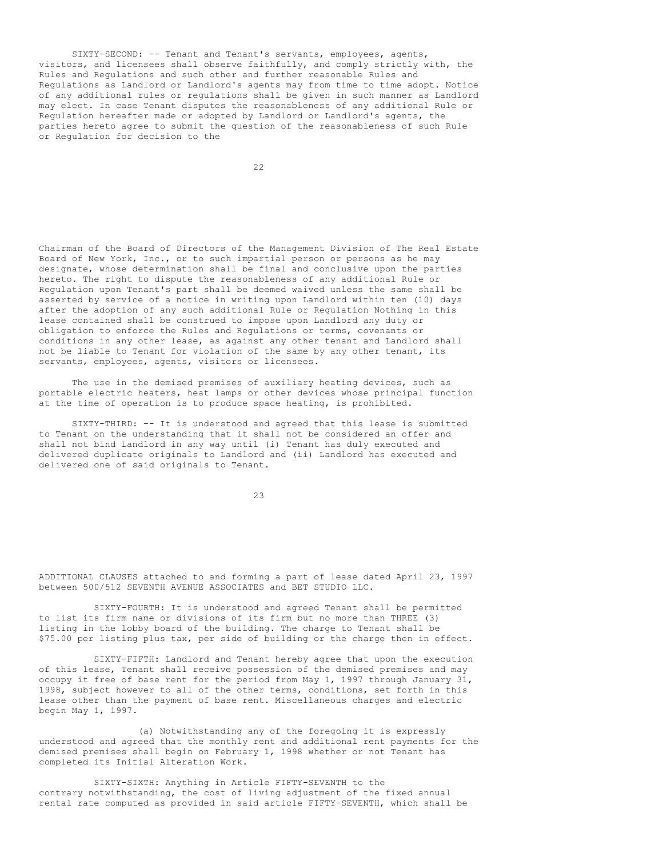SIXTY-SECOND: -- Tenant and Tenant's servants, employees, agents, visitors, and licensees shall observe faithfully, and comply strictly with, the Rules and Regulations and such other and further reasonable Rules and Regulations as Landlord or Landlord's agents may from time to time adopt. Notice of any additional rules or regulations shall be given in such manner as Landlord may elect. In case Tenant disputes the reasonableness of any additional Rule or Regulation hereafter made or adopted by Landlord or Landlord's agents, the parties hereto agree to submit the question of the reasonableness of such Rule or Regulation for decision to the

 $22$ 

Chairman of the Board of Directors of the Management Division of The Real Estate Board of New York, Inc., or to such impartial person or persons as he may designate, whose determination shall be final and conclusive upon the parties hereto. The right to dispute the reasonableness of any additional Rule or Regulation upon Tenant's part shall be deemed waived unless the same shall be asserted by service of a notice in writing upon Landlord within ten (10) days after the adoption of any such additional Rule or Regulation Nothing in this lease contained shall be construed to impose upon Landlord any duty or obligation to enforce the Rules and Regulations or terms, covenants or conditions in any other lease, as against any other tenant and Landlord shall not be liable to Tenant for violation of the same by any other tenant, its servants, employees, agents, visitors or licensees.

The use in the demised premises of auxiliary heating devices, such as portable electric heaters, heat lamps or other devices whose principal function at the time of operation is to produce space heating, is prohibited.

SIXTY-THIRD: -- It is understood and agreed that this lease is submitted to Tenant on the understanding that it shall not be considered an offer and shall not bind Landlord in any way until (i) Tenant has duly executed and delivered duplicate originals to Landlord and (ii) Landlord has executed and delivered one of said originals to Tenant.

23

ADDITIONAL CLAUSES attached to and forming a part of lease dated April 23, 1997 between 500/512 SEVENTH AVENUE ASSOCIATES and BET STUDIO LLC.

SIXTY-FOURTH: It is understood and agreed Tenant shall be permitted to list its firm name or divisions of its firm but no more than THREE (3) listing in the lobby board of the building. The charge to Tenant shall be \$75.00 per listing plus tax, per side of building or the charge then in effect.

SIXTY-FIFTH: Landlord and Tenant hereby agree that upon the execution of this lease, Tenant shall receive possession of the demised premises and may occupy it free of base rent for the period from May 1, 1997 through January 31, 1998, subject however to all of the other terms, conditions, set forth in this lease other than the payment of base rent. Miscellaneous charges and electric begin May 1, 1997.

(a) Notwithstanding any of the foregoing it is expressly understood and agreed that the monthly rent and additional rent payments for the demised premises shall begin on February 1, 1998 whether or not Tenant has completed its Initial Alteration Work.

SIXTY-SIXTH: Anything in Article FIFTY-SEVENTH to the contrary notwithstanding, the cost of living adjustment of the fixed annual rental rate computed as provided in said article FIFTY-SEVENTH, which shall be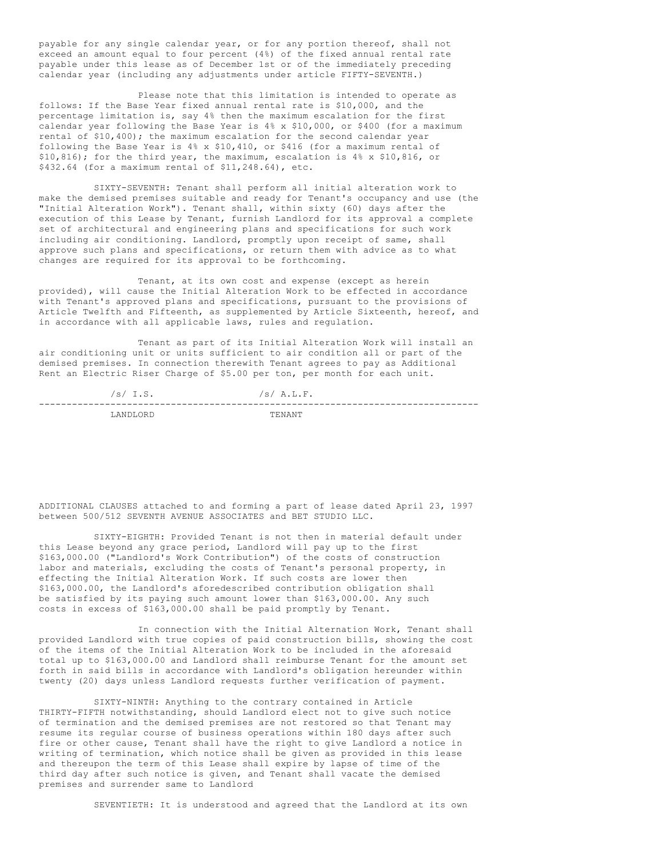payable for any single calendar year, or for any portion thereof, shall not exceed an amount equal to four percent (4%) of the fixed annual rental rate payable under this lease as of December 1st or of the immediately preceding calendar year (including any adjustments under article FIFTY-SEVENTH.)

Please note that this limitation is intended to operate as follows: If the Base Year fixed annual rental rate is \$10,000, and the percentage limitation is, say 4% then the maximum escalation for the first calendar year following the Base Year is 4% x \$10,000, or \$400 (for a maximum rental of \$10,400); the maximum escalation for the second calendar year following the Base Year is 4% x \$10,410, or \$416 (for a maximum rental of \$10,816); for the third year, the maximum, escalation is 4% x \$10,816, or \$432.64 (for a maximum rental of \$11,248.64), etc.

SIXTY-SEVENTH: Tenant shall perform all initial alteration work to make the demised premises suitable and ready for Tenant's occupancy and use (the "Initial Alteration Work"). Tenant shall, within sixty (60) days after the execution of this Lease by Tenant, furnish Landlord for its approval a complete set of architectural and engineering plans and specifications for such work including air conditioning. Landlord, promptly upon receipt of same, shall approve such plans and specifications, or return them with advice as to what changes are required for its approval to be forthcoming.

Tenant, at its own cost and expense (except as herein provided), will cause the Initial Alteration Work to be effected in accordance with Tenant's approved plans and specifications, pursuant to the provisions of Article Twelfth and Fifteenth, as supplemented by Article Sixteenth, hereof, and in accordance with all applicable laws, rules and regulation.

Tenant as part of its Initial Alteration Work will install an air conditioning unit or units sufficient to air condition all or part of the demised premises. In connection therewith Tenant agrees to pay as Additional Rent an Electric Riser Charge of \$5.00 per ton, per month for each unit.

| $\mathsf{s}/$ | $\sim$<br>1. J. | 'A.L.F.<br>S/ |  |
|---------------|-----------------|---------------|--|
| T.ANDI.ORD    |                 | TENANT<br>.   |  |

ADDITIONAL CLAUSES attached to and forming a part of lease dated April 23, 1997 between 500/512 SEVENTH AVENUE ASSOCIATES and BET STUDIO LLC.

SIXTY-EIGHTH: Provided Tenant is not then in material default under this Lease beyond any grace period, Landlord will pay up to the first \$163,000.00 ("Landlord's Work Contribution") of the costs of construction labor and materials, excluding the costs of Tenant's personal property, in effecting the Initial Alteration Work. If such costs are lower then \$163,000.00, the Landlord's aforedescribed contribution obligation shall be satisfied by its paying such amount lower than \$163,000.00. Any such costs in excess of \$163,000.00 shall be paid promptly by Tenant.

In connection with the Initial Alternation Work, Tenant shall provided Landlord with true copies of paid construction bills, showing the cost of the items of the Initial Alteration Work to be included in the aforesaid total up to \$163,000.00 and Landlord shall reimburse Tenant for the amount set forth in said bills in accordance with Landlord's obligation hereunder within twenty (20) days unless Landlord requests further verification of payment.

SIXTY-NINTH: Anything to the contrary contained in Article THIRTY-FIFTH notwithstanding, should Landlord elect not to give such notice of termination and the demised premises are not restored so that Tenant may resume its regular course of business operations within 180 days after such fire or other cause, Tenant shall have the right to give Landlord a notice in writing of termination, which notice shall be given as provided in this lease and thereupon the term of this Lease shall expire by lapse of time of the third day after such notice is given, and Tenant shall vacate the demised premises and surrender same to Landlord

SEVENTIETH: It is understood and agreed that the Landlord at its own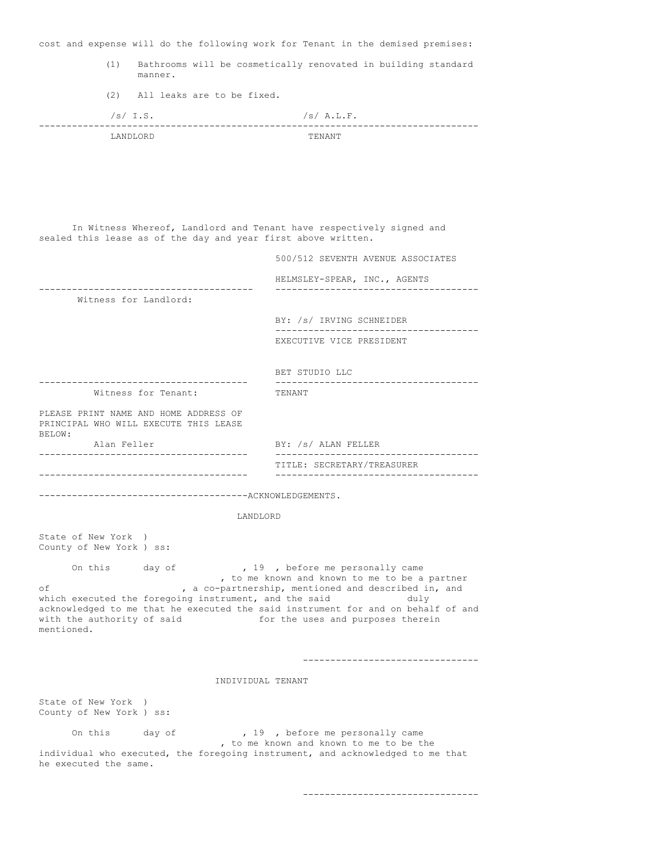cost and expense will do the following work for Tenant in the demised premises:

|         |  | Bathrooms will be cosmetically renovated in building standard |  |  |
|---------|--|---------------------------------------------------------------|--|--|
| manner. |  |                                                               |  |  |

(2) All leaks are to be fixed.

| /s/ I.S. | /s/ A.L.F. |
|----------|------------|
| LANDLORD | TENANT     |

In Witness Whereof, Landlord and Tenant have respectively signed and sealed this lease as of the day and year first above written.

|                                                                                                                                                                                                                                                                                                                                                                                                       | 500/512 SEVENTH AVENUE ASSOCIATES                                          |  |  |  |  |
|-------------------------------------------------------------------------------------------------------------------------------------------------------------------------------------------------------------------------------------------------------------------------------------------------------------------------------------------------------------------------------------------------------|----------------------------------------------------------------------------|--|--|--|--|
|                                                                                                                                                                                                                                                                                                                                                                                                       | HELMSLEY-SPEAR, INC., AGENTS                                               |  |  |  |  |
| Witness for Landlord:                                                                                                                                                                                                                                                                                                                                                                                 |                                                                            |  |  |  |  |
|                                                                                                                                                                                                                                                                                                                                                                                                       | BY: /s/ IRVING SCHNEIDER                                                   |  |  |  |  |
|                                                                                                                                                                                                                                                                                                                                                                                                       | EXECUTIVE VICE PRESIDENT                                                   |  |  |  |  |
|                                                                                                                                                                                                                                                                                                                                                                                                       | BET STUDIO LLC                                                             |  |  |  |  |
| Witness for Tenant:                                                                                                                                                                                                                                                                                                                                                                                   | TENANT                                                                     |  |  |  |  |
| PLEASE PRINT NAME AND HOME ADDRESS OF<br>PRINCIPAL WHO WILL EXECUTE THIS LEASE<br>BELOW:                                                                                                                                                                                                                                                                                                              |                                                                            |  |  |  |  |
| Alan Feller                                                                                                                                                                                                                                                                                                                                                                                           | BY: /s/ ALAN FELLER                                                        |  |  |  |  |
|                                                                                                                                                                                                                                                                                                                                                                                                       | TITLE: SECRETARY/TREASURER                                                 |  |  |  |  |
|                                                                                                                                                                                                                                                                                                                                                                                                       |                                                                            |  |  |  |  |
| LANDLORD                                                                                                                                                                                                                                                                                                                                                                                              |                                                                            |  |  |  |  |
| State of New York )<br>County of New York ) ss:                                                                                                                                                                                                                                                                                                                                                       |                                                                            |  |  |  |  |
| On this day of<br>, 19, before me personally came<br>, to me known and known to me to be a partner<br>, a co-partnership, mentioned and described in, and<br>οf<br>which executed the foregoing instrument, and the said<br>duly<br>acknowledged to me that he executed the said instrument for and on behalf of and<br>with the authority of said<br>for the uses and purposes therein<br>mentioned. |                                                                            |  |  |  |  |
|                                                                                                                                                                                                                                                                                                                                                                                                       | -----------------------------                                              |  |  |  |  |
| INDIVIDUAL TENANT                                                                                                                                                                                                                                                                                                                                                                                     |                                                                            |  |  |  |  |
| State of New York )<br>County of New York ) ss:                                                                                                                                                                                                                                                                                                                                                       |                                                                            |  |  |  |  |
| On this day of<br>individual who executed, the foregoing instrument, and acknowledged to me that<br>he executed the same.                                                                                                                                                                                                                                                                             | , 19, before me personally came<br>, to me known and known to me to be the |  |  |  |  |

--------------------------------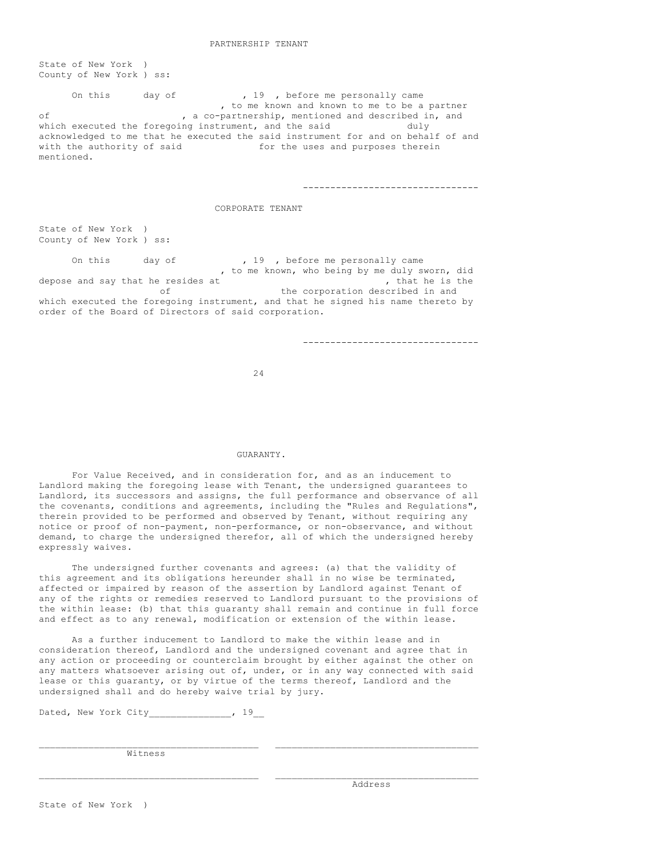#### PARTNERSHIP TENANT

State of New York ) County of New York ) ss:

On this day of , 19, before me personally came , to me known and known to me to be a partner of , a co-partnership, mentioned and described in, and which executed the foregoing instrument, and the said duly which executed the foregoing instrument, and the said acknowledged to me that he executed the said instrument for and on behalf of and<br>with the authority of said for the uses and purposes therein for the uses and purposes therein mentioned.

--------------------------------

## CORPORATE TENANT

State of New York ) County of New York ) ss:

On this day of , 19, before me personally came , to me known, who being by me duly sworn, did<br>t , that he is the depose and say that he resides at  $\circ f$ the corporation described in and which executed the foregoing instrument, and that he signed his name thereto by order of the Board of Directors of said corporation.

--------------------------------

24

#### GUARANTY.

For Value Received, and in consideration for, and as an inducement to Landlord making the foregoing lease with Tenant, the undersigned guarantees to Landlord, its successors and assigns, the full performance and observance of all the covenants, conditions and agreements, including the "Rules and Regulations", therein provided to be performed and observed by Tenant, without requiring any notice or proof of non-payment, non-performance, or non-observance, and without demand, to charge the undersigned therefor, all of which the undersigned hereby expressly waives.

The undersigned further covenants and agrees: (a) that the validity of this agreement and its obligations hereunder shall in no wise be terminated, affected or impaired by reason of the assertion by Landlord against Tenant of any of the rights or remedies reserved to Landlord pursuant to the provisions of the within lease: (b) that this guaranty shall remain and continue in full force and effect as to any renewal, modification or extension of the within lease.

As a further inducement to Landlord to make the within lease and in consideration thereof, Landlord and the undersigned covenant and agree that in any action or proceeding or counterclaim brought by either against the other on any matters whatsoever arising out of, under, or in any way connected with said lease or this guaranty, or by virtue of the terms thereof, Landlord and the undersigned shall and do hereby waive trial by jury.

 $\mathcal{L}_\text{max}$ 

 $\mathcal{L}_\text{max}$ 

Dated, New York City \_\_\_\_\_\_\_\_\_\_\_\_\_, 19\_\_

Witness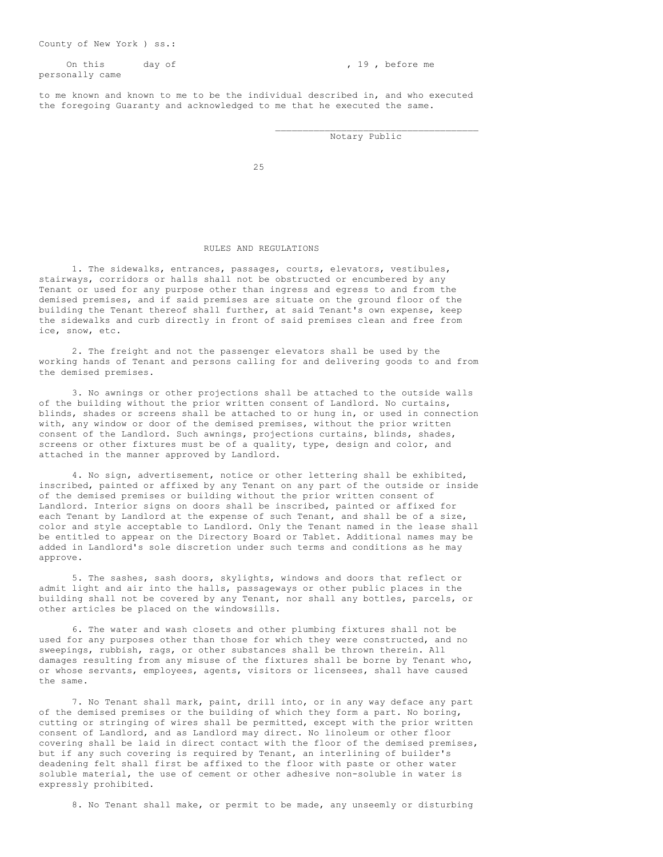County of New York ) ss.:

On this day of the contract of the contract of  $\alpha$ , 19, before me personally came

to me known and known to me to be the individual described in, and who executed the foregoing Guaranty and acknowledged to me that he executed the same.

Notary Public

 $\mathcal{L}_\text{max}$ 

25

## RULES AND REGULATIONS

1. The sidewalks, entrances, passages, courts, elevators, vestibules, stairways, corridors or halls shall not be obstructed or encumbered by any Tenant or used for any purpose other than ingress and egress to and from the demised premises, and if said premises are situate on the ground floor of the building the Tenant thereof shall further, at said Tenant's own expense, keep the sidewalks and curb directly in front of said premises clean and free from ice, snow, etc.

2. The freight and not the passenger elevators shall be used by the working hands of Tenant and persons calling for and delivering goods to and from the demised premises.

3. No awnings or other projections shall be attached to the outside walls of the building without the prior written consent of Landlord. No curtains, blinds, shades or screens shall be attached to or hung in, or used in connection with, any window or door of the demised premises, without the prior written consent of the Landlord. Such awnings, projections curtains, blinds, shades, screens or other fixtures must be of a quality, type, design and color, and attached in the manner approved by Landlord.

4. No sign, advertisement, notice or other lettering shall be exhibited, inscribed, painted or affixed by any Tenant on any part of the outside or inside of the demised premises or building without the prior written consent of Landlord. Interior signs on doors shall be inscribed, painted or affixed for each Tenant by Landlord at the expense of such Tenant, and shall be of a size, color and style acceptable to Landlord. Only the Tenant named in the lease shall be entitled to appear on the Directory Board or Tablet. Additional names may be added in Landlord's sole discretion under such terms and conditions as he may approve.

5. The sashes, sash doors, skylights, windows and doors that reflect or admit light and air into the halls, passageways or other public places in the building shall not be covered by any Tenant, nor shall any bottles, parcels, or other articles be placed on the windowsills.

6. The water and wash closets and other plumbing fixtures shall not be used for any purposes other than those for which they were constructed, and no sweepings, rubbish, rags, or other substances shall be thrown therein. All damages resulting from any misuse of the fixtures shall be borne by Tenant who, or whose servants, employees, agents, visitors or licensees, shall have caused the same.

7. No Tenant shall mark, paint, drill into, or in any way deface any part of the demised premises or the building of which they form a part. No boring, cutting or stringing of wires shall be permitted, except with the prior written consent of Landlord, and as Landlord may direct. No linoleum or other floor covering shall be laid in direct contact with the floor of the demised premises, but if any such covering is required by Tenant, an interlining of builder's deadening felt shall first be affixed to the floor with paste or other water soluble material, the use of cement or other adhesive non-soluble in water is expressly prohibited.

8. No Tenant shall make, or permit to be made, any unseemly or disturbing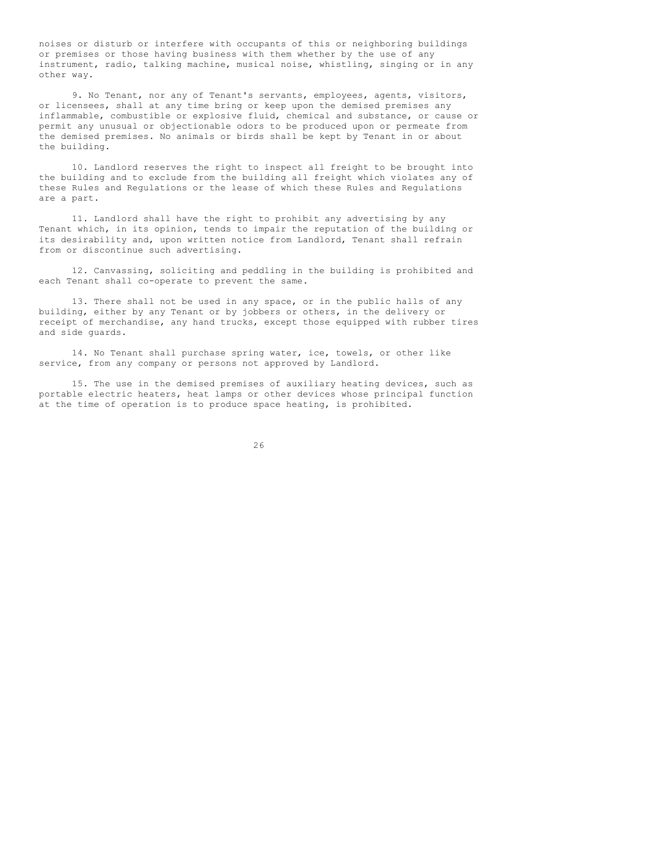noises or disturb or interfere with occupants of this or neighboring buildings or premises or those having business with them whether by the use of any instrument, radio, talking machine, musical noise, whistling, singing or in any other way.

9. No Tenant, nor any of Tenant's servants, employees, agents, visitors, or licensees, shall at any time bring or keep upon the demised premises any inflammable, combustible or explosive fluid, chemical and substance, or cause or permit any unusual or objectionable odors to be produced upon or permeate from the demised premises. No animals or birds shall be kept by Tenant in or about the building.

10. Landlord reserves the right to inspect all freight to be brought into the building and to exclude from the building all freight which violates any of these Rules and Regulations or the lease of which these Rules and Regulations are a part.

11. Landlord shall have the right to prohibit any advertising by any Tenant which, in its opinion, tends to impair the reputation of the building or its desirability and, upon written notice from Landlord, Tenant shall refrain from or discontinue such advertising.

12. Canvassing, soliciting and peddling in the building is prohibited and each Tenant shall co-operate to prevent the same.

13. There shall not be used in any space, or in the public halls of any building, either by any Tenant or by jobbers or others, in the delivery or receipt of merchandise, any hand trucks, except those equipped with rubber tires and side guards.

14. No Tenant shall purchase spring water, ice, towels, or other like service, from any company or persons not approved by Landlord.

15. The use in the demised premises of auxiliary heating devices, such as portable electric heaters, heat lamps or other devices whose principal function at the time of operation is to produce space heating, is prohibited.

26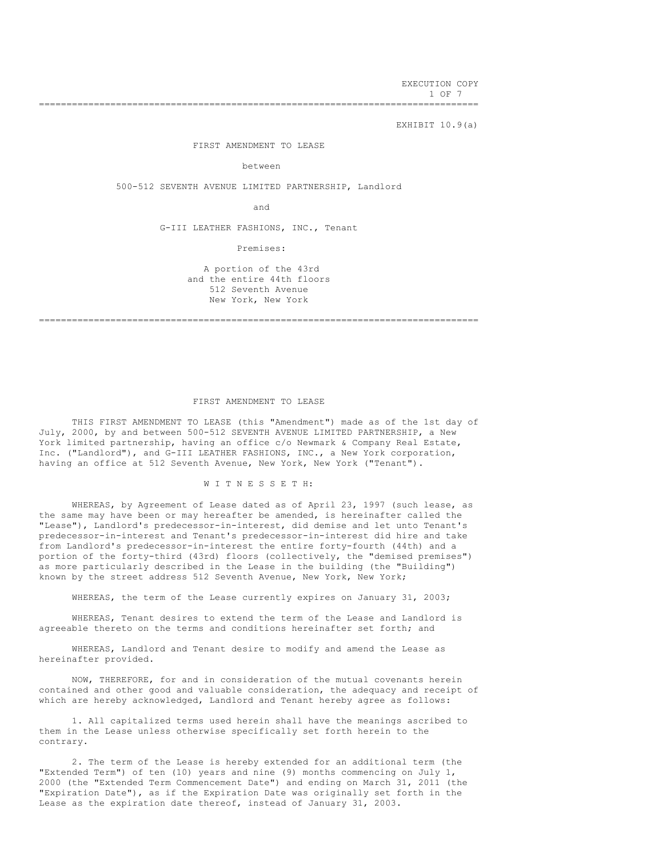EXECUTION COPY 1 OF 7

================================================================================

EXHIBIT 10.9(a)

FIRST AMENDMENT TO LEASE

between

500-512 SEVENTH AVENUE LIMITED PARTNERSHIP, Landlord

and

G-III LEATHER FASHIONS, INC., Tenant

Premises:

A portion of the 43rd and the entire 44th floors 512 Seventh Avenue New York, New York

================================================================================

## FIRST AMENDMENT TO LEASE

THIS FIRST AMENDMENT TO LEASE (this "Amendment") made as of the 1st day of July, 2000, by and between 500-512 SEVENTH AVENUE LIMITED PARTNERSHIP, a New York limited partnership, having an office c/o Newmark & Company Real Estate, Inc. ("Landlord"), and G-III LEATHER FASHIONS, INC., a New York corporation, having an office at 512 Seventh Avenue, New York, New York ("Tenant").

## W I T N E S S E T H:

WHEREAS, by Agreement of Lease dated as of April 23, 1997 (such lease, as the same may have been or may hereafter be amended, is hereinafter called the "Lease"), Landlord's predecessor-in-interest, did demise and let unto Tenant's predecessor-in-interest and Tenant's predecessor-in-interest did hire and take from Landlord's predecessor-in-interest the entire forty-fourth (44th) and a portion of the forty-third (43rd) floors (collectively, the "demised premises") as more particularly described in the Lease in the building (the "Building") known by the street address 512 Seventh Avenue, New York, New York;

WHEREAS, the term of the Lease currently expires on January 31, 2003;

WHEREAS, Tenant desires to extend the term of the Lease and Landlord is agreeable thereto on the terms and conditions hereinafter set forth; and

WHEREAS, Landlord and Tenant desire to modify and amend the Lease as hereinafter provided.

NOW, THEREFORE, for and in consideration of the mutual covenants herein contained and other good and valuable consideration, the adequacy and receipt of which are hereby acknowledged, Landlord and Tenant hereby agree as follows:

1. All capitalized terms used herein shall have the meanings ascribed to them in the Lease unless otherwise specifically set forth herein to the contrary.

2. The term of the Lease is hereby extended for an additional term (the "Extended Term") of ten (10) years and nine (9) months commencing on July 1, 2000 (the "Extended Term Commencement Date") and ending on March 31, 2011 (the "Expiration Date"), as if the Expiration Date was originally set forth in the Lease as the expiration date thereof, instead of January 31, 2003.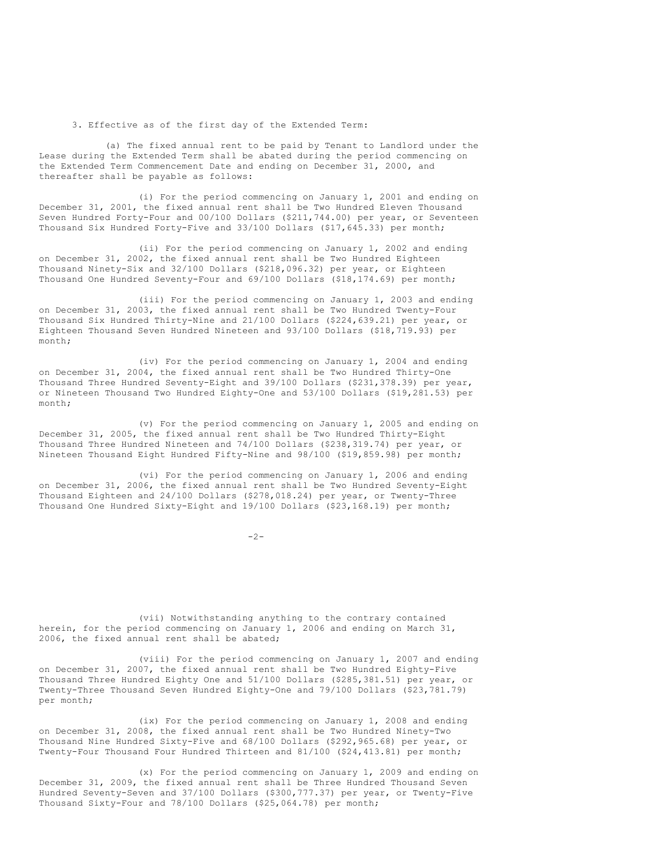3. Effective as of the first day of the Extended Term:

(a) The fixed annual rent to be paid by Tenant to Landlord under the Lease during the Extended Term shall be abated during the period commencing on the Extended Term Commencement Date and ending on December 31, 2000, and thereafter shall be payable as follows:

(i) For the period commencing on January 1, 2001 and ending on December 31, 2001, the fixed annual rent shall be Two Hundred Eleven Thousand Seven Hundred Forty-Four and 00/100 Dollars (\$211,744.00) per year, or Seventeen Thousand Six Hundred Forty-Five and 33/100 Dollars (\$17,645.33) per month;

(ii) For the period commencing on January 1, 2002 and ending on December 31, 2002, the fixed annual rent shall be Two Hundred Eighteen Thousand Ninety-Six and 32/100 Dollars (\$218,096.32) per year, or Eighteen Thousand One Hundred Seventy-Four and 69/100 Dollars (\$18,174.69) per month;

(iii) For the period commencing on January 1, 2003 and ending on December 31, 2003, the fixed annual rent shall be Two Hundred Twenty-Four Thousand Six Hundred Thirty-Nine and 21/100 Dollars (\$224,639.21) per year, or Eighteen Thousand Seven Hundred Nineteen and 93/100 Dollars (\$18,719.93) per month;

(iv) For the period commencing on January 1, 2004 and ending on December 31, 2004, the fixed annual rent shall be Two Hundred Thirty-One Thousand Three Hundred Seventy-Eight and 39/100 Dollars (\$231,378.39) per year, or Nineteen Thousand Two Hundred Eighty-One and 53/100 Dollars (\$19,281.53) per month;

(v) For the period commencing on January 1, 2005 and ending on December 31, 2005, the fixed annual rent shall be Two Hundred Thirty-Eight Thousand Three Hundred Nineteen and 74/100 Dollars (\$238,319.74) per year, or Nineteen Thousand Eight Hundred Fifty-Nine and 98/100 (\$19,859.98) per month;

(vi) For the period commencing on January 1, 2006 and ending on December 31, 2006, the fixed annual rent shall be Two Hundred Seventy-Eight Thousand Eighteen and 24/100 Dollars (\$278,018.24) per year, or Twenty-Three Thousand One Hundred Sixty-Eight and 19/100 Dollars (\$23,168.19) per month;

 $-2-$ 

(vii) Notwithstanding anything to the contrary contained herein, for the period commencing on January 1, 2006 and ending on March 31, 2006, the fixed annual rent shall be abated;

(viii) For the period commencing on January 1, 2007 and ending on December 31, 2007, the fixed annual rent shall be Two Hundred Eighty-Five Thousand Three Hundred Eighty One and 51/100 Dollars (\$285,381.51) per year, or Twenty-Three Thousand Seven Hundred Eighty-One and 79/100 Dollars (\$23,781.79) per month;

(ix) For the period commencing on January 1, 2008 and ending on December 31, 2008, the fixed annual rent shall be Two Hundred Ninety-Two Thousand Nine Hundred Sixty-Five and 68/100 Dollars (\$292,965.68) per year, or Twenty-Four Thousand Four Hundred Thirteen and 81/100 (\$24,413.81) per month;

(x) For the period commencing on January 1, 2009 and ending on December 31, 2009, the fixed annual rent shall be Three Hundred Thousand Seven Hundred Seventy-Seven and 37/100 Dollars (\$300,777.37) per year, or Twenty-Five Thousand Sixty-Four and 78/100 Dollars (\$25,064.78) per month;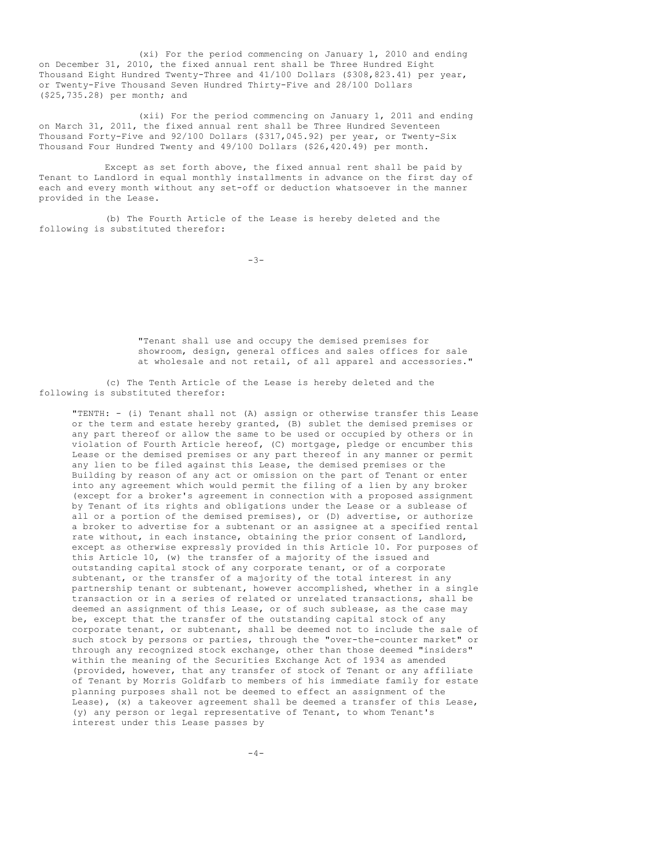(xi) For the period commencing on January 1, 2010 and ending on December 31, 2010, the fixed annual rent shall be Three Hundred Eight Thousand Eight Hundred Twenty-Three and 41/100 Dollars (\$308,823.41) per year, or Twenty-Five Thousand Seven Hundred Thirty-Five and 28/100 Dollars (\$25,735.28) per month; and

(xii) For the period commencing on January 1, 2011 and ending on March 31, 2011, the fixed annual rent shall be Three Hundred Seventeen Thousand Forty-Five and 92/100 Dollars (\$317,045.92) per year, or Twenty-Six Thousand Four Hundred Twenty and 49/100 Dollars (\$26,420.49) per month.

Except as set forth above, the fixed annual rent shall be paid by Tenant to Landlord in equal monthly installments in advance on the first day of each and every month without any set-off or deduction whatsoever in the manner provided in the Lease.

(b) The Fourth Article of the Lease is hereby deleted and the following is substituted therefor:

 $-3-$ 

"Tenant shall use and occupy the demised premises for showroom, design, general offices and sales offices for sale at wholesale and not retail, of all apparel and accessories."

(c) The Tenth Article of the Lease is hereby deleted and the following is substituted therefor:

"TENTH: - (i) Tenant shall not (A) assign or otherwise transfer this Lease or the term and estate hereby granted, (B) sublet the demised premises or any part thereof or allow the same to be used or occupied by others or in violation of Fourth Article hereof, (C) mortgage, pledge or encumber this Lease or the demised premises or any part thereof in any manner or permit any lien to be filed against this Lease, the demised premises or the Building by reason of any act or omission on the part of Tenant or enter into any agreement which would permit the filing of a lien by any broker (except for a broker's agreement in connection with a proposed assignment by Tenant of its rights and obligations under the Lease or a sublease of all or a portion of the demised premises), or (D) advertise, or authorize a broker to advertise for a subtenant or an assignee at a specified rental rate without, in each instance, obtaining the prior consent of Landlord, except as otherwise expressly provided in this Article 10. For purposes of this Article 10, (w) the transfer of a majority of the issued and outstanding capital stock of any corporate tenant, or of a corporate subtenant, or the transfer of a majority of the total interest in any partnership tenant or subtenant, however accomplished, whether in a single transaction or in a series of related or unrelated transactions, shall be deemed an assignment of this Lease, or of such sublease, as the case may be, except that the transfer of the outstanding capital stock of any corporate tenant, or subtenant, shall be deemed not to include the sale of such stock by persons or parties, through the "over-the-counter market" or through any recognized stock exchange, other than those deemed "insiders" within the meaning of the Securities Exchange Act of 1934 as amended (provided, however, that any transfer of stock of Tenant or any affiliate of Tenant by Morris Goldfarb to members of his immediate family for estate planning purposes shall not be deemed to effect an assignment of the Lease), (x) a takeover agreement shall be deemed a transfer of this Lease, (y) any person or legal representative of Tenant, to whom Tenant's interest under this Lease passes by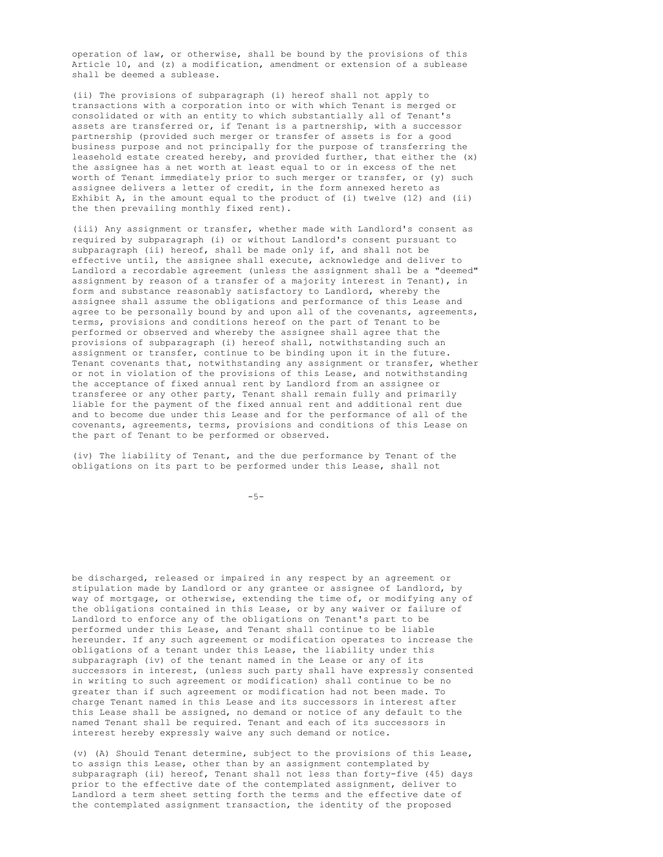operation of law, or otherwise, shall be bound by the provisions of this Article 10, and (z) a modification, amendment or extension of a sublease shall be deemed a sublease.

(ii) The provisions of subparagraph (i) hereof shall not apply to transactions with a corporation into or with which Tenant is merged or consolidated or with an entity to which substantially all of Tenant's assets are transferred or, if Tenant is a partnership, with a successor partnership (provided such merger or transfer of assets is for a good business purpose and not principally for the purpose of transferring the leasehold estate created hereby, and provided further, that either the (x) the assignee has a net worth at least equal to or in excess of the net worth of Tenant immediately prior to such merger or transfer, or (y) such assignee delivers a letter of credit, in the form annexed hereto as Exhibit A, in the amount equal to the product of (i) twelve (12) and (ii) the then prevailing monthly fixed rent).

(iii) Any assignment or transfer, whether made with Landlord's consent as required by subparagraph (i) or without Landlord's consent pursuant to subparagraph (ii) hereof, shall be made only if, and shall not be effective until, the assignee shall execute, acknowledge and deliver to Landlord a recordable agreement (unless the assignment shall be a "deemed" assignment by reason of a transfer of a majority interest in Tenant), in form and substance reasonably satisfactory to Landlord, whereby the assignee shall assume the obligations and performance of this Lease and agree to be personally bound by and upon all of the covenants, agreements, terms, provisions and conditions hereof on the part of Tenant to be performed or observed and whereby the assignee shall agree that the provisions of subparagraph (i) hereof shall, notwithstanding such an assignment or transfer, continue to be binding upon it in the future. Tenant covenants that, notwithstanding any assignment or transfer, whether or not in violation of the provisions of this Lease, and notwithstanding the acceptance of fixed annual rent by Landlord from an assignee or transferee or any other party, Tenant shall remain fully and primarily liable for the payment of the fixed annual rent and additional rent due and to become due under this Lease and for the performance of all of the covenants, agreements, terms, provisions and conditions of this Lease on the part of Tenant to be performed or observed.

(iv) The liability of Tenant, and the due performance by Tenant of the obligations on its part to be performed under this Lease, shall not

 $-5-$ 

be discharged, released or impaired in any respect by an agreement or stipulation made by Landlord or any grantee or assignee of Landlord, by way of mortgage, or otherwise, extending the time of, or modifying any of the obligations contained in this Lease, or by any waiver or failure of Landlord to enforce any of the obligations on Tenant's part to be performed under this Lease, and Tenant shall continue to be liable hereunder. If any such agreement or modification operates to increase the obligations of a tenant under this Lease, the liability under this subparagraph (iv) of the tenant named in the Lease or any of its successors in interest, (unless such party shall have expressly consented in writing to such agreement or modification) shall continue to be no greater than if such agreement or modification had not been made. To charge Tenant named in this Lease and its successors in interest after this Lease shall be assigned, no demand or notice of any default to the named Tenant shall be required. Tenant and each of its successors in interest hereby expressly waive any such demand or notice.

(v) (A) Should Tenant determine, subject to the provisions of this Lease, to assign this Lease, other than by an assignment contemplated by subparagraph (ii) hereof, Tenant shall not less than forty-five (45) days prior to the effective date of the contemplated assignment, deliver to Landlord a term sheet setting forth the terms and the effective date of the contemplated assignment transaction, the identity of the proposed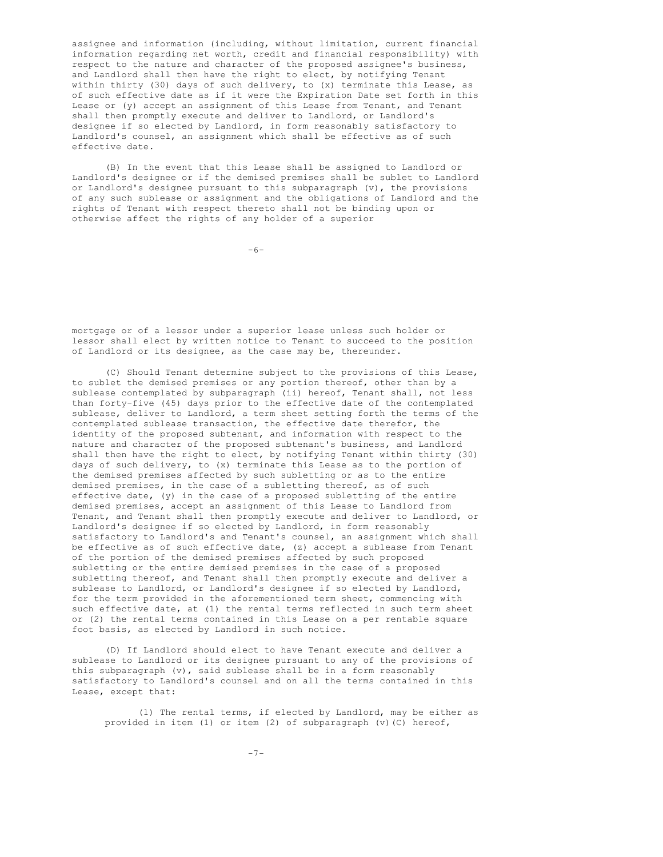assignee and information (including, without limitation, current financial information regarding net worth, credit and financial responsibility) with respect to the nature and character of the proposed assignee's business, and Landlord shall then have the right to elect, by notifying Tenant within thirty (30) days of such delivery, to (x) terminate this Lease, as of such effective date as if it were the Expiration Date set forth in this Lease or (y) accept an assignment of this Lease from Tenant, and Tenant shall then promptly execute and deliver to Landlord, or Landlord's designee if so elected by Landlord, in form reasonably satisfactory to Landlord's counsel, an assignment which shall be effective as of such effective date.

(B) In the event that this Lease shall be assigned to Landlord or Landlord's designee or if the demised premises shall be sublet to Landlord or Landlord's designee pursuant to this subparagraph  $(v)$ , the provisions of any such sublease or assignment and the obligations of Landlord and the rights of Tenant with respect thereto shall not be binding upon or otherwise affect the rights of any holder of a superior

-6-

mortgage or of a lessor under a superior lease unless such holder or lessor shall elect by written notice to Tenant to succeed to the position of Landlord or its designee, as the case may be, thereunder.

(C) Should Tenant determine subject to the provisions of this Lease, to sublet the demised premises or any portion thereof, other than by a sublease contemplated by subparagraph (ii) hereof, Tenant shall, not less than forty-five (45) days prior to the effective date of the contemplated sublease, deliver to Landlord, a term sheet setting forth the terms of the contemplated sublease transaction, the effective date therefor, the identity of the proposed subtenant, and information with respect to the nature and character of the proposed subtenant's business, and Landlord shall then have the right to elect, by notifying Tenant within thirty (30) days of such delivery, to (x) terminate this Lease as to the portion of the demised premises affected by such subletting or as to the entire demised premises, in the case of a subletting thereof, as of such effective date, (y) in the case of a proposed subletting of the entire demised premises, accept an assignment of this Lease to Landlord from Tenant, and Tenant shall then promptly execute and deliver to Landlord, or Landlord's designee if so elected by Landlord, in form reasonably satisfactory to Landlord's and Tenant's counsel, an assignment which shall be effective as of such effective date, (z) accept a sublease from Tenant of the portion of the demised premises affected by such proposed subletting or the entire demised premises in the case of a proposed subletting thereof, and Tenant shall then promptly execute and deliver a sublease to Landlord, or Landlord's designee if so elected by Landlord, for the term provided in the aforementioned term sheet, commencing with such effective date, at (1) the rental terms reflected in such term sheet or (2) the rental terms contained in this Lease on a per rentable square foot basis, as elected by Landlord in such notice.

(D) If Landlord should elect to have Tenant execute and deliver a sublease to Landlord or its designee pursuant to any of the provisions of this subparagraph  $(v)$ , said sublease shall be in a form reasonably satisfactory to Landlord's counsel and on all the terms contained in this Lease, except that:

(1) The rental terms, if elected by Landlord, may be either as provided in item (1) or item (2) of subparagraph (v)(C) hereof,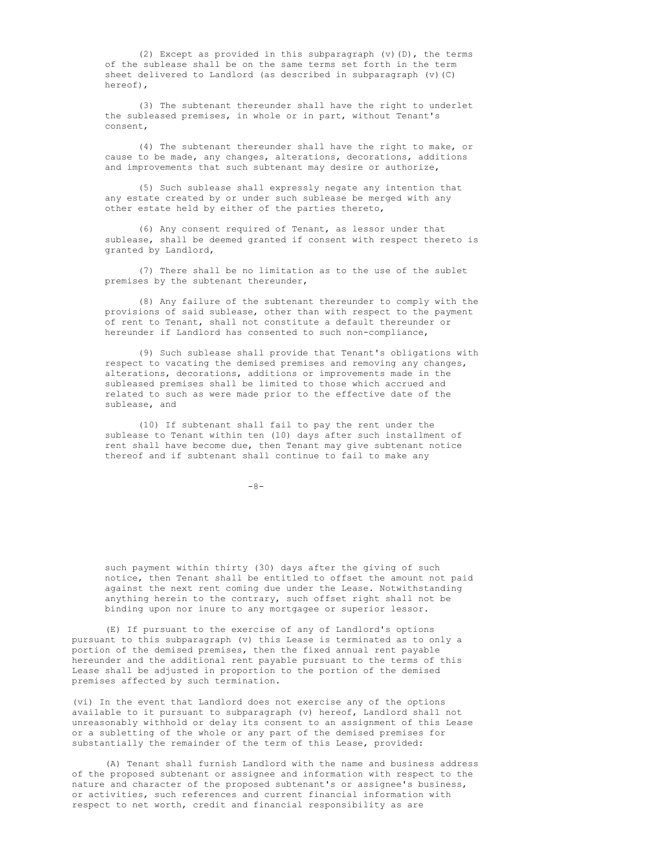(2) Except as provided in this subparagraph (v)(D), the terms of the sublease shall be on the same terms set forth in the term sheet delivered to Landlord (as described in subparagraph (v)(C) hereof),

(3) The subtenant thereunder shall have the right to underlet the subleased premises, in whole or in part, without Tenant's consent,

(4) The subtenant thereunder shall have the right to make, or cause to be made, any changes, alterations, decorations, additions and improvements that such subtenant may desire or authorize,

(5) Such sublease shall expressly negate any intention that any estate created by or under such sublease be merged with any other estate held by either of the parties thereto,

(6) Any consent required of Tenant, as lessor under that sublease, shall be deemed granted if consent with respect thereto is granted by Landlord,

(7) There shall be no limitation as to the use of the sublet premises by the subtenant thereunder,

(8) Any failure of the subtenant thereunder to comply with the provisions of said sublease, other than with respect to the payment of rent to Tenant, shall not constitute a default thereunder or hereunder if Landlord has consented to such non-compliance,

(9) Such sublease shall provide that Tenant's obligations with respect to vacating the demised premises and removing any changes, alterations, decorations, additions or improvements made in the subleased premises shall be limited to those which accrued and related to such as were made prior to the effective date of the sublease, and

(10) If subtenant shall fail to pay the rent under the sublease to Tenant within ten (10) days after such installment of rent shall have become due, then Tenant may give subtenant notice thereof and if subtenant shall continue to fail to make any

 $-8-$ 

such payment within thirty (30) days after the giving of such notice, then Tenant shall be entitled to offset the amount not paid against the next rent coming due under the Lease. Notwithstanding anything herein to the contrary, such offset right shall not be binding upon nor inure to any mortgagee or superior lessor.

(E) If pursuant to the exercise of any of Landlord's options pursuant to this subparagraph (v) this Lease is terminated as to only a portion of the demised premises, then the fixed annual rent payable hereunder and the additional rent payable pursuant to the terms of this Lease shall be adjusted in proportion to the portion of the demised premises affected by such termination.

(vi) In the event that Landlord does not exercise any of the options available to it pursuant to subparagraph (v) hereof, Landlord shall not unreasonably withhold or delay its consent to an assignment of this Lease or a subletting of the whole or any part of the demised premises for substantially the remainder of the term of this Lease, provided:

(A) Tenant shall furnish Landlord with the name and business address of the proposed subtenant or assignee and information with respect to the nature and character of the proposed subtenant's or assignee's business, or activities, such references and current financial information with respect to net worth, credit and financial responsibility as are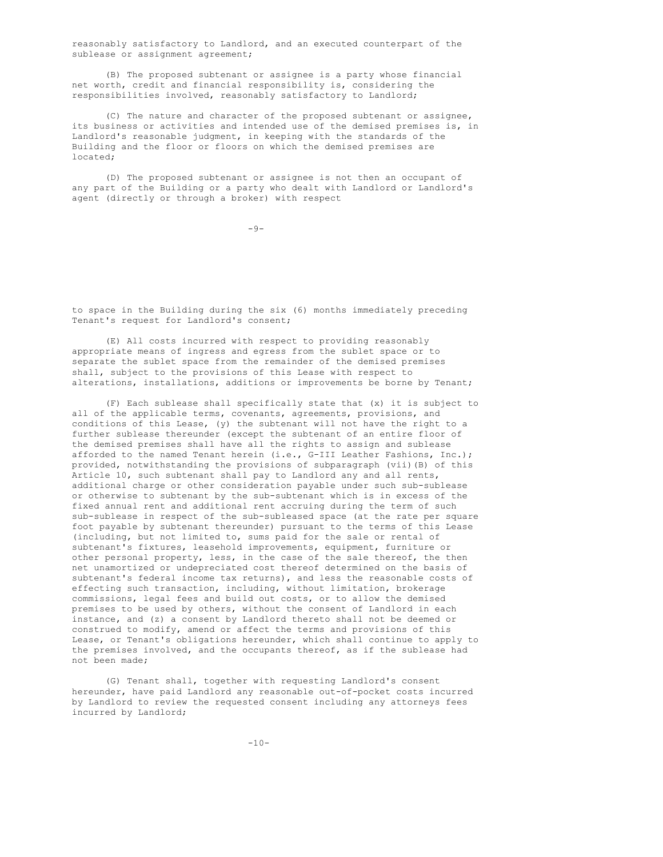reasonably satisfactory to Landlord, and an executed counterpart of the sublease or assignment agreement;

(B) The proposed subtenant or assignee is a party whose financial net worth, credit and financial responsibility is, considering the responsibilities involved, reasonably satisfactory to Landlord;

(C) The nature and character of the proposed subtenant or assignee, its business or activities and intended use of the demised premises is, in Landlord's reasonable judgment, in keeping with the standards of the Building and the floor or floors on which the demised premises are located;

(D) The proposed subtenant or assignee is not then an occupant of any part of the Building or a party who dealt with Landlord or Landlord's agent (directly or through a broker) with respect

 $-9-$ 

to space in the Building during the six (6) months immediately preceding Tenant's request for Landlord's consent;

(E) All costs incurred with respect to providing reasonably appropriate means of ingress and egress from the sublet space or to separate the sublet space from the remainder of the demised premises shall, subject to the provisions of this Lease with respect to alterations, installations, additions or improvements be borne by Tenant;

(F) Each sublease shall specifically state that (x) it is subject to all of the applicable terms, covenants, agreements, provisions, and conditions of this Lease, (y) the subtenant will not have the right to a further sublease thereunder (except the subtenant of an entire floor of the demised premises shall have all the rights to assign and sublease afforded to the named Tenant herein (i.e., G-III Leather Fashions, Inc.); provided, notwithstanding the provisions of subparagraph (vii)(B) of this Article 10, such subtenant shall pay to Landlord any and all rents, additional charge or other consideration payable under such sub-sublease or otherwise to subtenant by the sub-subtenant which is in excess of the fixed annual rent and additional rent accruing during the term of such sub-sublease in respect of the sub-subleased space (at the rate per square foot payable by subtenant thereunder) pursuant to the terms of this Lease (including, but not limited to, sums paid for the sale or rental of subtenant's fixtures, leasehold improvements, equipment, furniture or other personal property, less, in the case of the sale thereof, the then net unamortized or undepreciated cost thereof determined on the basis of subtenant's federal income tax returns), and less the reasonable costs of effecting such transaction, including, without limitation, brokerage commissions, legal fees and build out costs, or to allow the demised premises to be used by others, without the consent of Landlord in each instance, and (z) a consent by Landlord thereto shall not be deemed or construed to modify, amend or affect the terms and provisions of this Lease, or Tenant's obligations hereunder, which shall continue to apply to the premises involved, and the occupants thereof, as if the sublease had not been made;

(G) Tenant shall, together with requesting Landlord's consent hereunder, have paid Landlord any reasonable out-of-pocket costs incurred by Landlord to review the requested consent including any attorneys fees incurred by Landlord;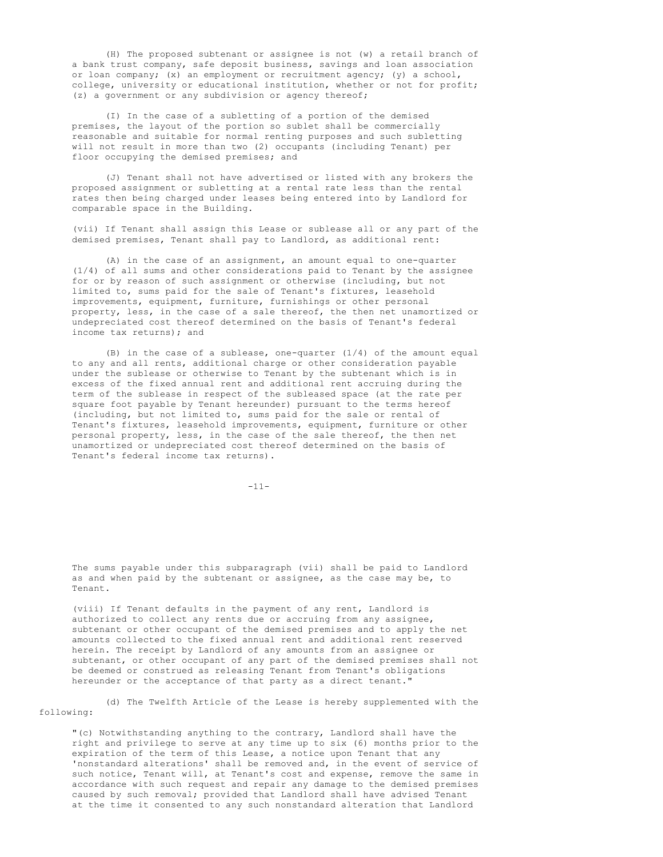(H) The proposed subtenant or assignee is not (w) a retail branch of a bank trust company, safe deposit business, savings and loan association or loan company; (x) an employment or recruitment agency; (y) a school, college, university or educational institution, whether or not for profit; (z) a government or any subdivision or agency thereof;

(I) In the case of a subletting of a portion of the demised premises, the layout of the portion so sublet shall be commercially reasonable and suitable for normal renting purposes and such subletting will not result in more than two (2) occupants (including Tenant) per floor occupying the demised premises; and

(J) Tenant shall not have advertised or listed with any brokers the proposed assignment or subletting at a rental rate less than the rental rates then being charged under leases being entered into by Landlord for comparable space in the Building.

(vii) If Tenant shall assign this Lease or sublease all or any part of the demised premises, Tenant shall pay to Landlord, as additional rent:

(A) in the case of an assignment, an amount equal to one-quarter (1/4) of all sums and other considerations paid to Tenant by the assignee for or by reason of such assignment or otherwise (including, but not limited to, sums paid for the sale of Tenant's fixtures, leasehold improvements, equipment, furniture, furnishings or other personal property, less, in the case of a sale thereof, the then net unamortized or undepreciated cost thereof determined on the basis of Tenant's federal income tax returns); and

(B) in the case of a sublease, one-quarter (1/4) of the amount equal to any and all rents, additional charge or other consideration payable under the sublease or otherwise to Tenant by the subtenant which is in excess of the fixed annual rent and additional rent accruing during the term of the sublease in respect of the subleased space (at the rate per square foot payable by Tenant hereunder) pursuant to the terms hereof (including, but not limited to, sums paid for the sale or rental of Tenant's fixtures, leasehold improvements, equipment, furniture or other personal property, less, in the case of the sale thereof, the then net unamortized or undepreciated cost thereof determined on the basis of Tenant's federal income tax returns).

-11-

The sums payable under this subparagraph (vii) shall be paid to Landlord as and when paid by the subtenant or assignee, as the case may be, to Tenant.

(viii) If Tenant defaults in the payment of any rent, Landlord is authorized to collect any rents due or accruing from any assignee, subtenant or other occupant of the demised premises and to apply the net amounts collected to the fixed annual rent and additional rent reserved herein. The receipt by Landlord of any amounts from an assignee or subtenant, or other occupant of any part of the demised premises shall not be deemed or construed as releasing Tenant from Tenant's obligations hereunder or the acceptance of that party as a direct tenant."

(d) The Twelfth Article of the Lease is hereby supplemented with the following:

"(c) Notwithstanding anything to the contrary, Landlord shall have the right and privilege to serve at any time up to six (6) months prior to the expiration of the term of this Lease, a notice upon Tenant that any 'nonstandard alterations' shall be removed and, in the event of service of such notice, Tenant will, at Tenant's cost and expense, remove the same in accordance with such request and repair any damage to the demised premises caused by such removal; provided that Landlord shall have advised Tenant at the time it consented to any such nonstandard alteration that Landlord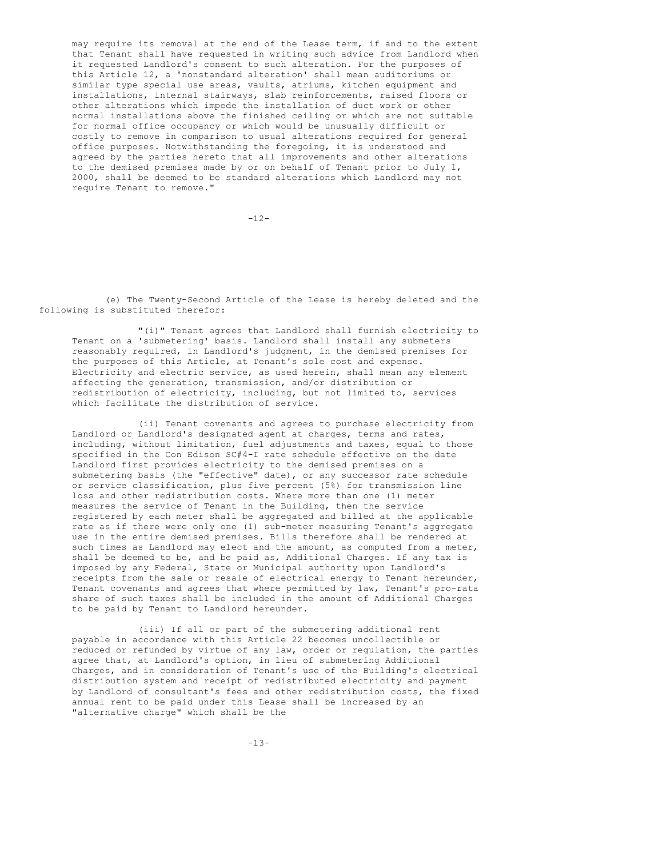may require its removal at the end of the Lease term, if and to the extent that Tenant shall have requested in writing such advice from Landlord when it requested Landlord's consent to such alteration. For the purposes of this Article 12, a 'nonstandard alteration' shall mean auditoriums or similar type special use areas, vaults, atriums, kitchen equipment and installations, internal stairways, slab reinforcements, raised floors or other alterations which impede the installation of duct work or other normal installations above the finished ceiling or which are not suitable for normal office occupancy or which would be unusually difficult or costly to remove in comparison to usual alterations required for general office purposes. Notwithstanding the foregoing, it is understood and agreed by the parties hereto that all improvements and other alterations to the demised premises made by or on behalf of Tenant prior to July 1, 2000, shall be deemed to be standard alterations which Landlord may not require Tenant to remove."

 $-12-$ 

(e) The Twenty-Second Article of the Lease is hereby deleted and the following is substituted therefor:

"(i)" Tenant agrees that Landlord shall furnish electricity to Tenant on a 'submetering' basis. Landlord shall install any submeters reasonably required, in Landlord's judgment, in the demised premises for the purposes of this Article, at Tenant's sole cost and expense. Electricity and electric service, as used herein, shall mean any element affecting the generation, transmission, and/or distribution or redistribution of electricity, including, but not limited to, services which facilitate the distribution of service.

(ii) Tenant covenants and agrees to purchase electricity from Landlord or Landlord's designated agent at charges, terms and rates, including, without limitation, fuel adjustments and taxes, equal to those specified in the Con Edison SC#4-I rate schedule effective on the date Landlord first provides electricity to the demised premises on a submetering basis (the "effective" date), or any successor rate schedule or service classification, plus five percent (5%) for transmission line loss and other redistribution costs. Where more than one (1) meter measures the service of Tenant in the Building, then the service registered by each meter shall be aggregated and billed at the applicable rate as if there were only one (1) sub-meter measuring Tenant's aggregate use in the entire demised premises. Bills therefore shall be rendered at such times as Landlord may elect and the amount, as computed from a meter, shall be deemed to be, and be paid as, Additional Charges. If any tax is imposed by any Federal, State or Municipal authority upon Landlord's receipts from the sale or resale of electrical energy to Tenant hereunder, Tenant covenants and agrees that where permitted by law, Tenant's pro-rata share of such taxes shall be included in the amount of Additional Charges to be paid by Tenant to Landlord hereunder.

(iii) If all or part of the submetering additional rent payable in accordance with this Article 22 becomes uncollectible or reduced or refunded by virtue of any law, order or regulation, the parties agree that, at Landlord's option, in lieu of submetering Additional Charges, and in consideration of Tenant's use of the Building's electrical distribution system and receipt of redistributed electricity and payment by Landlord of consultant's fees and other redistribution costs, the fixed annual rent to be paid under this Lease shall be increased by an "alternative charge" which shall be the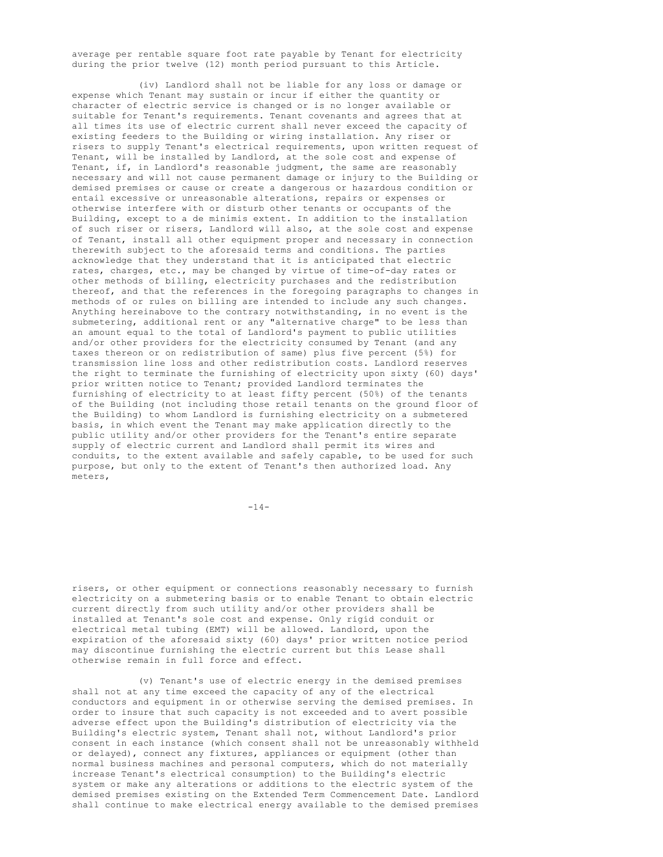average per rentable square foot rate payable by Tenant for electricity during the prior twelve (12) month period pursuant to this Article.

(iv) Landlord shall not be liable for any loss or damage or expense which Tenant may sustain or incur if either the quantity or character of electric service is changed or is no longer available or suitable for Tenant's requirements. Tenant covenants and agrees that at all times its use of electric current shall never exceed the capacity of existing feeders to the Building or wiring installation. Any riser or risers to supply Tenant's electrical requirements, upon written request of Tenant, will be installed by Landlord, at the sole cost and expense of Tenant, if, in Landlord's reasonable judgment, the same are reasonably necessary and will not cause permanent damage or injury to the Building or demised premises or cause or create a dangerous or hazardous condition or entail excessive or unreasonable alterations, repairs or expenses or otherwise interfere with or disturb other tenants or occupants of the Building, except to a de minimis extent. In addition to the installation of such riser or risers, Landlord will also, at the sole cost and expense of Tenant, install all other equipment proper and necessary in connection therewith subject to the aforesaid terms and conditions. The parties acknowledge that they understand that it is anticipated that electric rates, charges, etc., may be changed by virtue of time-of-day rates or other methods of billing, electricity purchases and the redistribution thereof, and that the references in the foregoing paragraphs to changes in methods of or rules on billing are intended to include any such changes. Anything hereinabove to the contrary notwithstanding, in no event is the submetering, additional rent or any "alternative charge" to be less than an amount equal to the total of Landlord's payment to public utilities and/or other providers for the electricity consumed by Tenant (and any taxes thereon or on redistribution of same) plus five percent (5%) for transmission line loss and other redistribution costs. Landlord reserves the right to terminate the furnishing of electricity upon sixty (60) days' prior written notice to Tenant; provided Landlord terminates the furnishing of electricity to at least fifty percent (50%) of the tenants of the Building (not including those retail tenants on the ground floor of the Building) to whom Landlord is furnishing electricity on a submetered basis, in which event the Tenant may make application directly to the public utility and/or other providers for the Tenant's entire separate supply of electric current and Landlord shall permit its wires and conduits, to the extent available and safely capable, to be used for such purpose, but only to the extent of Tenant's then authorized load. Any meters,

 $-14-$ 

risers, or other equipment or connections reasonably necessary to furnish electricity on a submetering basis or to enable Tenant to obtain electric current directly from such utility and/or other providers shall be installed at Tenant's sole cost and expense. Only rigid conduit or electrical metal tubing (EMT) will be allowed. Landlord, upon the expiration of the aforesaid sixty (60) days' prior written notice period may discontinue furnishing the electric current but this Lease shall otherwise remain in full force and effect.

(v) Tenant's use of electric energy in the demised premises shall not at any time exceed the capacity of any of the electrical conductors and equipment in or otherwise serving the demised premises. In order to insure that such capacity is not exceeded and to avert possible adverse effect upon the Building's distribution of electricity via the Building's electric system, Tenant shall not, without Landlord's prior consent in each instance (which consent shall not be unreasonably withheld or delayed), connect any fixtures, appliances or equipment (other than normal business machines and personal computers, which do not materially increase Tenant's electrical consumption) to the Building's electric system or make any alterations or additions to the electric system of the demised premises existing on the Extended Term Commencement Date. Landlord shall continue to make electrical energy available to the demised premises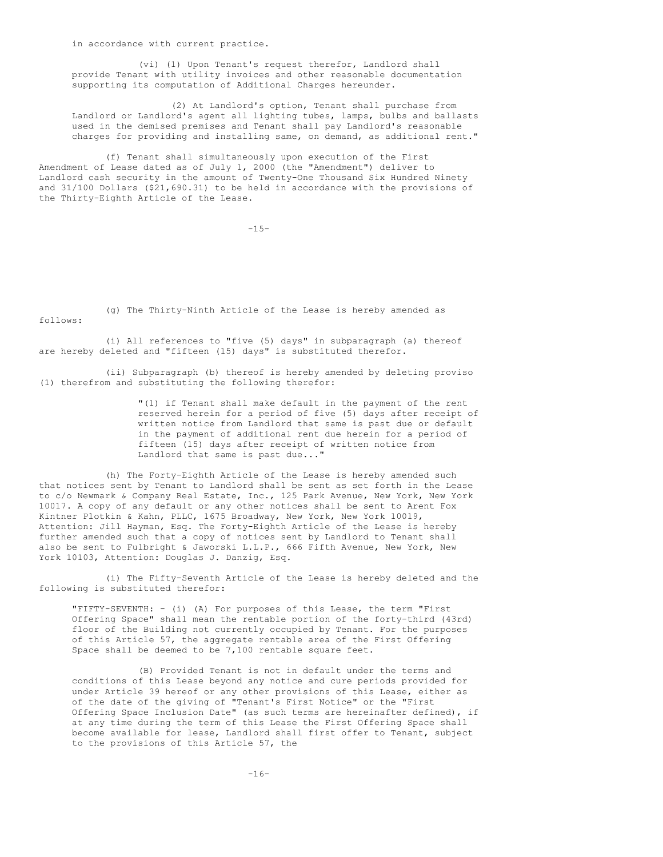in accordance with current practice.

(vi) (1) Upon Tenant's request therefor, Landlord shall provide Tenant with utility invoices and other reasonable documentation supporting its computation of Additional Charges hereunder.

(2) At Landlord's option, Tenant shall purchase from Landlord or Landlord's agent all lighting tubes, lamps, bulbs and ballasts used in the demised premises and Tenant shall pay Landlord's reasonable charges for providing and installing same, on demand, as additional rent."

(f) Tenant shall simultaneously upon execution of the First Amendment of Lease dated as of July 1, 2000 (the "Amendment") deliver to Landlord cash security in the amount of Twenty-One Thousand Six Hundred Ninety and 31/100 Dollars (\$21,690.31) to be held in accordance with the provisions of the Thirty-Eighth Article of the Lease.

 $-15-$ 

(g) The Thirty-Ninth Article of the Lease is hereby amended as follows:

(i) All references to "five (5) days" in subparagraph (a) thereof are hereby deleted and "fifteen (15) days" is substituted therefor.

(ii) Subparagraph (b) thereof is hereby amended by deleting proviso (1) therefrom and substituting the following therefor:

> "(1) if Tenant shall make default in the payment of the rent reserved herein for a period of five (5) days after receipt of written notice from Landlord that same is past due or default in the payment of additional rent due herein for a period of fifteen (15) days after receipt of written notice from Landlord that same is past due..."

(h) The Forty-Eighth Article of the Lease is hereby amended such that notices sent by Tenant to Landlord shall be sent as set forth in the Lease to c/o Newmark & Company Real Estate, Inc., 125 Park Avenue, New York, New York 10017. A copy of any default or any other notices shall be sent to Arent Fox Kintner Plotkin & Kahn, PLLC, 1675 Broadway, New York, New York 10019, Attention: Jill Hayman, Esq. The Forty-Eighth Article of the Lease is hereby further amended such that a copy of notices sent by Landlord to Tenant shall also be sent to Fulbright & Jaworski L.L.P., 666 Fifth Avenue, New York, New York 10103, Attention: Douglas J. Danzig, Esq.

(i) The Fifty-Seventh Article of the Lease is hereby deleted and the following is substituted therefor:

"FIFTY-SEVENTH: - (i) (A) For purposes of this Lease, the term "First Offering Space" shall mean the rentable portion of the forty-third (43rd) floor of the Building not currently occupied by Tenant. For the purposes of this Article 57, the aggregate rentable area of the First Offering Space shall be deemed to be 7,100 rentable square feet.

(B) Provided Tenant is not in default under the terms and conditions of this Lease beyond any notice and cure periods provided for under Article 39 hereof or any other provisions of this Lease, either as of the date of the giving of "Tenant's First Notice" or the "First Offering Space Inclusion Date" (as such terms are hereinafter defined), if at any time during the term of this Lease the First Offering Space shall become available for lease, Landlord shall first offer to Tenant, subject to the provisions of this Article 57, the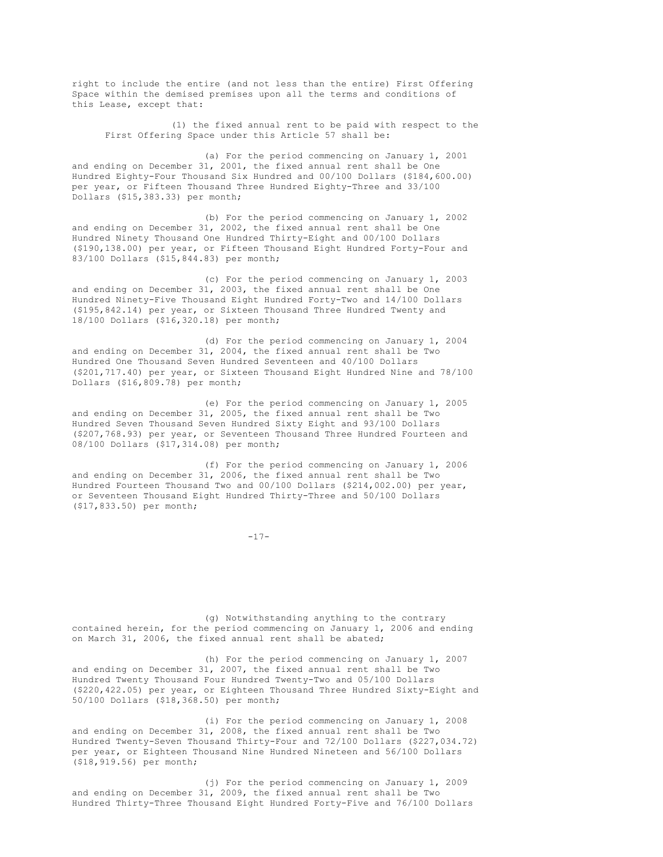right to include the entire (and not less than the entire) First Offering Space within the demised premises upon all the terms and conditions of this Lease, except that:

(1) the fixed annual rent to be paid with respect to the First Offering Space under this Article 57 shall be:

(a) For the period commencing on January 1, 2001 and ending on December 31, 2001, the fixed annual rent shall be One Hundred Eighty-Four Thousand Six Hundred and 00/100 Dollars (\$184,600.00) per year, or Fifteen Thousand Three Hundred Eighty-Three and 33/100 Dollars (\$15,383.33) per month;

(b) For the period commencing on January 1, 2002 and ending on December 31, 2002, the fixed annual rent shall be One Hundred Ninety Thousand One Hundred Thirty-Eight and 00/100 Dollars (\$190,138.00) per year, or Fifteen Thousand Eight Hundred Forty-Four and 83/100 Dollars (\$15,844.83) per month;

(c) For the period commencing on January 1, 2003 and ending on December 31, 2003, the fixed annual rent shall be One Hundred Ninety-Five Thousand Eight Hundred Forty-Two and 14/100 Dollars (\$195,842.14) per year, or Sixteen Thousand Three Hundred Twenty and 18/100 Dollars (\$16,320.18) per month;

(d) For the period commencing on January 1, 2004 and ending on December 31, 2004, the fixed annual rent shall be Two Hundred One Thousand Seven Hundred Seventeen and 40/100 Dollars (\$201,717.40) per year, or Sixteen Thousand Eight Hundred Nine and 78/100 Dollars (\$16,809.78) per month;

(e) For the period commencing on January 1, 2005 and ending on December 31, 2005, the fixed annual rent shall be Two Hundred Seven Thousand Seven Hundred Sixty Eight and 93/100 Dollars (\$207,768.93) per year, or Seventeen Thousand Three Hundred Fourteen and 08/100 Dollars (\$17,314.08) per month;

(f) For the period commencing on January 1, 2006 and ending on December 31, 2006, the fixed annual rent shall be Two Hundred Fourteen Thousand Two and 00/100 Dollars (\$214,002.00) per year, or Seventeen Thousand Eight Hundred Thirty-Three and 50/100 Dollars (\$17,833.50) per month;

-17-

(g) Notwithstanding anything to the contrary contained herein, for the period commencing on January 1, 2006 and ending on March 31, 2006, the fixed annual rent shall be abated;

(h) For the period commencing on January 1, 2007 and ending on December 31, 2007, the fixed annual rent shall be Two Hundred Twenty Thousand Four Hundred Twenty-Two and 05/100 Dollars (\$220,422.05) per year, or Eighteen Thousand Three Hundred Sixty-Eight and 50/100 Dollars (\$18,368.50) per month;

(i) For the period commencing on January 1, 2008 and ending on December 31, 2008, the fixed annual rent shall be Two Hundred Twenty-Seven Thousand Thirty-Four and 72/100 Dollars (\$227,034.72) per year, or Eighteen Thousand Nine Hundred Nineteen and 56/100 Dollars (\$18,919.56) per month;

(j) For the period commencing on January 1, 2009 and ending on December 31, 2009, the fixed annual rent shall be Two Hundred Thirty-Three Thousand Eight Hundred Forty-Five and 76/100 Dollars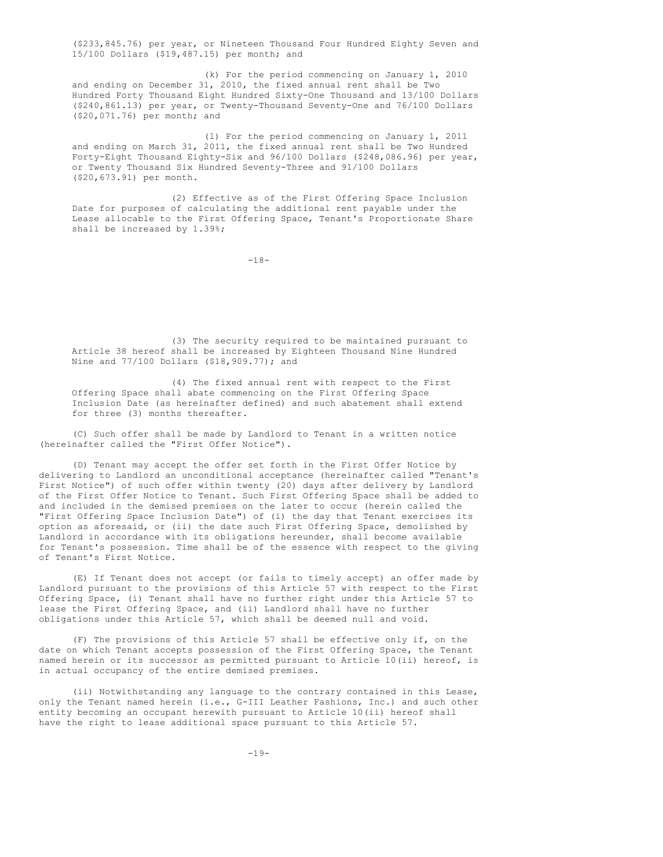(\$233,845.76) per year, or Nineteen Thousand Four Hundred Eighty Seven and 15/100 Dollars (\$19,487.15) per month; and

(k) For the period commencing on January 1, 2010 and ending on December 31, 2010, the fixed annual rent shall be Two Hundred Forty Thousand Eight Hundred Sixty-One Thousand and 13/100 Dollars (\$240,861.13) per year, or Twenty-Thousand Seventy-One and 76/100 Dollars (\$20,071.76) per month; and

(l) For the period commencing on January 1, 2011 and ending on March 31, 2011, the fixed annual rent shall be Two Hundred Forty-Eight Thousand Eighty-Six and 96/100 Dollars (\$248,086.96) per year, or Twenty Thousand Six Hundred Seventy-Three and 91/100 Dollars (\$20,673.91) per month.

(2) Effective as of the First Offering Space Inclusion Date for purposes of calculating the additional rent payable under the Lease allocable to the First Offering Space, Tenant's Proportionate Share shall be increased by 1.39%;

 $-18-$ 

(3) The security required to be maintained pursuant to Article 38 hereof shall be increased by Eighteen Thousand Nine Hundred Nine and 77/100 Dollars (\$18,909.77); and

(4) The fixed annual rent with respect to the First Offering Space shall abate commencing on the First Offering Space Inclusion Date (as hereinafter defined) and such abatement shall extend for three (3) months thereafter.

(C) Such offer shall be made by Landlord to Tenant in a written notice (hereinafter called the "First Offer Notice").

(D) Tenant may accept the offer set forth in the First Offer Notice by delivering to Landlord an unconditional acceptance (hereinafter called "Tenant's First Notice") of such offer within twenty (20) days after delivery by Landlord of the First Offer Notice to Tenant. Such First Offering Space shall be added to and included in the demised premises on the later to occur (herein called the "First Offering Space Inclusion Date") of (i) the day that Tenant exercises its option as aforesaid, or (ii) the date such First Offering Space, demolished by Landlord in accordance with its obligations hereunder, shall become available for Tenant's possession. Time shall be of the essence with respect to the giving of Tenant's First Notice.

(E) If Tenant does not accept (or fails to timely accept) an offer made by Landlord pursuant to the provisions of this Article 57 with respect to the First Offering Space, (i) Tenant shall have no further right under this Article 57 to lease the First Offering Space, and (ii) Landlord shall have no further obligations under this Article 57, which shall be deemed null and void.

(F) The provisions of this Article 57 shall be effective only if, on the date on which Tenant accepts possession of the First Offering Space, the Tenant named herein or its successor as permitted pursuant to Article 10(ii) hereof, is in actual occupancy of the entire demised premises.

(ii) Notwithstanding any language to the contrary contained in this Lease, only the Tenant named herein (i.e., G-III Leather Fashions, Inc.) and such other entity becoming an occupant herewith pursuant to Article 10(ii) hereof shall have the right to lease additional space pursuant to this Article 57.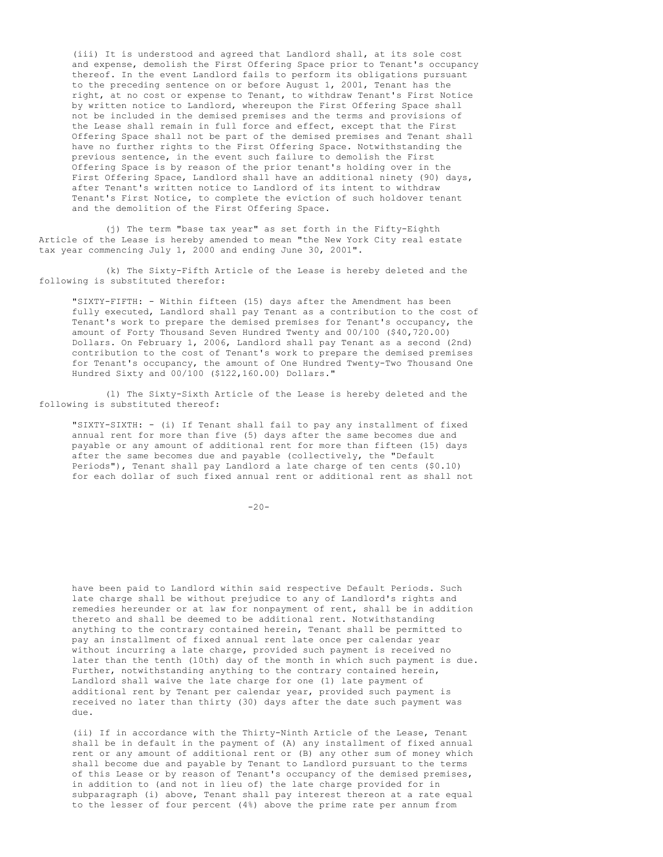(iii) It is understood and agreed that Landlord shall, at its sole cost and expense, demolish the First Offering Space prior to Tenant's occupancy thereof. In the event Landlord fails to perform its obligations pursuant to the preceding sentence on or before August 1, 2001, Tenant has the right, at no cost or expense to Tenant, to withdraw Tenant's First Notice by written notice to Landlord, whereupon the First Offering Space shall not be included in the demised premises and the terms and provisions of the Lease shall remain in full force and effect, except that the First Offering Space shall not be part of the demised premises and Tenant shall have no further rights to the First Offering Space. Notwithstanding the previous sentence, in the event such failure to demolish the First Offering Space is by reason of the prior tenant's holding over in the First Offering Space, Landlord shall have an additional ninety (90) days, after Tenant's written notice to Landlord of its intent to withdraw Tenant's First Notice, to complete the eviction of such holdover tenant and the demolition of the First Offering Space.

(j) The term "base tax year" as set forth in the Fifty-Eighth Article of the Lease is hereby amended to mean "the New York City real estate tax year commencing July 1, 2000 and ending June 30, 2001".

(k) The Sixty-Fifth Article of the Lease is hereby deleted and the following is substituted therefor:

"SIXTY-FIFTH: - Within fifteen (15) days after the Amendment has been fully executed, Landlord shall pay Tenant as a contribution to the cost of Tenant's work to prepare the demised premises for Tenant's occupancy, the amount of Forty Thousand Seven Hundred Twenty and 00/100 (\$40,720.00) Dollars. On February 1, 2006, Landlord shall pay Tenant as a second (2nd) contribution to the cost of Tenant's work to prepare the demised premises for Tenant's occupancy, the amount of One Hundred Twenty-Two Thousand One Hundred Sixty and 00/100 (\$122,160.00) Dollars."

(l) The Sixty-Sixth Article of the Lease is hereby deleted and the following is substituted thereof:

"SIXTY-SIXTH: - (i) If Tenant shall fail to pay any installment of fixed annual rent for more than five (5) days after the same becomes due and payable or any amount of additional rent for more than fifteen (15) days after the same becomes due and payable (collectively, the "Default Periods"), Tenant shall pay Landlord a late charge of ten cents (\$0.10) for each dollar of such fixed annual rent or additional rent as shall not

 $-20-$ 

have been paid to Landlord within said respective Default Periods. Such late charge shall be without prejudice to any of Landlord's rights and remedies hereunder or at law for nonpayment of rent, shall be in addition thereto and shall be deemed to be additional rent. Notwithstanding anything to the contrary contained herein, Tenant shall be permitted to pay an installment of fixed annual rent late once per calendar year without incurring a late charge, provided such payment is received no later than the tenth (10th) day of the month in which such payment is due. Further, notwithstanding anything to the contrary contained herein, Landlord shall waive the late charge for one (1) late payment of additional rent by Tenant per calendar year, provided such payment is received no later than thirty (30) days after the date such payment was due.

(ii) If in accordance with the Thirty-Ninth Article of the Lease, Tenant shall be in default in the payment of (A) any installment of fixed annual rent or any amount of additional rent or (B) any other sum of money which shall become due and payable by Tenant to Landlord pursuant to the terms of this Lease or by reason of Tenant's occupancy of the demised premises, in addition to (and not in lieu of) the late charge provided for in subparagraph (i) above, Tenant shall pay interest thereon at a rate equal to the lesser of four percent (4%) above the prime rate per annum from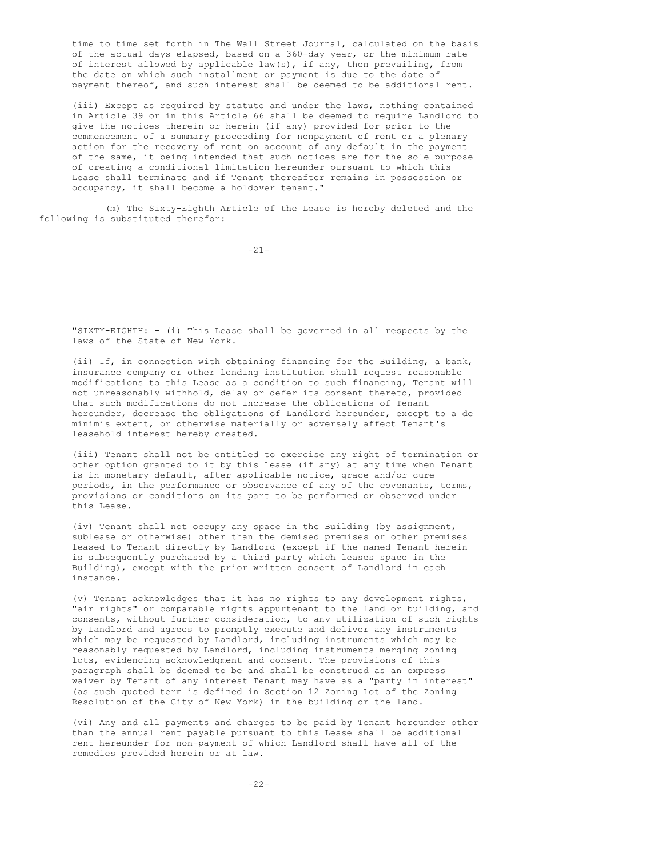time to time set forth in The Wall Street Journal, calculated on the basis of the actual days elapsed, based on a 360-day year, or the minimum rate of interest allowed by applicable law(s), if any, then prevailing, from the date on which such installment or payment is due to the date of payment thereof, and such interest shall be deemed to be additional rent.

(iii) Except as required by statute and under the laws, nothing contained in Article 39 or in this Article 66 shall be deemed to require Landlord to give the notices therein or herein (if any) provided for prior to the commencement of a summary proceeding for nonpayment of rent or a plenary action for the recovery of rent on account of any default in the payment of the same, it being intended that such notices are for the sole purpose of creating a conditional limitation hereunder pursuant to which this Lease shall terminate and if Tenant thereafter remains in possession or occupancy, it shall become a holdover tenant."

(m) The Sixty-Eighth Article of the Lease is hereby deleted and the following is substituted therefor:

-21-

"SIXTY-EIGHTH: - (i) This Lease shall be governed in all respects by the laws of the State of New York.

(ii) If, in connection with obtaining financing for the Building, a bank, insurance company or other lending institution shall request reasonable modifications to this Lease as a condition to such financing, Tenant will not unreasonably withhold, delay or defer its consent thereto, provided that such modifications do not increase the obligations of Tenant hereunder, decrease the obligations of Landlord hereunder, except to a de minimis extent, or otherwise materially or adversely affect Tenant's leasehold interest hereby created.

(iii) Tenant shall not be entitled to exercise any right of termination or other option granted to it by this Lease (if any) at any time when Tenant is in monetary default, after applicable notice, grace and/or cure periods, in the performance or observance of any of the covenants, terms, provisions or conditions on its part to be performed or observed under this Lease.

(iv) Tenant shall not occupy any space in the Building (by assignment, sublease or otherwise) other than the demised premises or other premises leased to Tenant directly by Landlord (except if the named Tenant herein is subsequently purchased by a third party which leases space in the Building), except with the prior written consent of Landlord in each instance.

(v) Tenant acknowledges that it has no rights to any development rights, "air rights" or comparable rights appurtenant to the land or building, and consents, without further consideration, to any utilization of such rights by Landlord and agrees to promptly execute and deliver any instruments which may be requested by Landlord, including instruments which may be reasonably requested by Landlord, including instruments merging zoning lots, evidencing acknowledgment and consent. The provisions of this paragraph shall be deemed to be and shall be construed as an express waiver by Tenant of any interest Tenant may have as a "party in interest" (as such quoted term is defined in Section 12 Zoning Lot of the Zoning Resolution of the City of New York) in the building or the land.

(vi) Any and all payments and charges to be paid by Tenant hereunder other than the annual rent payable pursuant to this Lease shall be additional rent hereunder for non-payment of which Landlord shall have all of the remedies provided herein or at law.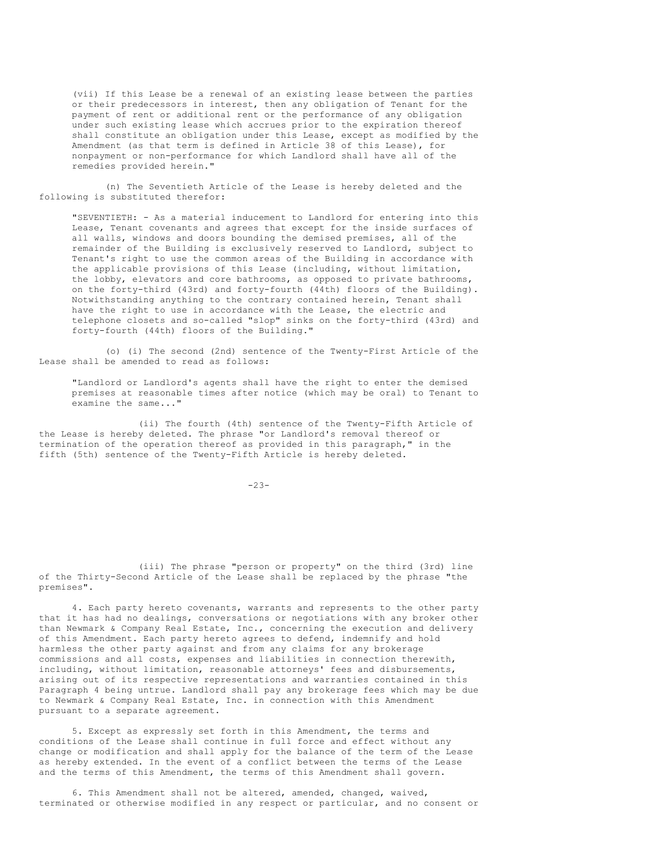(vii) If this Lease be a renewal of an existing lease between the parties or their predecessors in interest, then any obligation of Tenant for the payment of rent or additional rent or the performance of any obligation under such existing lease which accrues prior to the expiration thereof shall constitute an obligation under this Lease, except as modified by the Amendment (as that term is defined in Article 38 of this Lease), for nonpayment or non-performance for which Landlord shall have all of the remedies provided herein."

(n) The Seventieth Article of the Lease is hereby deleted and the following is substituted therefor:

"SEVENTIETH: - As a material inducement to Landlord for entering into this Lease, Tenant covenants and agrees that except for the inside surfaces of all walls, windows and doors bounding the demised premises, all of the remainder of the Building is exclusively reserved to Landlord, subject to Tenant's right to use the common areas of the Building in accordance with the applicable provisions of this Lease (including, without limitation, the lobby, elevators and core bathrooms, as opposed to private bathrooms, on the forty-third (43rd) and forty-fourth (44th) floors of the Building). Notwithstanding anything to the contrary contained herein, Tenant shall have the right to use in accordance with the Lease, the electric and telephone closets and so-called "slop" sinks on the forty-third (43rd) and forty-fourth (44th) floors of the Building."

(o) (i) The second (2nd) sentence of the Twenty-First Article of the Lease shall be amended to read as follows:

"Landlord or Landlord's agents shall have the right to enter the demised premises at reasonable times after notice (which may be oral) to Tenant to examine the same..."

(ii) The fourth (4th) sentence of the Twenty-Fifth Article of the Lease is hereby deleted. The phrase "or Landlord's removal thereof or termination of the operation thereof as provided in this paragraph," in the fifth (5th) sentence of the Twenty-Fifth Article is hereby deleted.

 $-23-$ 

(iii) The phrase "person or property" on the third (3rd) line of the Thirty-Second Article of the Lease shall be replaced by the phrase "the premises".

4. Each party hereto covenants, warrants and represents to the other party that it has had no dealings, conversations or negotiations with any broker other than Newmark & Company Real Estate, Inc., concerning the execution and delivery of this Amendment. Each party hereto agrees to defend, indemnify and hold harmless the other party against and from any claims for any brokerage commissions and all costs, expenses and liabilities in connection therewith, including, without limitation, reasonable attorneys' fees and disbursements, arising out of its respective representations and warranties contained in this Paragraph 4 being untrue. Landlord shall pay any brokerage fees which may be due to Newmark & Company Real Estate, Inc. in connection with this Amendment pursuant to a separate agreement.

5. Except as expressly set forth in this Amendment, the terms and conditions of the Lease shall continue in full force and effect without any change or modification and shall apply for the balance of the term of the Lease as hereby extended. In the event of a conflict between the terms of the Lease and the terms of this Amendment, the terms of this Amendment shall govern.

6. This Amendment shall not be altered, amended, changed, waived, terminated or otherwise modified in any respect or particular, and no consent or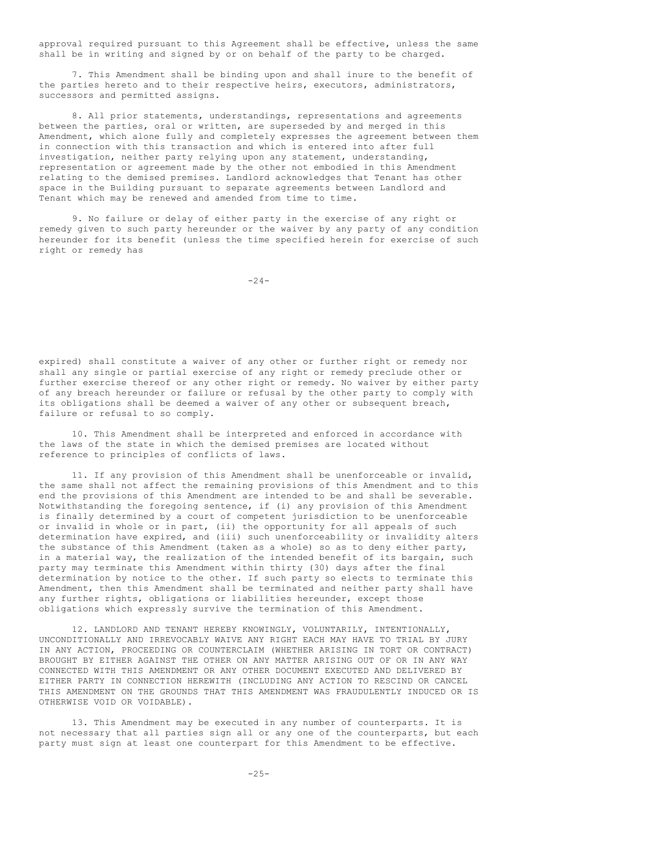approval required pursuant to this Agreement shall be effective, unless the same shall be in writing and signed by or on behalf of the party to be charged.

7. This Amendment shall be binding upon and shall inure to the benefit of the parties hereto and to their respective heirs, executors, administrators, successors and permitted assigns.

8. All prior statements, understandings, representations and agreements between the parties, oral or written, are superseded by and merged in this Amendment, which alone fully and completely expresses the agreement between them in connection with this transaction and which is entered into after full investigation, neither party relying upon any statement, understanding, representation or agreement made by the other not embodied in this Amendment relating to the demised premises. Landlord acknowledges that Tenant has other space in the Building pursuant to separate agreements between Landlord and Tenant which may be renewed and amended from time to time.

9. No failure or delay of either party in the exercise of any right or remedy given to such party hereunder or the waiver by any party of any condition hereunder for its benefit (unless the time specified herein for exercise of such right or remedy has

 $-24-$ 

expired) shall constitute a waiver of any other or further right or remedy nor shall any single or partial exercise of any right or remedy preclude other or further exercise thereof or any other right or remedy. No waiver by either party of any breach hereunder or failure or refusal by the other party to comply with its obligations shall be deemed a waiver of any other or subsequent breach, failure or refusal to so comply.

10. This Amendment shall be interpreted and enforced in accordance with the laws of the state in which the demised premises are located without reference to principles of conflicts of laws.

11. If any provision of this Amendment shall be unenforceable or invalid, the same shall not affect the remaining provisions of this Amendment and to this end the provisions of this Amendment are intended to be and shall be severable. Notwithstanding the foregoing sentence, if (i) any provision of this Amendment is finally determined by a court of competent jurisdiction to be unenforceable or invalid in whole or in part, (ii) the opportunity for all appeals of such determination have expired, and (iii) such unenforceability or invalidity alters the substance of this Amendment (taken as a whole) so as to deny either party, in a material way, the realization of the intended benefit of its bargain, such party may terminate this Amendment within thirty (30) days after the final determination by notice to the other. If such party so elects to terminate this Amendment, then this Amendment shall be terminated and neither party shall have any further rights, obligations or liabilities hereunder, except those obligations which expressly survive the termination of this Amendment.

12. LANDLORD AND TENANT HEREBY KNOWINGLY, VOLUNTARILY, INTENTIONALLY, UNCONDITIONALLY AND IRREVOCABLY WAIVE ANY RIGHT EACH MAY HAVE TO TRIAL BY JURY IN ANY ACTION, PROCEEDING OR COUNTERCLAIM (WHETHER ARISING IN TORT OR CONTRACT) BROUGHT BY EITHER AGAINST THE OTHER ON ANY MATTER ARISING OUT OF OR IN ANY WAY CONNECTED WITH THIS AMENDMENT OR ANY OTHER DOCUMENT EXECUTED AND DELIVERED BY EITHER PARTY IN CONNECTION HEREWITH (INCLUDING ANY ACTION TO RESCIND OR CANCEL THIS AMENDMENT ON THE GROUNDS THAT THIS AMENDMENT WAS FRAUDULENTLY INDUCED OR IS OTHERWISE VOID OR VOIDABLE).

13. This Amendment may be executed in any number of counterparts. It is not necessary that all parties sign all or any one of the counterparts, but each party must sign at least one counterpart for this Amendment to be effective.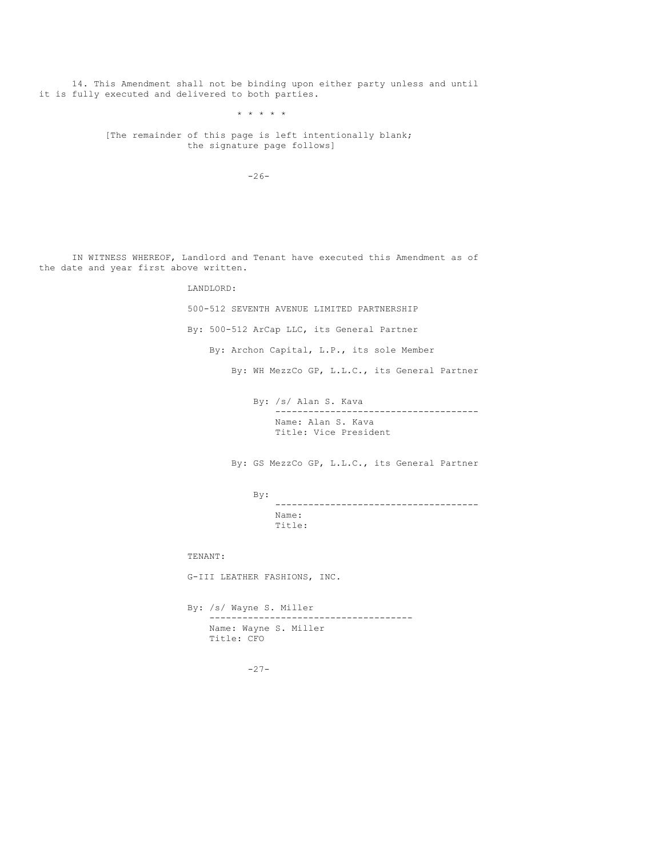14. This Amendment shall not be binding upon either party unless and until it is fully executed and delivered to both parties.

\* \* \* \* \*

[The remainder of this page is left intentionally blank; the signature page follows]

-26-

IN WITNESS WHEREOF, Landlord and Tenant have executed this Amendment as of the date and year first above written.

LANDLORD:

500-512 SEVENTH AVENUE LIMITED PARTNERSHIP

By: 500-512 ArCap LLC, its General Partner

By: Archon Capital, L.P., its sole Member

By: WH MezzCo GP, L.L.C., its General Partner

By: /s/ Alan S. Kava ------------------------------------- Name: Alan S. Kava Title: Vice President

By: GS MezzCo GP, L.L.C., its General Partner

By:

------------------------------------- Name: Title:

TENANT:

G-III LEATHER FASHIONS, INC.

By: /s/ Wayne S. Miller ------------------------------------- Name: Wayne S. Miller Title: CFO

 $-27-$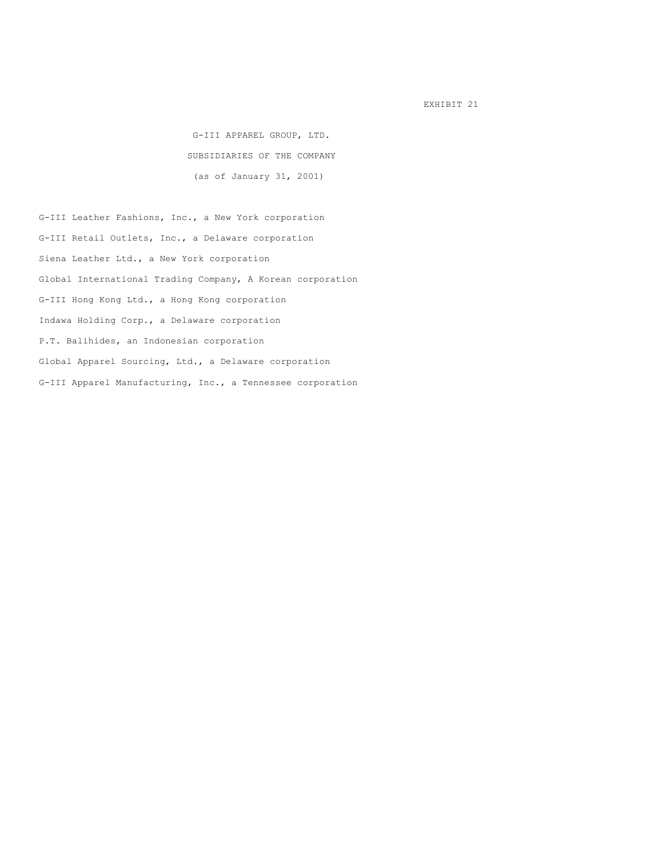EXHIBIT 21

G-III APPAREL GROUP, LTD. SUBSIDIARIES OF THE COMPANY (as of January 31, 2001)

G-III Leather Fashions, Inc., a New York corporation G-III Retail Outlets, Inc., a Delaware corporation Siena Leather Ltd., a New York corporation Global International Trading Company, A Korean corporation G-III Hong Kong Ltd., a Hong Kong corporation Indawa Holding Corp., a Delaware corporation P.T. Balihides, an Indonesian corporation Global Apparel Sourcing, Ltd., a Delaware corporation G-III Apparel Manufacturing, Inc., a Tennessee corporation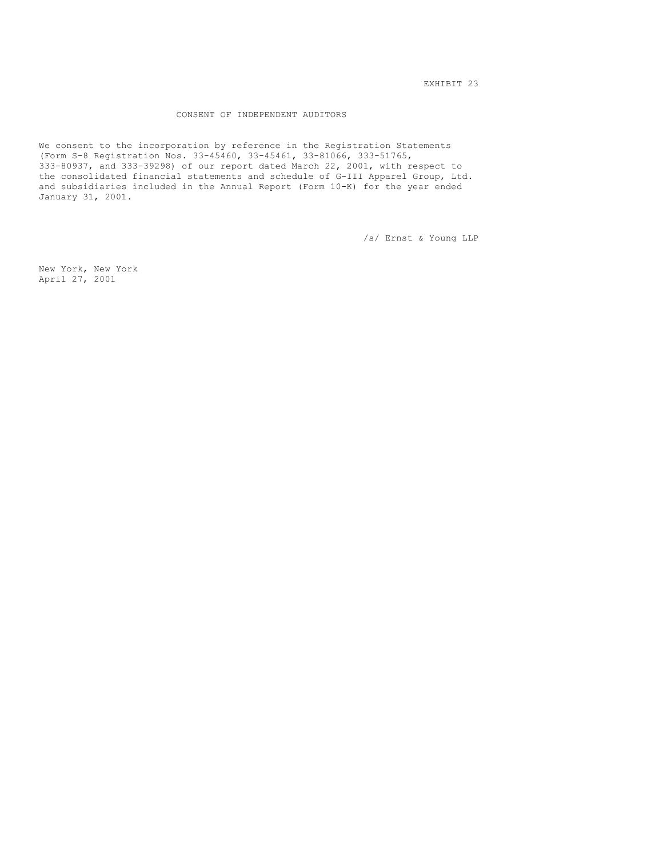EXHIBIT 23

## CONSENT OF INDEPENDENT AUDITORS

We consent to the incorporation by reference in the Registration Statements (Form S-8 Registration Nos. 33-45460, 33-45461, 33-81066, 333-51765, 333-80937, and 333-39298) of our report dated March 22, 2001, with respect to the consolidated financial statements and schedule of G-III Apparel Group, Ltd. and subsidiaries included in the Annual Report (Form 10-K) for the year ended January 31, 2001.

/s/ Ernst & Young LLP

New York, New York April 27, 2001